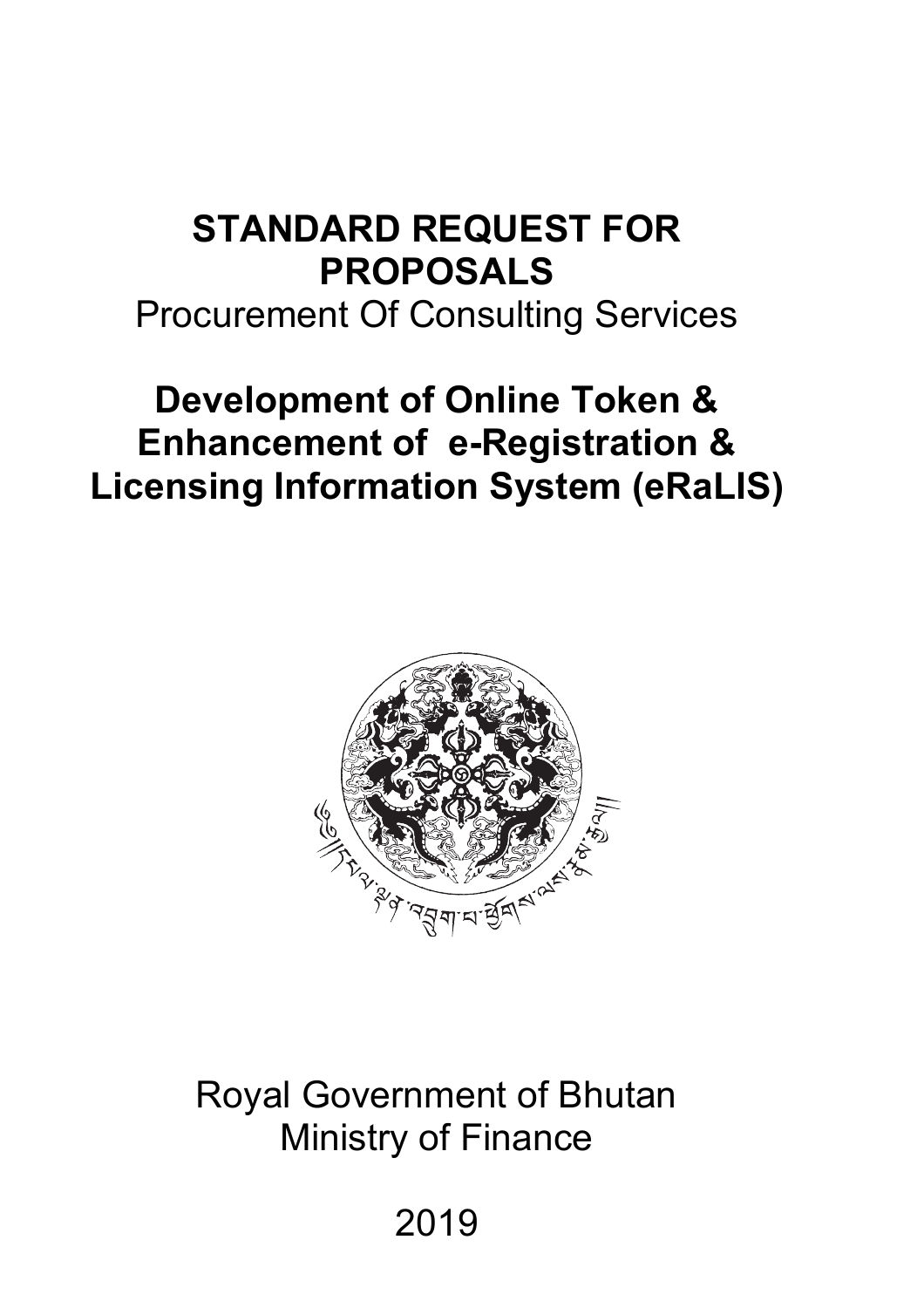# **STANDARD REQUEST FOR PROPOSALS**

# Procurement Of Consulting Services

# **Development of Online Token & Enhancement of e-Registration & Licensing Information System (eRaLIS)**



Royal Government of Bhutan Ministry of Finance

2019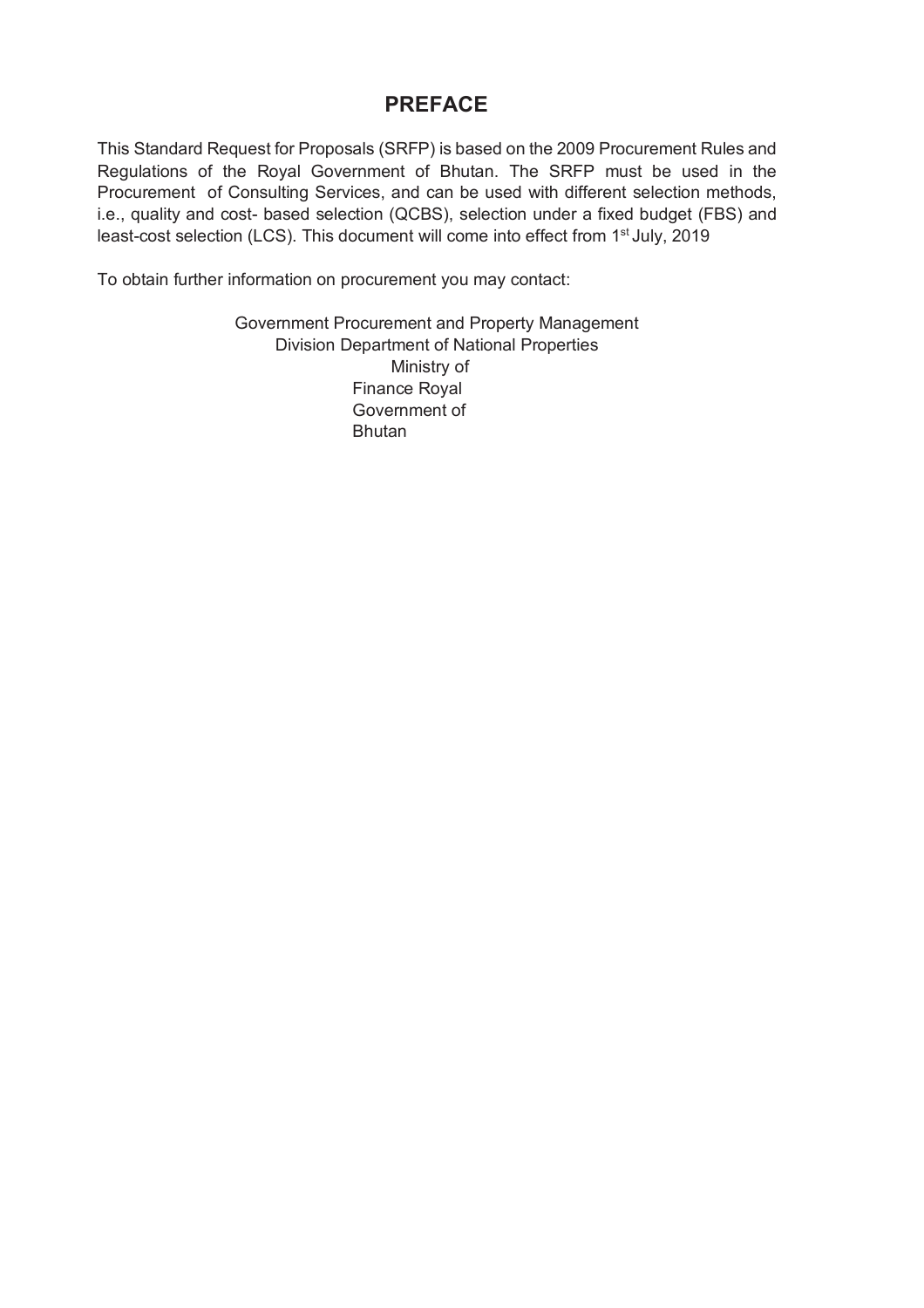# **PREFACE**

This Standard Request for Proposals (SRFP) is based on the 2009 Procurement Rules and Regulations of the Royal Government of Bhutan. The SRFP must be used in the Procurement of Consulting Services, and can be used with different selection methods, i.e., quality and cost- based selection (QCBS), selection under a fixed budget (FBS) and least-cost selection (LCS). This document will come into effect from 1<sup>st</sup> July, 2019

To obtain further information on procurement you may contact:

Government Procurement and Property Management Division Department of National Properties Ministry of Finance Royal Government of Bhutan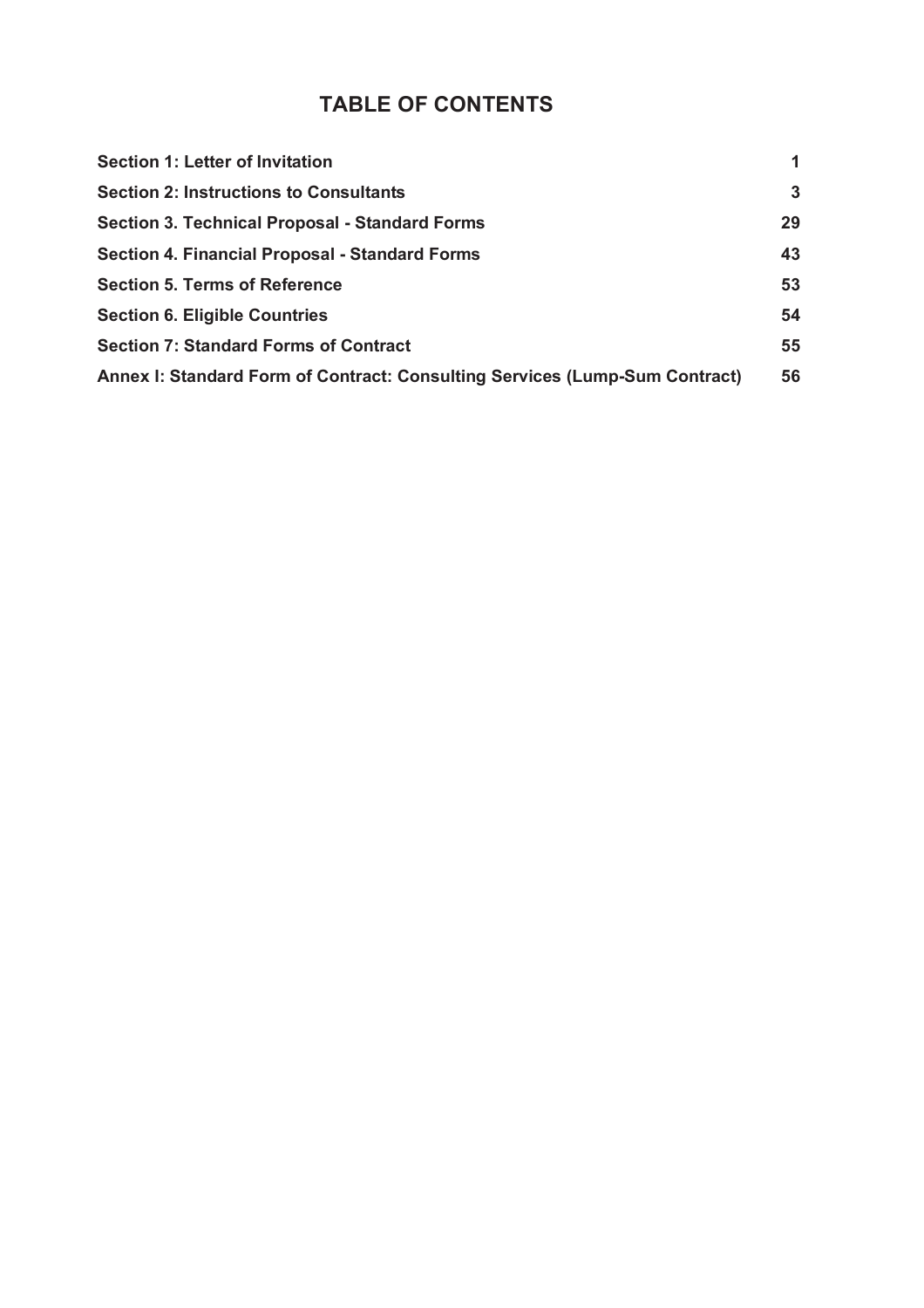# **TABLE OF CONTENTS**

| <b>Section 1: Letter of Invitation</b>                                      | 1  |
|-----------------------------------------------------------------------------|----|
| <b>Section 2: Instructions to Consultants</b>                               | 3  |
| <b>Section 3. Technical Proposal - Standard Forms</b>                       | 29 |
| <b>Section 4. Financial Proposal - Standard Forms</b>                       | 43 |
| <b>Section 5. Terms of Reference</b>                                        | 53 |
| <b>Section 6. Eligible Countries</b>                                        | 54 |
| <b>Section 7: Standard Forms of Contract</b>                                | 55 |
| Annex I: Standard Form of Contract: Consulting Services (Lump-Sum Contract) | 56 |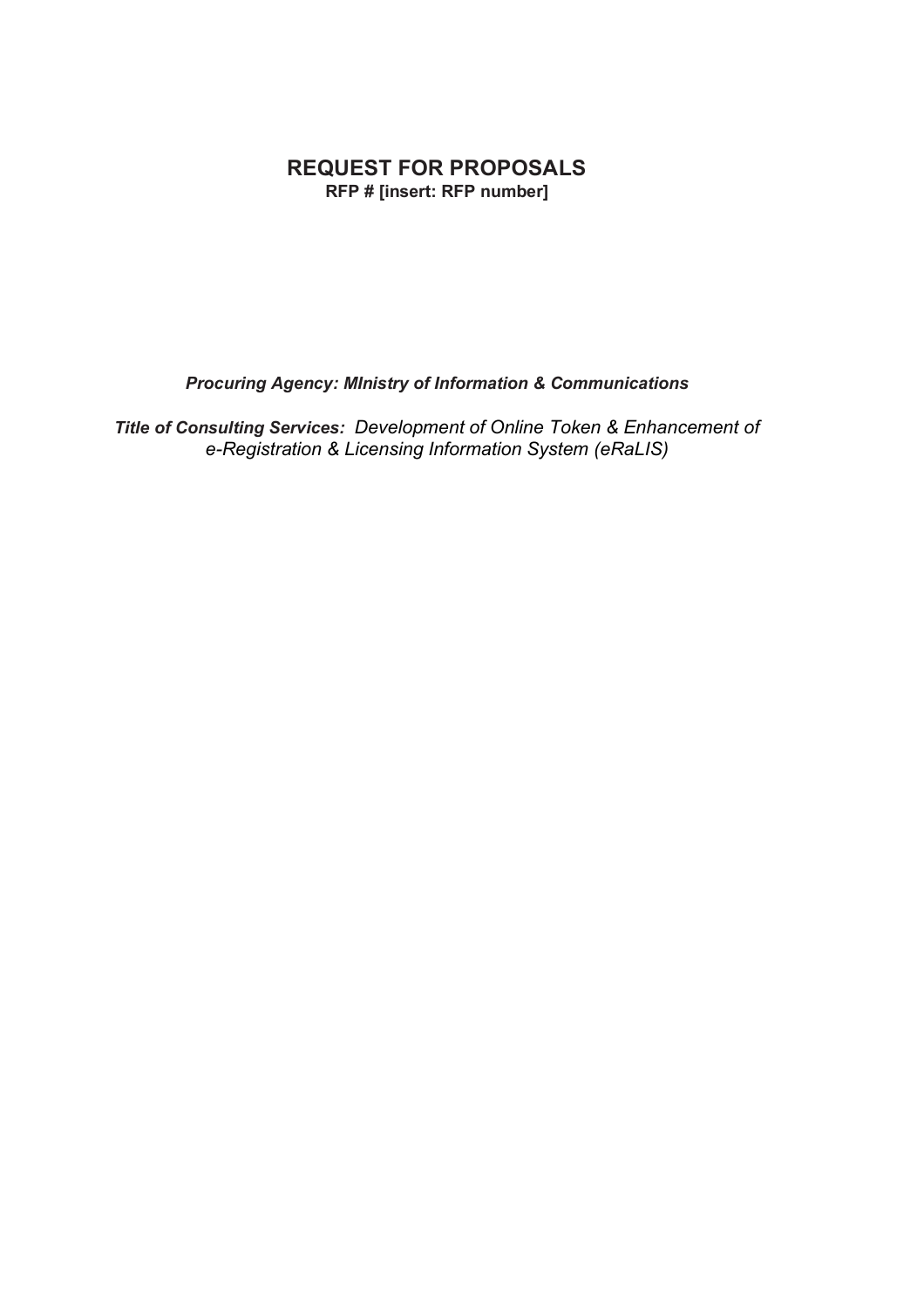## **REQUEST FOR PROPOSALS RFP # [insert: RFP number]**

*Procuring Agency: MInistry of Information & Communications*

*Title of Consulting Services: Development of Online Token & Enhancement of e-Registration & Licensing Information System (eRaLIS)*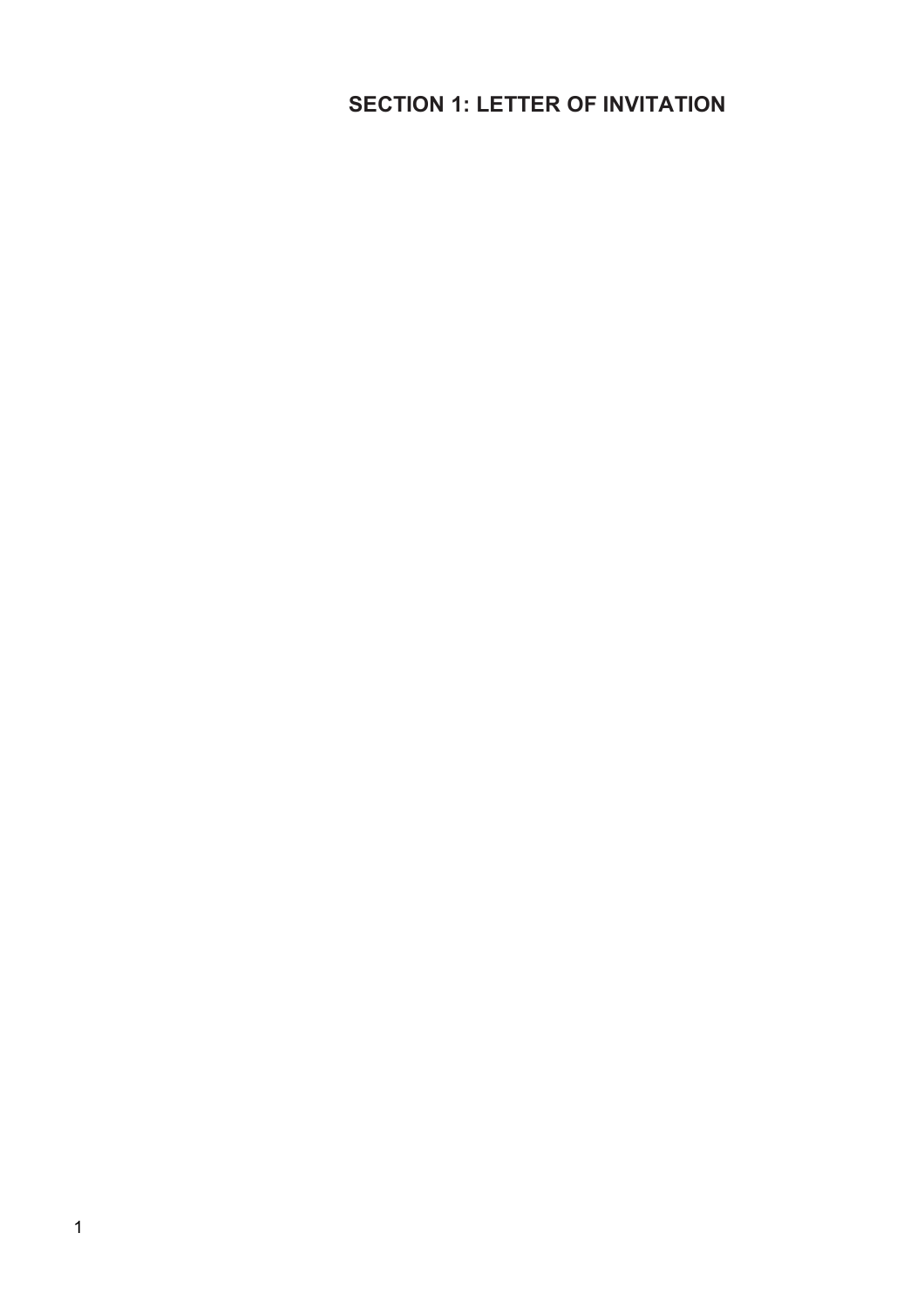# **SECTION 1: LETTER OF INVITATION**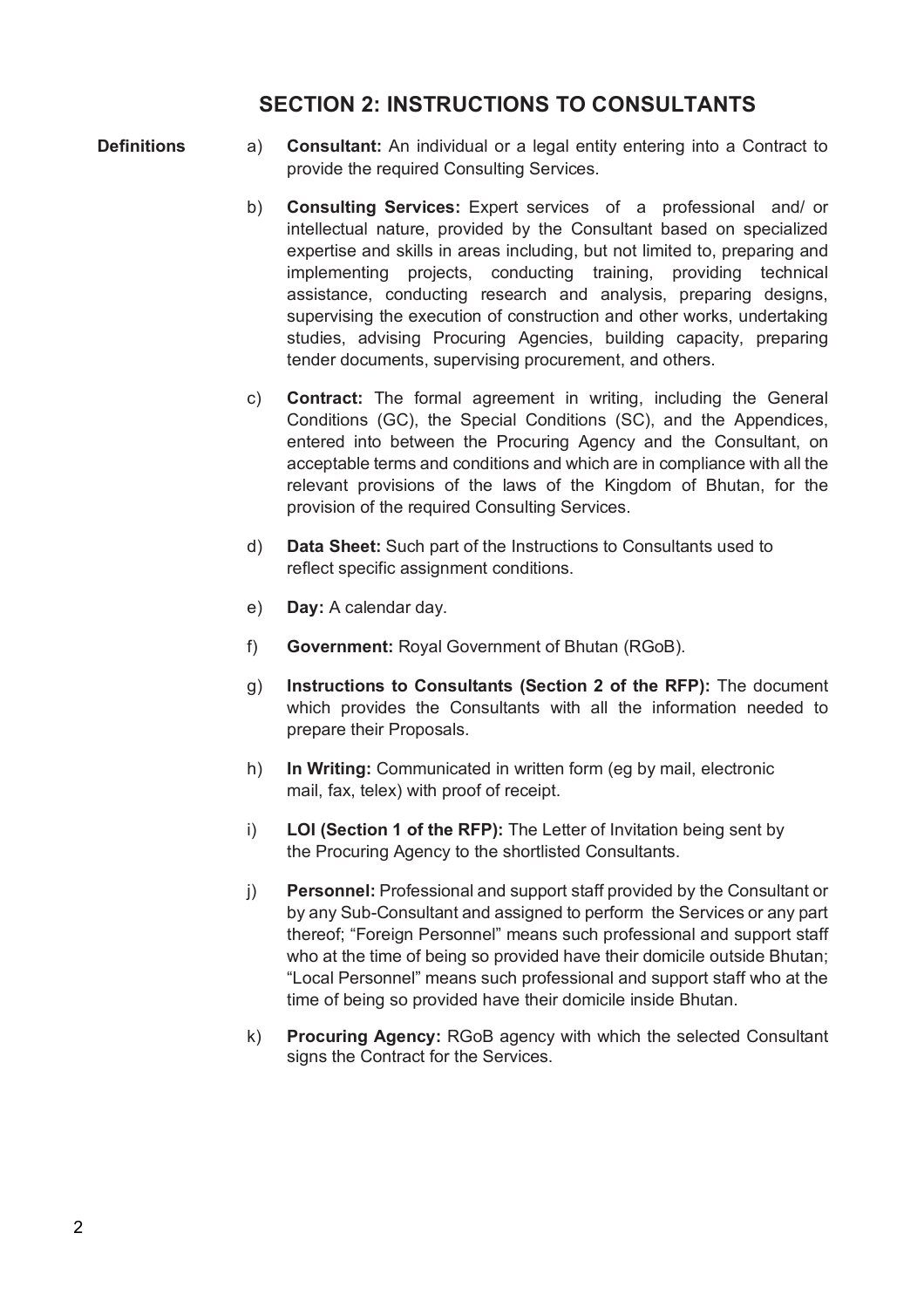# **SECTION 2: INSTRUCTIONS TO CONSULTANTS**

- **Definitions** a) **Consultant:** An individual or a legal entity entering into a Contract to provide the required Consulting Services.
	- b) **Consulting Services:** Expert services of a professional and/ or intellectual nature, provided by the Consultant based on specialized expertise and skills in areas including, but not limited to, preparing and implementing projects, conducting training, providing technical assistance, conducting research and analysis, preparing designs, supervising the execution of construction and other works, undertaking studies, advising Procuring Agencies, building capacity, preparing tender documents, supervising procurement, and others.
	- c) **Contract:** The formal agreement in writing, including the General Conditions (GC), the Special Conditions (SC), and the Appendices, entered into between the Procuring Agency and the Consultant, on acceptable terms and conditions and which are in compliance with all the relevant provisions of the laws of the Kingdom of Bhutan, for the provision of the required Consulting Services.
	- d) **Data Sheet:** Such part of the Instructions to Consultants used to reflect specific assignment conditions.
	- e) **Day:** A calendar day.
	- f) **Government:** Royal Government of Bhutan (RGoB).
	- g) **Instructions to Consultants (Section 2 of the RFP):** The document which provides the Consultants with all the information needed to prepare their Proposals.
	- h) **In Writing:** Communicated in written form (eg by mail, electronic mail, fax, telex) with proof of receipt.
	- i) **LOI (Section 1 of the RFP):** The Letter of Invitation being sent by the Procuring Agency to the shortlisted Consultants.
	- j) **Personnel:** Professional and support staff provided by the Consultant or by any Sub-Consultant and assigned to perform the Services or any part thereof; "Foreign Personnel" means such professional and support staff who at the time of being so provided have their domicile outside Bhutan; "Local Personnel" means such professional and support staff who at the time of being so provided have their domicile inside Bhutan.
	- k) **Procuring Agency:** RGoB agency with which the selected Consultant signs the Contract for the Services.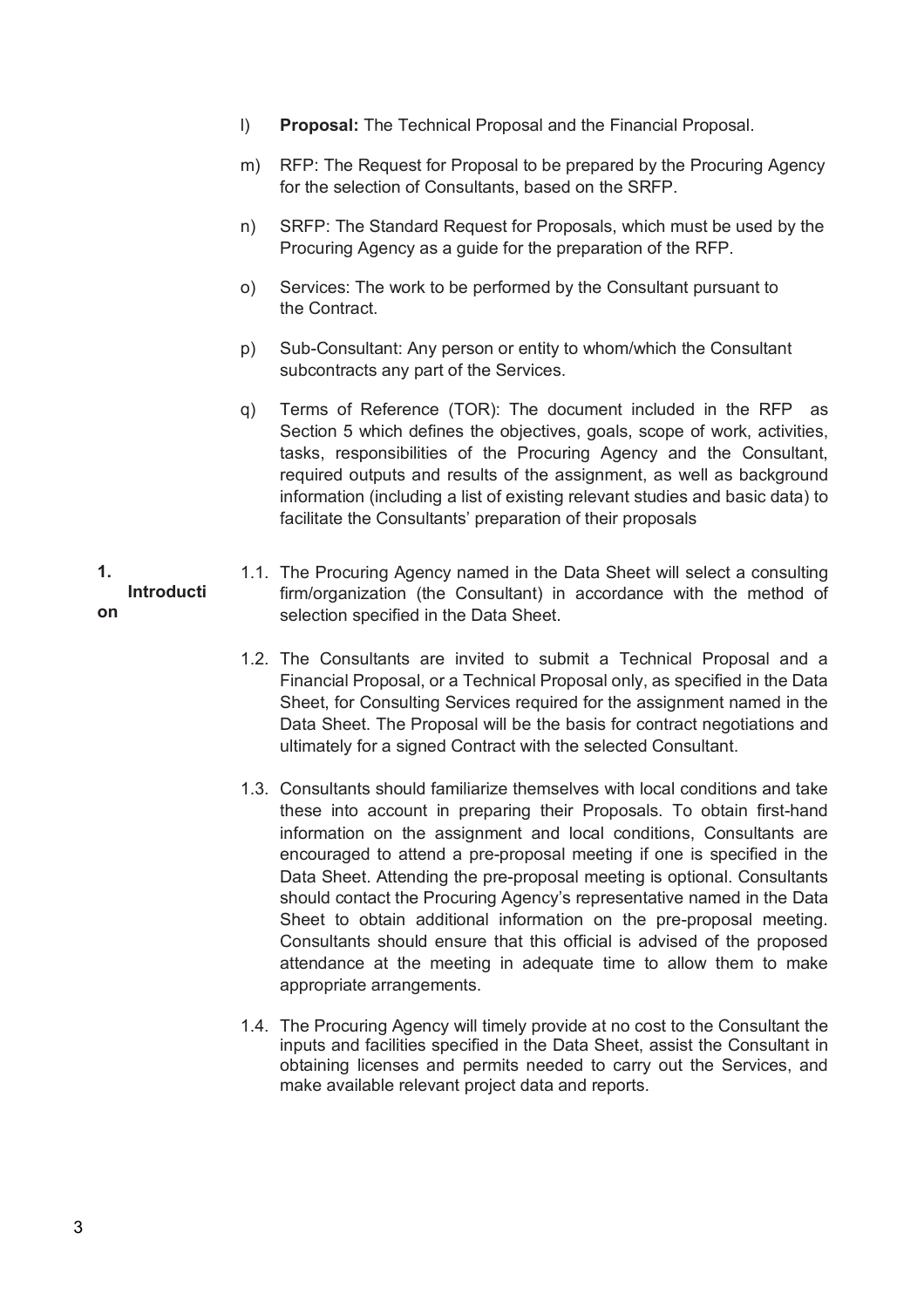- l) **Proposal:** The Technical Proposal and the Financial Proposal.
- m) RFP: The Request for Proposal to be prepared by the Procuring Agency for the selection of Consultants, based on the SRFP.
- n) SRFP: The Standard Request for Proposals, which must be used by the Procuring Agency as a guide for the preparation of the RFP.
- o) Services: The work to be performed by the Consultant pursuant to the Contract.
- p) Sub-Consultant: Any person or entity to whom/which the Consultant subcontracts any part of the Services.
- q) Terms of Reference (TOR): The document included in the RFP as Section 5 which defines the objectives, goals, scope of work, activities, tasks, responsibilities of the Procuring Agency and the Consultant, required outputs and results of the assignment, as well as background information (including a list of existing relevant studies and basic data) to facilitate the Consultants' preparation of their proposals
- **1. Introducti on**
- 1.1. The Procuring Agency named in the Data Sheet will select a consulting firm/organization (the Consultant) in accordance with the method of selection specified in the Data Sheet.
	- 1.2. The Consultants are invited to submit a Technical Proposal and a Financial Proposal, or a Technical Proposal only, as specified in the Data Sheet, for Consulting Services required for the assignment named in the Data Sheet. The Proposal will be the basis for contract negotiations and ultimately for a signed Contract with the selected Consultant.
	- 1.3. Consultants should familiarize themselves with local conditions and take these into account in preparing their Proposals. To obtain first-hand information on the assignment and local conditions, Consultants are encouraged to attend a pre-proposal meeting if one is specified in the Data Sheet. Attending the pre-proposal meeting is optional. Consultants should contact the Procuring Agency's representative named in the Data Sheet to obtain additional information on the pre-proposal meeting. Consultants should ensure that this official is advised of the proposed attendance at the meeting in adequate time to allow them to make appropriate arrangements.
	- 1.4. The Procuring Agency will timely provide at no cost to the Consultant the inputs and facilities specified in the Data Sheet, assist the Consultant in obtaining licenses and permits needed to carry out the Services, and make available relevant project data and reports.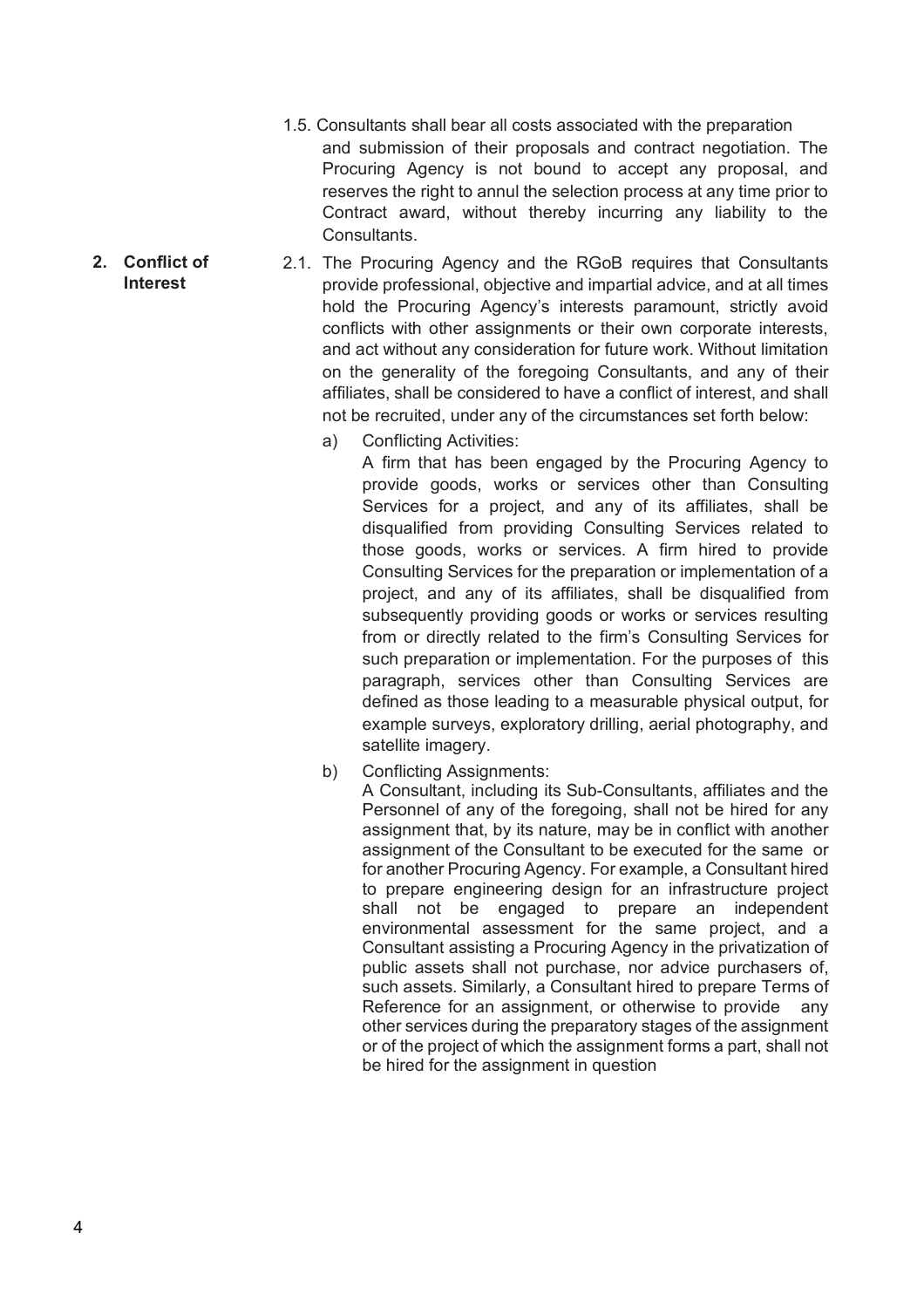- 1.5. Consultants shall bear all costs associated with the preparation and submission of their proposals and contract negotiation. The Procuring Agency is not bound to accept any proposal, and reserves the right to annul the selection process at any time prior to Contract award, without thereby incurring any liability to the **Consultants**
- 2.1. The Procuring Agency and the RGoB requires that Consultants provide professional, objective and impartial advice, and at all times hold the Procuring Agency's interests paramount, strictly avoid conflicts with other assignments or their own corporate interests, and act without any consideration for future work. Without limitation on the generality of the foregoing Consultants, and any of their affiliates, shall be considered to have a conflict of interest, and shall not be recruited, under any of the circumstances set forth below:
	- a) Conflicting Activities:

A firm that has been engaged by the Procuring Agency to provide goods, works or services other than Consulting Services for a project, and any of its affiliates, shall be disqualified from providing Consulting Services related to those goods, works or services. A firm hired to provide Consulting Services for the preparation or implementation of a project, and any of its affiliates, shall be disqualified from subsequently providing goods or works or services resulting from or directly related to the firm's Consulting Services for such preparation or implementation. For the purposes of this paragraph, services other than Consulting Services are defined as those leading to a measurable physical output, for example surveys, exploratory drilling, aerial photography, and satellite imagery.

b) Conflicting Assignments:

A Consultant, including its Sub-Consultants, affiliates and the Personnel of any of the foregoing, shall not be hired for any assignment that, by its nature, may be in conflict with another assignment of the Consultant to be executed for the same or for another Procuring Agency. For example, a Consultant hired to prepare engineering design for an infrastructure project shall not be engaged to prepare an independent environmental assessment for the same project, and a Consultant assisting a Procuring Agency in the privatization of public assets shall not purchase, nor advice purchasers of, such assets. Similarly, a Consultant hired to prepare Terms of Reference for an assignment, or otherwise to provide any other services during the preparatory stages of the assignment or of the project of which the assignment forms a part, shall not be hired for the assignment in question

**2. Conflict of Interest**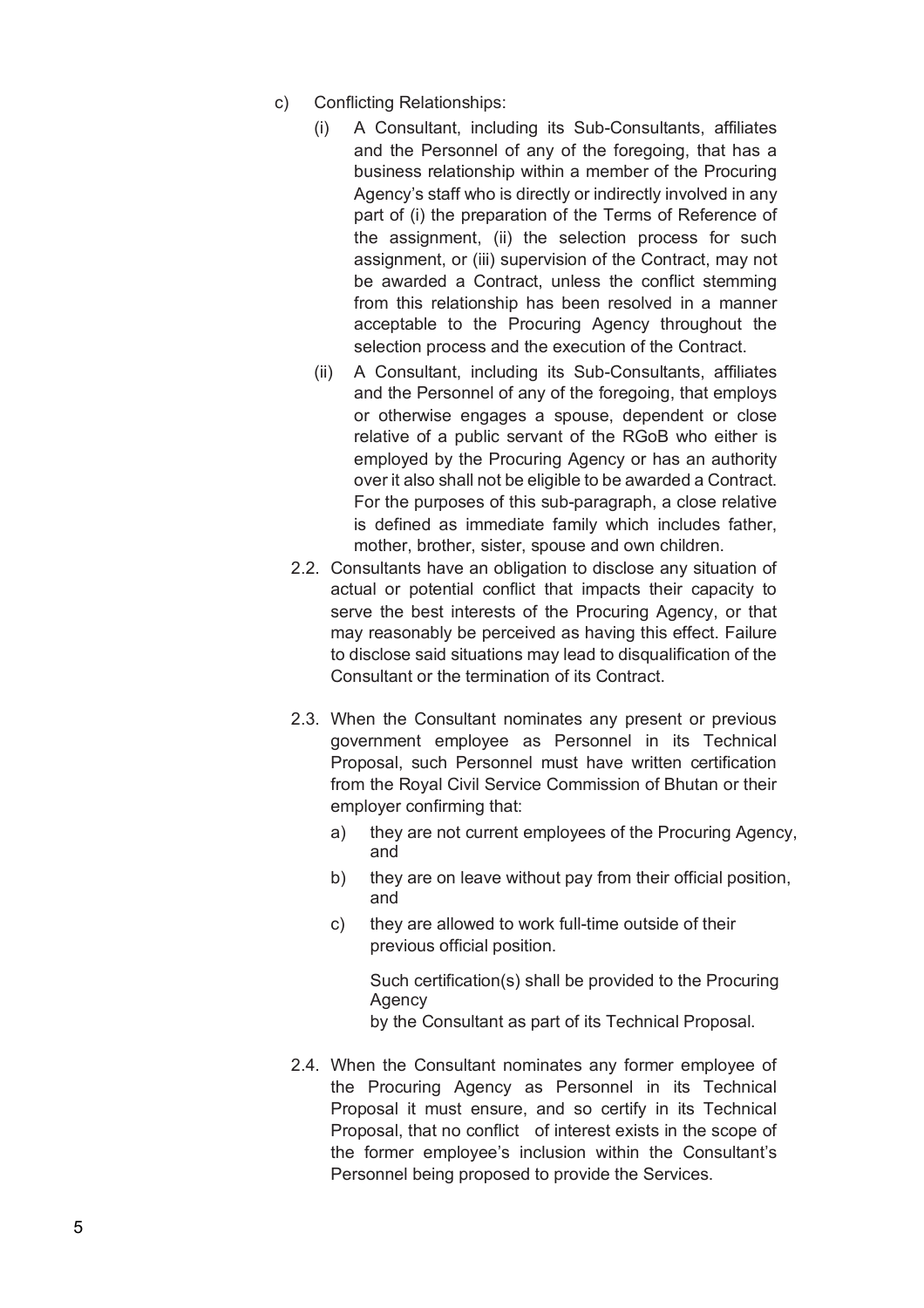- c) Conflicting Relationships:
	- (i) A Consultant, including its Sub-Consultants, affiliates and the Personnel of any of the foregoing, that has a business relationship within a member of the Procuring Agency's staff who is directly or indirectly involved in any part of (i) the preparation of the Terms of Reference of the assignment, (ii) the selection process for such assignment, or (iii) supervision of the Contract, may not be awarded a Contract, unless the conflict stemming from this relationship has been resolved in a manner acceptable to the Procuring Agency throughout the selection process and the execution of the Contract.
	- (ii) A Consultant, including its Sub-Consultants, affiliates and the Personnel of any of the foregoing, that employs or otherwise engages a spouse, dependent or close relative of a public servant of the RGoB who either is employed by the Procuring Agency or has an authority over it also shall not be eligible to be awarded a Contract. For the purposes of this sub-paragraph, a close relative is defined as immediate family which includes father, mother, brother, sister, spouse and own children.
	- 2.2. Consultants have an obligation to disclose any situation of actual or potential conflict that impacts their capacity to serve the best interests of the Procuring Agency, or that may reasonably be perceived as having this effect. Failure to disclose said situations may lead to disqualification of the Consultant or the termination of its Contract.
	- 2.3. When the Consultant nominates any present or previous government employee as Personnel in its Technical Proposal, such Personnel must have written certification from the Royal Civil Service Commission of Bhutan or their employer confirming that:
		- a) they are not current employees of the Procuring Agency, and
		- b) they are on leave without pay from their official position, and
		- c) they are allowed to work full-time outside of their previous official position.

Such certification(s) shall be provided to the Procuring Agency

by the Consultant as part of its Technical Proposal.

2.4. When the Consultant nominates any former employee of the Procuring Agency as Personnel in its Technical Proposal it must ensure, and so certify in its Technical Proposal, that no conflict of interest exists in the scope of the former employee's inclusion within the Consultant's Personnel being proposed to provide the Services.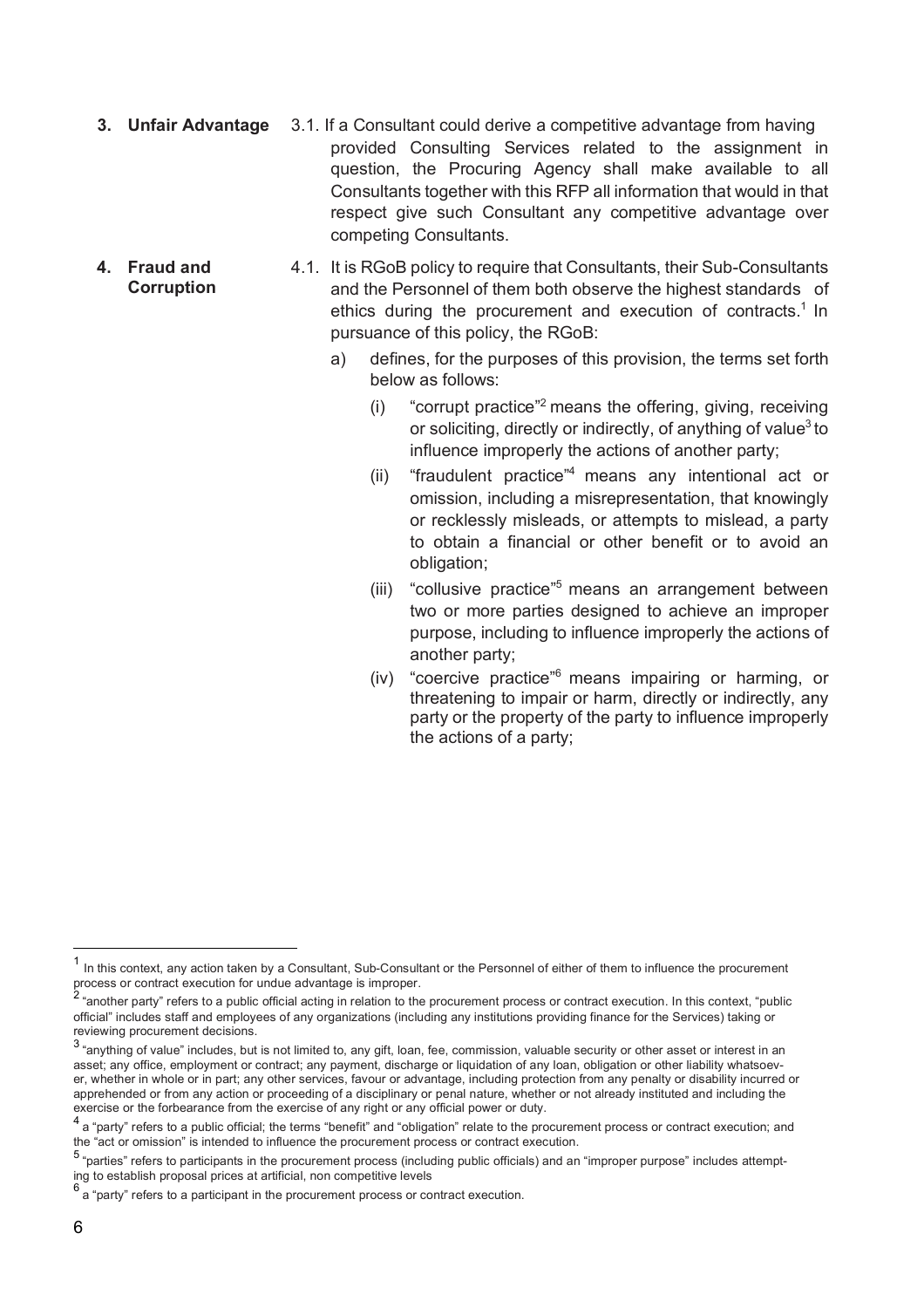- **3. Unfair Advantage** 3.1. If a Consultant could derive a competitive advantage from having provided Consulting Services related to the assignment in question, the Procuring Agency shall make available to all Consultants together with this RFP all information that would in that respect give such Consultant any competitive advantage over competing Consultants.
- **4. Fraud and Corruption** 4.1. It is RGoB policy to require that Consultants, their Sub-Consultants and the Personnel of them both observe the highest standards of ethics during the procurement and execution of contracts.<sup>1</sup> In pursuance of this policy, the RGoB:
	- a) defines, for the purposes of this provision, the terms set forth below as follows:
		- (i) "corrupt practice"2 means the offering, giving, receiving or soliciting, directly or indirectly, of anything of value<sup>3</sup> to influence improperly the actions of another party;
		- (ii) "fraudulent practice"4 means any intentional act or omission, including a misrepresentation, that knowingly or recklessly misleads, or attempts to mislead, a party to obtain a financial or other benefit or to avoid an obligation;
		- (iii) "collusive practice"5 means an arrangement between two or more parties designed to achieve an improper purpose, including to influence improperly the actions of another party;
		- (iv) "coercive practice"6 means impairing or harming, or threatening to impair or harm, directly or indirectly, any party or the property of the party to influence improperly the actions of a party;

In this context, any action taken by a Consultant, Sub-Consultant or the Personnel of either of them to influence the procurement process or contract execution for undue advantage is improper.<br>
<sup>2</sup> "candbridge" is improper.

<sup>&</sup>quot;another party" refers to a public official acting in relation to the procurement process or contract execution. In this context, "public official" includes staff and employees of any organizations (including any institutions providing finance for the Services) taking or reviewing procurement decisions.

<sup>&</sup>lt;sup>3</sup> "anything of value" includes, but is not limited to, any gift, loan, fee, commission, valuable security or other asset or interest in an asset; any office, employment or contract; any payment, discharge or liquidation of any loan, obligation or other liability whatsoever, whether in whole or in part; any other services, favour or advantage, including protection from any penalty or disability incurred or apprehended or from any action or proceeding of a disciplinary or penal nature, whether or not already instituted and including the exercise or the forbearance from the exercise of any right or any official power or duty.

<sup>&</sup>lt;sup>4</sup> a "party" refers to a public official; the terms "benefit" and "obligation" relate to the procurement process or contract execution; and the "act or omission" is intended to influence the procurement process or contract execution.

<sup>5</sup> "parties" refers to participants in the procurement process (including public officials) and an "improper purpose" includes attempting to establish proposal prices at artificial, non competitive levels

 $6a$  "party" refers to a participant in the procurement process or contract execution.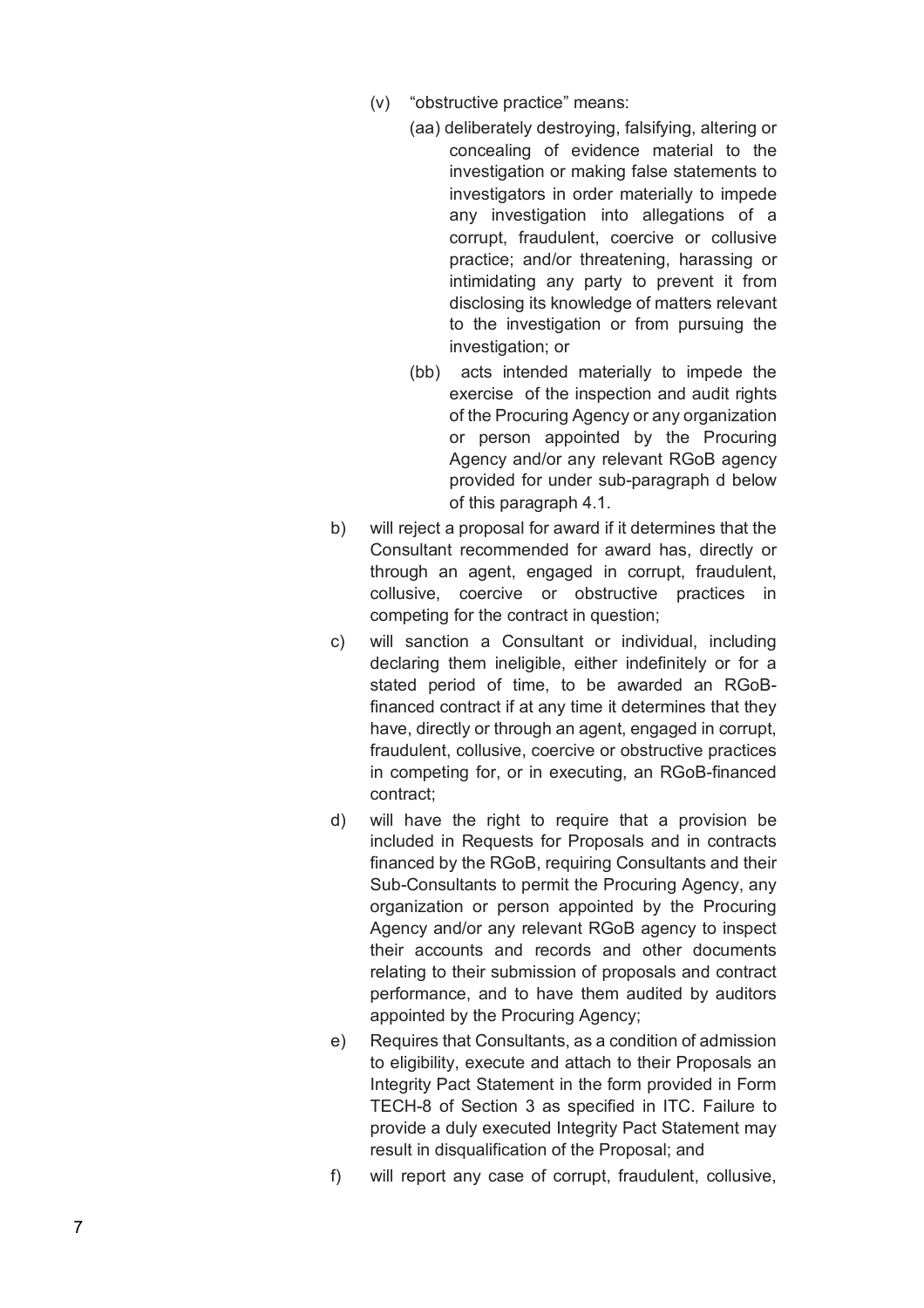- (v) "obstructive practice" means:
	- (aa) deliberately destroying, falsifying, altering or concealing of evidence material to the investigation or making false statements to investigators in order materially to impede any investigation into allegations of a corrupt, fraudulent, coercive or collusive practice; and/or threatening, harassing or intimidating any party to prevent it from disclosing its knowledge of matters relevant to the investigation or from pursuing the investigation; or
	- (bb) acts intended materially to impede the exercise of the inspection and audit rights of the Procuring Agency or any organization or person appointed by the Procuring Agency and/or any relevant RGoB agency provided for under sub -paragraph d below of this paragraph 4.1.
- b) will reject a proposal for award if it determines that the Consultant recommended for award has, directly or through an agent, engaged in corrupt, fraudulent, collusive, coercive or obstructive practices in competing for the contract in question;
- c) will sanction a Consultant or individual, including declaring them ineligible, either indefinitely or for a stated period of time, to be awarded an RGoB financed contract if at any time it determines that they have, directly or through an agent, engaged in corrupt, fraudulent, collusive, coercive or obstructive practices in competing for, or in executing, an RGoB -financed contract;
- d) will have the right to require that a provision be included in Requests for Proposals and in contracts financed by the RGoB, requiring Consultants and their Sub -Consultants to permit the Procuring Agency, any organization or person appointed by the Procuring Agency and/or any relevant RGoB agency to inspect their accounts and records and other documents relating to their submission of proposals and contract performance, and to have them audited by auditors appointed by the Procuring Agency;
- e) Requires that Consultants, as a condition of admission to eligibility, execute and attach to their Proposals an Integrity Pact Statement in the form provided in Form TECH -8 of Section 3 as specified in ITC. Failure to provide a duly executed Integrity Pact Statement may result in disqualification of the Proposal; and
- f) will report any case of corrupt, fraudulent, collusive,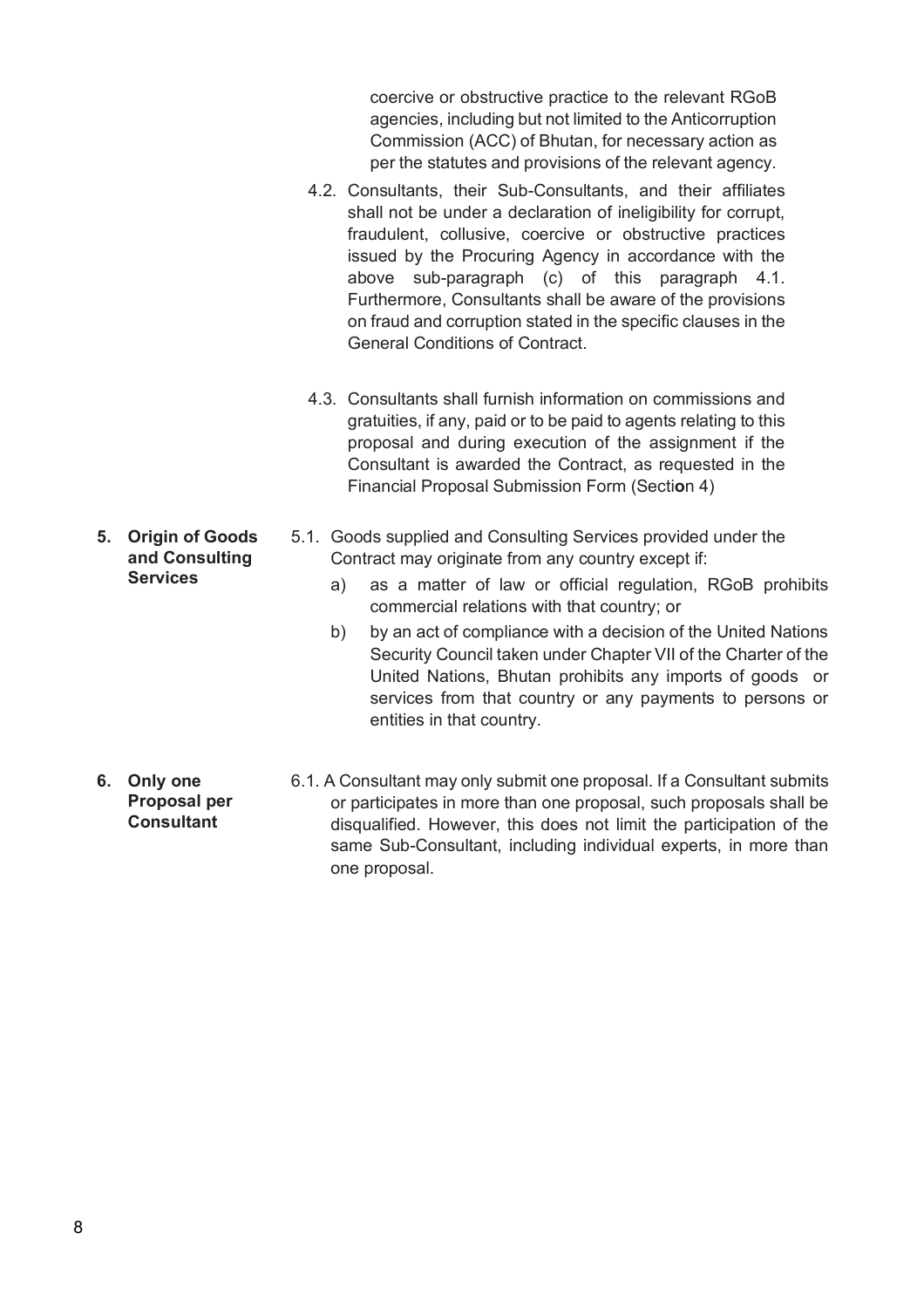coercive or obstructive practice to the relevant RGoB agencies, including but not limited to the Anticorruption Commission (ACC) of Bhutan, for necessary action as per the statutes and provisions of the relevant agency.

- 4.2. Consultants, their Sub-Consultants, and their affiliates shall not be under a declaration of ineligibility for corrupt, fraudulent, collusive, coercive or obstructive practices issued by the Procuring Agency in accordance with the above sub-paragraph (c) of this paragraph 4.1. Furthermore, Consultants shall be aware of the provisions on fraud and corruption stated in the specific clauses in the General Conditions of Contract.
- 4.3. Consultants shall furnish information on commissions and gratuities, if any, paid or to be paid to agents relating to this proposal and during execution of the assignment if the Consultant is awarded the Contract, as requested in the Financial Proposal Submission Form (Secti**o**n 4)
- **5. Origin of Goods and Consulting Services**
	- 5.1. Goods supplied and Consulting Services provided under the Contract may originate from any country except if:
		- a) as a matter of law or official regulation, RGoB prohibits commercial relations with that country; or
		- b) by an act of compliance with a decision of the United Nations Security Council taken under Chapter VII of the Charter of the United Nations, Bhutan prohibits any imports of goods or services from that country or any payments to persons or entities in that country.
- **6. Only one Proposal per Consultant** 6.1. A Consultant may only submit one proposal. If a Consultant submits or participates in more than one proposal, such proposals shall be disqualified. However, this does not limit the participation of the same Sub-Consultant, including individual experts, in more than one proposal.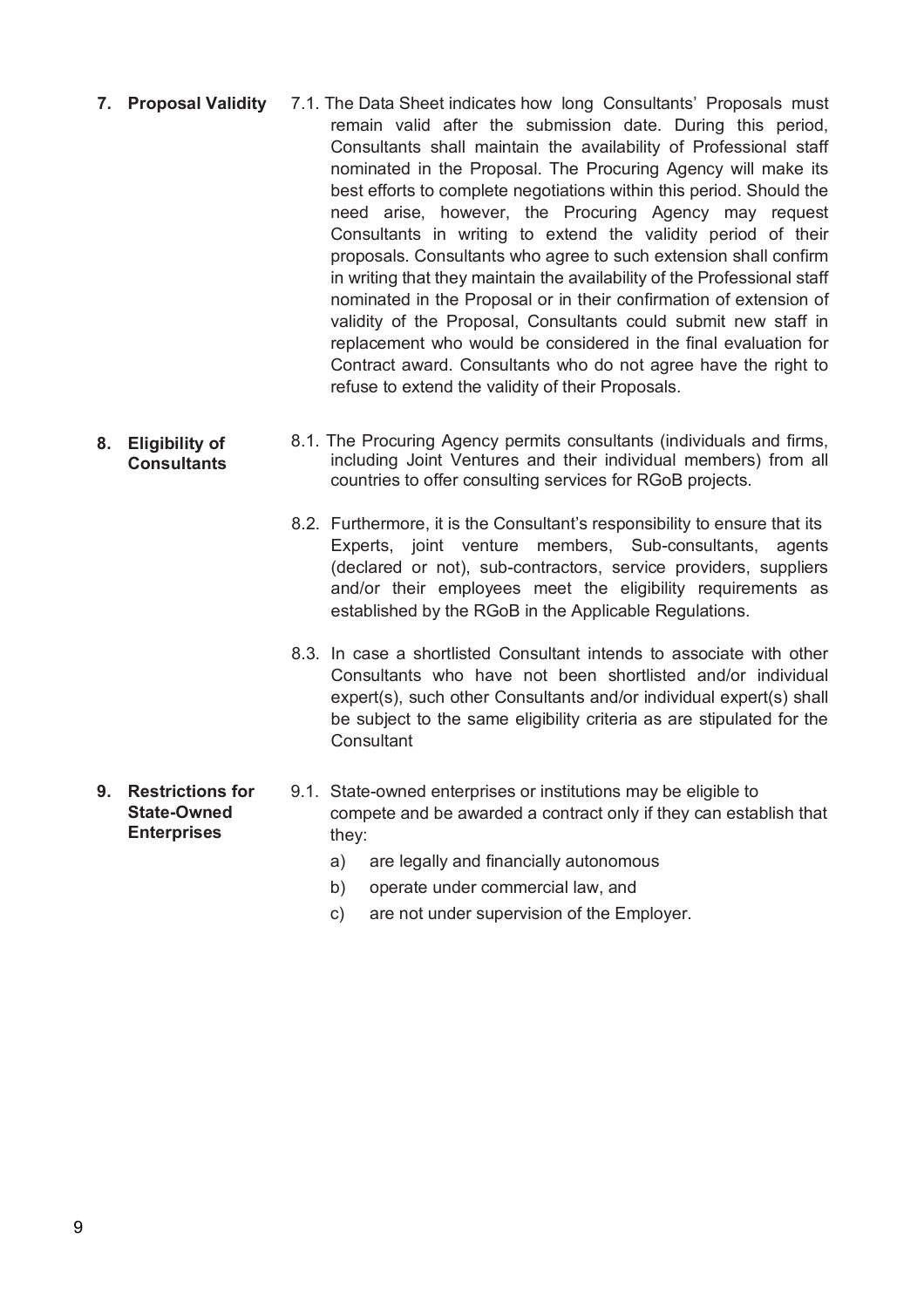- **7. Proposal Validity** 7.1. The Data Sheet indicates how long Consultants' Proposals must remain valid after the submission date. During this period, Consultants shall maintain the availability of Professional staff nominated in the Proposal. The Procuring Agency will make its best efforts to complete negotiations within this period. Should the need arise, however, the Procuring Agency may request Consultants in writing to extend the validity period of their proposals. Consultants who agree to such extension shall confirm in writing that they maintain the availability of the Professional staff nominated in the Proposal or in their confirmation of extension of validity of the Proposal, Consultants could submit new staff in replacement who would be considered in the final evaluation for Contract award. Consultants who do not agree have the right to refuse to extend the validity of their Proposals.
- **8. Eligibility of Consultants** 8.1. The Procuring Agency permits consultants (individuals and firms, including Joint Ventures and their individual members) from all countries to offer consulting services for RGoB projects.
	- 8.2. Furthermore, it is the Consultant's responsibility to ensure that its Experts, joint venture members, Sub-consultants, agents (declared or not), sub-contractors, service providers, suppliers and/or their employees meet the eligibility requirements as established by the RGoB in the Applicable Regulations.
	- 8.3. In case a shortlisted Consultant intends to associate with other Consultants who have not been shortlisted and/or individual expert(s), such other Consultants and/or individual expert(s) shall be subject to the same eligibility criteria as are stipulated for the **Consultant**
- **9. Restrictions for State-Owned Enterprises** 9.1. State-owned enterprises or institutions may be eligible to compete and be awarded a contract only if they can establish that they:
	- a) are legally and financially autonomous
	- b) operate under commercial law, and
	- c) are not under supervision of the Employer.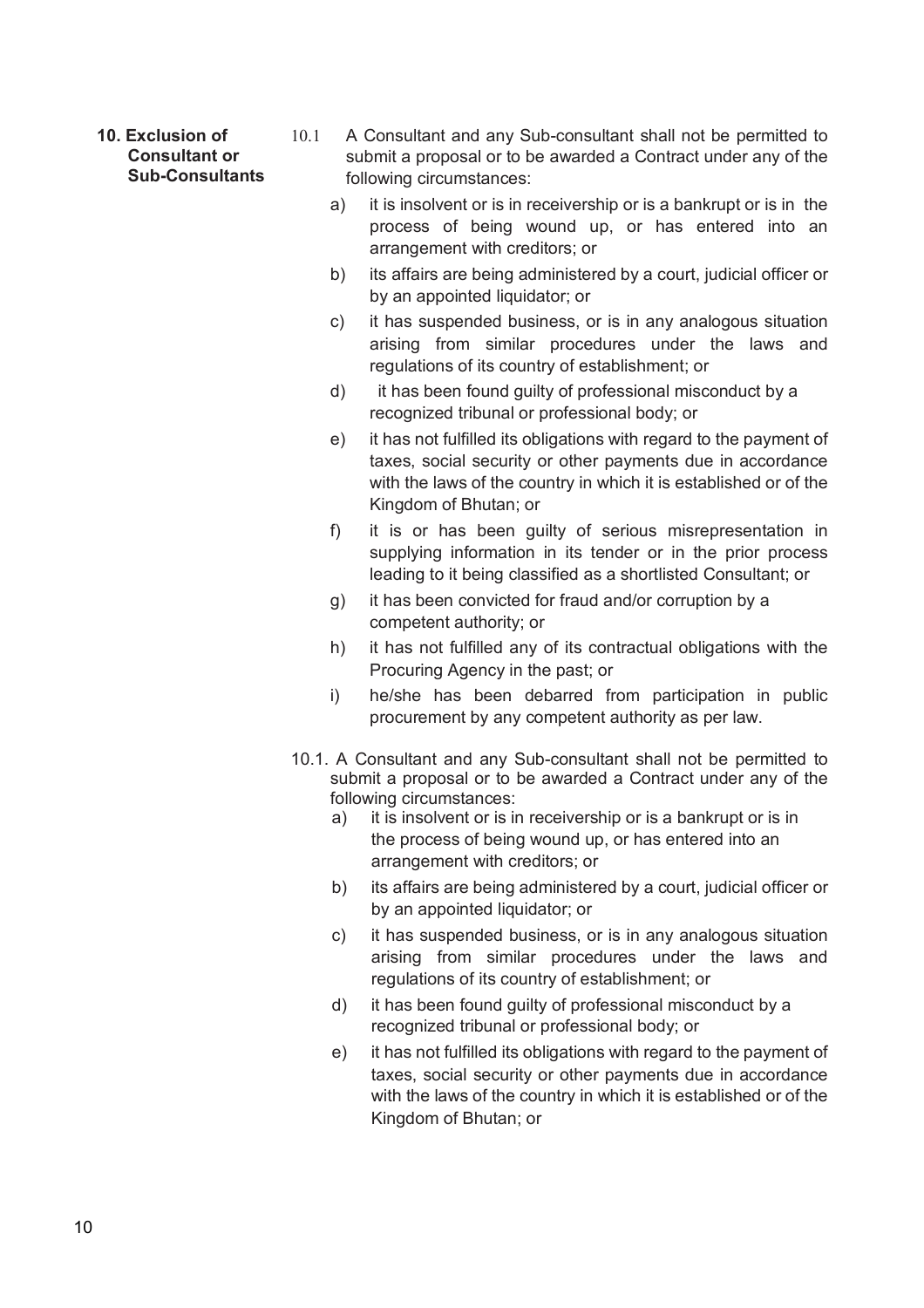**10. Exclusion of Consultant or Sub-Consultants**

- 10.1 A Consultant and any Sub-consultant shall not be permitted to submit a proposal or to be awarded a Contract under any of the following circumstances:
	- a) it is insolvent or is in receivership or is a bankrupt or is in the process of being wound up, or has entered into an arrangement with creditors; or
	- b) its affairs are being administered by a court, judicial officer or by an appointed liquidator; or
	- c) it has suspended business, or is in any analogous situation arising from similar procedures under the laws and regulations of its country of establishment; or
	- d) it has been found guilty of professional misconduct by a recognized tribunal or professional body; or
	- e) it has not fulfilled its obligations with regard to the payment of taxes, social security or other payments due in accordance with the laws of the country in which it is established or of the Kingdom of Bhutan; or
	- f) it is or has been guilty of serious misrepresentation in supplying information in its tender or in the prior process leading to it being classified as a shortlisted Consultant; or
	- g) it has been convicted for fraud and/or corruption by a competent authority; or
	- h) it has not fulfilled any of its contractual obligations with the Procuring Agency in the past; or
	- i) he/she has been debarred from participation in public procurement by any competent authority as per law.
- 10.1. A Consultant and any Sub-consultant shall not be permitted to submit a proposal or to be awarded a Contract under any of the following circumstances:
	- a) it is insolvent or is in receivership or is a bankrupt or is in the process of being wound up, or has entered into an arrangement with creditors; or
	- b) its affairs are being administered by a court, judicial officer or by an appointed liquidator; or
	- c) it has suspended business, or is in any analogous situation arising from similar procedures under the laws and regulations of its country of establishment; or
	- d) it has been found guilty of professional misconduct by a recognized tribunal or professional body; or
	- e) it has not fulfilled its obligations with regard to the payment of taxes, social security or other payments due in accordance with the laws of the country in which it is established or of the Kingdom of Bhutan; or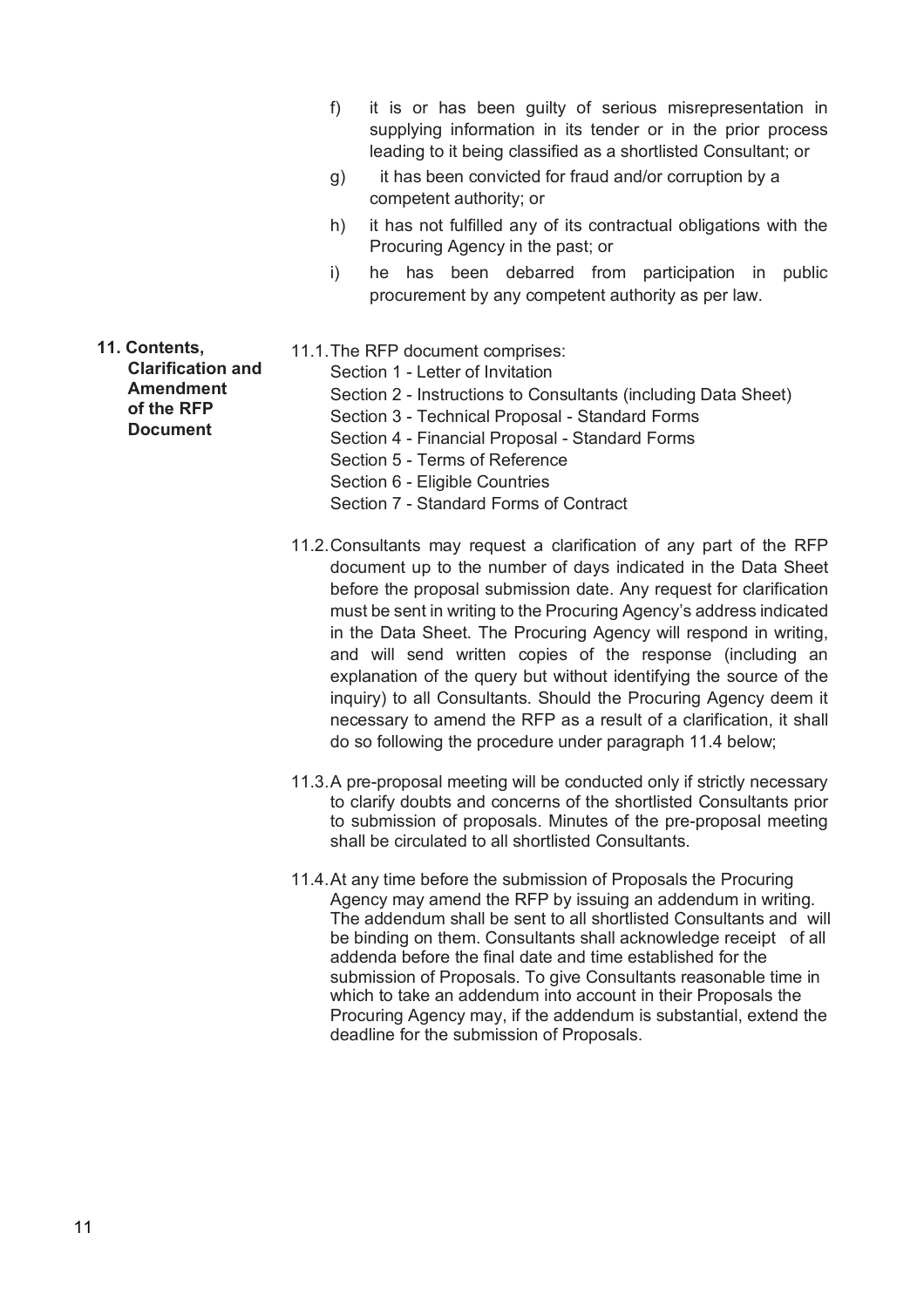- f) it is or has been guilty of serious misrepresentation in supplying information in its tender or in the prior process leading to it being classified as a shortlisted Consultant; or
- g) it has been convicted for fraud and/or corruption by a competent authority; or
- h) it has not fulfilled any of its contractual obligations with the Procuring Agency in the past; or
- i) he has been debarred from participation in public procurement by any competent authority as per law.
- **11. Contents, Clarification and Amendment of the RFP Document**
- 11.1.The RFP document comprises: Section 1 - Letter of Invitation Section 2 - Instructions to Consultants (including Data Sheet) Section 3 - Technical Proposal - Standard Forms Section 4 - Financial Proposal - Standard Forms Section 5 - Terms of Reference Section 6 - Eligible Countries Section 7 - Standard Forms of Contract
- 11.2.Consultants may request a clarification of any part of the RFP document up to the number of days indicated in the Data Sheet before the proposal submission date. Any request for clarification must be sent in writing to the Procuring Agency's address indicated in the Data Sheet. The Procuring Agency will respond in writing, and will send written copies of the response (including an explanation of the query but without identifying the source of the inquiry) to all Consultants. Should the Procuring Agency deem it necessary to amend the RFP as a result of a clarification, it shall do so following the procedure under paragraph 11.4 below;
- 11.3.A pre-proposal meeting will be conducted only if strictly necessary to clarify doubts and concerns of the shortlisted Consultants prior to submission of proposals. Minutes of the pre-proposal meeting shall be circulated to all shortlisted Consultants.
- 11.4.At any time before the submission of Proposals the Procuring Agency may amend the RFP by issuing an addendum in writing. The addendum shall be sent to all shortlisted Consultants and will be binding on them. Consultants shall acknowledge receipt of all addenda before the final date and time established for the submission of Proposals. To give Consultants reasonable time in which to take an addendum into account in their Proposals the Procuring Agency may, if the addendum is substantial, extend the deadline for the submission of Proposals.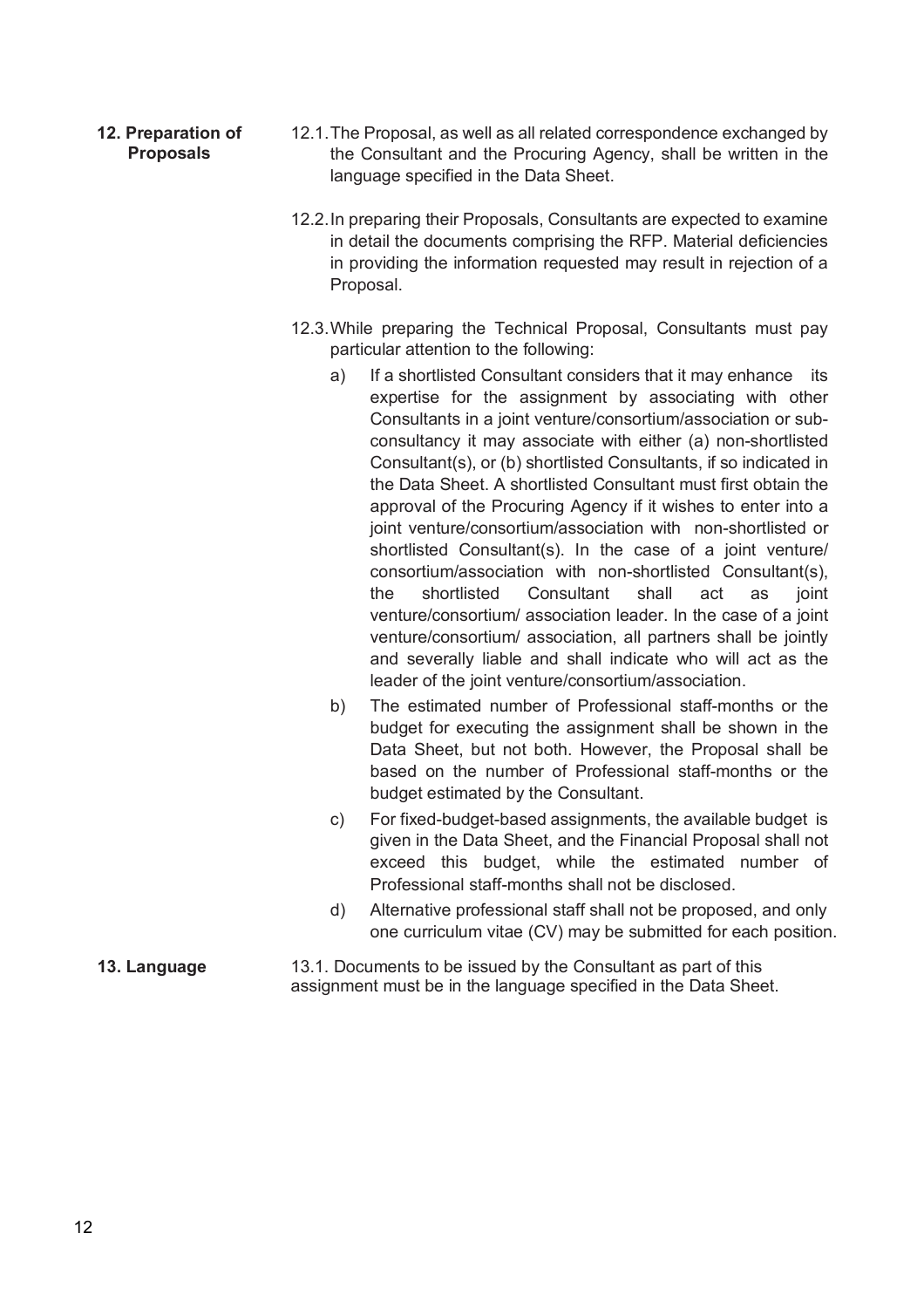- **12. Preparation of Proposals**
- 12.1.The Proposal, as well as all related correspondence exchanged by the Consultant and the Procuring Agency, shall be written in the language specified in the Data Sheet.
- 12.2.In preparing their Proposals, Consultants are expected to examine in detail the documents comprising the RFP. Material deficiencies in providing the information requested may result in rejection of a Proposal.
- 12.3.While preparing the Technical Proposal, Consultants must pay particular attention to the following:
	- a) If a shortlisted Consultant considers that it may enhance its expertise for the assignment by associating with other Consultants in a joint venture/consortium/association or subconsultancy it may associate with either (a) non-shortlisted Consultant(s), or (b) shortlisted Consultants, if so indicated in the Data Sheet. A shortlisted Consultant must first obtain the approval of the Procuring Agency if it wishes to enter into a joint venture/consortium/association with non-shortlisted or shortlisted Consultant(s). In the case of a joint venture/ consortium/association with non-shortlisted Consultant(s), the shortlisted Consultant shall act as joint venture/consortium/ association leader. In the case of a joint venture/consortium/ association, all partners shall be jointly and severally liable and shall indicate who will act as the leader of the joint venture/consortium/association.
	- b) The estimated number of Professional staff-months or the budget for executing the assignment shall be shown in the Data Sheet, but not both. However, the Proposal shall be based on the number of Professional staff-months or the budget estimated by the Consultant.
	- c) For fixed-budget-based assignments, the available budget is given in the Data Sheet, and the Financial Proposal shall not exceed this budget, while the estimated number of Professional staff-months shall not be disclosed.
	- d) Alternative professional staff shall not be proposed, and only one curriculum vitae (CV) may be submitted for each position.
- **13. Language** 13.1. Documents to be issued by the Consultant as part of this assignment must be in the language specified in the Data Sheet.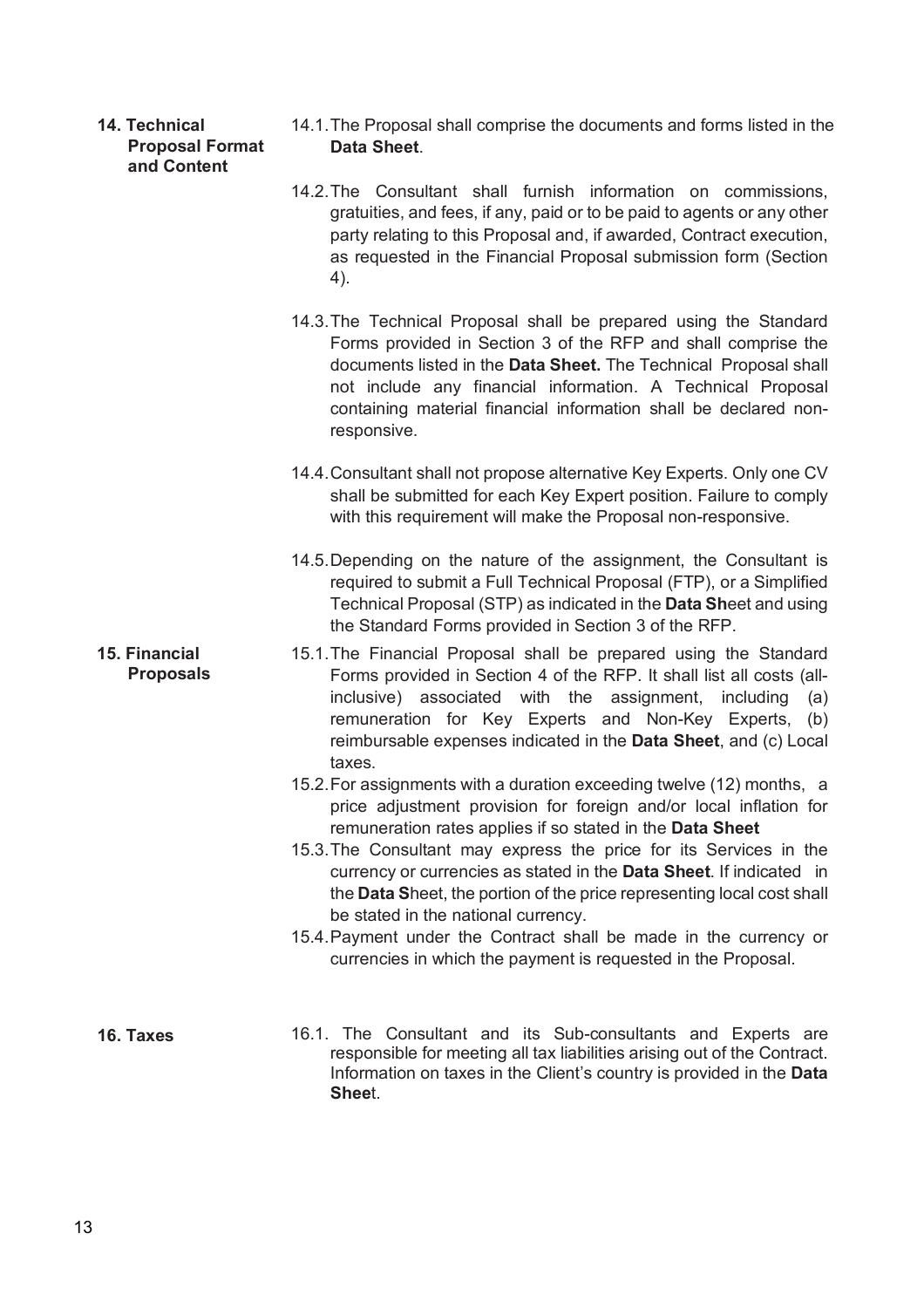**14. Technical Proposal Format and Content**

**15. Financial Proposals**

- 14.1.The Proposal shall comprise the documents and forms listed in the **Data Sheet**.
- 14.2.The Consultant shall furnish information on commissions, gratuities, and fees, if any, paid or to be paid to agents or any other party relating to this Proposal and, if awarded, Contract execution, as requested in the Financial Proposal submission form (Section 4).
- 14.3.The Technical Proposal shall be prepared using the Standard Forms provided in Section 3 of the RFP and shall comprise the documents listed in the **Data Sheet.** The Technical Proposal shall not include any financial information. A Technical Proposal containing material financial information shall be declared nonresponsive.
- 14.4.Consultant shall not propose alternative Key Experts. Only one CV shall be submitted for each Key Expert position. Failure to comply with this requirement will make the Proposal non-responsive.
- 14.5.Depending on the nature of the assignment, the Consultant is required to submit a Full Technical Proposal (FTP), or a Simplified Technical Proposal (STP) as indicated in the **Data Sh**eet and using the Standard Forms provided in Section 3 of the RFP.
- 15.1.The Financial Proposal shall be prepared using the Standard Forms provided in Section 4 of the RFP. It shall list all costs (allinclusive) associated with the assignment, including (a) remuneration for Key Experts and Non-Key Experts, (b) reimbursable expenses indicated in the **Data Sheet**, and (c) Local taxes.
- 15.2.For assignments with a duration exceeding twelve (12) months, a price adjustment provision for foreign and/or local inflation for remuneration rates applies if so stated in the **Data Sheet**
- 15.3.The Consultant may express the price for its Services in the currency or currencies as stated in the **Data Sheet**. If indicated in the **Data S**heet, the portion of the price representing local cost shall be stated in the national currency.
- 15.4.Payment under the Contract shall be made in the currency or currencies in which the payment is requested in the Proposal.
- **16. Taxes** 16.1. The Consultant and its Sub-consultants and Experts are responsible for meeting all tax liabilities arising out of the Contract. Information on taxes in the Client's country is provided in the **Data Shee**t.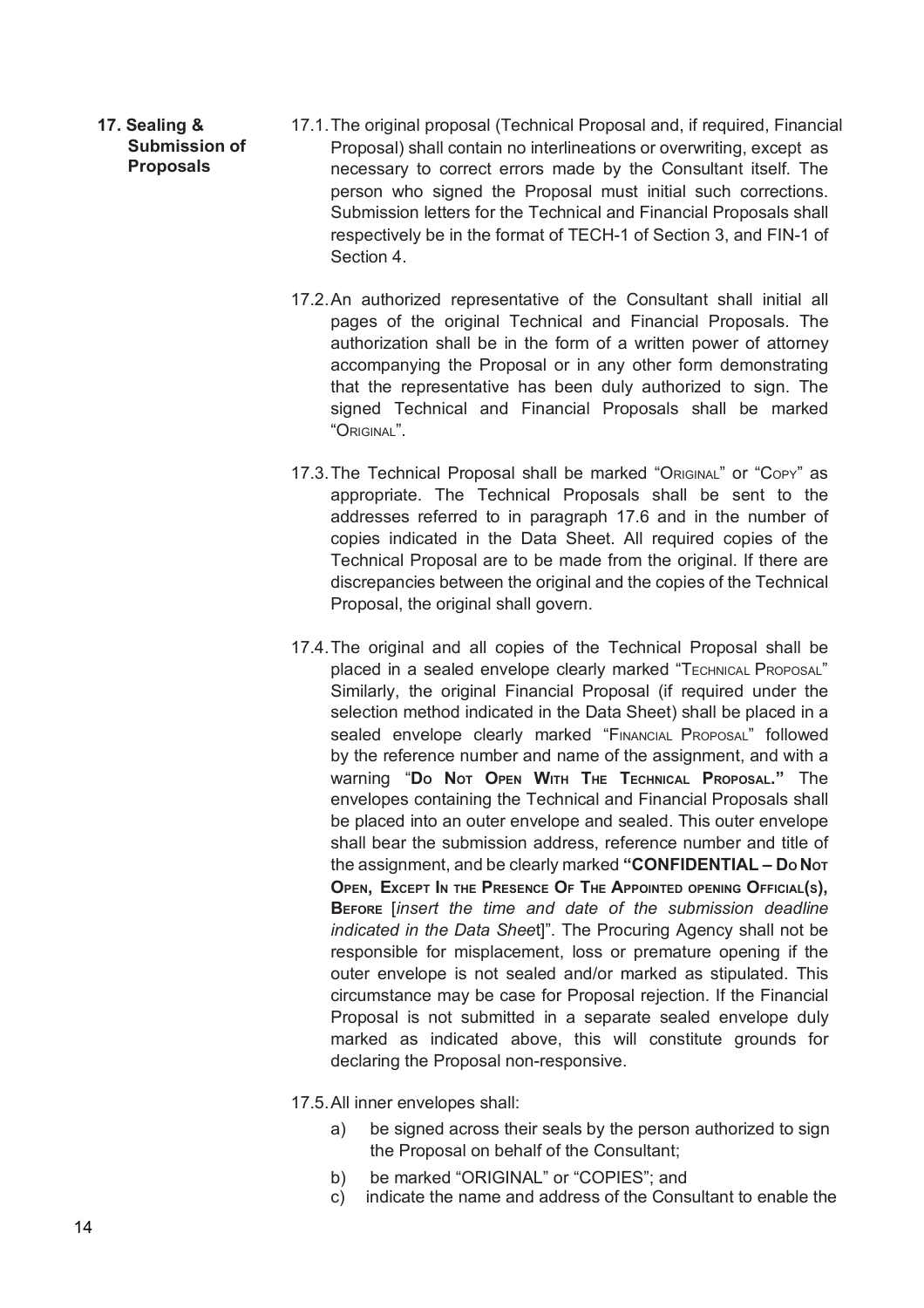- **17. Sealing & Submission of Proposals**
- 17.1.The original proposal (Technical Proposal and, if required, Financial Proposal) shall contain no interlineations or overwriting, except as necessary to correct errors made by the Consultant itself. The person who signed the Proposal must initial such corrections. Submission letters for the Technical and Financial Proposals shall respectively be in the format of TECH-1 of Section 3, and FIN-1 of Section 4.
- 17.2.An authorized representative of the Consultant shall initial all pages of the original Technical and Financial Proposals. The authorization shall be in the form of a written power of attorney accompanying the Proposal or in any other form demonstrating that the representative has been duly authorized to sign. The signed Technical and Financial Proposals shall be marked "ORIGINAL".
- 17.3. The Technical Proposal shall be marked "ORIGINAL" or "COPY" as appropriate. The Technical Proposals shall be sent to the addresses referred to in paragraph 17.6 and in the number of copies indicated in the Data Sheet. All required copies of the Technical Proposal are to be made from the original. If there are discrepancies between the original and the copies of the Technical Proposal, the original shall govern.
- 17.4.The original and all copies of the Technical Proposal shall be placed in a sealed envelope clearly marked "TECHNICAL PROPOSAL" Similarly, the original Financial Proposal (if required under the selection method indicated in the Data Sheet) shall be placed in a sealed envelope clearly marked "FINANCIAL PROPOSAL" followed by the reference number and name of the assignment, and with a warning "**DO NOT OPEN WITH THE TECHNICAL PROPOSAL."** The envelopes containing the Technical and Financial Proposals shall be placed into an outer envelope and sealed. This outer envelope shall bear the submission address, reference number and title of the assignment, and be clearly marked **"CONFIDENTIAL – DO NOT OPEN, EXCEPT IN THE PRESENCE OF THE APPOINTED OPENING OFFICIAL(S), BEFORE** [*insert the time and date of the submission deadline indicated in the Data Shee*t]". The Procuring Agency shall not be responsible for misplacement, loss or premature opening if the outer envelope is not sealed and/or marked as stipulated. This circumstance may be case for Proposal rejection. If the Financial Proposal is not submitted in a separate sealed envelope duly marked as indicated above, this will constitute grounds for declaring the Proposal non-responsive.

17.5.All inner envelopes shall:

- a) be signed across their seals by the person authorized to sign the Proposal on behalf of the Consultant;
- b) be marked "ORIGINAL" or "COPIES"; and
- c) indicate the name and address of the Consultant to enable the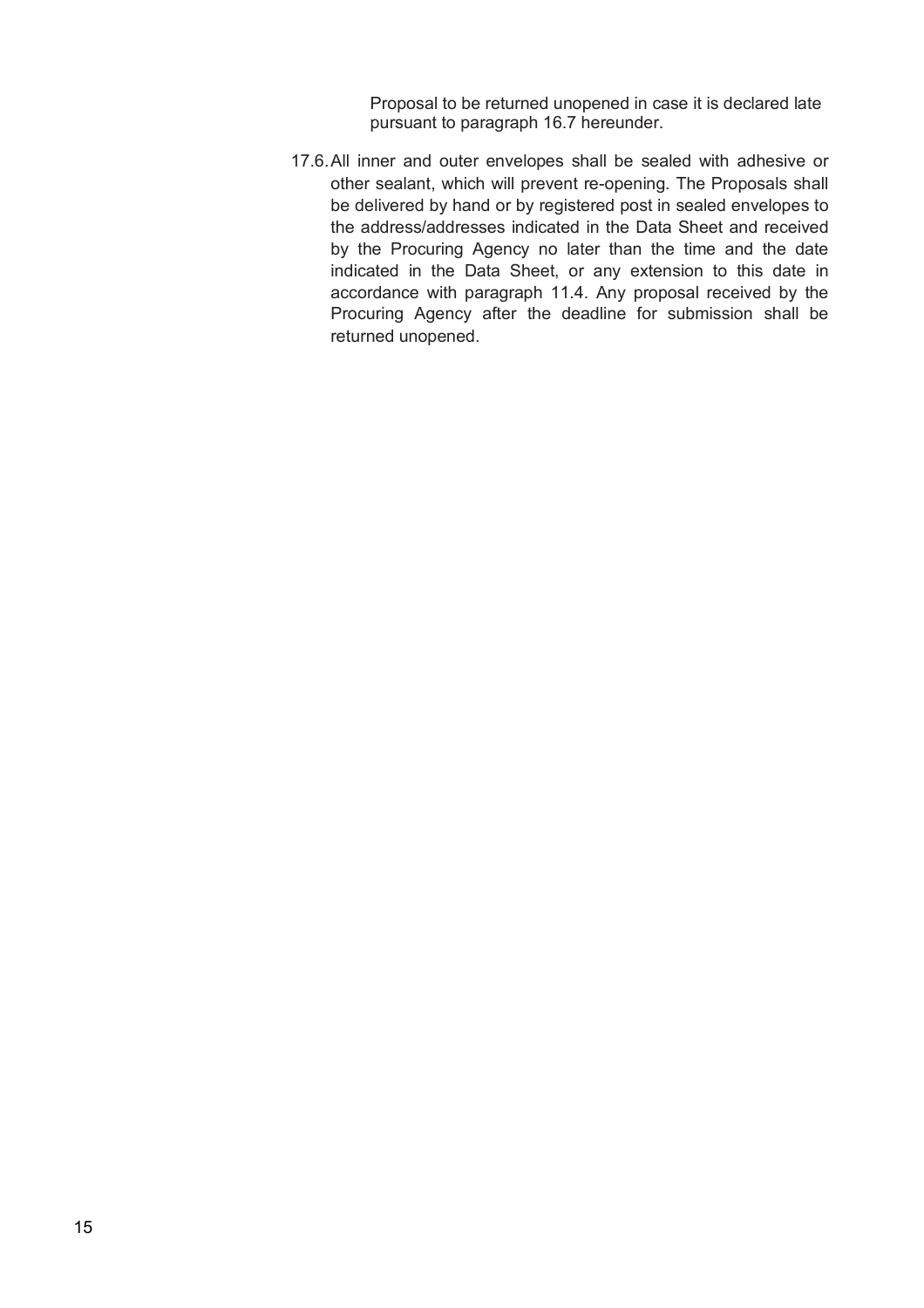Proposal to be returned unopened in case it is declared late pursuant to paragraph 16.7 hereunder.

17.6.All inner and outer envelopes shall be sealed with adhesive or other sealant, which will prevent re-opening. The Proposals shall be delivered by hand or by registered post in sealed envelopes to the address/addresses indicated in the Data Sheet and received by the Procuring Agency no later than the time and the date indicated in the Data Sheet, or any extension to this date in accordance with paragraph 11.4. Any proposal received by the Procuring Agency after the deadline for submission shall be returned unopened.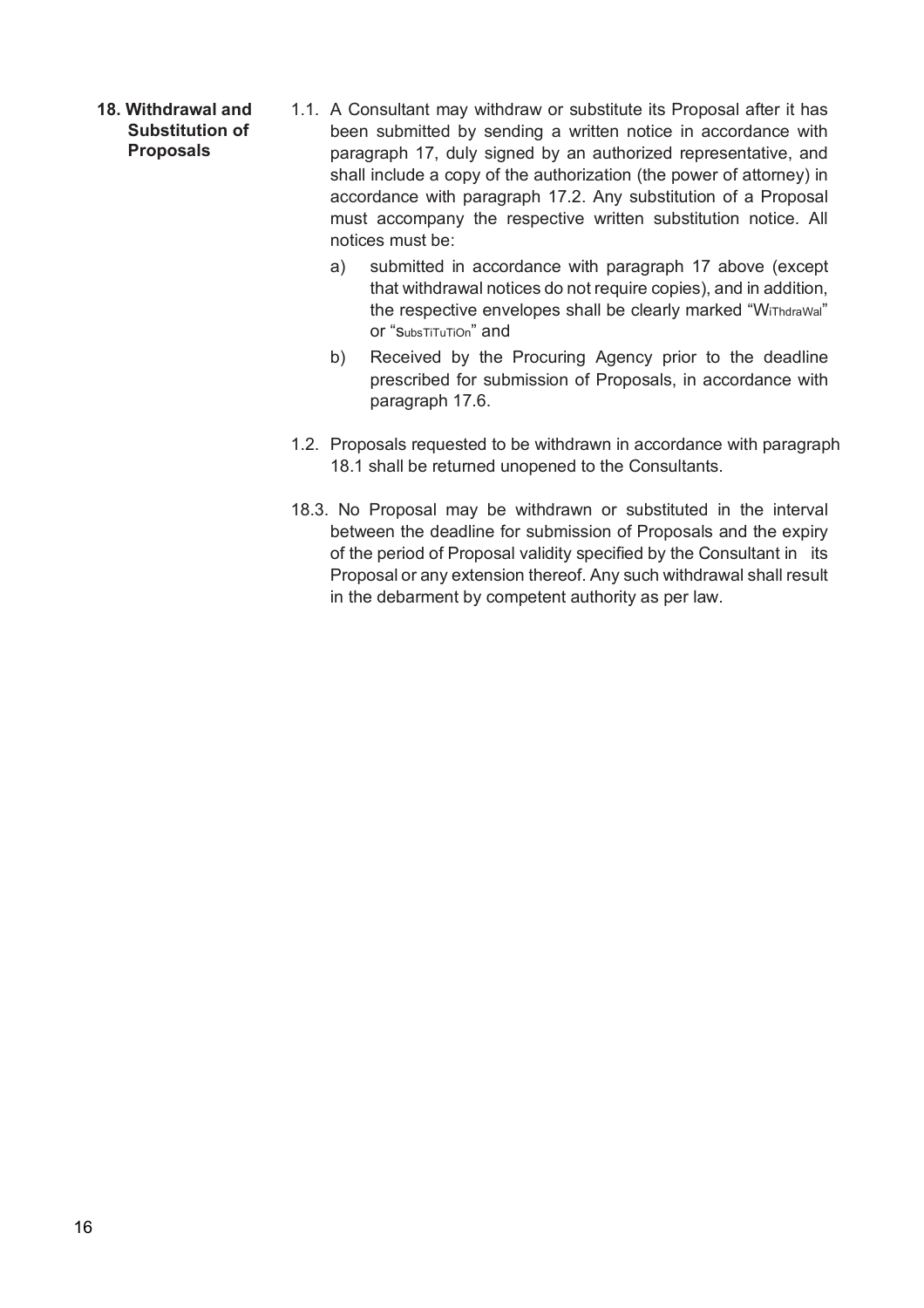**18. Withdrawal and Substitution of Proposals**

- 1.1. A Consultant may withdraw or substitute its Proposal after it has been submitted by sending a written notice in accordance with paragraph 17, duly signed by an authorized representative, and shall include a copy of the authorization (the power of attorney) in accordance with paragraph 17.2. Any substitution of a Proposal must accompany the respective written substitution notice. All notices must be:
	- a) submitted in accordance with paragraph 17 above (except that withdrawal notices do not require copies), and in addition, the respective envelopes shall be clearly marked "WiThdraWal" or "subsTiTuTiOn" and
	- b) Received by the Procuring Agency prior to the deadline prescribed for submission of Proposals, in accordance with paragraph 17.6.
- 1.2. Proposals requested to be withdrawn in accordance with paragraph 18.1 shall be returned unopened to the Consultants.
- 18.3. No Proposal may be withdrawn or substituted in the interval between the deadline for submission of Proposals and the expiry of the period of Proposal validity specified by the Consultant in its Proposal or any extension thereof. Any such withdrawal shall result in the debarment by competent authority as per law.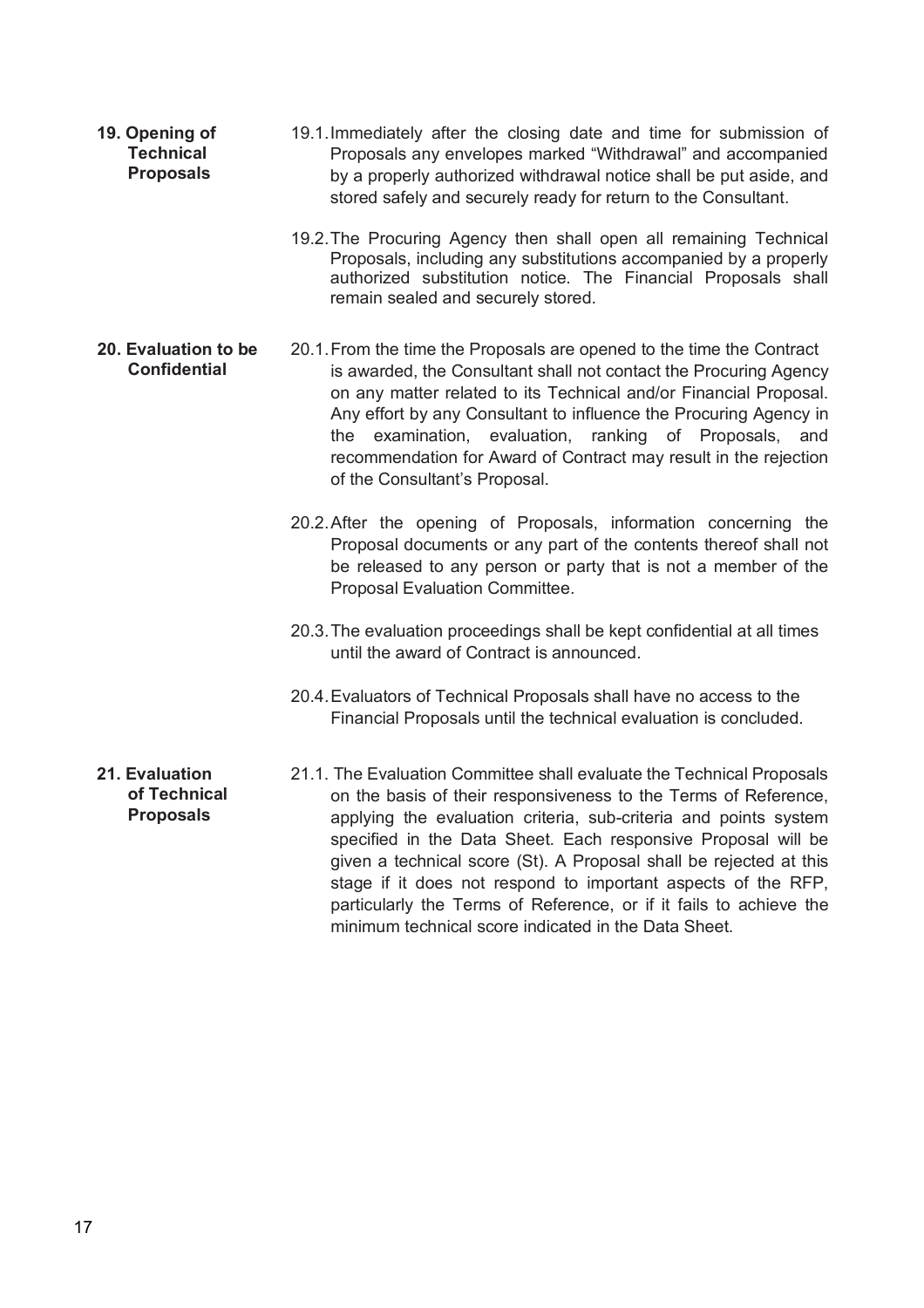- **19. Opening of Technical Proposals** 19.1.Immediately after the closing date and time for submission of Proposals any envelopes marked "Withdrawal" and accompanied by a properly authorized withdrawal notice shall be put aside, and stored safely and securely ready for return to the Consultant.
	- 19.2.The Procuring Agency then shall open all remaining Technical Proposals, including any substitutions accompanied by a properly authorized substitution notice. The Financial Proposals shall remain sealed and securely stored.

#### **20. Evaluation to be Confidential** 20.1.From the time the Proposals are opened to the time the Contract is awarded, the Consultant shall not contact the Procuring Agency on any matter related to its Technical and/or Financial Proposal. Any effort by any Consultant to influence the Procuring Agency in the examination, evaluation, ranking of Proposals, and recommendation for Award of Contract may result in the rejection of the Consultant's Proposal.

- 20.2.After the opening of Proposals, information concerning the Proposal documents or any part of the contents thereof shall not be released to any person or party that is not a member of the Proposal Evaluation Committee.
- 20.3.The evaluation proceedings shall be kept confidential at all times until the award of Contract is announced.
- 20.4.Evaluators of Technical Proposals shall have no access to the Financial Proposals until the technical evaluation is concluded.
- **21. Evaluation of Technical Proposals**
- 21.1. The Evaluation Committee shall evaluate the Technical Proposals on the basis of their responsiveness to the Terms of Reference, applying the evaluation criteria, sub-criteria and points system specified in the Data Sheet. Each responsive Proposal will be given a technical score (St). A Proposal shall be rejected at this stage if it does not respond to important aspects of the RFP, particularly the Terms of Reference, or if it fails to achieve the minimum technical score indicated in the Data Sheet.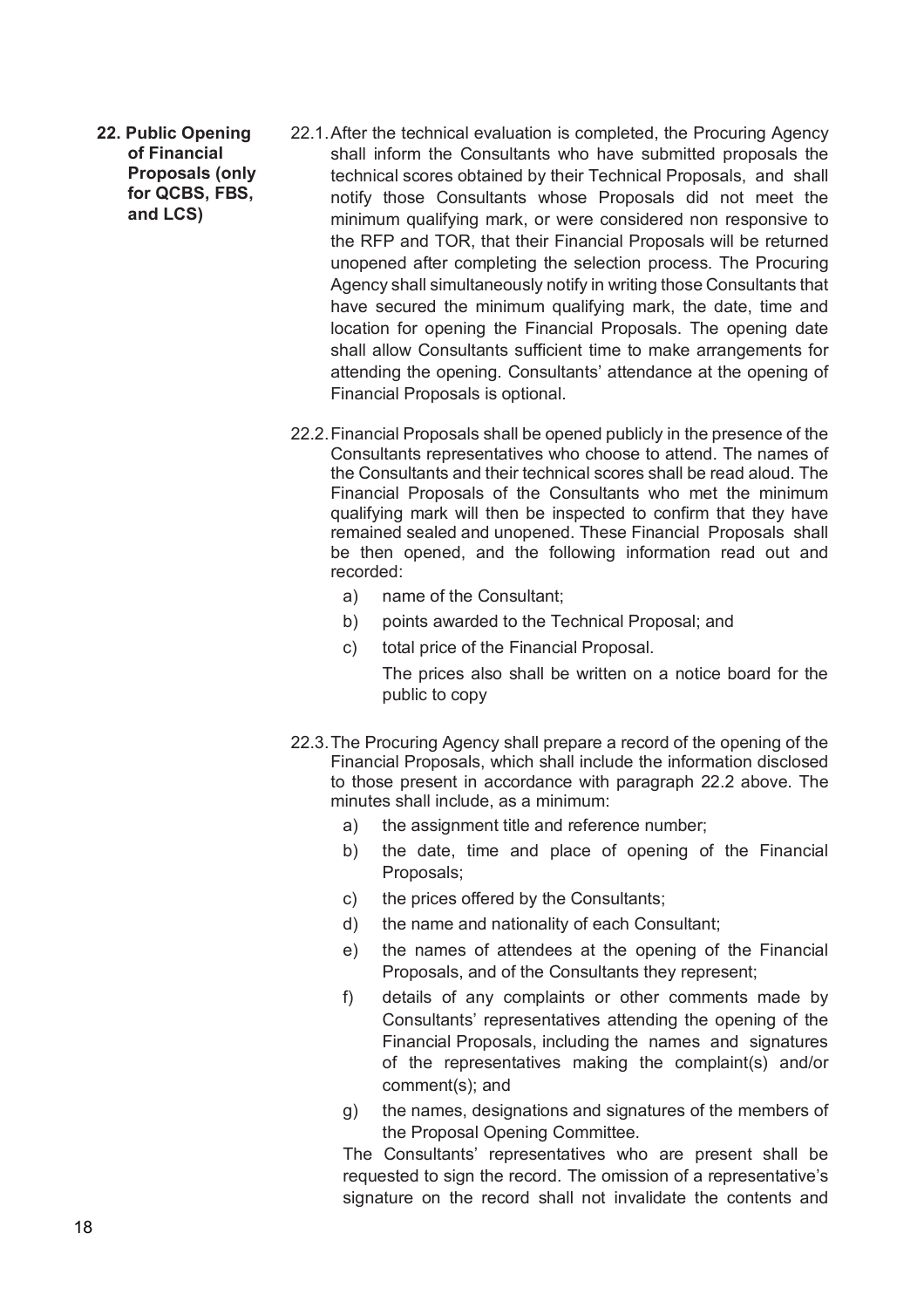- **22. Public Opening of Financial Proposals (only for QCBS, FBS, and LCS)**
- 22.1.After the technical evaluation is completed, the Procuring Agency shall inform the Consultants who have submitted proposals the technical scores obtained by their Technical Proposals, and shall notify those Consultants whose Proposals did not meet the minimum qualifying mark, or were considered non responsive to the RFP and TOR, that their Financial Proposals will be returned unopened after completing the selection process. The Procuring Agency shall simultaneously notify in writing those Consultants that have secured the minimum qualifying mark, the date, time and location for opening the Financial Proposals. The opening date shall allow Consultants sufficient time to make arrangements for attending the opening. Consultants' attendance at the opening of Financial Proposals is optional.
- 22.2.Financial Proposals shall be opened publicly in the presence of the Consultants representatives who choose to attend. The names of the Consultants and their technical scores shall be read aloud. The Financial Proposals of the Consultants who met the minimum qualifying mark will then be inspected to confirm that they have remained sealed and unopened. These Financial Proposals shall be then opened, and the following information read out and recorded:
	- a) name of the Consultant;
	- b) points awarded to the Technical Proposal; and
	- c) total price of the Financial Proposal. The prices also shall be written on a notice board for the public to copy
- 22.3.The Procuring Agency shall prepare a record of the opening of the Financial Proposals, which shall include the information disclosed to those present in accordance with paragraph 22.2 above. The minutes shall include, as a minimum:
	- a) the assignment title and reference number;
	- b) the date, time and place of opening of the Financial Proposals;
	- c) the prices offered by the Consultants;
	- d) the name and nationality of each Consultant;
	- e) the names of attendees at the opening of the Financial Proposals, and of the Consultants they represent;
	- f) details of any complaints or other comments made by Consultants' representatives attending the opening of the Financial Proposals, including the names and signatures of the representatives making the complaint(s) and/or comment(s); and
	- g) the names, designations and signatures of the members of the Proposal Opening Committee.

The Consultants' representatives who are present shall be requested to sign the record. The omission of a representative's signature on the record shall not invalidate the contents and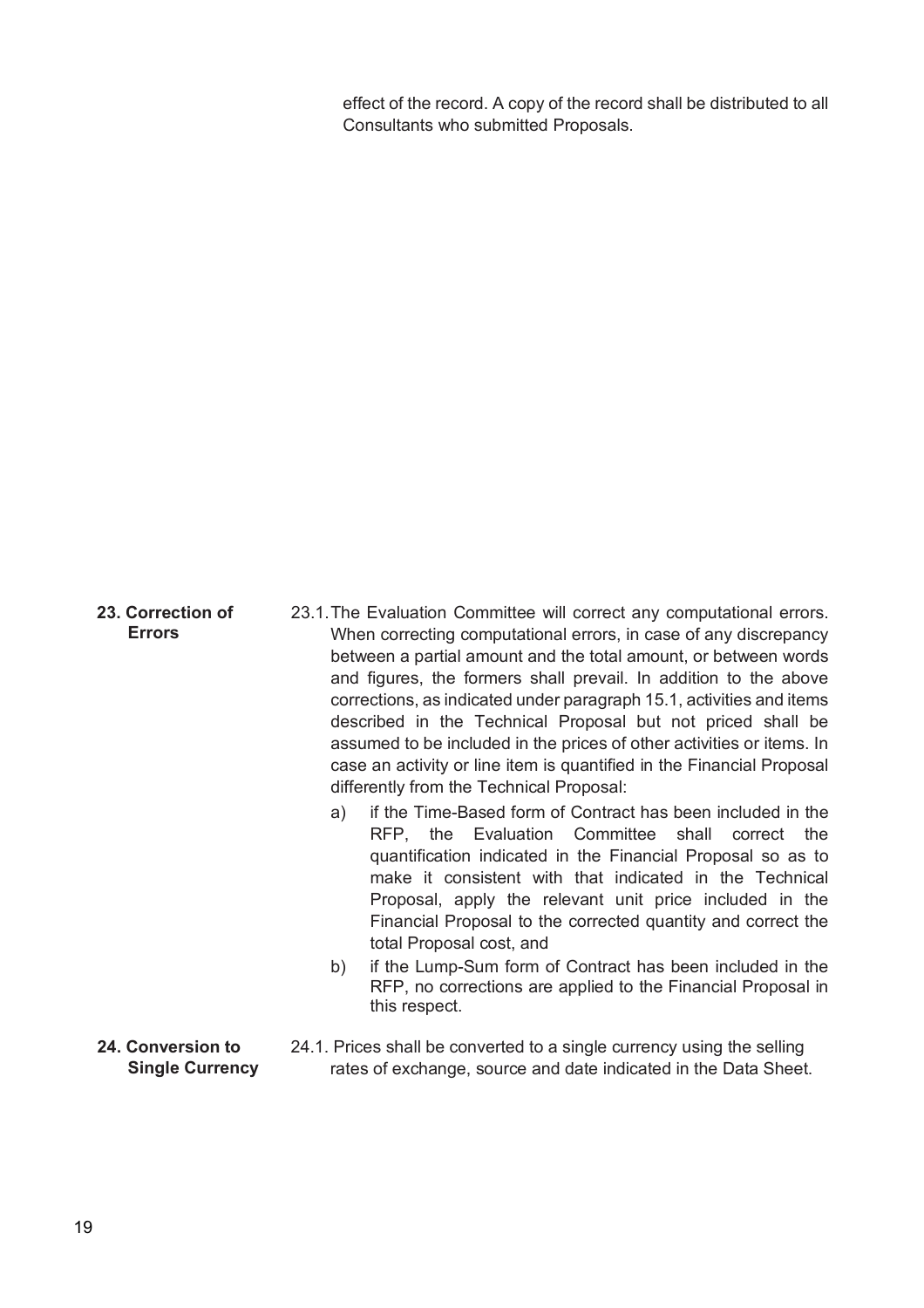effect of the record. A copy of the record shall be distributed to all Consultants who submitted Proposals.

| 23. Correction of<br><b>Errors</b>          | 23.1. The Evaluation Committee will correct any computational errors.<br>When correcting computational errors, in case of any discrepancy<br>between a partial amount and the total amount, or between words<br>and figures, the formers shall prevail. In addition to the above<br>corrections, as indicated under paragraph 15.1, activities and items<br>described in the Technical Proposal but not priced shall be<br>assumed to be included in the prices of other activities or items. In<br>case an activity or line item is quantified in the Financial Proposal<br>differently from the Technical Proposal: |
|---------------------------------------------|-----------------------------------------------------------------------------------------------------------------------------------------------------------------------------------------------------------------------------------------------------------------------------------------------------------------------------------------------------------------------------------------------------------------------------------------------------------------------------------------------------------------------------------------------------------------------------------------------------------------------|
|                                             | if the Time-Based form of Contract has been included in the<br>a)<br>RFP, the Evaluation Committee shall<br>correct<br>the<br>quantification indicated in the Financial Proposal so as to<br>make it consistent with that indicated in the Technical<br>Proposal, apply the relevant unit price included in the<br>Financial Proposal to the corrected quantity and correct the<br>total Proposal cost, and                                                                                                                                                                                                           |
|                                             | if the Lump-Sum form of Contract has been included in the<br>b)<br>RFP, no corrections are applied to the Financial Proposal in<br>this respect.                                                                                                                                                                                                                                                                                                                                                                                                                                                                      |
| 24. Conversion to<br><b>Single Currency</b> | 24.1. Prices shall be converted to a single currency using the selling<br>rates of exchange, source and date indicated in the Data Sheet.                                                                                                                                                                                                                                                                                                                                                                                                                                                                             |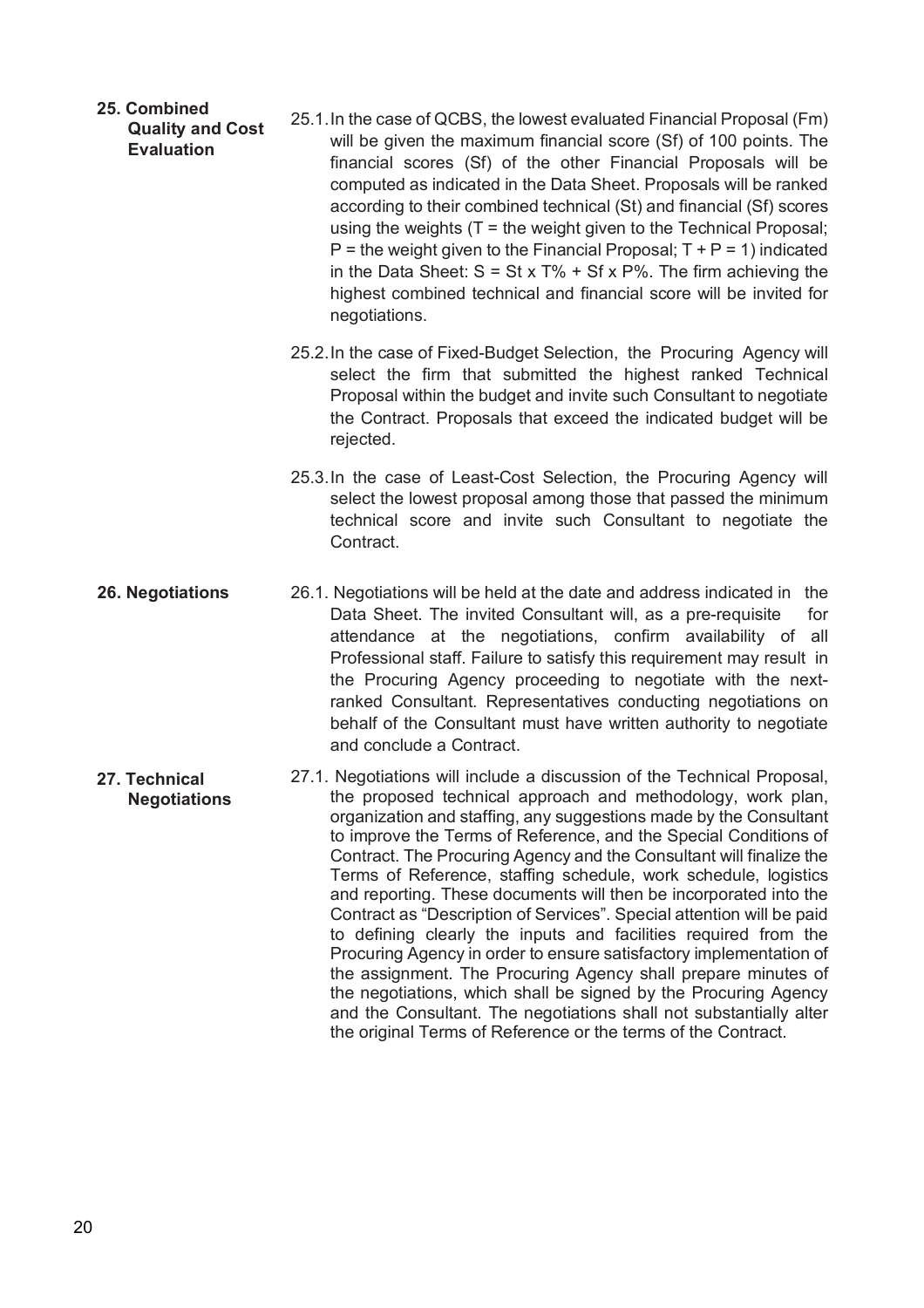- **25. Combined Quality and Cost Evaluation**
	- 25.1.In the case of QCBS, the lowest evaluated Financial Proposal (Fm) will be given the maximum financial score (Sf) of 100 points. The financial scores (Sf) of the other Financial Proposals will be computed as indicated in the Data Sheet. Proposals will be ranked according to their combined technical (St) and financial (Sf) scores using the weights  $(T =$  the weight given to the Technical Proposal;  $P =$  the weight given to the Financial Proposal;  $T + P = 1$ ) indicated in the Data Sheet:  $S = St \times T\% + Sf \times P\%$ . The firm achieving the highest combined technical and financial score will be invited for negotiations.
		- 25.2.In the case of Fixed-Budget Selection, the Procuring Agency will select the firm that submitted the highest ranked Technical Proposal within the budget and invite such Consultant to negotiate the Contract. Proposals that exceed the indicated budget will be rejected.
		- 25.3.In the case of Least-Cost Selection, the Procuring Agency will select the lowest proposal among those that passed the minimum technical score and invite such Consultant to negotiate the Contract.
- **26. Negotiations** 26.1. Negotiations will be held at the date and address indicated in the Data Sheet. The invited Consultant will, as a pre-requisite for attendance at the negotiations, confirm availability of all Professional staff. Failure to satisfy this requirement may result in the Procuring Agency proceeding to negotiate with the nextranked Consultant. Representatives conducting negotiations on behalf of the Consultant must have written authority to negotiate and conclude a Contract.
- **27. Technical Negotiations** 27.1. Negotiations will include a discussion of the Technical Proposal, the proposed technical approach and methodology, work plan, organization and staffing, any suggestions made by the Consultant to improve the Terms of Reference, and the Special Conditions of Contract. The Procuring Agency and the Consultant will finalize the Terms of Reference, staffing schedule, work schedule, logistics and reporting. These documents will then be incorporated into the Contract as "Description of Services". Special attention will be paid to defining clearly the inputs and facilities required from the Procuring Agency in order to ensure satisfactory implementation of the assignment. The Procuring Agency shall prepare minutes of the negotiations, which shall be signed by the Procuring Agency and the Consultant. The negotiations shall not substantially alter the original Terms of Reference or the terms of the Contract.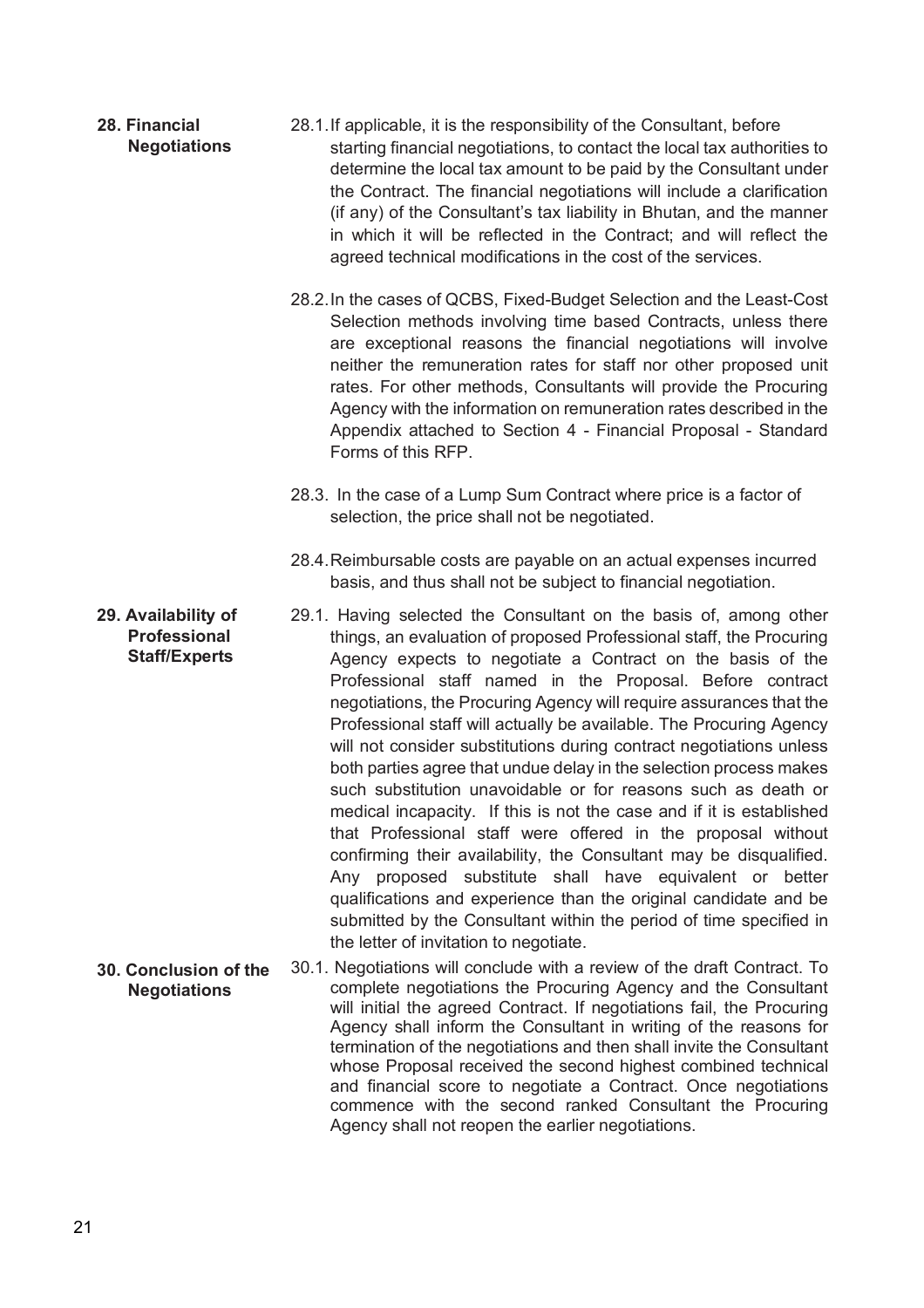- **28. Financial Negotiations** 28.1.If applicable, it is the responsibility of the Consultant, before starting financial negotiations, to contact the local tax authorities to determine the local tax amount to be paid by the Consultant under the Contract. The financial negotiations will include a clarification (if any) of the Consultant's tax liability in Bhutan, and the manner in which it will be reflected in the Contract; and will reflect the agreed technical modifications in the cost of the services.
	- 28.2.In the cases of QCBS, Fixed-Budget Selection and the Least-Cost Selection methods involving time based Contracts, unless there are exceptional reasons the financial negotiations will involve neither the remuneration rates for staff nor other proposed unit rates. For other methods, Consultants will provide the Procuring Agency with the information on remuneration rates described in the Appendix attached to Section 4 - Financial Proposal - Standard Forms of this RFP.
	- 28.3. In the case of a Lump Sum Contract where price is a factor of selection, the price shall not be negotiated.
	- 28.4.Reimbursable costs are payable on an actual expenses incurred basis, and thus shall not be subject to financial negotiation.
- **29. Availability of Professional Staff/Experts** 29.1. Having selected the Consultant on the basis of, among other things, an evaluation of proposed Professional staff, the Procuring Agency expects to negotiate a Contract on the basis of the Professional staff named in the Proposal. Before contract negotiations, the Procuring Agency will require assurances that the Professional staff will actually be available. The Procuring Agency will not consider substitutions during contract negotiations unless both parties agree that undue delay in the selection process makes such substitution unavoidable or for reasons such as death or medical incapacity. If this is not the case and if it is established that Professional staff were offered in the proposal without confirming their availability, the Consultant may be disqualified. Any proposed substitute shall have equivalent or better qualifications and experience than the original candidate and be submitted by the Consultant within the period of time specified in the letter of invitation to negotiate.
- **30. Conclusion of the Negotiations** 30.1. Negotiations will conclude with a review of the draft Contract. To complete negotiations the Procuring Agency and the Consultant will initial the agreed Contract. If negotiations fail, the Procuring Agency shall inform the Consultant in writing of the reasons for termination of the negotiations and then shall invite the Consultant whose Proposal received the second highest combined technical and financial score to negotiate a Contract. Once negotiations commence with the second ranked Consultant the Procuring Agency shall not reopen the earlier negotiations.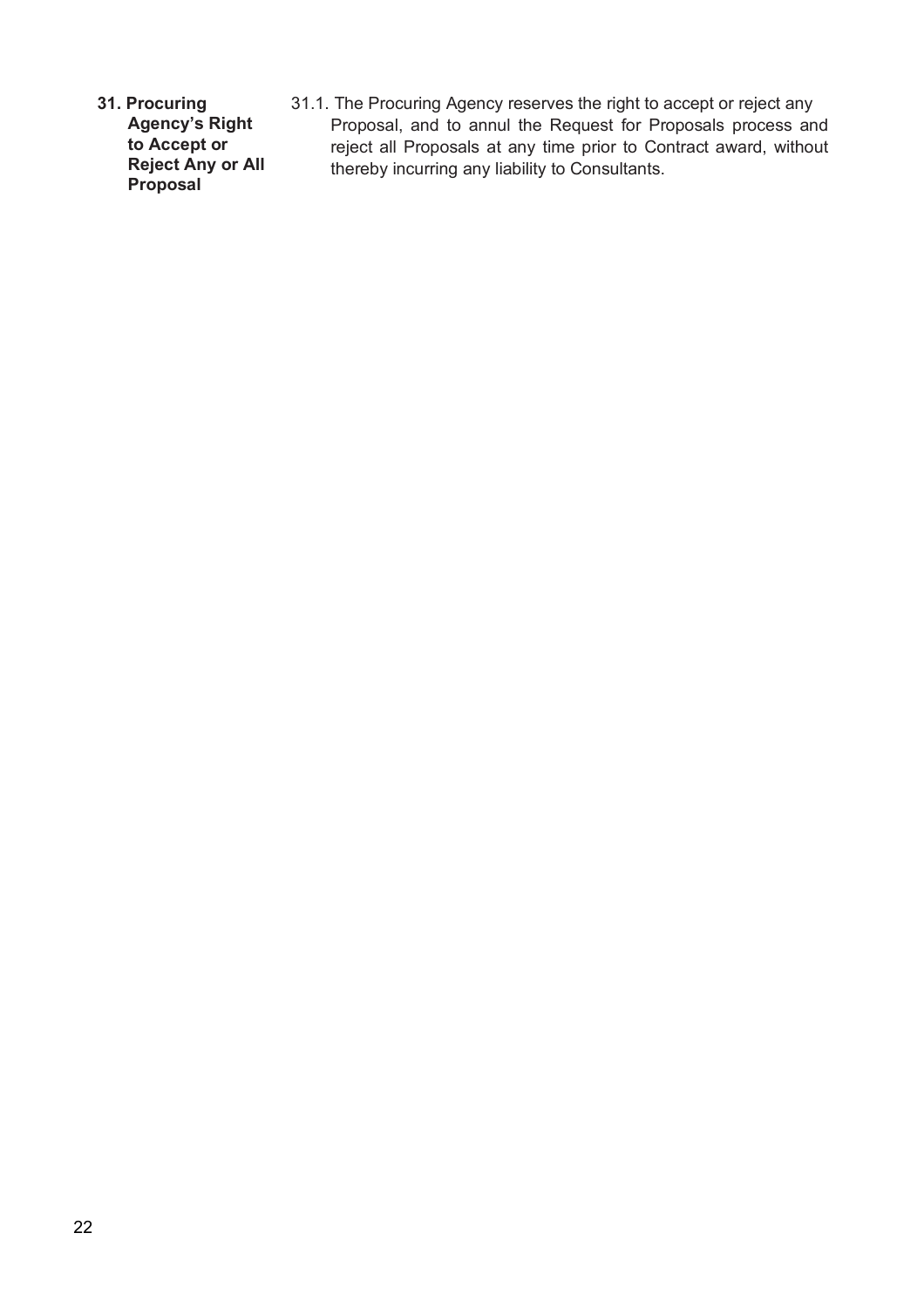- **31. Procuring Agency's Right to Accept or Reject Any or All Proposal**
- 31.1. The Procuring Agency reserves the right to accept or reject any Proposal, and to annul the Request for Proposals process and reject all Proposals at any time prior to Contract award, without thereby incurring any liability to Consultants.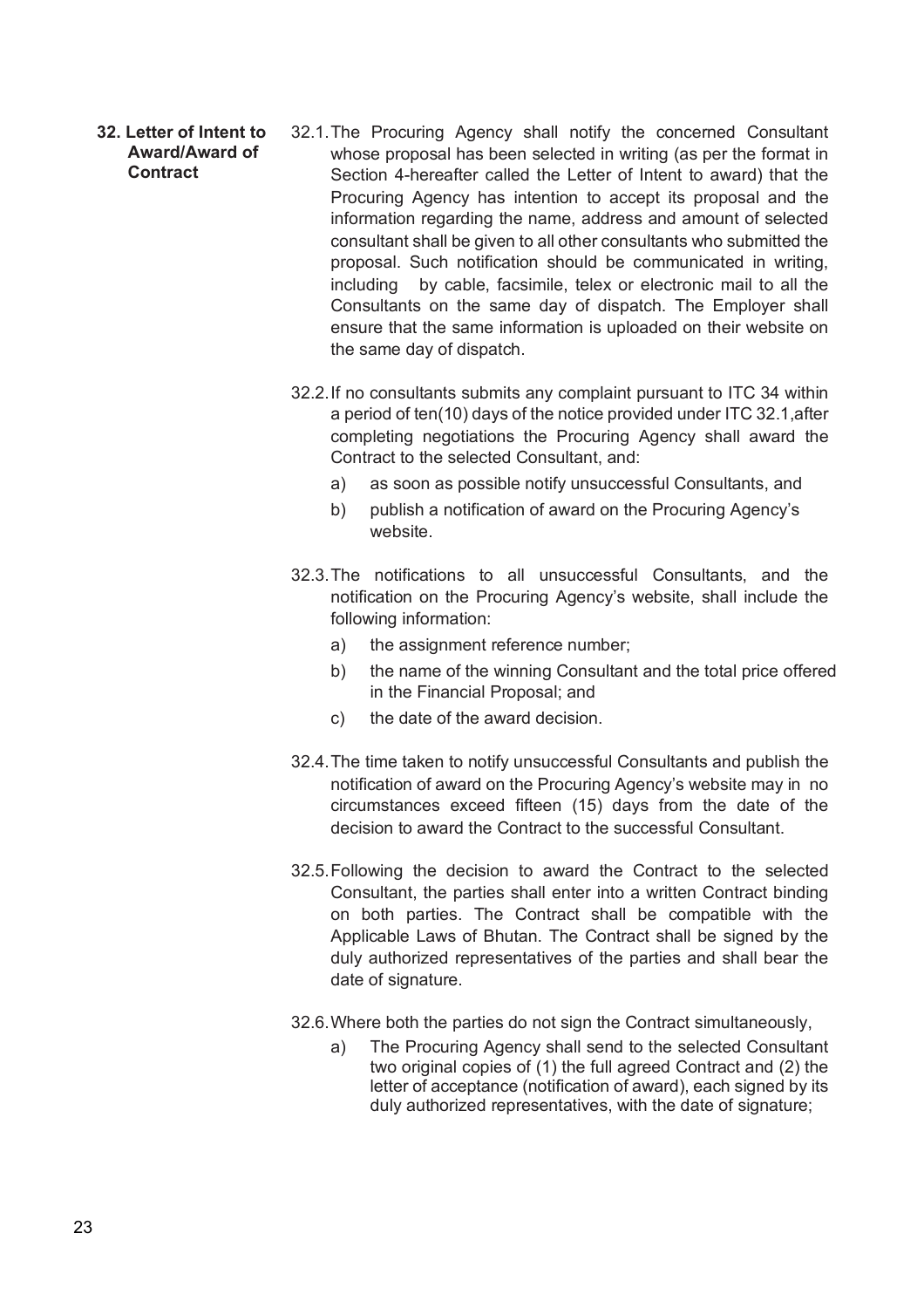- **32. Letter of Intent to Award/Award of Contract**
- 32.1.The Procuring Agency shall notify the concerned Consultant whose proposal has been selected in writing (as per the format in Section 4-hereafter called the Letter of Intent to award) that the Procuring Agency has intention to accept its proposal and the information regarding the name, address and amount of selected consultant shall be given to all other consultants who submitted the proposal. Such notification should be communicated in writing, including by cable, facsimile, telex or electronic mail to all the Consultants on the same day of dispatch. The Employer shall ensure that the same information is uploaded on their website on the same day of dispatch.
- 32.2.If no consultants submits any complaint pursuant to ITC 34 within a period of ten(10) days of the notice provided under ITC 32.1,after completing negotiations the Procuring Agency shall award the Contract to the selected Consultant, and:
	- a) as soon as possible notify unsuccessful Consultants, and
	- b) publish a notification of award on the Procuring Agency's website.
- 32.3.The notifications to all unsuccessful Consultants, and the notification on the Procuring Agency's website, shall include the following information:
	- a) the assignment reference number;
	- b) the name of the winning Consultant and the total price offered in the Financial Proposal; and
	- c) the date of the award decision.
- 32.4.The time taken to notify unsuccessful Consultants and publish the notification of award on the Procuring Agency's website may in no circumstances exceed fifteen (15) days from the date of the decision to award the Contract to the successful Consultant.
- 32.5.Following the decision to award the Contract to the selected Consultant, the parties shall enter into a written Contract binding on both parties. The Contract shall be compatible with the Applicable Laws of Bhutan. The Contract shall be signed by the duly authorized representatives of the parties and shall bear the date of signature.
- 32.6.Where both the parties do not sign the Contract simultaneously,
	- a) The Procuring Agency shall send to the selected Consultant two original copies of (1) the full agreed Contract and (2) the letter of acceptance (notification of award), each signed by its duly authorized representatives, with the date of signature;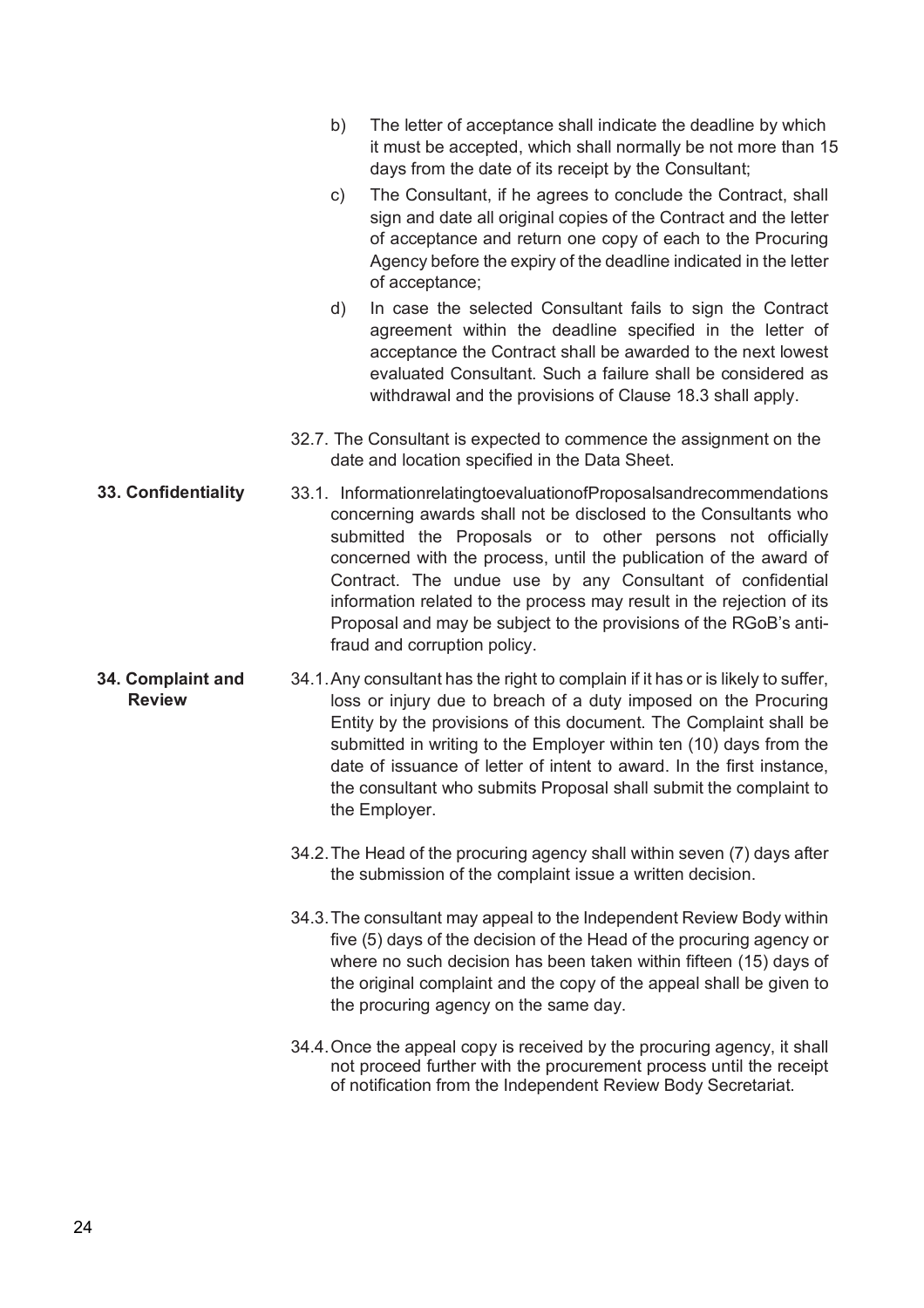|                                    | b)<br>The letter of acceptance shall indicate the deadline by which<br>it must be accepted, which shall normally be not more than 15<br>days from the date of its receipt by the Consultant;                                                                                                                                                                                                                                                                                                                        |
|------------------------------------|---------------------------------------------------------------------------------------------------------------------------------------------------------------------------------------------------------------------------------------------------------------------------------------------------------------------------------------------------------------------------------------------------------------------------------------------------------------------------------------------------------------------|
|                                    | The Consultant, if he agrees to conclude the Contract, shall<br>c)<br>sign and date all original copies of the Contract and the letter<br>of acceptance and return one copy of each to the Procuring<br>Agency before the expiry of the deadline indicated in the letter<br>of acceptance;                                                                                                                                                                                                                          |
|                                    | In case the selected Consultant fails to sign the Contract<br>d)<br>agreement within the deadline specified in the letter of<br>acceptance the Contract shall be awarded to the next lowest<br>evaluated Consultant. Such a failure shall be considered as<br>withdrawal and the provisions of Clause 18.3 shall apply.                                                                                                                                                                                             |
|                                    | 32.7. The Consultant is expected to commence the assignment on the<br>date and location specified in the Data Sheet.                                                                                                                                                                                                                                                                                                                                                                                                |
| 33. Confidentiality                | 33.1. InformationrelatingtoevaluationofProposalsandrecommendations<br>concerning awards shall not be disclosed to the Consultants who<br>submitted the Proposals or to other persons not officially<br>concerned with the process, until the publication of the award of<br>Contract. The undue use by any Consultant of confidential<br>information related to the process may result in the rejection of its<br>Proposal and may be subject to the provisions of the RGoB's anti-<br>fraud and corruption policy. |
| 34. Complaint and<br><b>Review</b> | 34.1. Any consultant has the right to complain if it has or is likely to suffer,<br>loss or injury due to breach of a duty imposed on the Procuring<br>Entity by the provisions of this document. The Complaint shall be<br>submitted in writing to the Employer within ten (10) days from the<br>date of issuance of letter of intent to award. In the first instance,<br>the consultant who submits Proposal shall submit the complaint to<br>the Employer.                                                       |
|                                    | 34.2. The Head of the procuring agency shall within seven (7) days after<br>the submission of the complaint issue a written decision.                                                                                                                                                                                                                                                                                                                                                                               |
|                                    | 34.3. The consultant may appeal to the Independent Review Body within<br>five (5) days of the decision of the Head of the procuring agency or<br>where no such decision has been taken within fifteen (15) days of<br>the original complaint and the copy of the appeal shall be given to<br>the procuring agency on the same day.                                                                                                                                                                                  |
|                                    | 34.4. Once the appeal copy is received by the procuring agency, it shall<br>not proceed further with the procurement process until the receipt<br>of notification from the Independent Review Body Secretariat.                                                                                                                                                                                                                                                                                                     |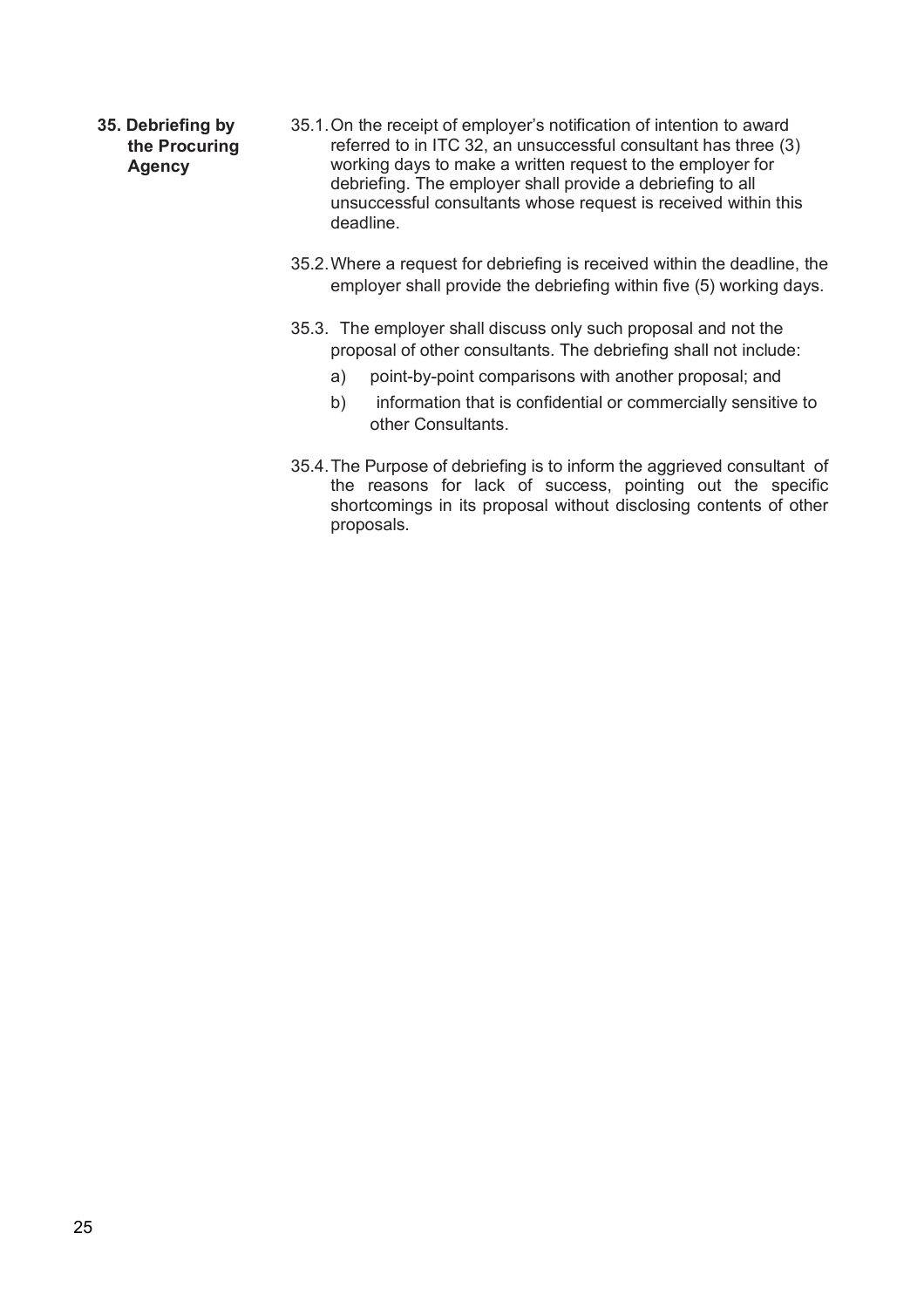- **35. Debriefing by the Procuring Agency**
- 35.1.On the receipt of employer's notification of intention to award referred to in ITC 32, an unsuccessful consultant has three (3) working days to make a written request to the employer for debriefing. The employer shall provide a debriefing to all unsuccessful consultants whose request is received within this deadline.
- 35.2.Where a request for debriefing is received within the deadline, the employer shall provide the debriefing within five (5) working days.
- 35.3. The employer shall discuss only such proposal and not the proposal of other consultants. The debriefing shall not include:
	- a) point-by-point comparisons with another proposal; and
	- b) information that is confidential or commercially sensitive to other Consultants.
- 35.4.The Purpose of debriefing is to inform the aggrieved consultant of the reasons for lack of success, pointing out the specific shortcomings in its proposal without disclosing contents of other proposals.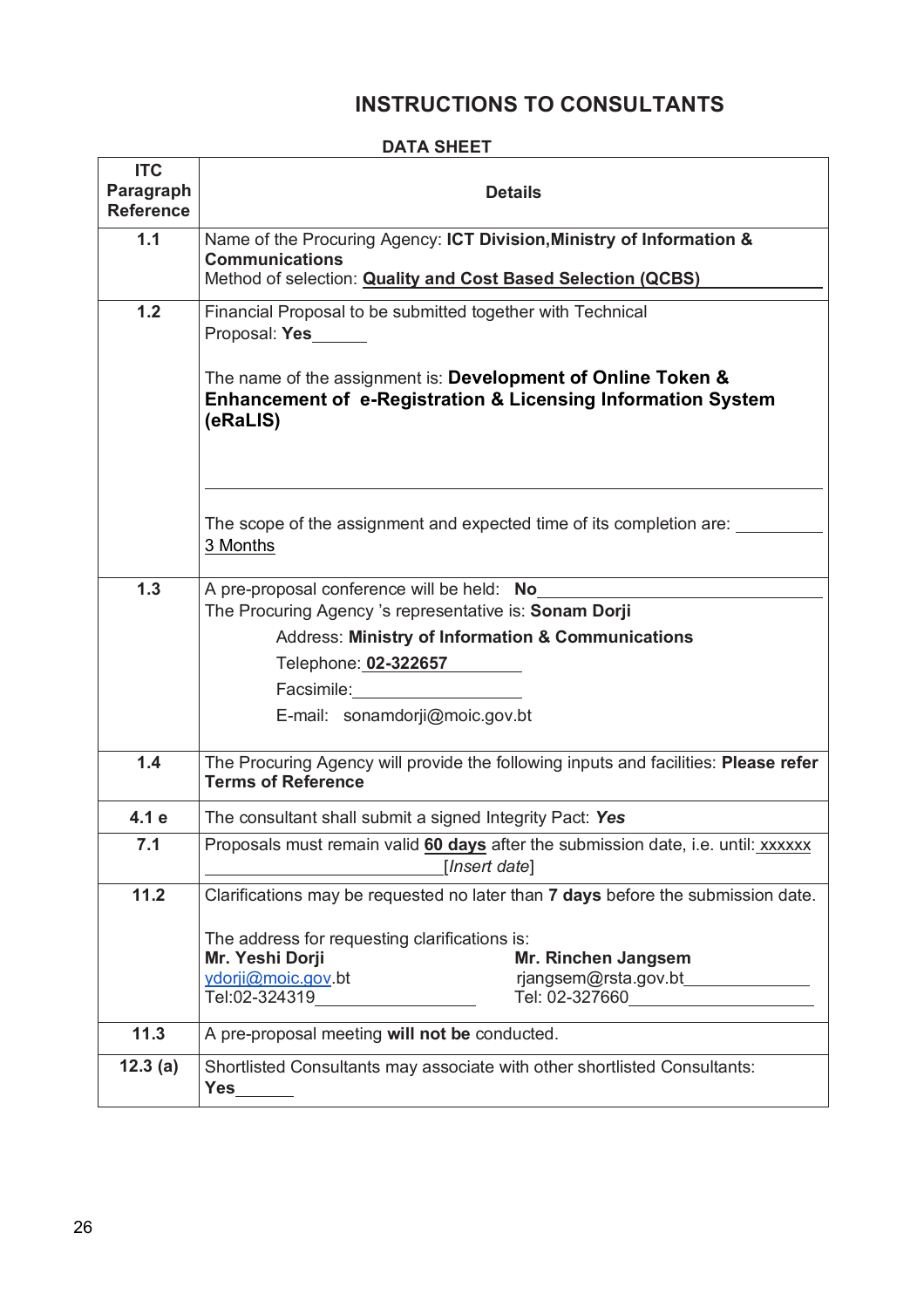# **INSTRUCTIONS TO CONSULTANTS**

# **ITC Paragraph Reference Details 1.1** Name of the Procuring Agency: **ICT Division,Ministry of Information & Communications** Method of selection: **Quality and Cost Based Selection (QCBS) 1.2** Financial Proposal to be submitted together with Technical Proposal: **Yes** The name of the assignment is: **Development of Online Token & Enhancement of e-Registration & Licensing Information System (eRaLIS)** The scope of the assignment and expected time of its completion are: 3 Months **1.3** A pre-proposal conference will be held: **No** The Procuring Agency 's representative is: **Sonam Dorji** Address: **Ministry of Information & Communications** Telephone: **02-322657** Facsimile: E-mail: sonamdorji@moic.gov.bt **1.4** The Procuring Agency will provide the following inputs and facilities: **Please refer Terms of Reference 4.1 e** The consultant shall submit a signed Integrity Pact: *Yes* **7.1** Proposals must remain valid **60 days** after the submission date, i.e. until: xxxxxx [*Insert date*] **11.2** Clarifications may be requested no later than **7 days** before the submission date. The address for requesting clarifications is: **Mr. Yeshi Dorji Nr. Rinchen Jangsem** ydorji@moic.gov.bt rjangsem@rsta.gov.bt Tel:02-324319 Tel: 02-327660 **11.3** A pre-proposal meeting **will not be** conducted. **12.3 (a)** Shortlisted Consultants may associate with other shortlisted Consultants: **Yes**

#### **DATA SHEET**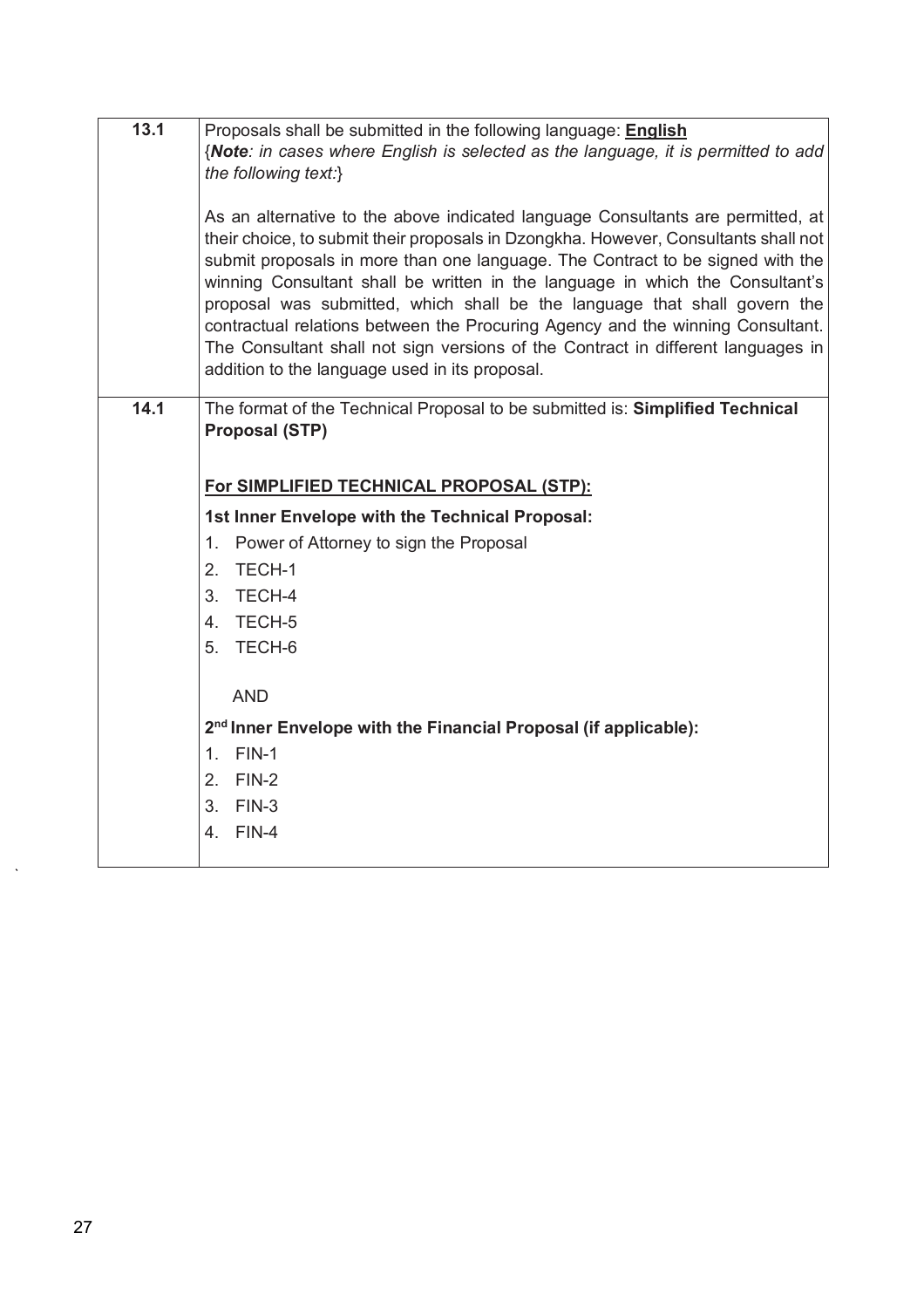| 13.1 | Proposals shall be submitted in the following language: <b>English</b><br>{Note: in cases where English is selected as the language, it is permitted to add<br>the following text:}<br>As an alternative to the above indicated language Consultants are permitted, at<br>their choice, to submit their proposals in Dzongkha. However, Consultants shall not<br>submit proposals in more than one language. The Contract to be signed with the<br>winning Consultant shall be written in the language in which the Consultant's<br>proposal was submitted, which shall be the language that shall govern the<br>contractual relations between the Procuring Agency and the winning Consultant.<br>The Consultant shall not sign versions of the Contract in different languages in<br>addition to the language used in its proposal. |  |  |  |  |
|------|---------------------------------------------------------------------------------------------------------------------------------------------------------------------------------------------------------------------------------------------------------------------------------------------------------------------------------------------------------------------------------------------------------------------------------------------------------------------------------------------------------------------------------------------------------------------------------------------------------------------------------------------------------------------------------------------------------------------------------------------------------------------------------------------------------------------------------------|--|--|--|--|
| 14.1 | The format of the Technical Proposal to be submitted is: Simplified Technical<br><b>Proposal (STP)</b><br>For SIMPLIFIED TECHNICAL PROPOSAL (STP):<br>1st Inner Envelope with the Technical Proposal:<br>Power of Attorney to sign the Proposal<br>1.<br>TECH-1<br>2.<br>TECH-4<br>3.<br>TECH-5<br>4.<br>TECH-6<br>5.<br><b>AND</b><br>2 <sup>nd</sup> Inner Envelope with the Financial Proposal (if applicable):<br>$FIN-1$<br>1.<br>2. FIN-2<br>$FIN-3$<br>3.<br>4. FIN-4                                                                                                                                                                                                                                                                                                                                                          |  |  |  |  |

J.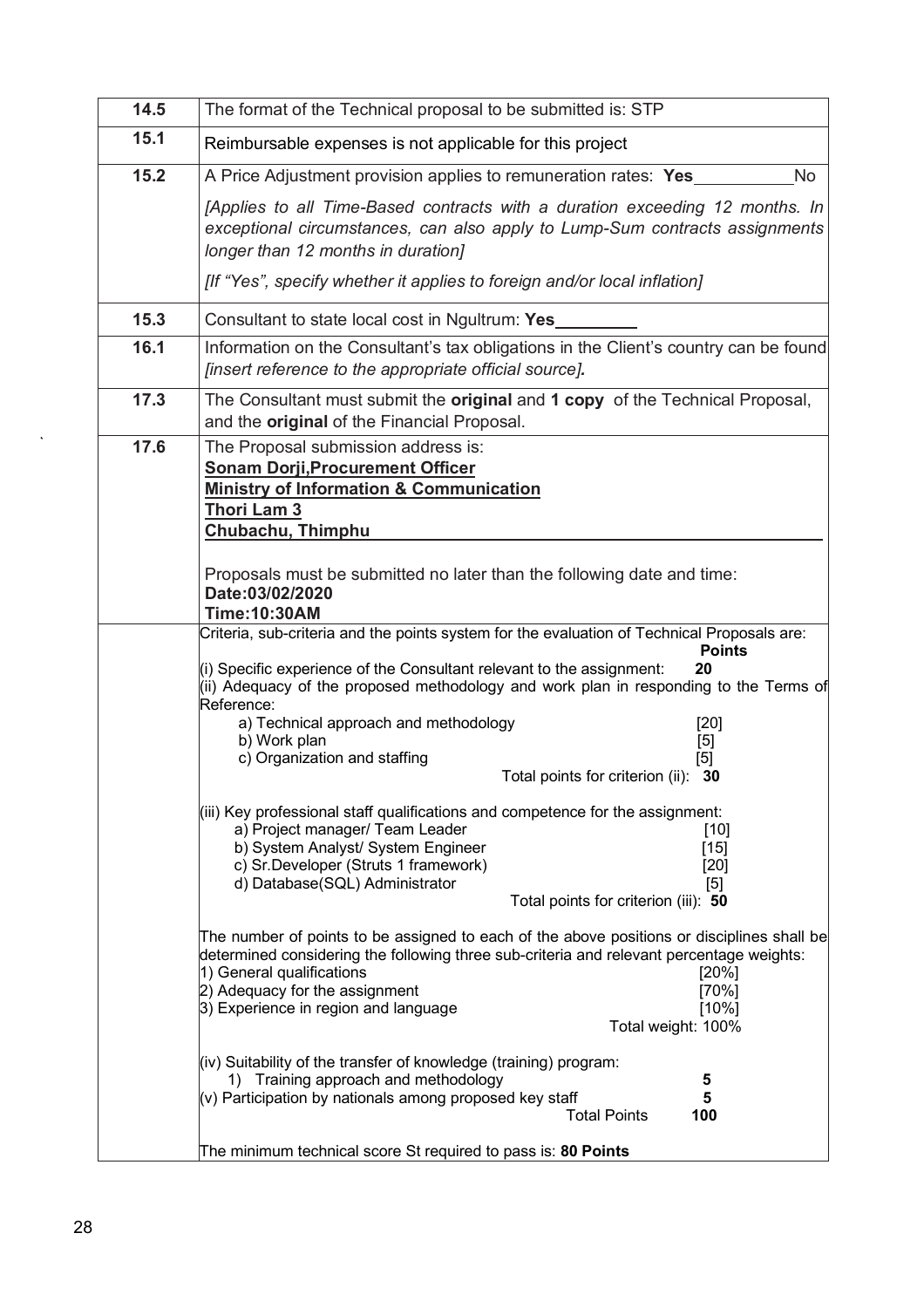| 14.5 | The format of the Technical proposal to be submitted is: STP                                                                                                                                                                                                                                                                                                                                                                                                   |
|------|----------------------------------------------------------------------------------------------------------------------------------------------------------------------------------------------------------------------------------------------------------------------------------------------------------------------------------------------------------------------------------------------------------------------------------------------------------------|
| 15.1 | Reimbursable expenses is not applicable for this project                                                                                                                                                                                                                                                                                                                                                                                                       |
| 15.2 | A Price Adjustment provision applies to remuneration rates: Yes<br><b>No</b>                                                                                                                                                                                                                                                                                                                                                                                   |
|      | [Applies to all Time-Based contracts with a duration exceeding 12 months. In<br>exceptional circumstances, can also apply to Lump-Sum contracts assignments<br>longer than 12 months in duration]                                                                                                                                                                                                                                                              |
|      | [If "Yes", specify whether it applies to foreign and/or local inflation]                                                                                                                                                                                                                                                                                                                                                                                       |
| 15.3 | Consultant to state local cost in Ngultrum: Yes                                                                                                                                                                                                                                                                                                                                                                                                                |
| 16.1 | Information on the Consultant's tax obligations in the Client's country can be found<br>[insert reference to the appropriate official source].                                                                                                                                                                                                                                                                                                                 |
| 17.3 | The Consultant must submit the <b>original</b> and 1 copy of the Technical Proposal,<br>and the original of the Financial Proposal.                                                                                                                                                                                                                                                                                                                            |
| 17.6 | The Proposal submission address is:<br><b>Sonam Dorji, Procurement Officer</b><br><b>Ministry of Information &amp; Communication</b><br><b>Thori Lam 3</b><br><b>Chubachu, Thimphu</b><br>Proposals must be submitted no later than the following date and time:<br>Date:03/02/2020                                                                                                                                                                            |
|      | <b>Time:10:30AM</b>                                                                                                                                                                                                                                                                                                                                                                                                                                            |
|      | Criteria, sub-criteria and the points system for the evaluation of Technical Proposals are:<br><b>Points</b><br>(i) Specific experience of the Consultant relevant to the assignment:<br>20<br>(ii) Adequacy of the proposed methodology and work plan in responding to the Terms of<br>Reference:<br>a) Technical approach and methodology<br>$[20]$<br>b) Work plan<br>$[5]$<br>c) Organization and staffing<br>$[5]$<br>Total points for criterion (ii): 30 |
|      | (iii) Key professional staff qualifications and competence for the assignment:<br>a) Project manager/ Team Leader<br>$[10]$<br>b) System Analyst/ System Engineer<br>$[15]$<br>c) Sr.Developer (Struts 1 framework)<br>$[20]$<br>d) Database(SQL) Administrator<br>$[5]$<br>Total points for criterion (iii): 50                                                                                                                                               |
|      | The number of points to be assigned to each of the above positions or disciplines shall be<br>determined considering the following three sub-criteria and relevant percentage weights:<br>1) General qualifications<br>$[20\%]$<br>2) Adequacy for the assignment<br>[70%]<br>3) Experience in region and language<br>[10%]<br>Total weight: 100%                                                                                                              |
|      | (iv) Suitability of the transfer of knowledge (training) program:<br>1) Training approach and methodology<br>5<br>(v) Participation by nationals among proposed key staff<br>5<br><b>Total Points</b><br>100<br>The minimum technical score St required to pass is: 80 Points                                                                                                                                                                                  |

 $\mathcal{L}^{\mathcal{L}}$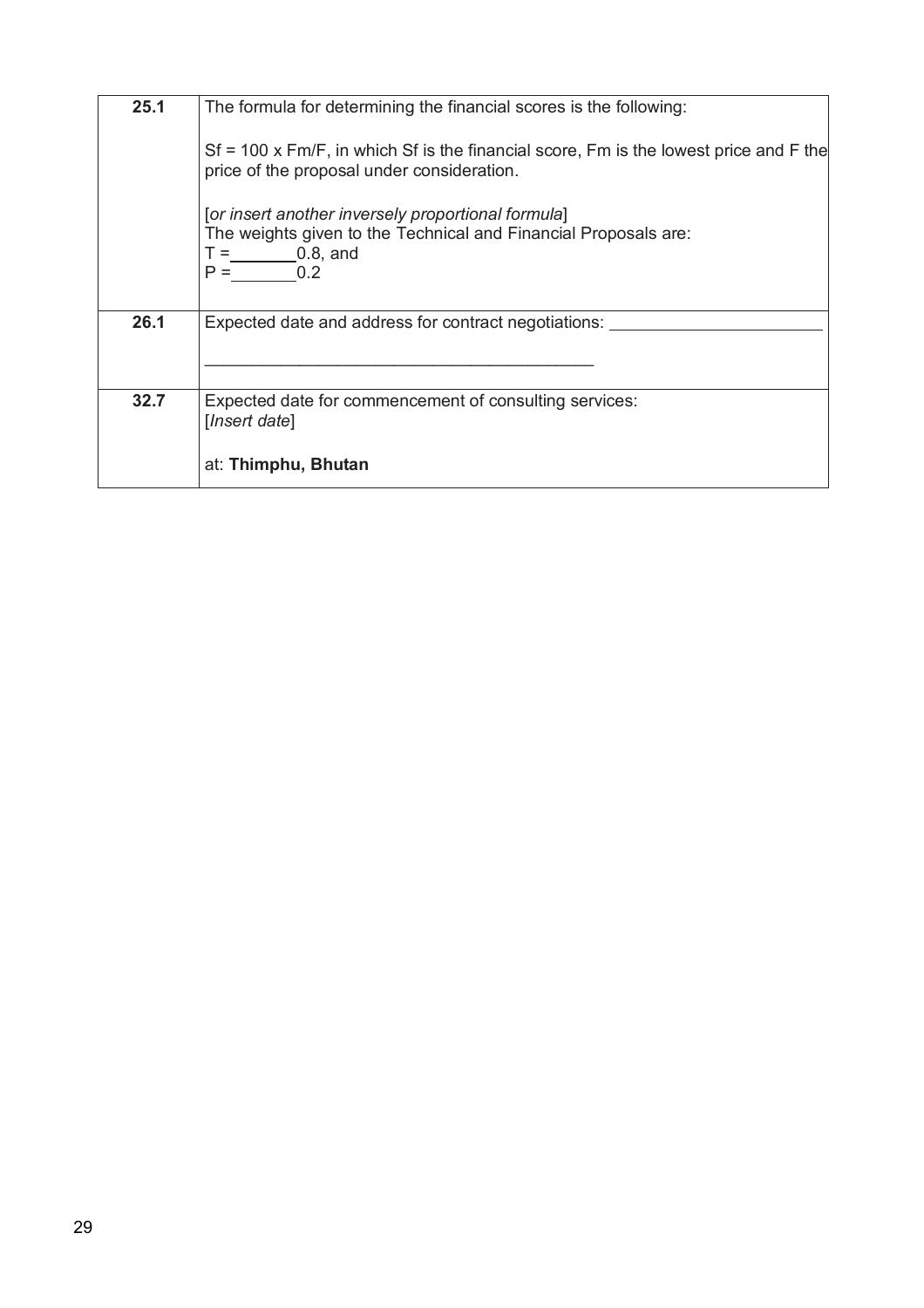| 25.1 | The formula for determining the financial scores is the following:<br>$Sf = 100$ x $Fm/F$ , in which Sf is the financial score, Fm is the lowest price and F the<br>price of the proposal under consideration.<br>[or insert another inversely proportional formula]<br>The weights given to the Technical and Financial Proposals are:<br>$T = 0.8$ , and<br>$P = 0.2$ |
|------|-------------------------------------------------------------------------------------------------------------------------------------------------------------------------------------------------------------------------------------------------------------------------------------------------------------------------------------------------------------------------|
| 26.1 | Expected date and address for contract negotiations:                                                                                                                                                                                                                                                                                                                    |
| 32.7 | Expected date for commencement of consulting services:<br>[Insert date]<br>at: Thimphu, Bhutan                                                                                                                                                                                                                                                                          |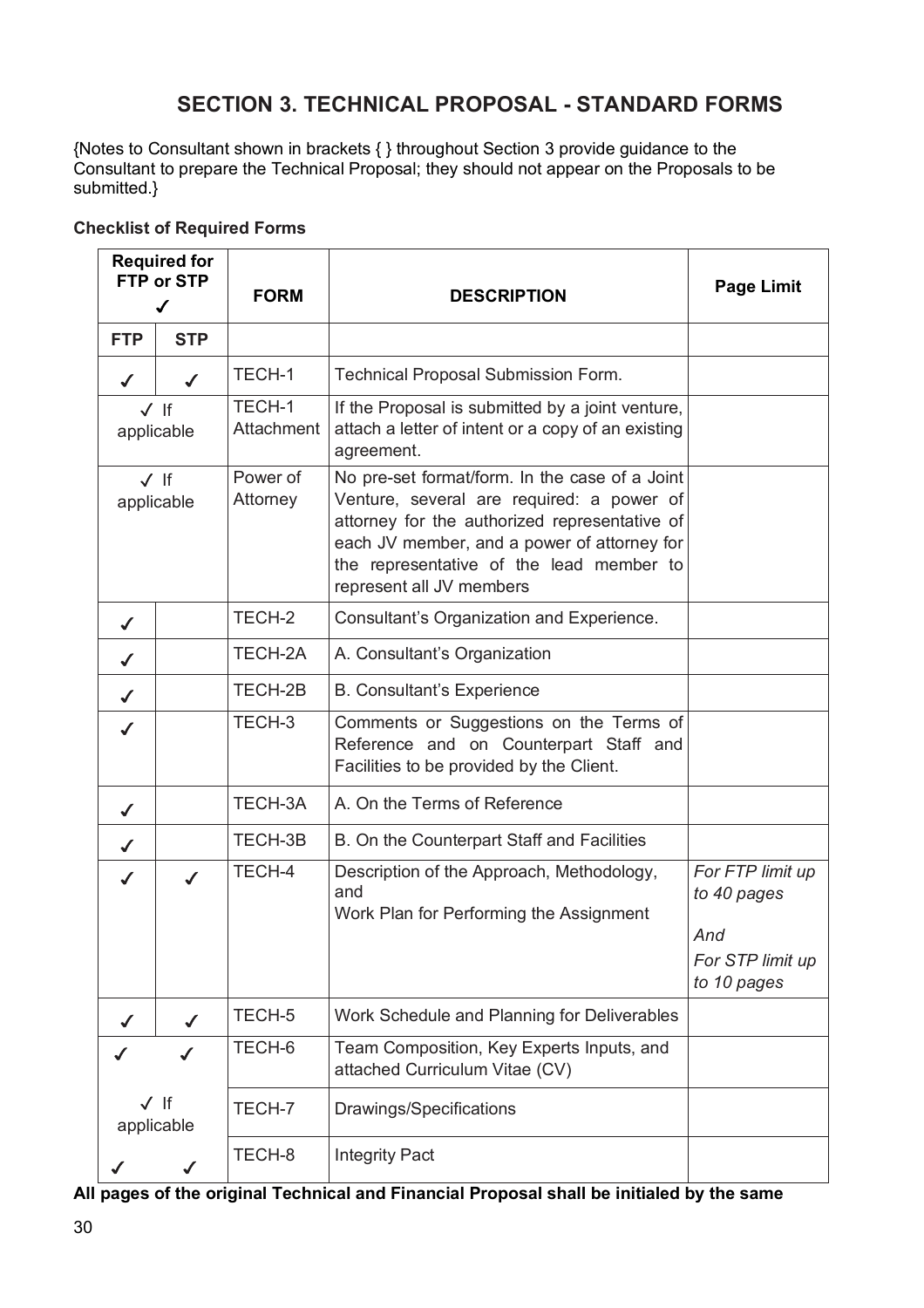# **SECTION 3. TECHNICAL PROPOSAL - STANDARD FORMS**

{Notes to Consultant shown in brackets { } throughout Section 3 provide guidance to the Consultant to prepare the Technical Proposal; they should not appear on the Proposals to be submitted.}

|                             | <b>Required for</b><br>FTP or STP<br>✔ | <b>FORM</b>          | <b>DESCRIPTION</b>                                                                                                                                                                                                                                                  | <b>Page Limit</b>                                                         |
|-----------------------------|----------------------------------------|----------------------|---------------------------------------------------------------------------------------------------------------------------------------------------------------------------------------------------------------------------------------------------------------------|---------------------------------------------------------------------------|
| <b>FTP</b>                  | <b>STP</b>                             |                      |                                                                                                                                                                                                                                                                     |                                                                           |
| $\checkmark$                | ✔                                      | TECH-1               | Technical Proposal Submission Form.                                                                                                                                                                                                                                 |                                                                           |
| applicable                  | $\sqrt{ }$ If                          | TECH-1<br>Attachment | If the Proposal is submitted by a joint venture,<br>attach a letter of intent or a copy of an existing<br>agreement.                                                                                                                                                |                                                                           |
| $\sqrt{ }$ If<br>applicable |                                        | Power of<br>Attorney | No pre-set format/form. In the case of a Joint<br>Venture, several are required: a power of<br>attorney for the authorized representative of<br>each JV member, and a power of attorney for<br>the representative of the lead member to<br>represent all JV members |                                                                           |
| $\checkmark$                |                                        | TECH-2               | Consultant's Organization and Experience.                                                                                                                                                                                                                           |                                                                           |
| $\checkmark$                |                                        | TECH-2A              | A. Consultant's Organization                                                                                                                                                                                                                                        |                                                                           |
| $\checkmark$                |                                        | TECH-2B              | <b>B. Consultant's Experience</b>                                                                                                                                                                                                                                   |                                                                           |
| $\boldsymbol{J}$            |                                        | TECH-3               | Comments or Suggestions on the Terms of<br>Reference and on Counterpart Staff and<br>Facilities to be provided by the Client.                                                                                                                                       |                                                                           |
| $\checkmark$                |                                        | TECH-3A              | A. On the Terms of Reference                                                                                                                                                                                                                                        |                                                                           |
| $\checkmark$                |                                        | TECH-3B              | B. On the Counterpart Staff and Facilities                                                                                                                                                                                                                          |                                                                           |
| $\checkmark$                | ✔                                      | TECH-4               | Description of the Approach, Methodology,<br>and<br>Work Plan for Performing the Assignment                                                                                                                                                                         | For FTP limit up<br>to 40 pages<br>And<br>For STP limit up<br>to 10 pages |
| ✔                           | $\checkmark$                           | TECH-5               | Work Schedule and Planning for Deliverables                                                                                                                                                                                                                         |                                                                           |
|                             |                                        | TECH-6               | Team Composition, Key Experts Inputs, and<br>attached Curriculum Vitae (CV)                                                                                                                                                                                         |                                                                           |
|                             | $\sqrt{ }$ If<br>applicable            | TECH-7               | Drawings/Specifications                                                                                                                                                                                                                                             |                                                                           |
|                             |                                        | TECH-8               | <b>Integrity Pact</b>                                                                                                                                                                                                                                               |                                                                           |

## **Checklist of Required Forms**

**All pages of the original Technical and Financial Proposal shall be initialed by the same**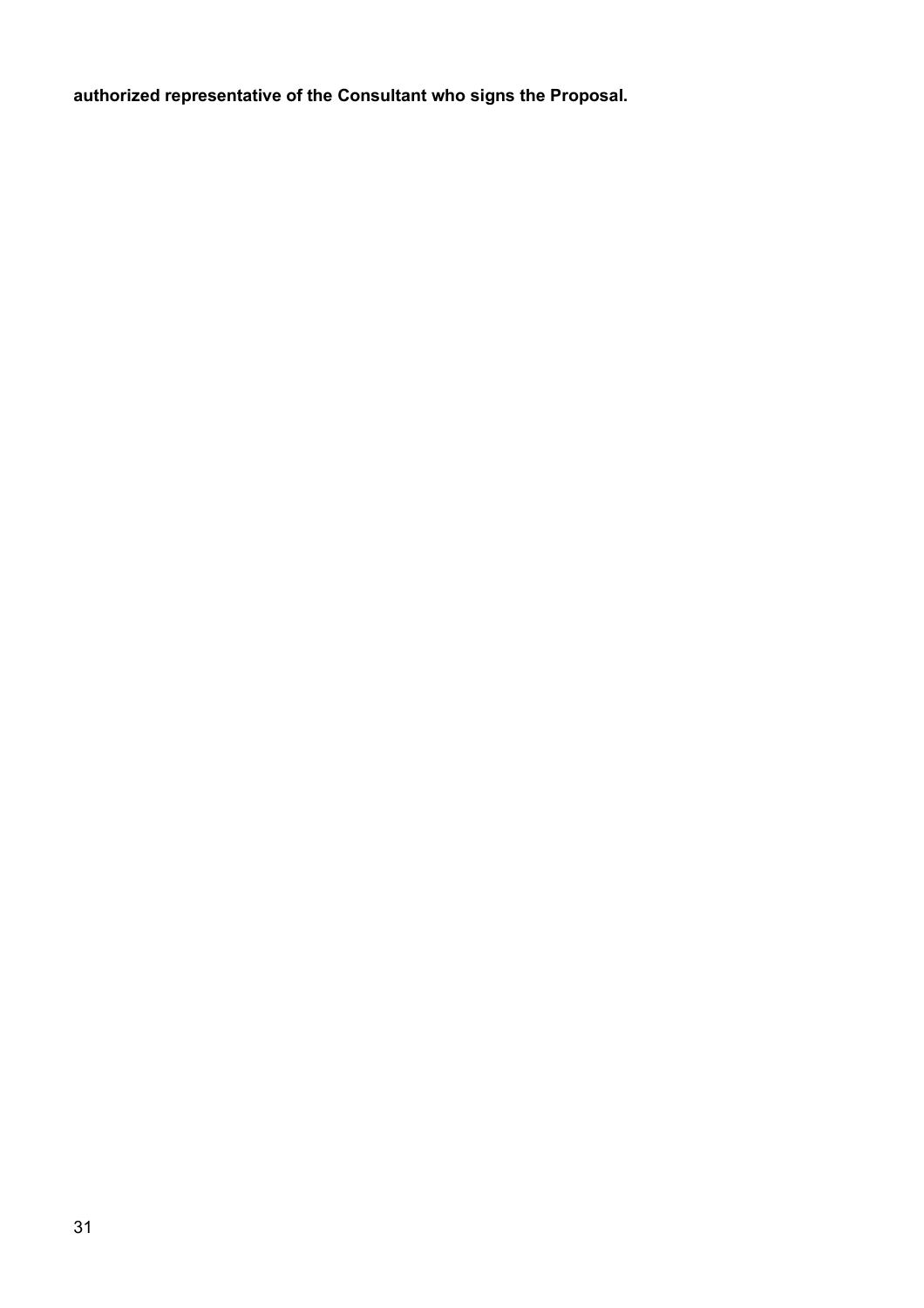**authorized representative of the Consultant who signs the Proposal.**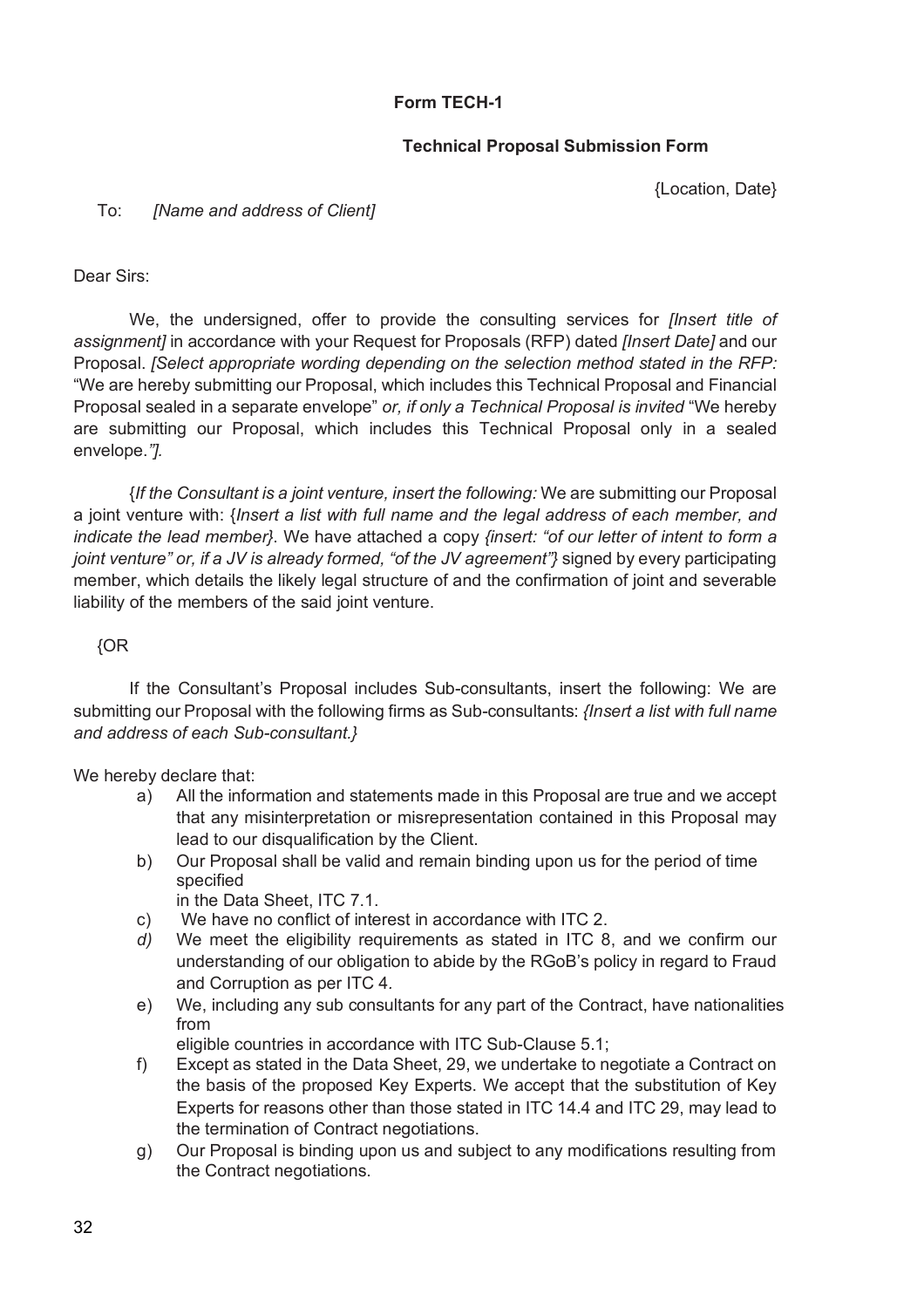## **Form TECH-1**

## **Technical Proposal Submission Form**

{Location, Date}

#### To: *[Name and address of Client]*

Dear Sirs:

We, the undersigned, offer to provide the consulting services for *[Insert title of assignment]* in accordance with your Request for Proposals (RFP) dated *[Insert Date]* and our Proposal. *[Select appropriate wording depending on the selection method stated in the RFP:*  "We are hereby submitting our Proposal, which includes this Technical Proposal and Financial Proposal sealed in a separate envelope" *or, if only a Technical Proposal is invited* "We hereby are submitting our Proposal, which includes this Technical Proposal only in a sealed envelope.*"].*

{*If the Consultant is a joint venture, insert the following:* We are submitting our Proposal a joint venture with: {*Insert a list with full name and the legal address of each member, and indicate the lead member}*. We have attached a copy *{insert: "of our letter of intent to form a joint venture" or, if a JV is already formed, "of the JV agreement"*} signed by every participating member, which details the likely legal structure of and the confirmation of joint and severable liability of the members of the said joint venture.

#### ${OR}$

If the Consultant's Proposal includes Sub-consultants, insert the following: We are submitting our Proposal with the following firms as Sub-consultants: *{Insert a list with full name and address of each Sub-consultant.}*

We hereby declare that:

- a) All the information and statements made in this Proposal are true and we accept that any misinterpretation or misrepresentation contained in this Proposal may lead to our disqualification by the Client.
- b) Our Proposal shall be valid and remain binding upon us for the period of time specified
	- in the Data Sheet, ITC 7.1.
- c) We have no conflict of interest in accordance with ITC 2.
- *d)* We meet the eligibility requirements as stated in ITC 8, and we confirm our understanding of our obligation to abide by the RGoB's policy in regard to Fraud and Corruption as per ITC 4*.*
- e) We, including any sub consultants for any part of the Contract, have nationalities from
	- eligible countries in accordance with ITC Sub-Clause 5.1;
- f) Except as stated in the Data Sheet, 29, we undertake to negotiate a Contract on the basis of the proposed Key Experts. We accept that the substitution of Key Experts for reasons other than those stated in ITC 14.4 and ITC 29, may lead to the termination of Contract negotiations.
- g) Our Proposal is binding upon us and subject to any modifications resulting from the Contract negotiations.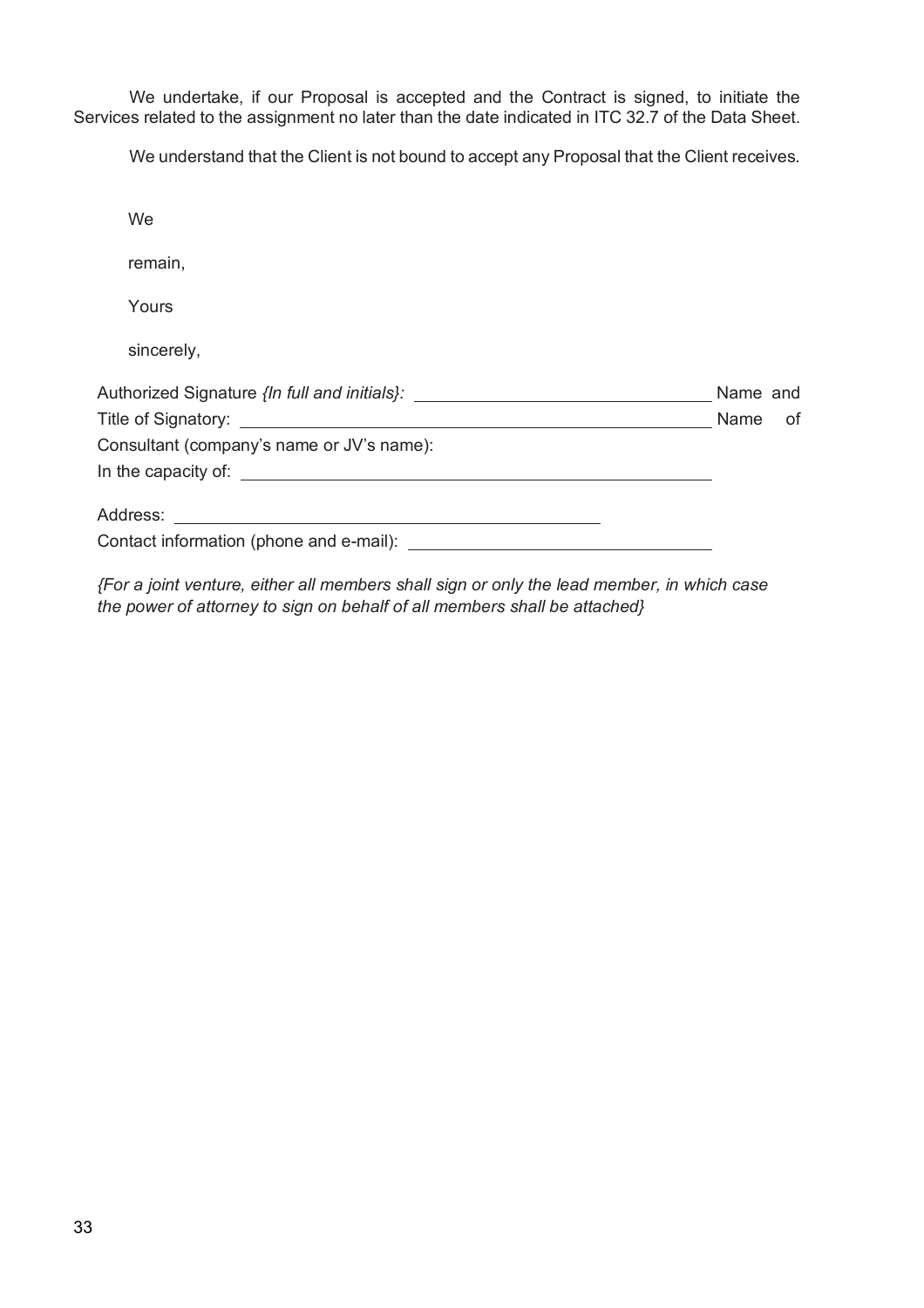We undertake, if our Proposal is accepted and the Contract is signed, to initiate the Services related to the assignment no later than the date indicated in ITC 32.7 of the Data Sheet.

We understand that the Client is not bound to accept any Proposal that the Client receives.

| We                                                                                     |          |
|----------------------------------------------------------------------------------------|----------|
| remain,                                                                                |          |
| Yours                                                                                  |          |
| sincerely,                                                                             |          |
| Authorized Signature <i>{In full and initials}:</i> __________________________________ | Name and |
|                                                                                        | Name of  |
| Consultant (company's name or JV's name):                                              |          |
|                                                                                        |          |
|                                                                                        |          |
|                                                                                        |          |
|                                                                                        |          |

*{For a joint venture, either all members shall sign or only the lead member, in which case the power of attorney to sign on behalf of all members shall be attached}*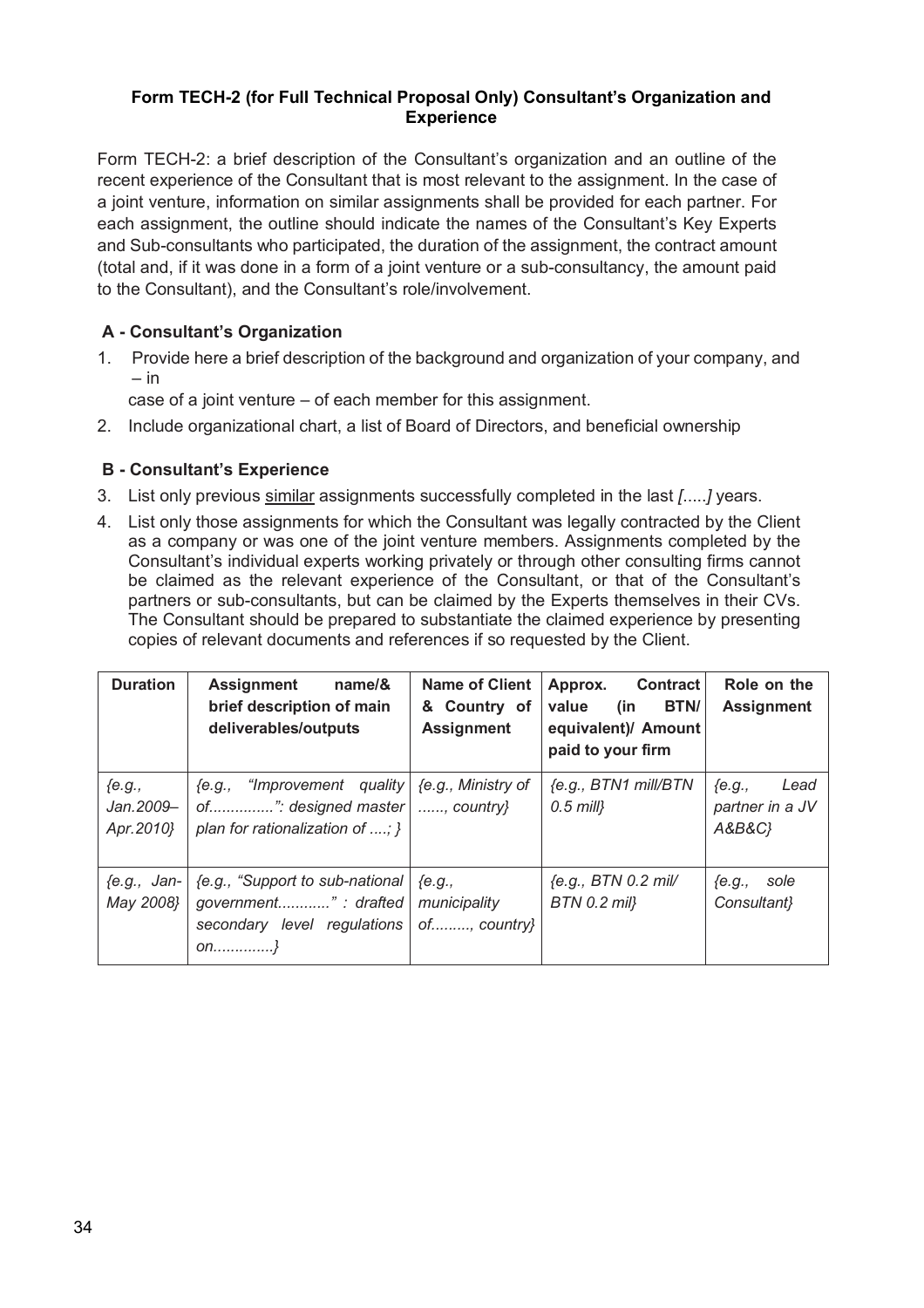## **Form TECH-2 (for Full Technical Proposal Only) Consultant's Organization and Experience**

Form TECH-2: a brief description of the Consultant's organization and an outline of the recent experience of the Consultant that is most relevant to the assignment. In the case of a joint venture, information on similar assignments shall be provided for each partner. For each assignment, the outline should indicate the names of the Consultant's Key Experts and Sub-consultants who participated, the duration of the assignment, the contract amount (total and, if it was done in a form of a joint venture or a sub-consultancy, the amount paid to the Consultant), and the Consultant's role/involvement.

## **A - Consultant's Organization**

1. Provide here a brief description of the background and organization of your company, and  $-$  in

case of a joint venture – of each member for this assignment.

2. Include organizational chart, a list of Board of Directors, and beneficial ownership

## **B - Consultant's Experience**

- 3. List only previous similar assignments successfully completed in the last *[*.....*]* years.
- 4. List only those assignments for which the Consultant was legally contracted by the Client as a company or was one of the joint venture members. Assignments completed by the Consultant's individual experts working privately or through other consulting firms cannot be claimed as the relevant experience of the Consultant, or that of the Consultant's partners or sub-consultants, but can be claimed by the Experts themselves in their CVs. The Consultant should be prepared to substantiate the claimed experience by presenting copies of relevant documents and references if so requested by the Client.

| <b>Duration</b>                       | Assignment<br>name/&<br>brief description of main<br>deliverables/outputs                                                      | <b>Name of Client</b><br>& Country of<br><b>Assignment</b> | Approx. Contract<br>BTN/<br>value (in<br>equivalent)/ Amount<br>paid to your firm | Role on the<br><b>Assignment</b>           |
|---------------------------------------|--------------------------------------------------------------------------------------------------------------------------------|------------------------------------------------------------|-----------------------------------------------------------------------------------|--------------------------------------------|
| ${e.g.,}$<br>Jan. 2009-<br>Apr. 2010} | ${e.g.,}$ "Improvement quality ${e.g.,}$ Ministry of<br>of": designed master   , country}<br>plan for rationalization of $,$ } |                                                            | ${e.g., BTN1 mill/BTN}$<br>$0.5$ mill $\}$                                        | {e.g.,<br>Lead<br>partner in a JV<br>A&B&C |
| ${e.g., Jan-}$<br>May 2008}           | {e.g., "Support to sub-national<br>government" : drafted<br>secondary level regulations<br>$on$ }                              | ${e.g.,}$<br>municipality<br>of, country}                  | ${e.g., BTN 0.2$ mil/<br>$BTN$ 0.2 mil}                                           | {e.g.,<br>sole<br>Consultant}              |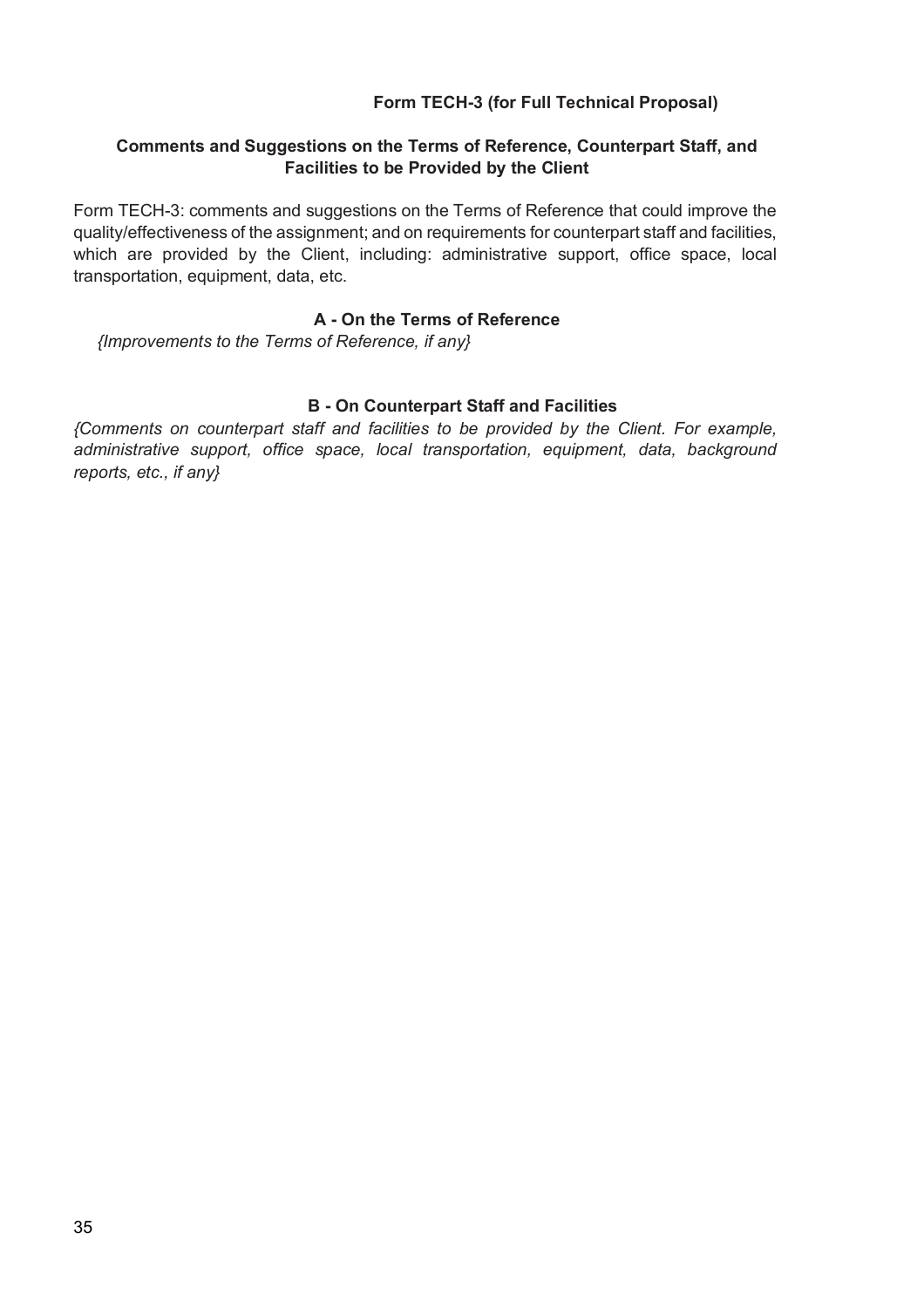## **Form TECH-3 (for Full Technical Proposal)**

## **Comments and Suggestions on the Terms of Reference, Counterpart Staff, and Facilities to be Provided by the Client**

Form TECH-3: comments and suggestions on the Terms of Reference that could improve the quality/effectiveness of the assignment; and on requirements for counterpart staff and facilities, which are provided by the Client, including: administrative support, office space, local transportation, equipment, data, etc.

## **A - On the Terms of Reference**

*{Improvements to the Terms of Reference, if any}*

## **B - On Counterpart Staff and Facilities**

*{Comments on counterpart staff and facilities to be provided by the Client. For example, administrative support, office space, local transportation, equipment, data, background reports, etc., if any}*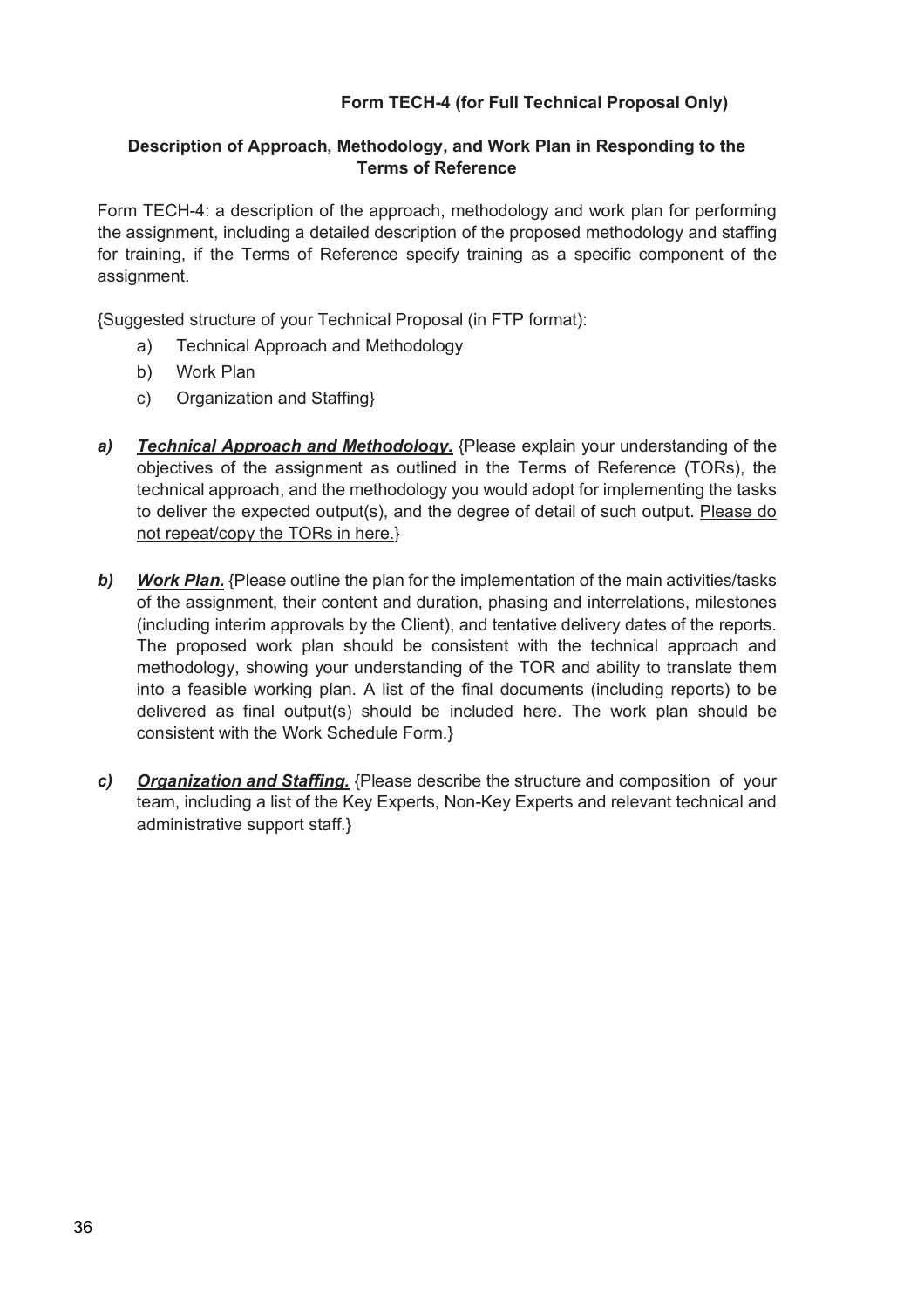## **Form TECH-4 (for Full Technical Proposal Only)**

## **Description of Approach, Methodology, and Work Plan in Responding to the Terms of Reference**

Form TECH-4: a description of the approach, methodology and work plan for performing the assignment, including a detailed description of the proposed methodology and staffing for training, if the Terms of Reference specify training as a specific component of the assignment.

{Suggested structure of your Technical Proposal (in FTP format):

- a) Technical Approach and Methodology
- b) Work Plan
- c) Organization and Staffing}
- *a) Technical Approach and Methodology.* {Please explain your understanding of the objectives of the assignment as outlined in the Terms of Reference (TORs), the technical approach, and the methodology you would adopt for implementing the tasks to deliver the expected output(s), and the degree of detail of such output. Please do not repeat/copy the TORs in here.}
- *b) Work Plan.* {Please outline the plan for the implementation of the main activities/tasks of the assignment, their content and duration, phasing and interrelations, milestones (including interim approvals by the Client), and tentative delivery dates of the reports. The proposed work plan should be consistent with the technical approach and methodology, showing your understanding of the TOR and ability to translate them into a feasible working plan. A list of the final documents (including reports) to be delivered as final output(s) should be included here. The work plan should be consistent with the Work Schedule Form.}
- *c) Organization and Staffing.* {Please describe the structure and composition of your team, including a list of the Key Experts, Non-Key Experts and relevant technical and administrative support staff.}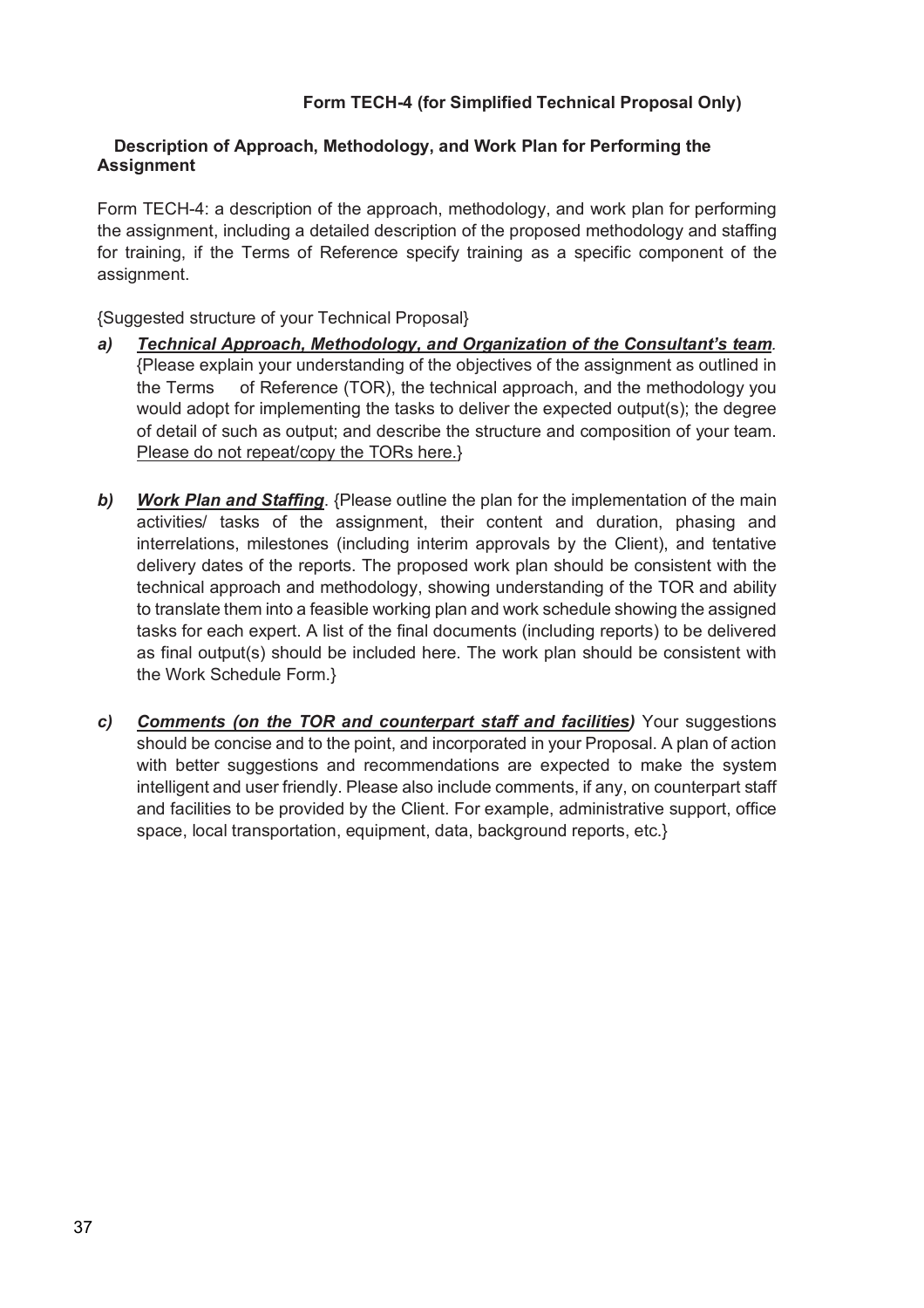## **Form TECH-4 (for Simplified Technical Proposal Only)**

## **Description of Approach, Methodology, and Work Plan for Performing the Assignment**

Form TECH-4: a description of the approach, methodology, and work plan for performing the assignment, including a detailed description of the proposed methodology and staffing for training, if the Terms of Reference specify training as a specific component of the assignment.

{Suggested structure of your Technical Proposal}

- *a) Technical Approach, Methodology, and Organization of the Consultant's team.*  {Please explain your understanding of the objectives of the assignment as outlined in the Terms of Reference (TOR), the technical approach, and the methodology you would adopt for implementing the tasks to deliver the expected output(s); the degree of detail of such as output; and describe the structure and composition of your team. Please do not repeat/copy the TORs here.}
- *b) Work Plan and Staffing*. {Please outline the plan for the implementation of the main activities/ tasks of the assignment, their content and duration, phasing and interrelations, milestones (including interim approvals by the Client), and tentative delivery dates of the reports. The proposed work plan should be consistent with the technical approach and methodology, showing understanding of the TOR and ability to translate them into a feasible working plan and work schedule showing the assigned tasks for each expert. A list of the final documents (including reports) to be delivered as final output(s) should be included here. The work plan should be consistent with the Work Schedule Form.}
- *c) Comments (on the TOR and counterpart staff and facilities)* Your suggestions should be concise and to the point, and incorporated in your Proposal. A plan of action with better suggestions and recommendations are expected to make the system intelligent and user friendly. Please also include comments, if any, on counterpart staff and facilities to be provided by the Client. For example, administrative support, office space, local transportation, equipment, data, background reports, etc.}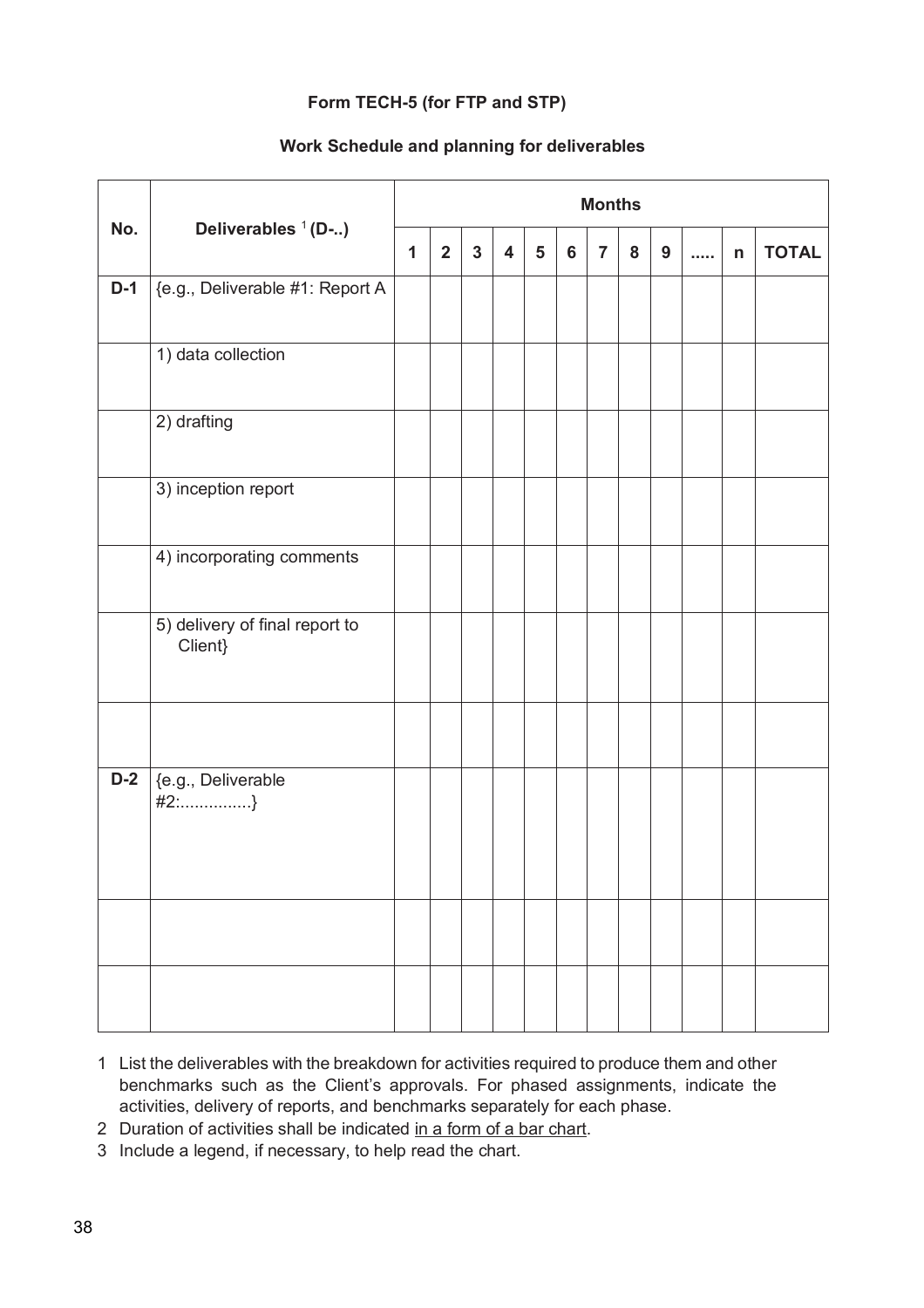## **Form TECH-5 (for FTP and STP)**

## **Work Schedule and planning for deliverables**

|       |                                           | <b>Months</b> |                |                |                         |   |                |                |   |   |          |             |              |
|-------|-------------------------------------------|---------------|----------------|----------------|-------------------------|---|----------------|----------------|---|---|----------|-------------|--------------|
| No.   | Deliverables <sup>1</sup> (D-)            | 1             | $\overline{2}$ | $\overline{3}$ | $\overline{\mathbf{4}}$ | 5 | $6\phantom{1}$ | $\overline{7}$ | 8 | 9 | $\cdots$ | $\mathsf n$ | <b>TOTAL</b> |
| $D-1$ | {e.g., Deliverable #1: Report A           |               |                |                |                         |   |                |                |   |   |          |             |              |
|       | 1) data collection                        |               |                |                |                         |   |                |                |   |   |          |             |              |
|       | 2) drafting                               |               |                |                |                         |   |                |                |   |   |          |             |              |
|       | 3) inception report                       |               |                |                |                         |   |                |                |   |   |          |             |              |
|       | 4) incorporating comments                 |               |                |                |                         |   |                |                |   |   |          |             |              |
|       | 5) delivery of final report to<br>Client} |               |                |                |                         |   |                |                |   |   |          |             |              |
|       |                                           |               |                |                |                         |   |                |                |   |   |          |             |              |
| $D-2$ | {e.g., Deliverable<br>$#2:$ }             |               |                |                |                         |   |                |                |   |   |          |             |              |
|       |                                           |               |                |                |                         |   |                |                |   |   |          |             |              |
|       |                                           |               |                |                |                         |   |                |                |   |   |          |             |              |

- 1 List the deliverables with the breakdown for activities required to produce them and other benchmarks such as the Client's approvals. For phased assignments, indicate the activities, delivery of reports, and benchmarks separately for each phase.
- 2 Duration of activities shall be indicated in a form of a bar chart.
- 3 Include a legend, if necessary, to help read the chart.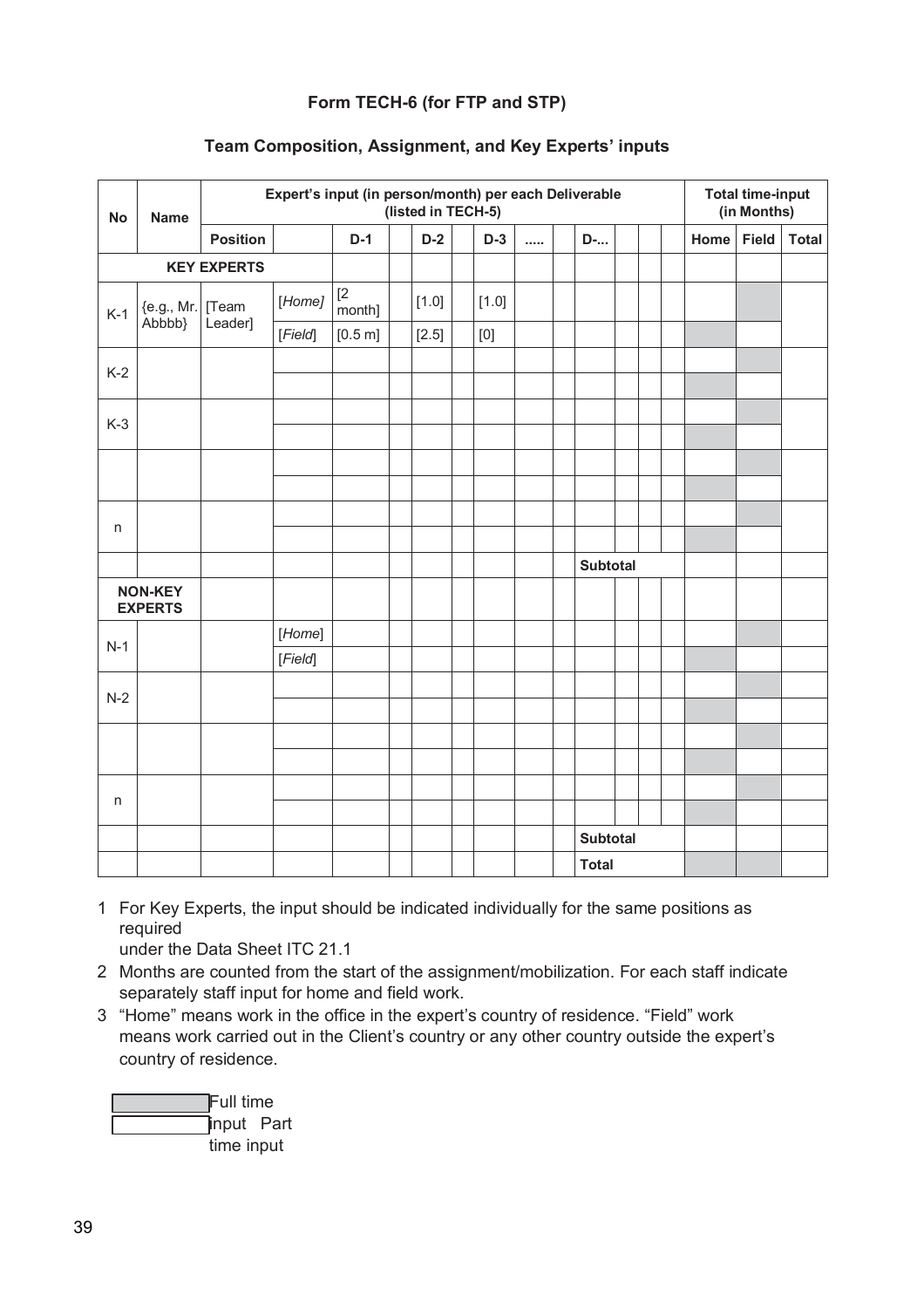## **Form TECH-6 (for FTP and STP)**

| <b>No</b> | <b>Name</b>                      |                    | Expert's input (in person/month) per each Deliverable<br>(listed in TECH-5) |                 |  |       |  |         |   |  |                 |  |  | <b>Total time-input</b><br>(in Months) |       |              |
|-----------|----------------------------------|--------------------|-----------------------------------------------------------------------------|-----------------|--|-------|--|---------|---|--|-----------------|--|--|----------------------------------------|-------|--------------|
|           |                                  | <b>Position</b>    |                                                                             | $D-1$           |  | $D-2$ |  | $D-3$   | . |  | D-              |  |  | Home                                   | Field | <b>Total</b> |
|           |                                  | <b>KEY EXPERTS</b> |                                                                             |                 |  |       |  |         |   |  |                 |  |  |                                        |       |              |
| $K-1$     | {e.g., Mr.                       | [Team              | [Home]                                                                      | $[2]$<br>month] |  | [1.0] |  | $[1.0]$ |   |  |                 |  |  |                                        |       |              |
|           | Abbbb}                           | Leader]            | [Field]                                                                     | [0.5 m]         |  | [2.5] |  | [0]     |   |  |                 |  |  |                                        |       |              |
| $K-2$     |                                  |                    |                                                                             |                 |  |       |  |         |   |  |                 |  |  |                                        |       |              |
| $K-3$     |                                  |                    |                                                                             |                 |  |       |  |         |   |  |                 |  |  |                                        |       |              |
|           |                                  |                    |                                                                             |                 |  |       |  |         |   |  |                 |  |  |                                        |       |              |
| n         |                                  |                    |                                                                             |                 |  |       |  |         |   |  |                 |  |  |                                        |       |              |
|           |                                  |                    |                                                                             |                 |  |       |  |         |   |  | <b>Subtotal</b> |  |  |                                        |       |              |
|           | <b>NON-KEY</b><br><b>EXPERTS</b> |                    |                                                                             |                 |  |       |  |         |   |  |                 |  |  |                                        |       |              |
| $N-1$     |                                  |                    | [Home]                                                                      |                 |  |       |  |         |   |  |                 |  |  |                                        |       |              |
|           |                                  |                    | [Field]                                                                     |                 |  |       |  |         |   |  |                 |  |  |                                        |       |              |
| $N-2$     |                                  |                    |                                                                             |                 |  |       |  |         |   |  |                 |  |  |                                        |       |              |
|           |                                  |                    |                                                                             |                 |  |       |  |         |   |  |                 |  |  |                                        |       |              |
|           |                                  |                    |                                                                             |                 |  |       |  |         |   |  |                 |  |  |                                        |       |              |
| n         |                                  |                    |                                                                             |                 |  |       |  |         |   |  |                 |  |  |                                        |       |              |
|           |                                  |                    |                                                                             |                 |  |       |  |         |   |  |                 |  |  |                                        |       |              |
|           |                                  |                    |                                                                             |                 |  |       |  |         |   |  | <b>Subtotal</b> |  |  |                                        |       |              |
|           |                                  |                    |                                                                             |                 |  |       |  |         |   |  | <b>Total</b>    |  |  |                                        |       |              |

## **Team Composition, Assignment, and Key Experts' inputs**

1 For Key Experts, the input should be indicated individually for the same positions as required

under the Data Sheet ITC 21.1

- 2 Months are counted from the start of the assignment/mobilization. For each staff indicate separately staff input for home and field work.
- 3 "Home" means work in the office in the expert's country of residence. "Field" work means work carried out in the Client's country or any other country outside the expert's country of residence.

Full time input Part time input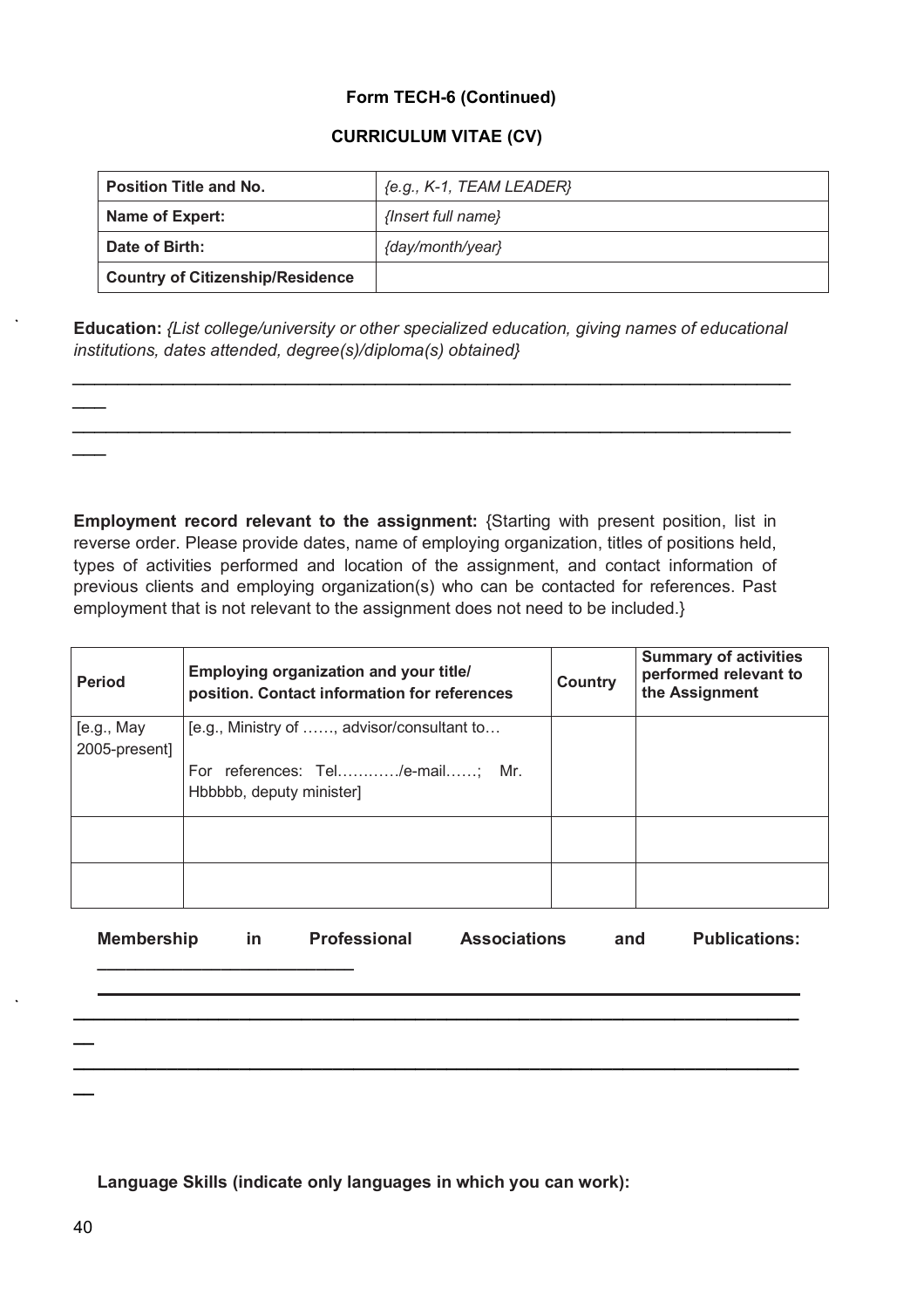## **Form TECH-6 (Continued)**

#### **CURRICULUM VITAE (CV)**

| <b>Position Title and No.</b>           | ${e.g., K-1, TEAM LEADER}$ |
|-----------------------------------------|----------------------------|
| <b>Name of Expert:</b>                  | {Insert full name}         |
| Date of Birth:                          | {day/month/year}           |
| <b>Country of Citizenship/Residence</b> |                            |

**Education:** *{List college/university or other specialized education, giving names of educational institutions, dates attended, degree(s)/diploma(s) obtained}*

*\_\_\_\_\_\_\_\_\_\_\_\_\_\_\_\_\_\_\_\_\_\_\_\_\_\_\_\_\_\_\_\_\_\_\_\_\_\_\_\_\_\_\_\_\_\_\_\_\_\_\_\_\_\_\_\_\_\_\_\_\_\_\_\_*

*\_\_\_\_\_\_\_\_\_\_\_\_\_\_\_\_\_\_\_\_\_\_\_\_\_\_\_\_\_\_\_\_\_\_\_\_\_\_\_\_\_\_\_\_\_\_\_\_\_\_\_\_\_\_\_\_\_\_\_\_\_\_\_\_*

**Employment record relevant to the assignment: {Starting with present position, list in** reverse order. Please provide dates, name of employing organization, titles of positions held, types of activities performed and location of the assignment, and contact information of previous clients and employing organization(s) who can be contacted for references. Past employment that is not relevant to the assignment does not need to be included.}

| <b>Period</b> | Employing organization and your title/<br>position. Contact information for references | Country | <b>Summary of activities</b><br>performed relevant to<br>the Assignment |
|---------------|----------------------------------------------------------------------------------------|---------|-------------------------------------------------------------------------|
| [e.g., May    | [e.g., Ministry of , advisor/consultant to                                             |         |                                                                         |
| 2005-present] |                                                                                        |         |                                                                         |
|               | For references: Tel/e-mail; Mr.<br>Hbbbbb, deputy minister]                            |         |                                                                         |
|               |                                                                                        |         |                                                                         |
|               |                                                                                        |         |                                                                         |

**Membership in Professional Associations and Publications: \_\_\_\_\_\_\_\_\_\_\_\_\_\_\_\_\_\_\_\_\_\_\_\_\_\_\_**

**\_\_\_\_\_\_\_\_\_\_\_\_\_\_\_\_\_\_\_\_\_\_\_\_\_\_\_\_\_\_\_\_\_\_\_\_\_\_\_\_\_\_\_\_\_\_\_\_\_\_\_\_\_\_\_\_\_\_\_\_\_\_\_\_\_\_\_\_\_\_**

**\_\_\_\_\_\_\_\_\_\_\_\_\_\_\_\_\_\_\_\_\_\_\_\_\_\_\_\_\_\_\_\_\_\_\_\_\_\_\_\_\_\_\_\_\_\_\_\_\_\_\_\_\_\_\_\_\_\_\_\_\_\_\_\_\_\_\_\_\_\_**

**Language Skills (indicate only languages in which you can work):** 

**\_\_**

**\_\_**

*\_\_\_*

*\_\_\_*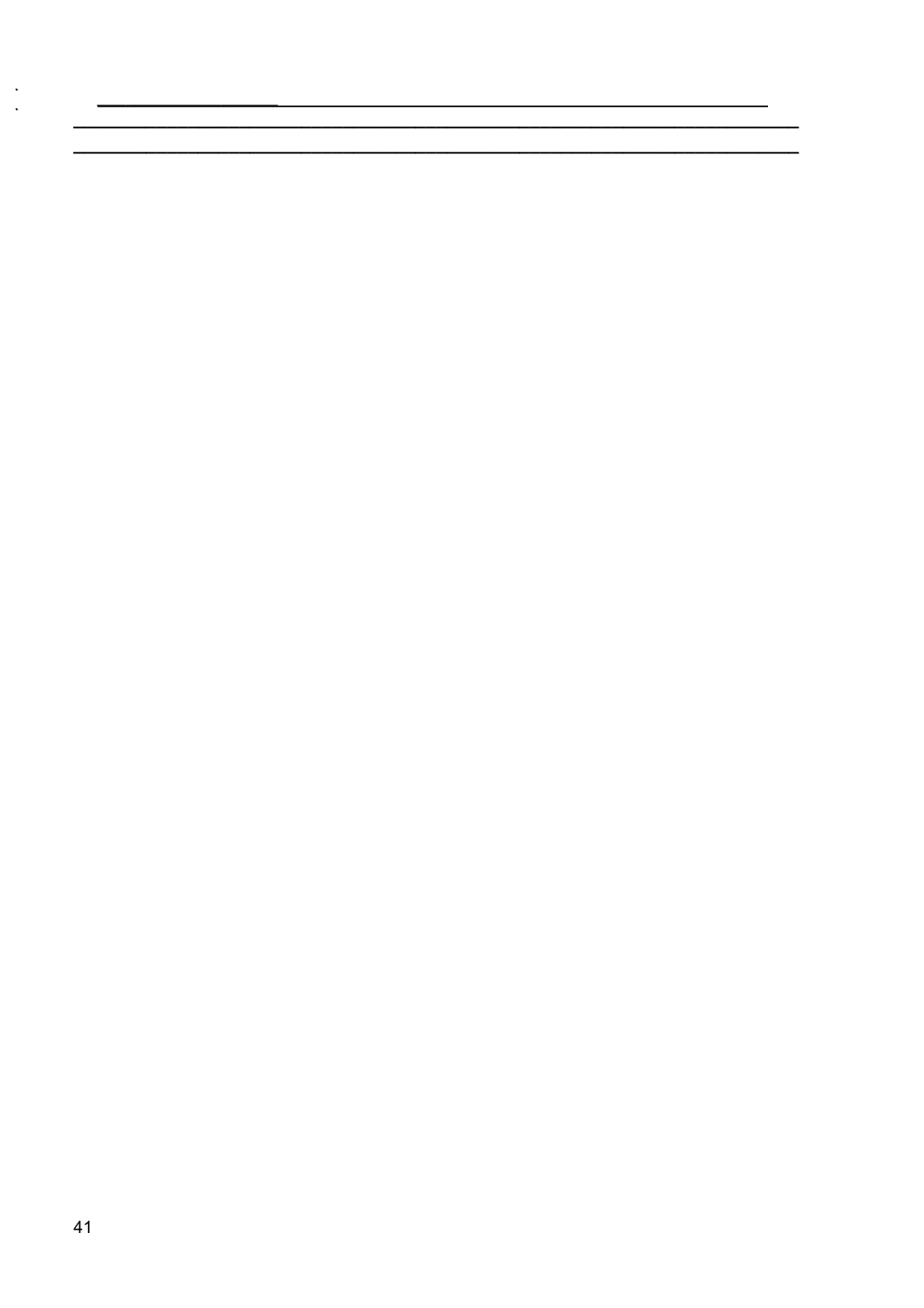41

 $\hat{\boldsymbol{\beta}}$  $\ddot{\phantom{0}}$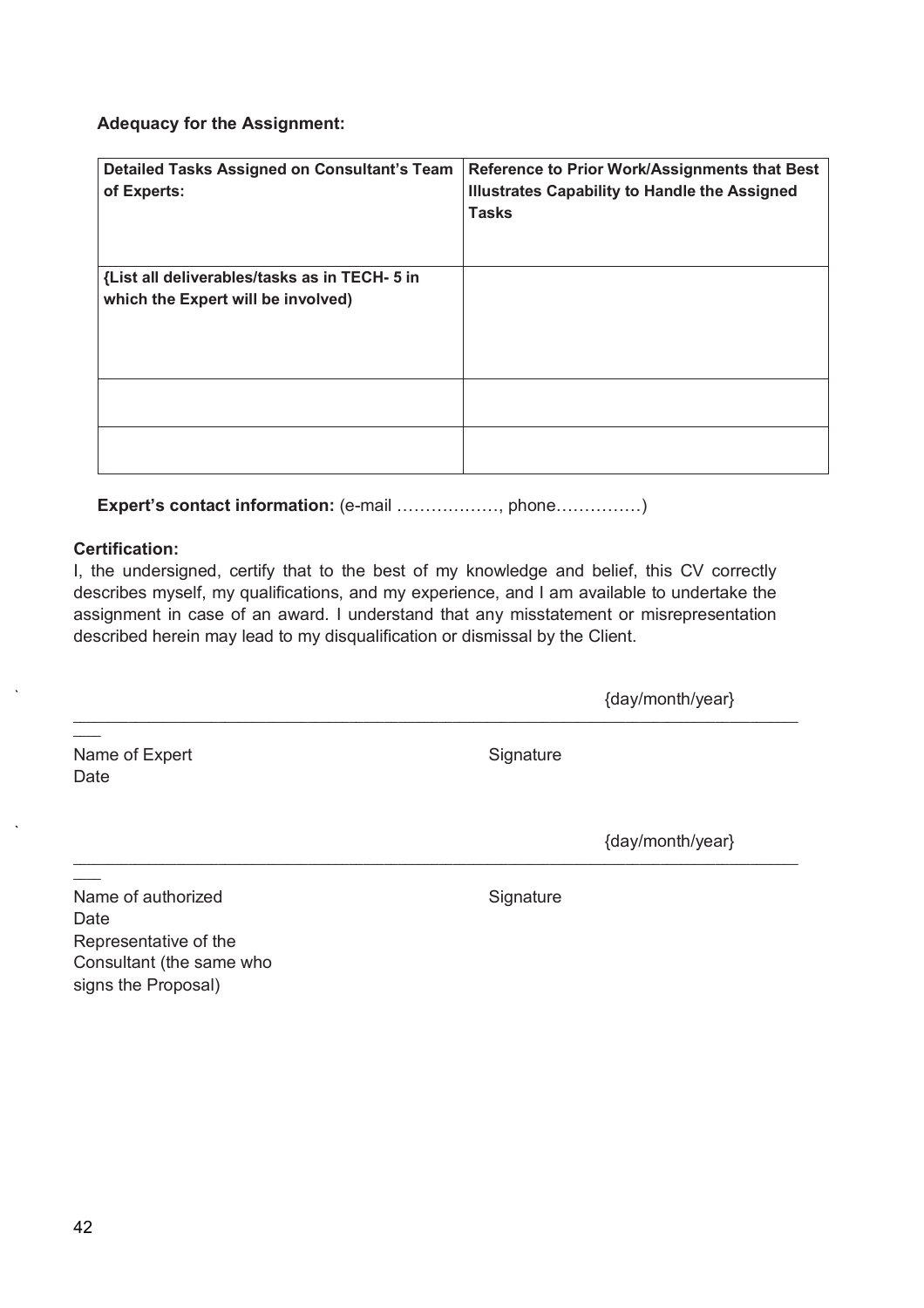## **Adequacy for the Assignment:**

| <b>Detailed Tasks Assigned on Consultant's Team</b><br>of Experts:                  | Reference to Prior Work/Assignments that Best<br><b>Illustrates Capability to Handle the Assigned</b><br><b>Tasks</b> |
|-------------------------------------------------------------------------------------|-----------------------------------------------------------------------------------------------------------------------|
| {List all deliverables/tasks as in TECH- 5 in<br>which the Expert will be involved) |                                                                                                                       |
|                                                                                     |                                                                                                                       |
|                                                                                     |                                                                                                                       |

**Expert's contact information:** (e-mail ………………, phone……………)

## **Certification:**

I, the undersigned, certify that to the best of my knowledge and belief, this CV correctly describes myself, my qualifications, and my experience, and I am available to undertake the assignment in case of an award. I understand that any misstatement or misrepresentation described herein may lead to my disqualification or dismissal by the Client.

 $\mathcal{L}_\mathcal{L} = \mathcal{L}_\mathcal{L} = \mathcal{L}_\mathcal{L} = \mathcal{L}_\mathcal{L} = \mathcal{L}_\mathcal{L} = \mathcal{L}_\mathcal{L} = \mathcal{L}_\mathcal{L} = \mathcal{L}_\mathcal{L} = \mathcal{L}_\mathcal{L} = \mathcal{L}_\mathcal{L} = \mathcal{L}_\mathcal{L} = \mathcal{L}_\mathcal{L} = \mathcal{L}_\mathcal{L} = \mathcal{L}_\mathcal{L} = \mathcal{L}_\mathcal{L} = \mathcal{L}_\mathcal{L} = \mathcal{L}_\mathcal{L}$ 

\_\_\_\_\_\_\_\_\_\_\_\_\_\_\_\_\_\_\_\_\_\_\_\_\_\_\_\_\_\_\_\_\_\_\_\_\_\_\_\_\_\_\_\_\_\_\_\_\_\_\_\_\_\_\_\_\_\_\_\_\_\_\_\_\_\_\_\_\_\_\_\_\_\_\_\_\_\_\_\_\_\_\_\_\_\_\_\_\_\_\_\_\_\_\_\_\_\_\_\_\_\_\_\_\_

{day/month/year}

Name of Expert Signature Date

 $\frac{1}{2}$ 

 $\overline{\phantom{a}}$ 

{day/month/year}

Name of authorized Signature Date Representative of the Consultant (the same who signs the Proposal)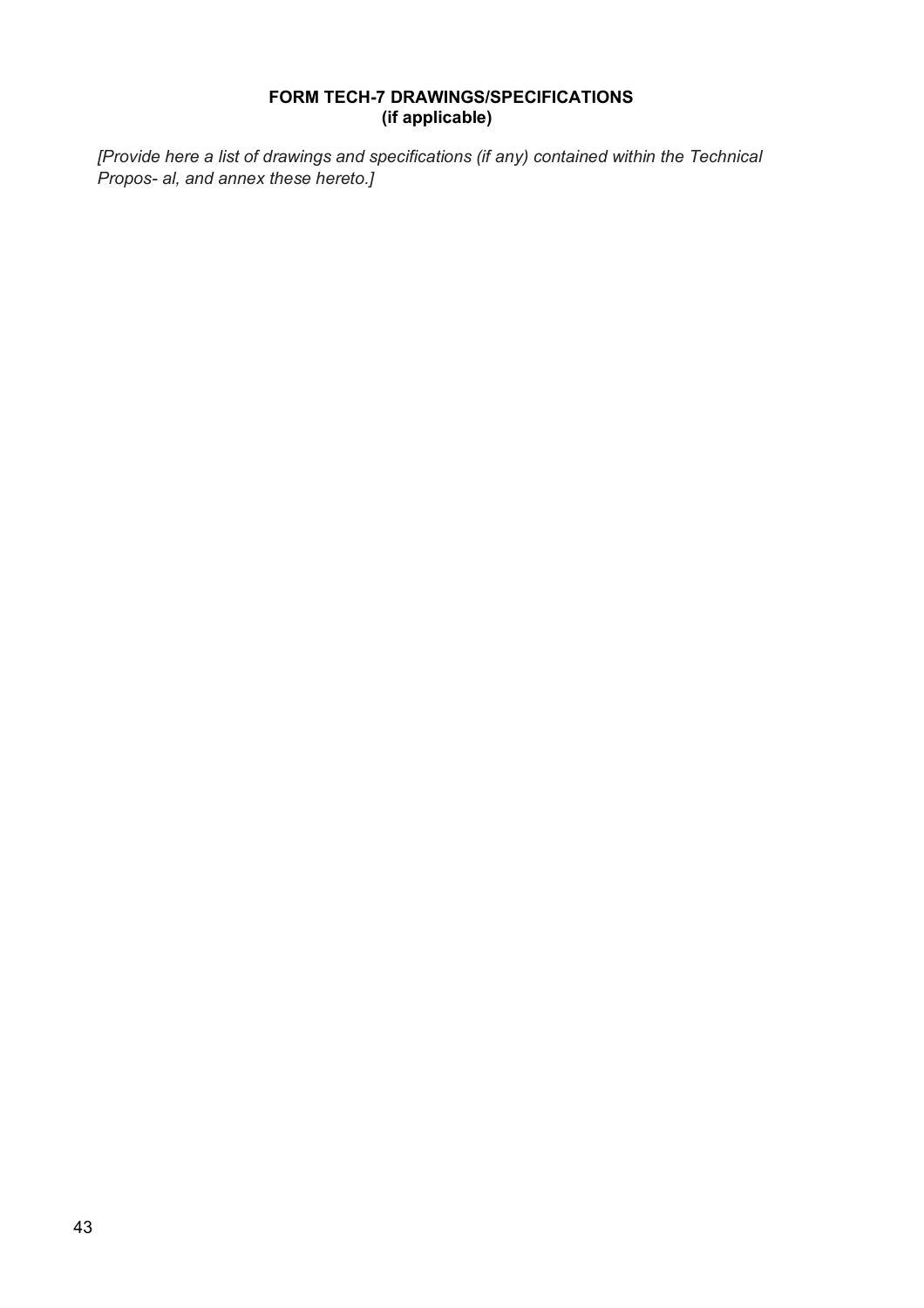## **FORM TECH-7 DRAWINGS/SPECIFICATIONS (if applicable)**

*[Provide here a list of drawings and specifications (if any) contained within the Technical Propos- al, and annex these hereto.]*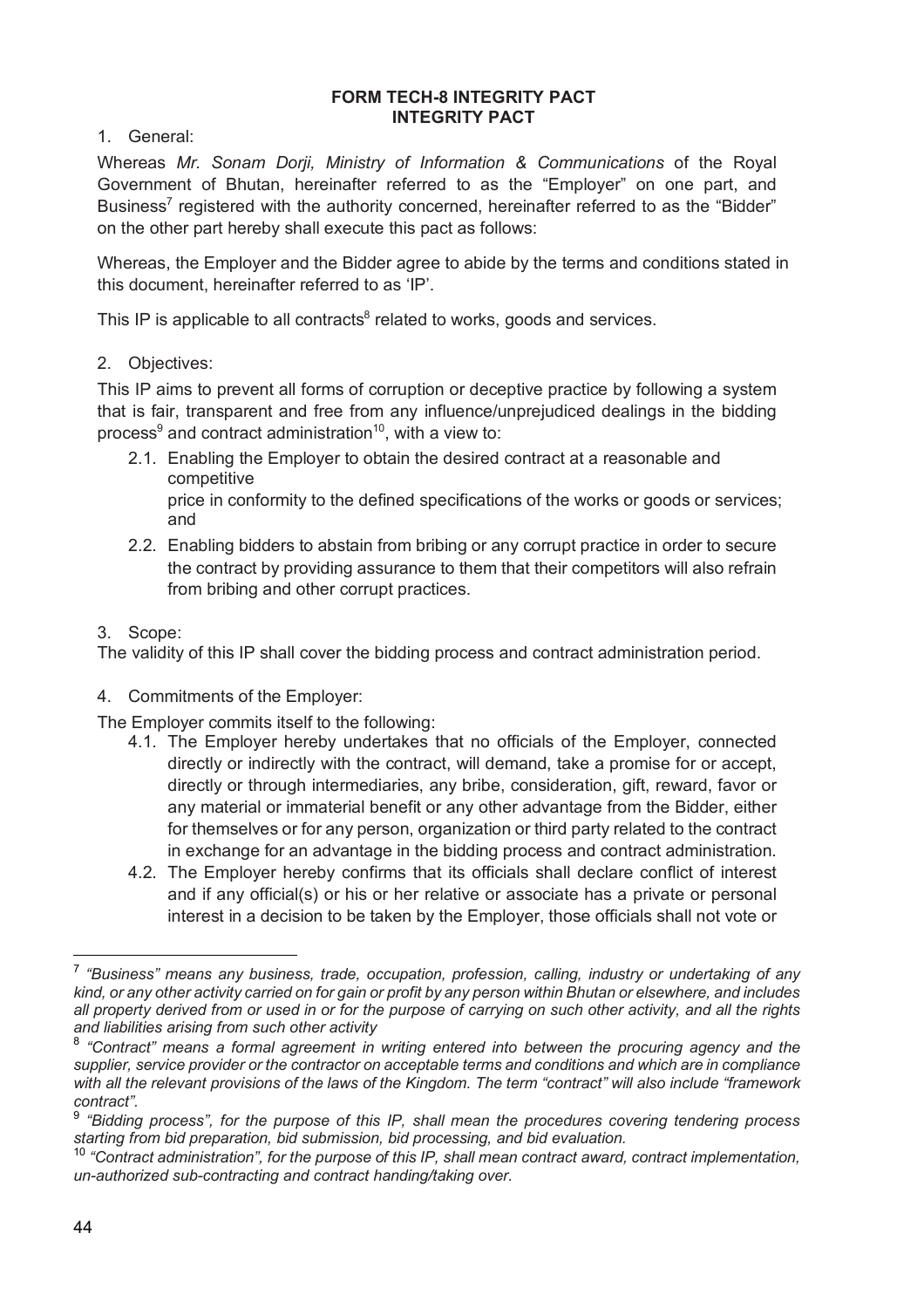#### **FORM TECH-8 INTEGRITY PACT INTEGRITY PACT**

## 1. General:

Whereas *Mr. Sonam Dorji, Ministry of Information & Communications* of the Royal Government of Bhutan, hereinafter referred to as the "Employer" on one part, and Business<sup>7</sup> registered with the authority concerned, hereinafter referred to as the "Bidder" on the other part hereby shall execute this pact as follows:

Whereas, the Employer and the Bidder agree to abide by the terms and conditions stated in this document, hereinafter referred to as 'IP'.

This IP is applicable to all contracts<sup>8</sup> related to works, goods and services.

## 2. Objectives:

This IP aims to prevent all forms of corruption or deceptive practice by following a system that is fair, transparent and free from any influence/unprejudiced dealings in the bidding process<sup>9</sup> and contract administration<sup>10</sup>, with a view to:

- 2.1. Enabling the Employer to obtain the desired contract at a reasonable and competitive price in conformity to the defined specifications of the works or goods or services; and
- 2.2. Enabling bidders to abstain from bribing or any corrupt practice in order to secure the contract by providing assurance to them that their competitors will also refrain from bribing and other corrupt practices.

## 3. Scope:

The validity of this IP shall cover the bidding process and contract administration period.

4. Commitments of the Employer:

The Employer commits itself to the following:

- 4.1. The Employer hereby undertakes that no officials of the Employer, connected directly or indirectly with the contract, will demand, take a promise for or accept, directly or through intermediaries, any bribe, consideration, gift, reward, favor or any material or immaterial benefit or any other advantage from the Bidder, either for themselves or for any person, organization or third party related to the contract in exchange for an advantage in the bidding process and contract administration.
- 4.2. The Employer hereby confirms that its officials shall declare conflict of interest and if any official(s) or his or her relative or associate has a private or personal interest in a decision to be taken by the Employer, those officials shall not vote or

 <sup>7</sup> *"Business" means any business, trade, occupation, profession, calling, industry or undertaking of any kind, or any other activity carried on for gain or profit by any person within Bhutan or elsewhere, and includes all property derived from or used in or for the purpose of carrying on such other activity, and all the rights and liabilities arising from such other activity*

<sup>8</sup> *"Contract" means a formal agreement in writing entered into between the procuring agency and the supplier, service provider or the contractor on acceptable terms and conditions and which are in compliance with all the relevant provisions of the laws of the Kingdom. The term "contract" will also include "framework contract".*

<sup>9</sup> *"Bidding process", for the purpose of this IP, shall mean the procedures covering tendering process starting from bid preparation, bid submission, bid processing, and bid evaluation.*

<sup>10</sup> *"Contract administration", for the purpose of this IP, shall mean contract award, contract implementation, un-authorized sub-contracting and contract handing/taking over.*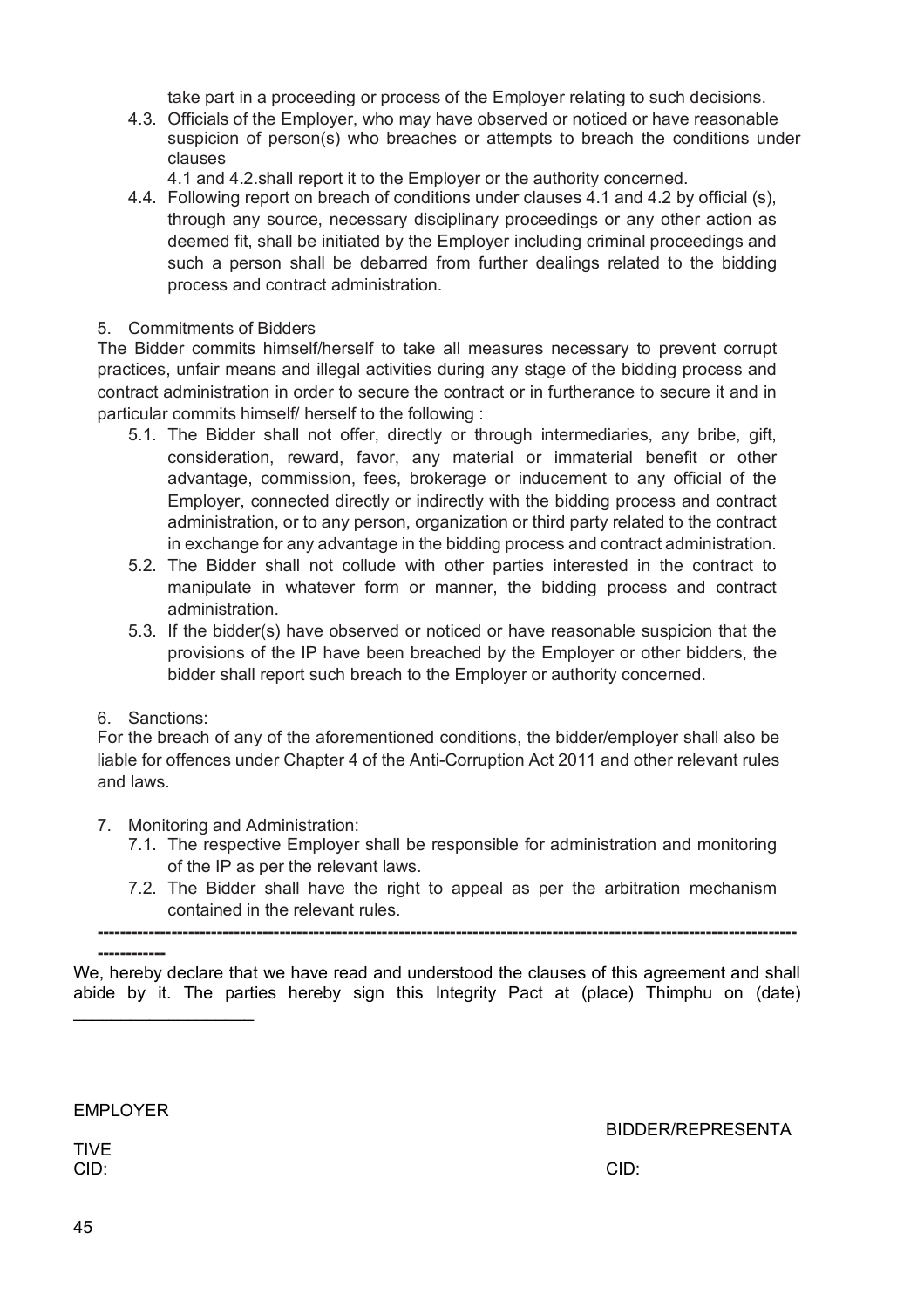take part in a proceeding or process of the Employer relating to such decisions.

4.3. Officials of the Employer, who may have observed or noticed or have reasonable suspicion of person(s) who breaches or attempts to breach the conditions under clauses

4.1 and 4.2.shall report it to the Employer or the authority concerned.

4.4. Following report on breach of conditions under clauses 4.1 and 4.2 by official (s), through any source, necessary disciplinary proceedings or any other action as deemed fit, shall be initiated by the Employer including criminal proceedings and such a person shall be debarred from further dealings related to the bidding process and contract administration.

#### 5. Commitments of Bidders

The Bidder commits himself/herself to take all measures necessary to prevent corrupt practices, unfair means and illegal activities during any stage of the bidding process and contract administration in order to secure the contract or in furtherance to secure it and in particular commits himself/ herself to the following :

- 5.1. The Bidder shall not offer, directly or through intermediaries, any bribe, gift, consideration, reward, favor, any material or immaterial benefit or other advantage, commission, fees, brokerage or inducement to any official of the Employer, connected directly or indirectly with the bidding process and contract administration, or to any person, organization or third party related to the contract in exchange for any advantage in the bidding process and contract administration.
- 5.2. The Bidder shall not collude with other parties interested in the contract to manipulate in whatever form or manner, the bidding process and contract administration.
- 5.3. If the bidder(s) have observed or noticed or have reasonable suspicion that the provisions of the IP have been breached by the Employer or other bidders, the bidder shall report such breach to the Employer or authority concerned.
- 6. Sanctions:

For the breach of any of the aforementioned conditions, the bidder/employer shall also be liable for offences under Chapter 4 of the Anti-Corruption Act 2011 and other relevant rules and laws.

#### 7. Monitoring and Administration:

- 7.1. The respective Employer shall be responsible for administration and monitoring of the IP as per the relevant laws.
- 7.2. The Bidder shall have the right to appeal as per the arbitration mechanism contained in the relevant rules.

**---------------------------------------------------------------------------------------------------------------------------**

**------------**

 $\mathcal{L}_\text{max}$  , where  $\mathcal{L}_\text{max}$ 

We, hereby declare that we have read and understood the clauses of this agreement and shall abide by it. The parties hereby sign this Integrity Pact at (place) Thimphu on (date)

EMPLOYER

BIDDER/REPRESENTA

TIVE CID: CID: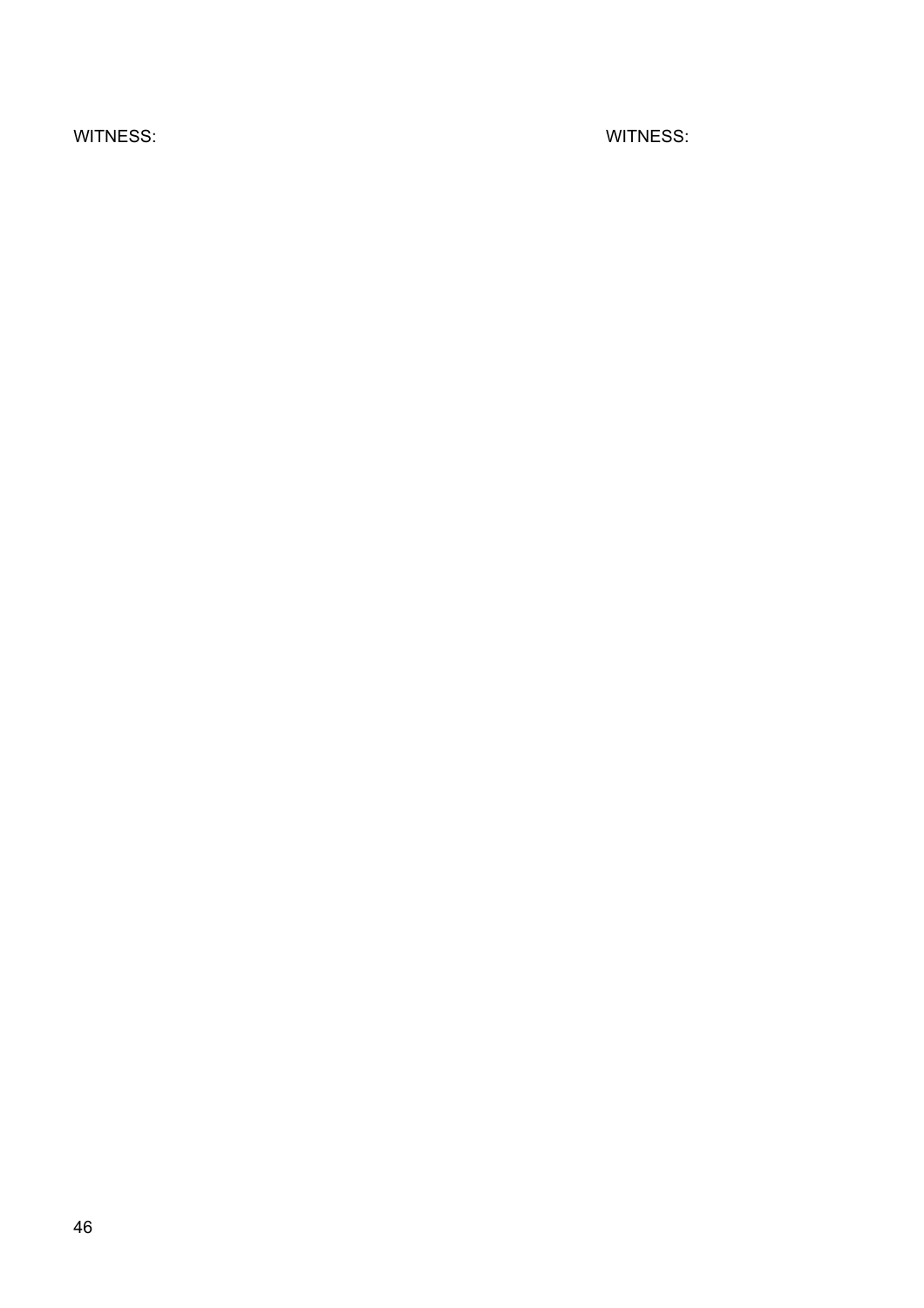## WITNESS: WITNESS: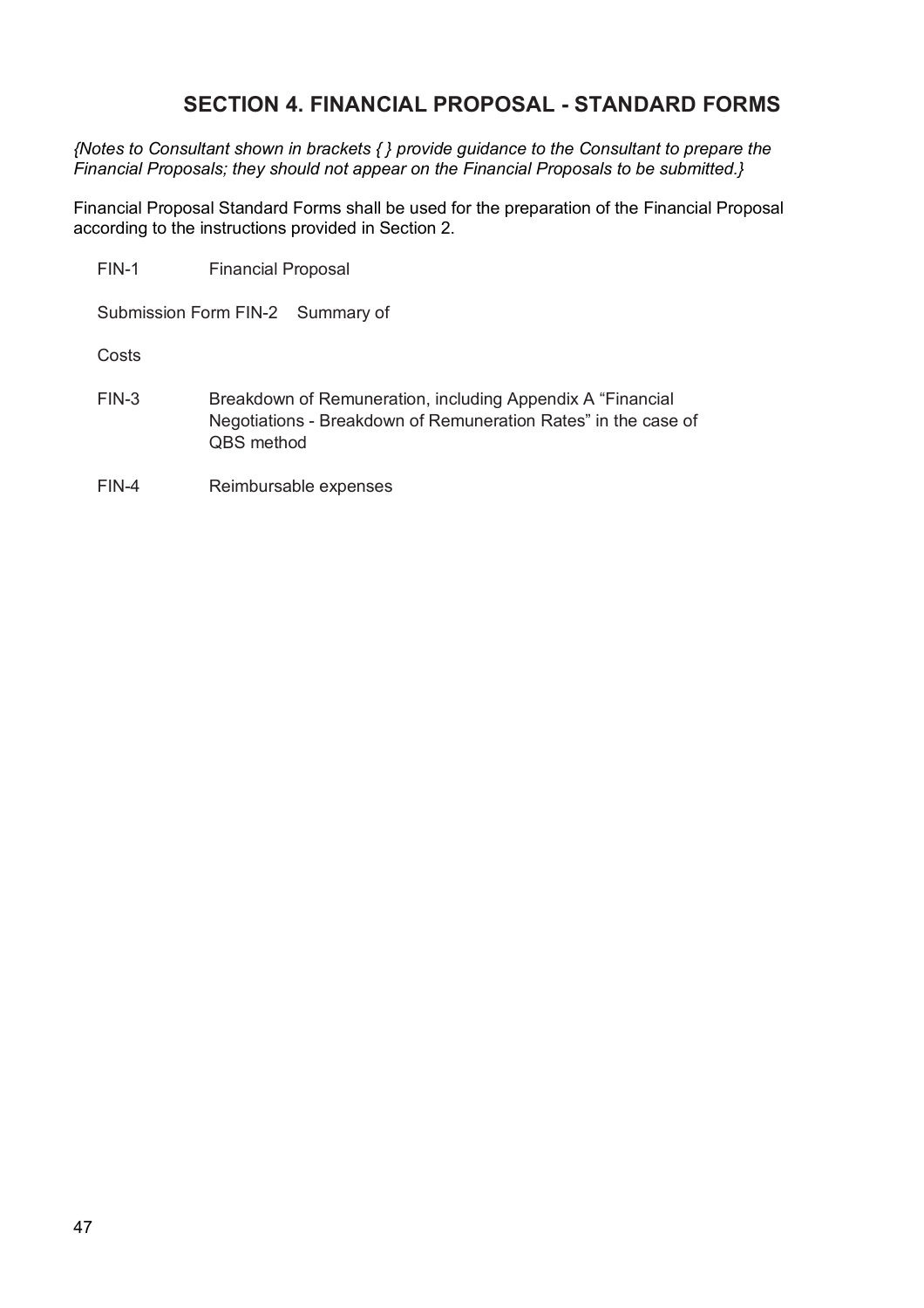# **SECTION 4. FINANCIAL PROPOSAL - STANDARD FORMS**

*{Notes to Consultant shown in brackets { } provide guidance to the Consultant to prepare the Financial Proposals; they should not appear on the Financial Proposals to be submitted.}*

Financial Proposal Standard Forms shall be used for the preparation of the Financial Proposal according to the instructions provided in Section 2.

FIN-1 Financial Proposal

Submission Form FIN-2 Summary of

**Costs** 

- FIN-3 Breakdown of Remuneration, including Appendix A "Financial Negotiations - Breakdown of Remuneration Rates" in the case of QBS method
- FIN-4 Reimbursable expenses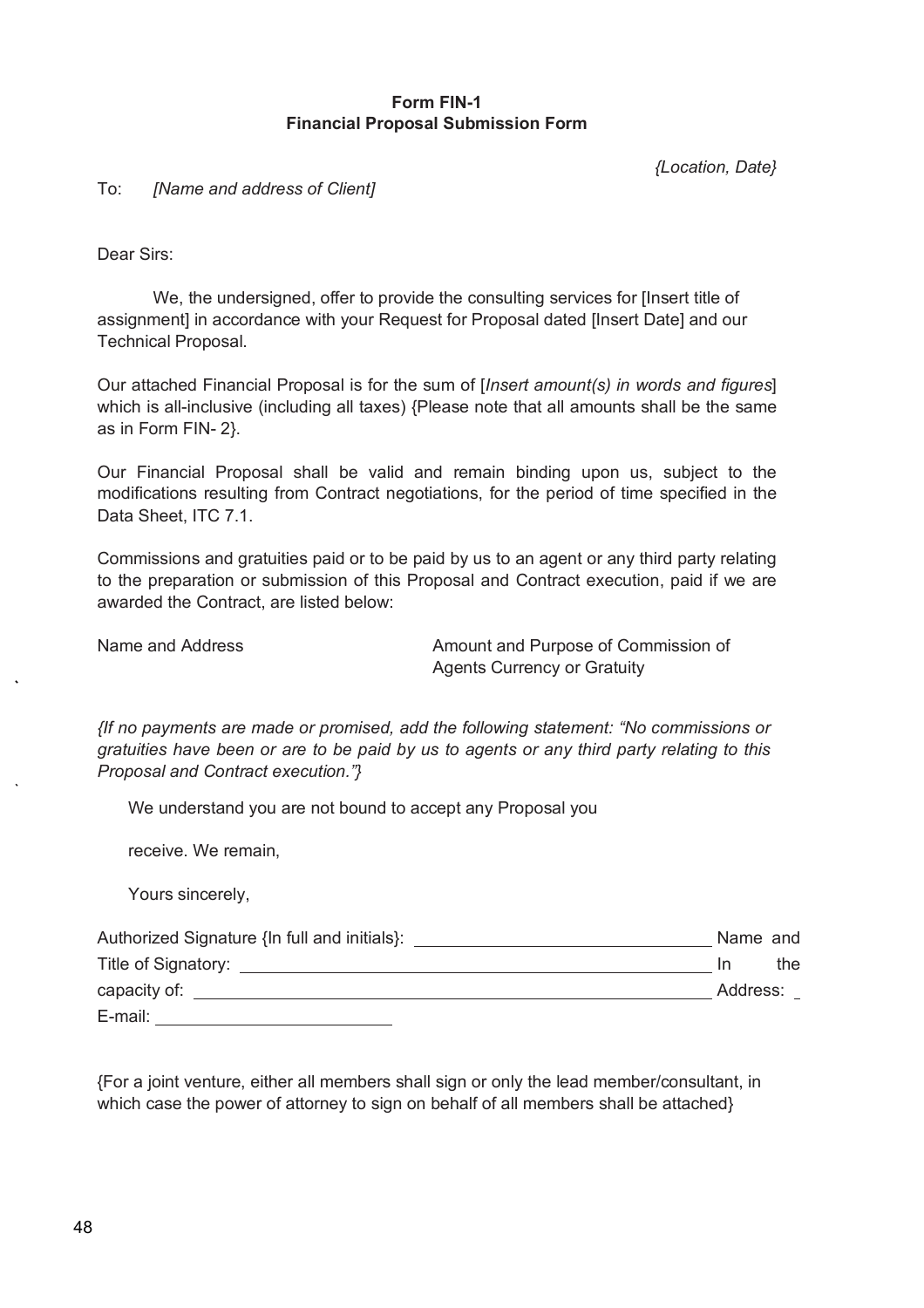## **Form FIN-1 Financial Proposal Submission Form**

*{Location, Date}*

To: *[Name and address of Client]*

Dear Sirs:

We, the undersigned, offer to provide the consulting services for [Insert title of assignment] in accordance with your Request for Proposal dated [Insert Date] and our Technical Proposal.

Our attached Financial Proposal is for the sum of [*Insert amount(s) in words and figures*] which is all-inclusive (including all taxes) {Please note that all amounts shall be the same as in Form FIN- 2}.

Our Financial Proposal shall be valid and remain binding upon us, subject to the modifications resulting from Contract negotiations, for the period of time specified in the Data Sheet, ITC 7.1.

Commissions and gratuities paid or to be paid by us to an agent or any third party relating to the preparation or submission of this Proposal and Contract execution, paid if we are awarded the Contract, are listed below:

Name and Address **Amount and Purpose of Commission of** Amount and Purpose of Commission of Agents Currency or Gratuity

*{If no payments are made or promised, add the following statement: "No commissions or gratuities have been or are to be paid by us to agents or any third party relating to this Proposal and Contract execution."}*

We understand you are not bound to accept any Proposal you

receive. We remain,

Yours sincerely,

| Authorized Signature {In full and initials}: | Name and |     |
|----------------------------------------------|----------|-----|
| Title of Signatory:                          | ın       | the |
| capacity of:                                 | Address: |     |
| E-mail:                                      |          |     |

{For a joint venture, either all members shall sign or only the lead member/consultant, in which case the power of attorney to sign on behalf of all members shall be attached}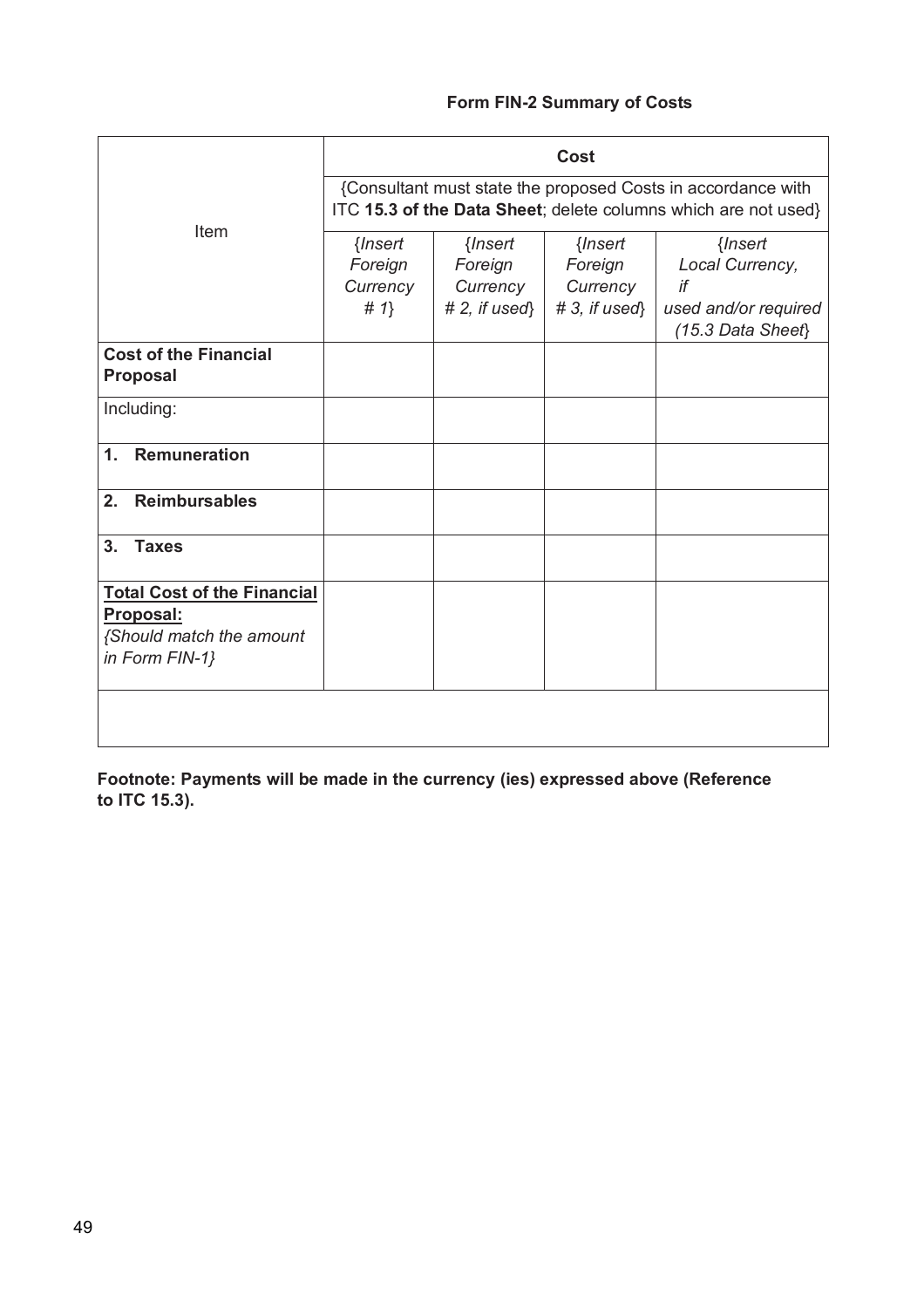## **Form FIN-2 Summary of Costs**

|                                                                                               | Cost                                                                                                                           |                                                        |                                                        |                                                                               |  |  |  |  |  |
|-----------------------------------------------------------------------------------------------|--------------------------------------------------------------------------------------------------------------------------------|--------------------------------------------------------|--------------------------------------------------------|-------------------------------------------------------------------------------|--|--|--|--|--|
|                                                                                               | {Consultant must state the proposed Costs in accordance with<br>ITC 15.3 of the Data Sheet; delete columns which are not used} |                                                        |                                                        |                                                                               |  |  |  |  |  |
| Item                                                                                          | {Insert<br>Foreign<br>Currency<br># $1$ }                                                                                      | {Insert<br>Foreign<br>Currency<br>$# 2$ , if used $\}$ | {Insert<br>Foreign<br>Currency<br>$# 3$ , if used $\}$ | {Insert<br>Local Currency,<br>if<br>used and/or required<br>(15.3 Data Sheet} |  |  |  |  |  |
| <b>Cost of the Financial</b><br><b>Proposal</b>                                               |                                                                                                                                |                                                        |                                                        |                                                                               |  |  |  |  |  |
| Including:                                                                                    |                                                                                                                                |                                                        |                                                        |                                                                               |  |  |  |  |  |
| Remuneration<br>1.                                                                            |                                                                                                                                |                                                        |                                                        |                                                                               |  |  |  |  |  |
| 2.<br><b>Reimbursables</b>                                                                    |                                                                                                                                |                                                        |                                                        |                                                                               |  |  |  |  |  |
| 3.<br><b>Taxes</b>                                                                            |                                                                                                                                |                                                        |                                                        |                                                                               |  |  |  |  |  |
| <b>Total Cost of the Financial</b><br>Proposal:<br>{Should match the amount<br>in Form FIN-1} |                                                                                                                                |                                                        |                                                        |                                                                               |  |  |  |  |  |
|                                                                                               |                                                                                                                                |                                                        |                                                        |                                                                               |  |  |  |  |  |

**Footnote: Payments will be made in the currency (ies) expressed above (Reference to ITC 15.3).**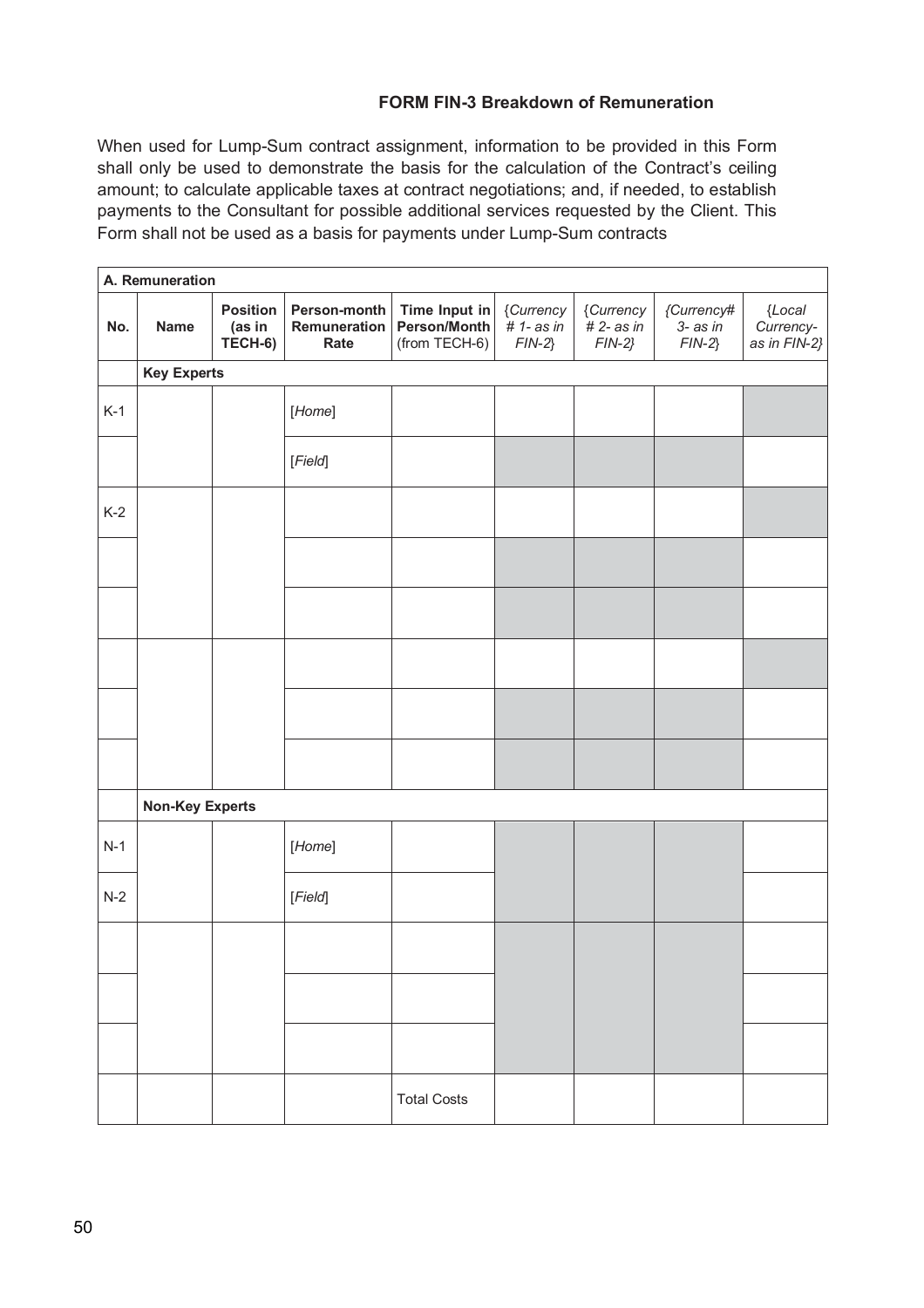## **FORM FIN-3 Breakdown of Remuneration**

When used for Lump-Sum contract assignment, information to be provided in this Form shall only be used to demonstrate the basis for the calculation of the Contract's ceiling amount; to calculate applicable taxes at contract negotiations; and, if needed, to establish payments to the Consultant for possible additional services requested by the Client. This Form shall not be used as a basis for payments under Lump-Sum contracts

|       | A. Remuneration        |                                      |                                      |                                                |                                    |                                        |                                      |                                        |
|-------|------------------------|--------------------------------------|--------------------------------------|------------------------------------------------|------------------------------------|----------------------------------------|--------------------------------------|----------------------------------------|
| No.   | <b>Name</b>            | <b>Position</b><br>(as in<br>TECH-6) | Person-month<br>Remuneration<br>Rate | Time Input in<br>Person/Month<br>(from TECH-6) | {Currency<br># 1- as in<br>$FIN-2$ | {Currency<br>$# 2 - asin$<br>$FIN-2$ } | {Currency#<br>$3 - as in$<br>$FIN-2$ | ${Local}$<br>Currency-<br>as in FIN-2} |
|       | <b>Key Experts</b>     |                                      |                                      |                                                |                                    |                                        |                                      |                                        |
| $K-1$ |                        |                                      | [Home]                               |                                                |                                    |                                        |                                      |                                        |
|       |                        |                                      | [Field]                              |                                                |                                    |                                        |                                      |                                        |
| $K-2$ |                        |                                      |                                      |                                                |                                    |                                        |                                      |                                        |
|       |                        |                                      |                                      |                                                |                                    |                                        |                                      |                                        |
|       |                        |                                      |                                      |                                                |                                    |                                        |                                      |                                        |
|       |                        |                                      |                                      |                                                |                                    |                                        |                                      |                                        |
|       |                        |                                      |                                      |                                                |                                    |                                        |                                      |                                        |
|       |                        |                                      |                                      |                                                |                                    |                                        |                                      |                                        |
|       | <b>Non-Key Experts</b> |                                      |                                      |                                                |                                    |                                        |                                      |                                        |
| $N-1$ |                        |                                      | [Home]                               |                                                |                                    |                                        |                                      |                                        |
| $N-2$ |                        |                                      | [Field]                              |                                                |                                    |                                        |                                      |                                        |
|       |                        |                                      |                                      |                                                |                                    |                                        |                                      |                                        |
|       |                        |                                      |                                      |                                                |                                    |                                        |                                      |                                        |
|       |                        |                                      |                                      |                                                |                                    |                                        |                                      |                                        |
|       |                        |                                      |                                      | <b>Total Costs</b>                             |                                    |                                        |                                      |                                        |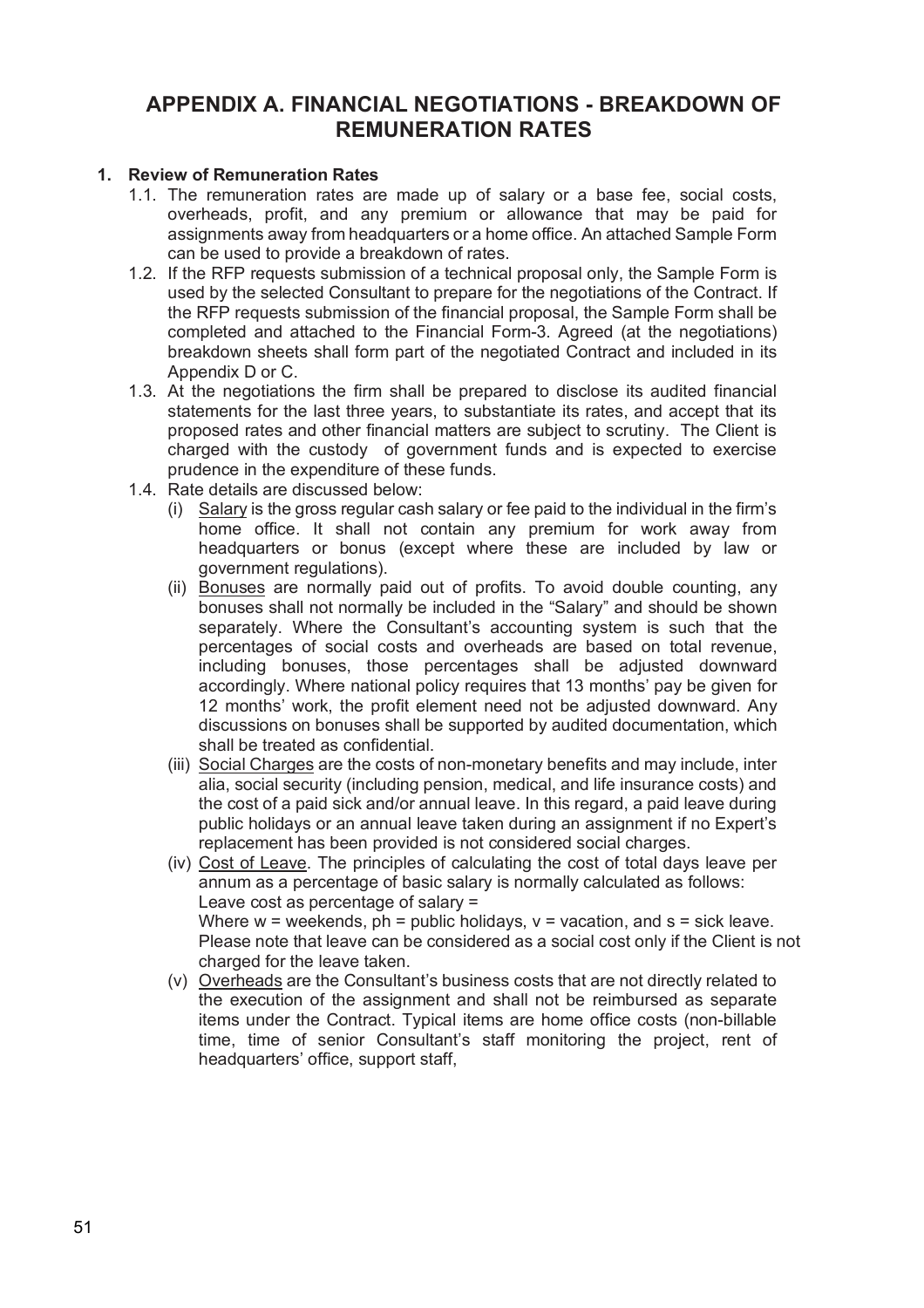# **APPENDIX A. FINANCIAL NEGOTIATIONS - BREAKDOWN OF REMUNERATION RATES**

## **1. Review of Remuneration Rates**

- 1.1. The remuneration rates are made up of salary or a base fee, social costs, overheads, profit, and any premium or allowance that may be paid for assignments away from headquarters or a home office. An attached Sample Form can be used to provide a breakdown of rates.
- 1.2. If the RFP requests submission of a technical proposal only, the Sample Form is used by the selected Consultant to prepare for the negotiations of the Contract. If the RFP requests submission of the financial proposal, the Sample Form shall be completed and attached to the Financial Form-3. Agreed (at the negotiations) breakdown sheets shall form part of the negotiated Contract and included in its Appendix D or C.
- 1.3. At the negotiations the firm shall be prepared to disclose its audited financial statements for the last three years, to substantiate its rates, and accept that its proposed rates and other financial matters are subject to scrutiny. The Client is charged with the custody of government funds and is expected to exercise prudence in the expenditure of these funds.
- 1.4. Rate details are discussed below:
	- (i) Salary is the gross regular cash salary or fee paid to the individual in the firm's home office. It shall not contain any premium for work away from headquarters or bonus (except where these are included by law or government regulations).
	- (ii) Bonuses are normally paid out of profits. To avoid double counting, any bonuses shall not normally be included in the "Salary" and should be shown separately. Where the Consultant's accounting system is such that the percentages of social costs and overheads are based on total revenue, including bonuses, those percentages shall be adjusted downward accordingly. Where national policy requires that 13 months' pay be given for 12 months' work, the profit element need not be adjusted downward. Any discussions on bonuses shall be supported by audited documentation, which shall be treated as confidential.
	- (iii) Social Charges are the costs of non-monetary benefits and may include, inter alia, social security (including pension, medical, and life insurance costs) and the cost of a paid sick and/or annual leave. In this regard, a paid leave during public holidays or an annual leave taken during an assignment if no Expert's replacement has been provided is not considered social charges.
	- (iv) Cost of Leave. The principles of calculating the cost of total days leave per annum as a percentage of basic salary is normally calculated as follows: Leave cost as percentage of salary = Where  $w =$  weekends,  $ph =$  public holidays,  $v =$  vacation, and  $s =$  sick leave. Please note that leave can be considered as a social cost only if the Client is not charged for the leave taken.
	- (v) Overheads are the Consultant's business costs that are not directly related to the execution of the assignment and shall not be reimbursed as separate items under the Contract. Typical items are home office costs (non-billable time, time of senior Consultant's staff monitoring the project, rent of headquarters' office, support staff,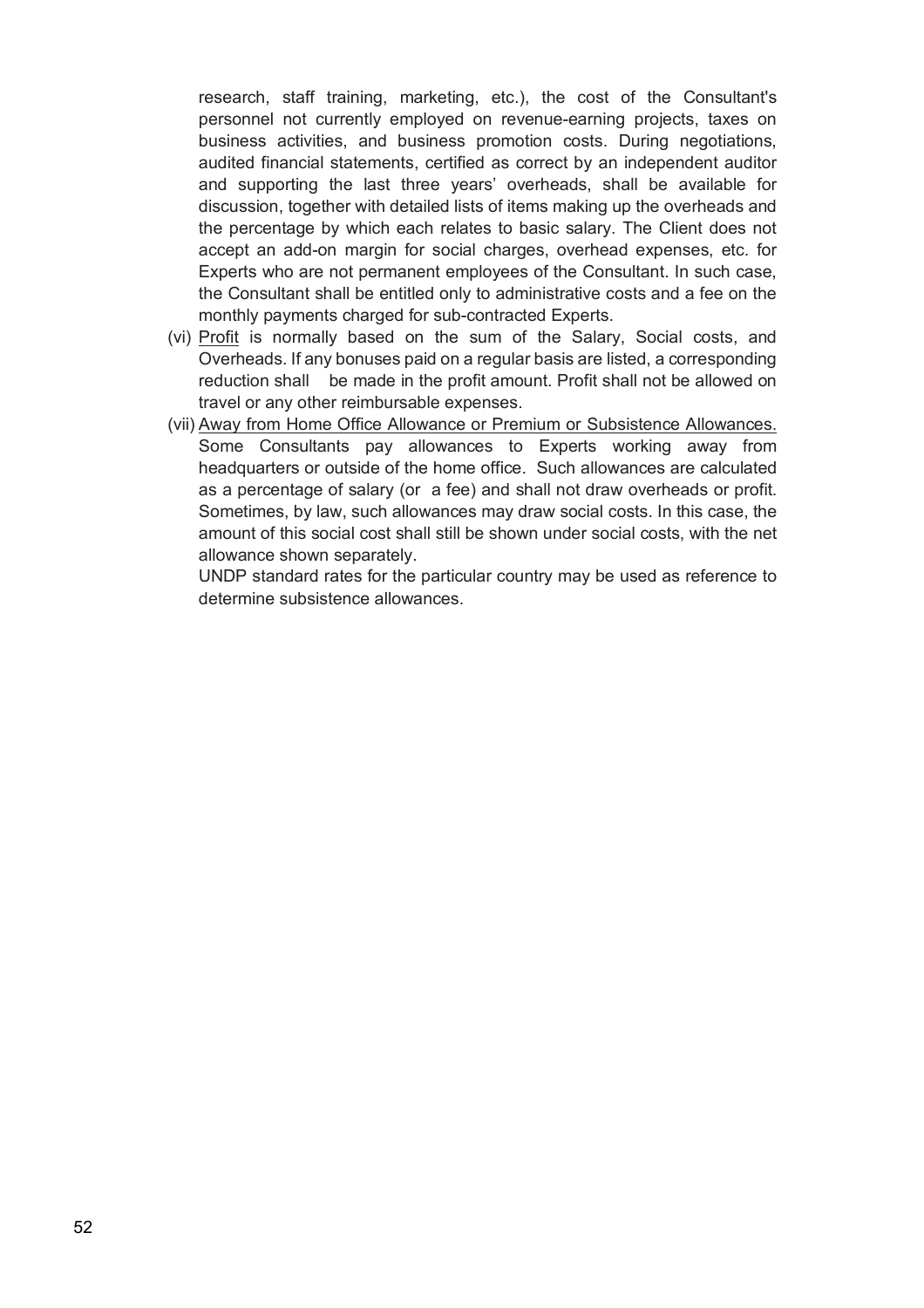research, staff training, marketing, etc.), the cost of the Consultant's personnel not currently employed on revenue-earning projects, taxes on business activities, and business promotion costs. During negotiations, audited financial statements, certified as correct by an independent auditor and supporting the last three years' overheads, shall be available for discussion, together with detailed lists of items making up the overheads and the percentage by which each relates to basic salary. The Client does not accept an add-on margin for social charges, overhead expenses, etc. for Experts who are not permanent employees of the Consultant. In such case, the Consultant shall be entitled only to administrative costs and a fee on the monthly payments charged for sub-contracted Experts.

- (vi) Profit is normally based on the sum of the Salary, Social costs, and Overheads. If any bonuses paid on a regular basis are listed, a corresponding reduction shall be made in the profit amount. Profit shall not be allowed on travel or any other reimbursable expenses.
- (vii) Away from Home Office Allowance or Premium or Subsistence Allowances. Some Consultants pay allowances to Experts working away from headquarters or outside of the home office. Such allowances are calculated as a percentage of salary (or a fee) and shall not draw overheads or profit. Sometimes, by law, such allowances may draw social costs. In this case, the amount of this social cost shall still be shown under social costs, with the net allowance shown separately.

UNDP standard rates for the particular country may be used as reference to determine subsistence allowances.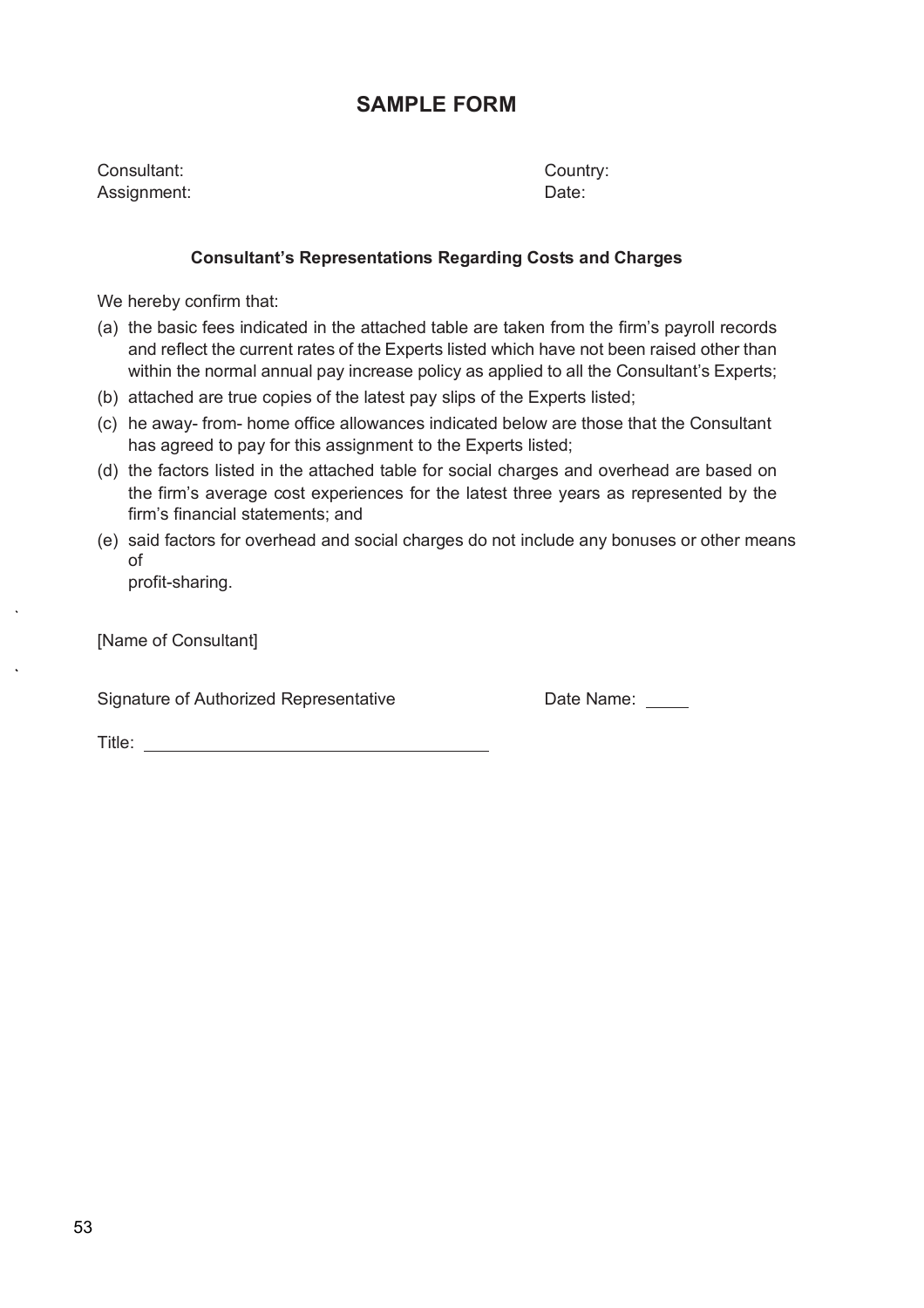## **SAMPLE FORM**

Consultant: Country: Assignment: Date:

## **Consultant's Representations Regarding Costs and Charges**

We hereby confirm that:

- (a) the basic fees indicated in the attached table are taken from the firm's payroll records and reflect the current rates of the Experts listed which have not been raised other than within the normal annual pay increase policy as applied to all the Consultant's Experts;
- (b) attached are true copies of the latest pay slips of the Experts listed;
- (c) he away- from- home office allowances indicated below are those that the Consultant has agreed to pay for this assignment to the Experts listed;
- (d) the factors listed in the attached table for social charges and overhead are based on the firm's average cost experiences for the latest three years as represented by the firm's financial statements; and
- (e) said factors for overhead and social charges do not include any bonuses or other means of profit-sharing.

[Name of Consultant]

Signature of Authorized Representative **Date Name:** Date Name:

Title: **The Community of the Community of the Community of the Community of the Community of the Community of the Community of the Community of the Community of the Community of the Community of the Community of the Commun**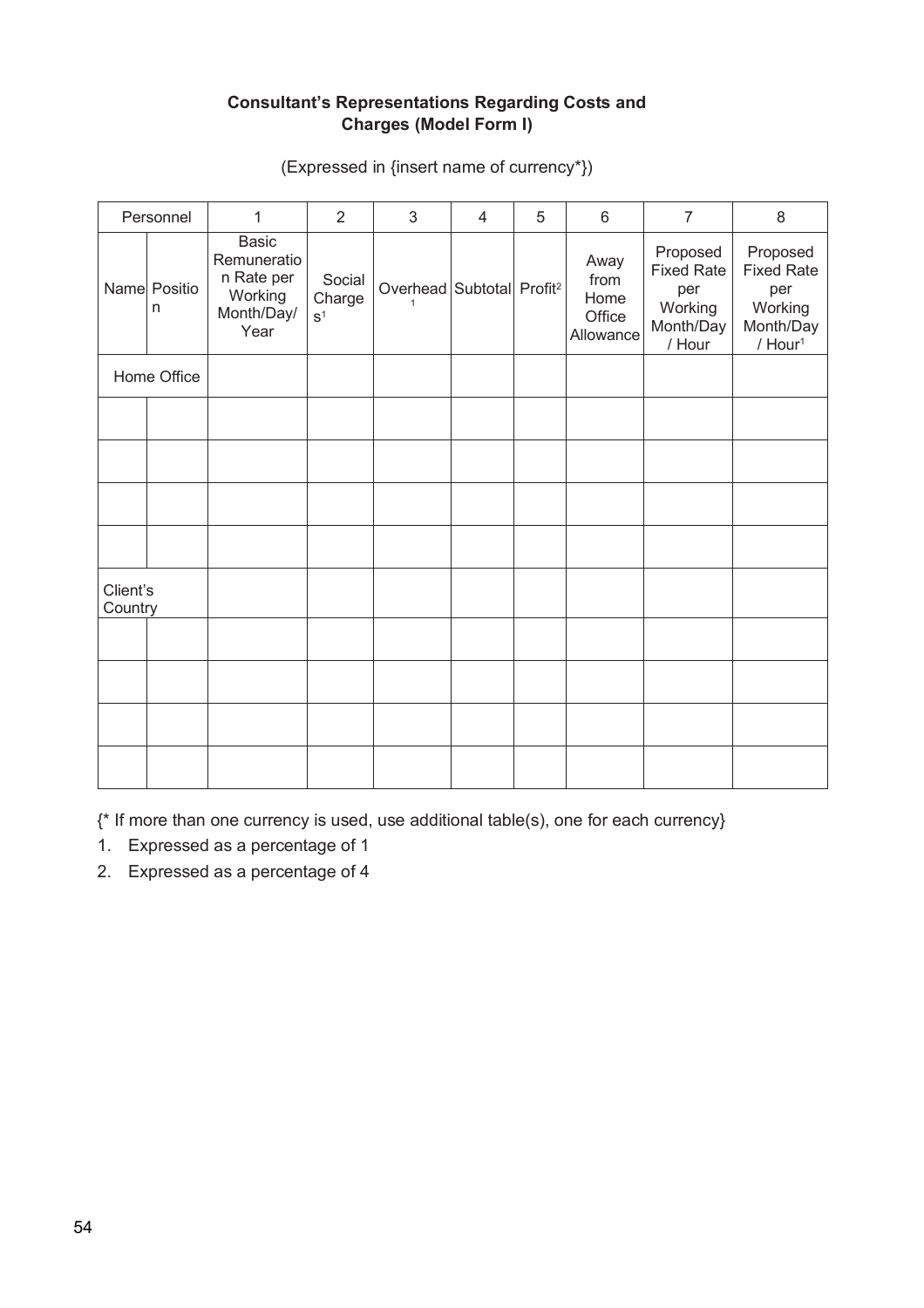## **Consultant's Representations Regarding Costs and Charges (Model Form I)**

|                     | Personnel         | 1                                                                          | $\overline{2}$                     | 3                                                     | $\overline{4}$ | 5 | $6\phantom{1}$                              | $\overline{7}$                                                         | 8                                                                                   |
|---------------------|-------------------|----------------------------------------------------------------------------|------------------------------------|-------------------------------------------------------|----------------|---|---------------------------------------------|------------------------------------------------------------------------|-------------------------------------------------------------------------------------|
|                     | Name Positio<br>n | <b>Basic</b><br>Remuneratio<br>n Rate per<br>Working<br>Month/Day/<br>Year | Social<br>Charge<br>S <sup>1</sup> | Overhead Subtotal Profit <sup>2</sup><br>$\mathbf{1}$ |                |   | Away<br>from<br>Home<br>Office<br>Allowance | Proposed<br><b>Fixed Rate</b><br>per<br>Working<br>Month/Day<br>/ Hour | Proposed<br><b>Fixed Rate</b><br>per<br>Working<br>Month/Day<br>/ Hour <sup>1</sup> |
| Home Office         |                   |                                                                            |                                    |                                                       |                |   |                                             |                                                                        |                                                                                     |
|                     |                   |                                                                            |                                    |                                                       |                |   |                                             |                                                                        |                                                                                     |
|                     |                   |                                                                            |                                    |                                                       |                |   |                                             |                                                                        |                                                                                     |
|                     |                   |                                                                            |                                    |                                                       |                |   |                                             |                                                                        |                                                                                     |
|                     |                   |                                                                            |                                    |                                                       |                |   |                                             |                                                                        |                                                                                     |
| Client's<br>Country |                   |                                                                            |                                    |                                                       |                |   |                                             |                                                                        |                                                                                     |
|                     |                   |                                                                            |                                    |                                                       |                |   |                                             |                                                                        |                                                                                     |
|                     |                   |                                                                            |                                    |                                                       |                |   |                                             |                                                                        |                                                                                     |
|                     |                   |                                                                            |                                    |                                                       |                |   |                                             |                                                                        |                                                                                     |
|                     |                   |                                                                            |                                    |                                                       |                |   |                                             |                                                                        |                                                                                     |

(Expressed in {insert name of currency\*})

{\* If more than one currency is used, use additional table(s), one for each currency}

- 1. Expressed as a percentage of 1
- 2. Expressed as a percentage of 4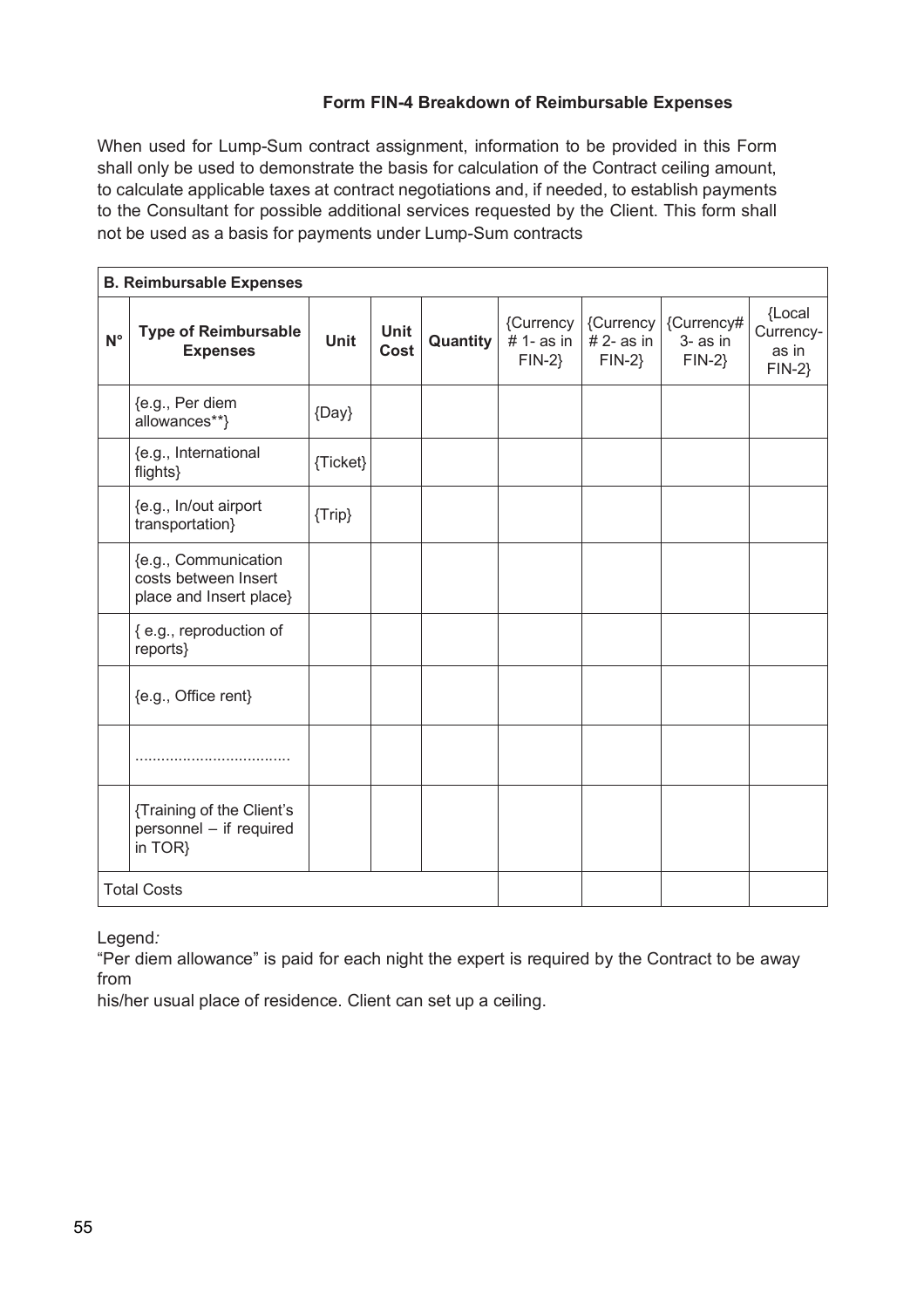## **Form FIN-4 Breakdown of Reimbursable Expenses**

When used for Lump-Sum contract assignment, information to be provided in this Form shall only be used to demonstrate the basis for calculation of the Contract ceiling amount, to calculate applicable taxes at contract negotiations and, if needed, to establish payments to the Consultant for possible additional services requested by the Client. This form shall not be used as a basis for payments under Lump-Sum contracts

|             | <b>B. Reimbursable Expenses</b>                                         |             |                            |          |                          |                         |                                                           |                                         |  |  |  |  |  |
|-------------|-------------------------------------------------------------------------|-------------|----------------------------|----------|--------------------------|-------------------------|-----------------------------------------------------------|-----------------------------------------|--|--|--|--|--|
| $N^{\circ}$ | <b>Type of Reimbursable</b><br><b>Expenses</b>                          | <b>Unit</b> | <b>Unit</b><br><b>Cost</b> | Quantity | $# 1 - as in$<br>$FIN-2$ | $# 2-$ as in<br>$FIN-2$ | {Currency   {Currency   {Currency#<br>3- as in<br>$FIN-2$ | {Local<br>Currency-<br>as in<br>$FIN-2$ |  |  |  |  |  |
|             | {e.g., Per diem<br>allowances**}                                        | {Day}       |                            |          |                          |                         |                                                           |                                         |  |  |  |  |  |
|             | {e.g., International<br>flights}                                        | {Ticket}    |                            |          |                          |                         |                                                           |                                         |  |  |  |  |  |
|             | {e.g., In/out airport<br>transportation}                                | $\{Trip\}$  |                            |          |                          |                         |                                                           |                                         |  |  |  |  |  |
|             | {e.g., Communication<br>costs between Insert<br>place and Insert place} |             |                            |          |                          |                         |                                                           |                                         |  |  |  |  |  |
|             | {e.g., reproduction of<br>reports}                                      |             |                            |          |                          |                         |                                                           |                                         |  |  |  |  |  |
|             | {e.g., Office rent}                                                     |             |                            |          |                          |                         |                                                           |                                         |  |  |  |  |  |
|             |                                                                         |             |                            |          |                          |                         |                                                           |                                         |  |  |  |  |  |
|             | {Training of the Client's<br>personnel - if required<br>in TOR}         |             |                            |          |                          |                         |                                                           |                                         |  |  |  |  |  |
|             | <b>Total Costs</b>                                                      |             |                            |          |                          |                         |                                                           |                                         |  |  |  |  |  |

Legend*:*

"Per diem allowance" is paid for each night the expert is required by the Contract to be away from

his/her usual place of residence. Client can set up a ceiling.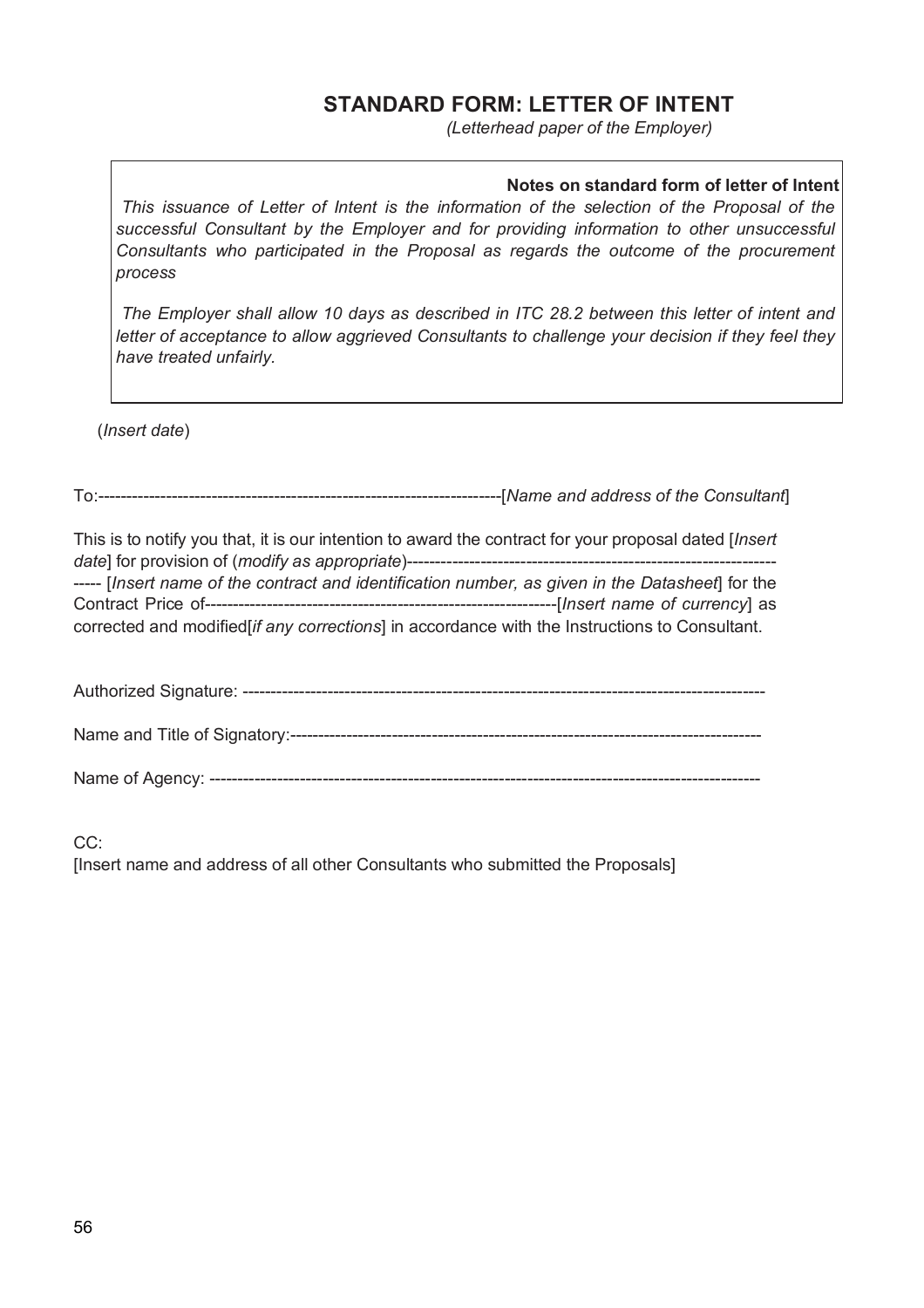# **STANDARD FORM: LETTER OF INTENT**

*(Letterhead paper of the Employer)*

## **Notes on standard form of letter of Intent**

*This issuance of Letter of Intent is the information of the selection of the Proposal of the successful Consultant by the Employer and for providing information to other unsuccessful Consultants who participated in the Proposal as regards the outcome of the procurement process*

*The Employer shall allow 10 days as described in ITC 28.2 between this letter of intent and letter of acceptance to allow aggrieved Consultants to challenge your decision if they feel they have treated unfairly.*

(*Insert date*)

|--|--|--|--|--|

| This is to notify you that, it is our intention to award the contract for your proposal dated [ <i>Insert</i> ] |
|-----------------------------------------------------------------------------------------------------------------|
|                                                                                                                 |
| ----- [Insert name of the contract and identification number, as given in the Datasheet] for the                |
|                                                                                                                 |
| corrected and modified[if any corrections] in accordance with the Instructions to Consultant.                   |

CC:

[Insert name and address of all other Consultants who submitted the Proposals]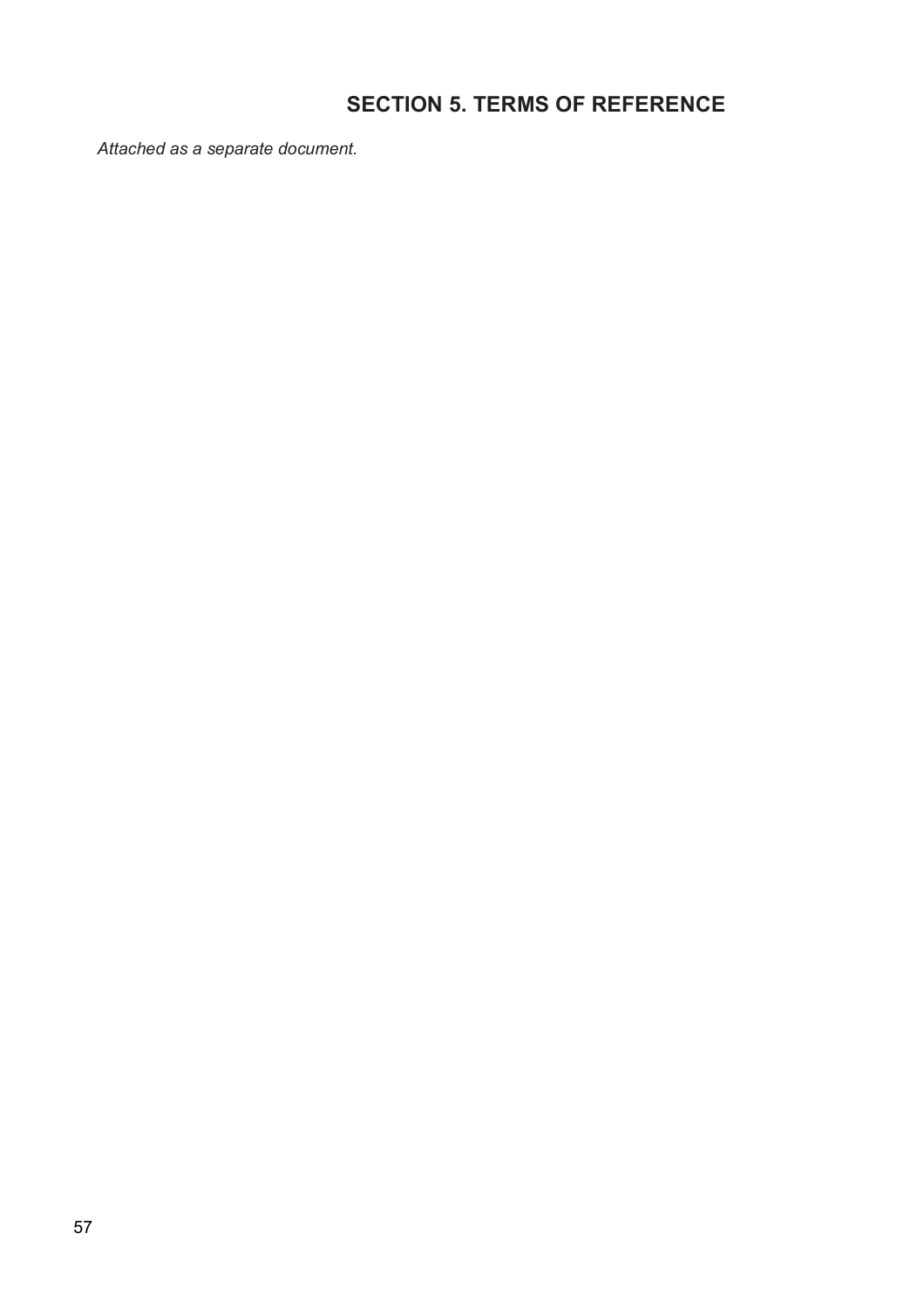# **SECTION 5. TERMS OF REFERENCE**

*Attached as a separate document.*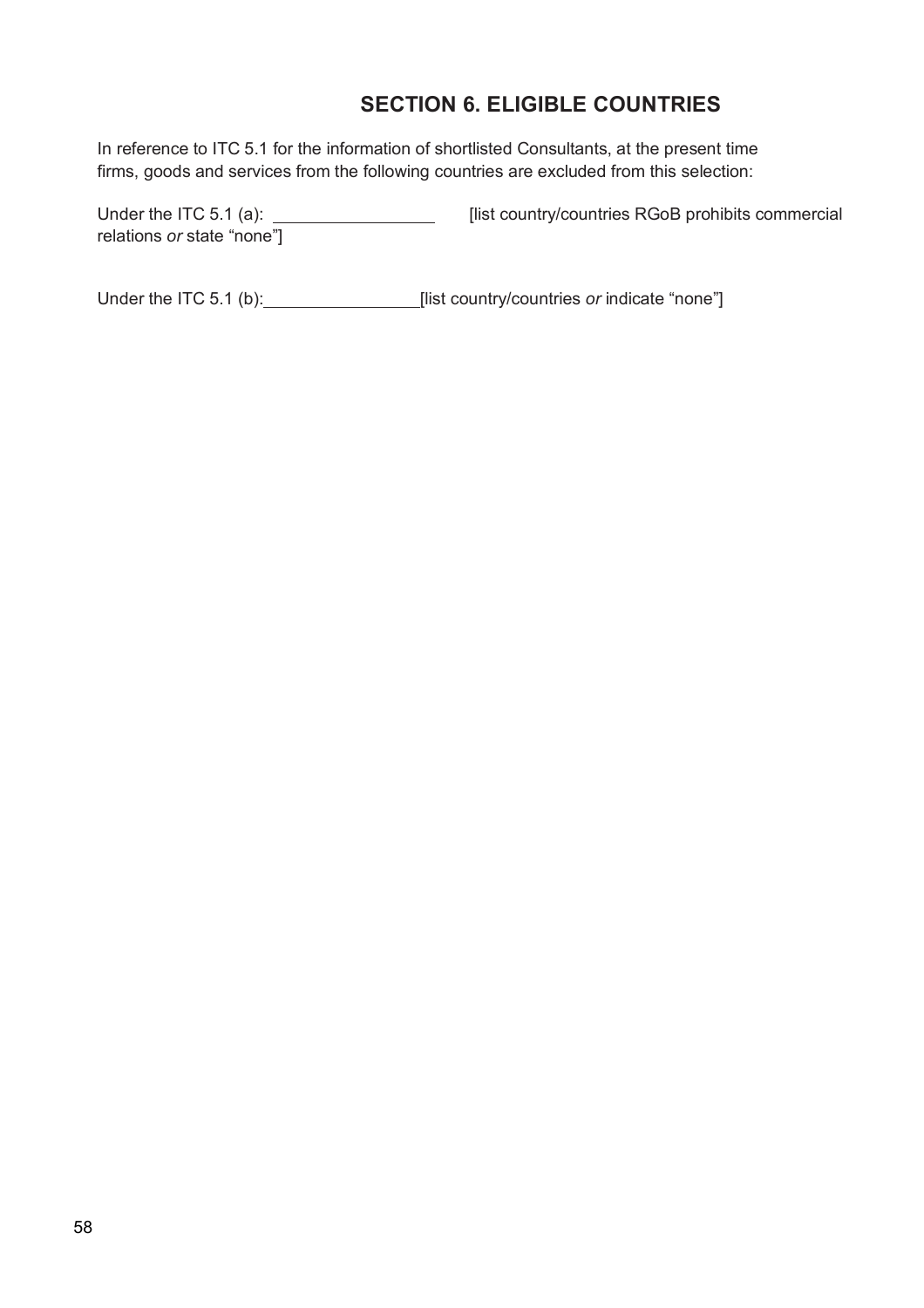# **SECTION 6. ELIGIBLE COUNTRIES**

In reference to ITC 5.1 for the information of shortlisted Consultants, at the present time firms, goods and services from the following countries are excluded from this selection:

Under the ITC 5.1 (a): relations *or* state "none"] [list country/countries RGoB prohibits commercial

Under the ITC 5.1 (b): [list country/countries *or* indicate "none"]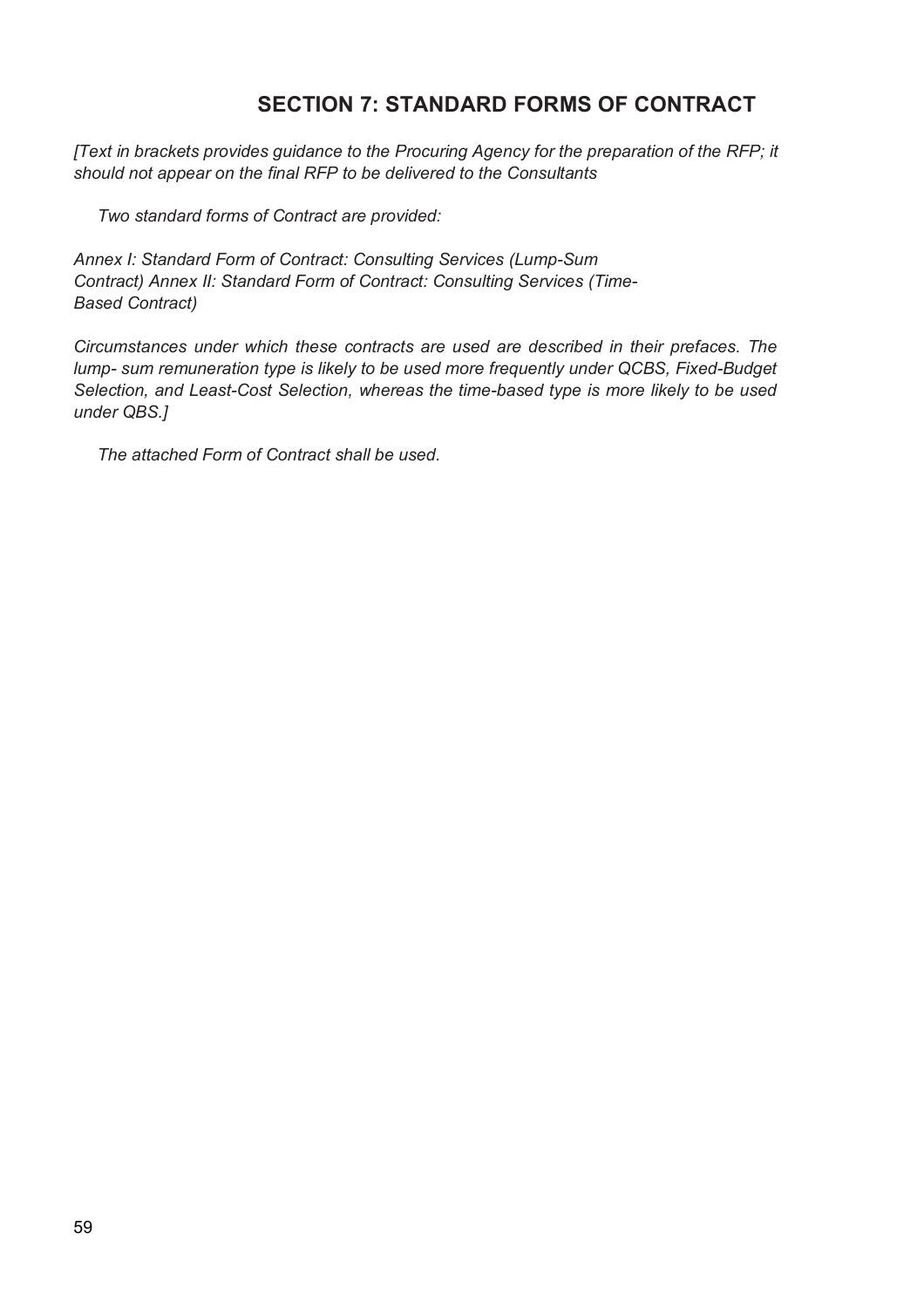# **SECTION 7: STANDARD FORMS OF CONTRACT**

*[Text in brackets provides guidance to the Procuring Agency for the preparation of the RFP; it should not appear on the final RFP to be delivered to the Consultants*

*Two standard forms of Contract are provided:*

*Annex I: Standard Form of Contract: Consulting Services (Lump-Sum Contract) Annex II: Standard Form of Contract: Consulting Services (Time-Based Contract)*

*Circumstances under which these contracts are used are described in their prefaces. The lump- sum remuneration type is likely to be used more frequently under QCBS, Fixed-Budget Selection, and Least-Cost Selection, whereas the time-based type is more likely to be used under QBS.]*

*The attached Form of Contract shall be used.*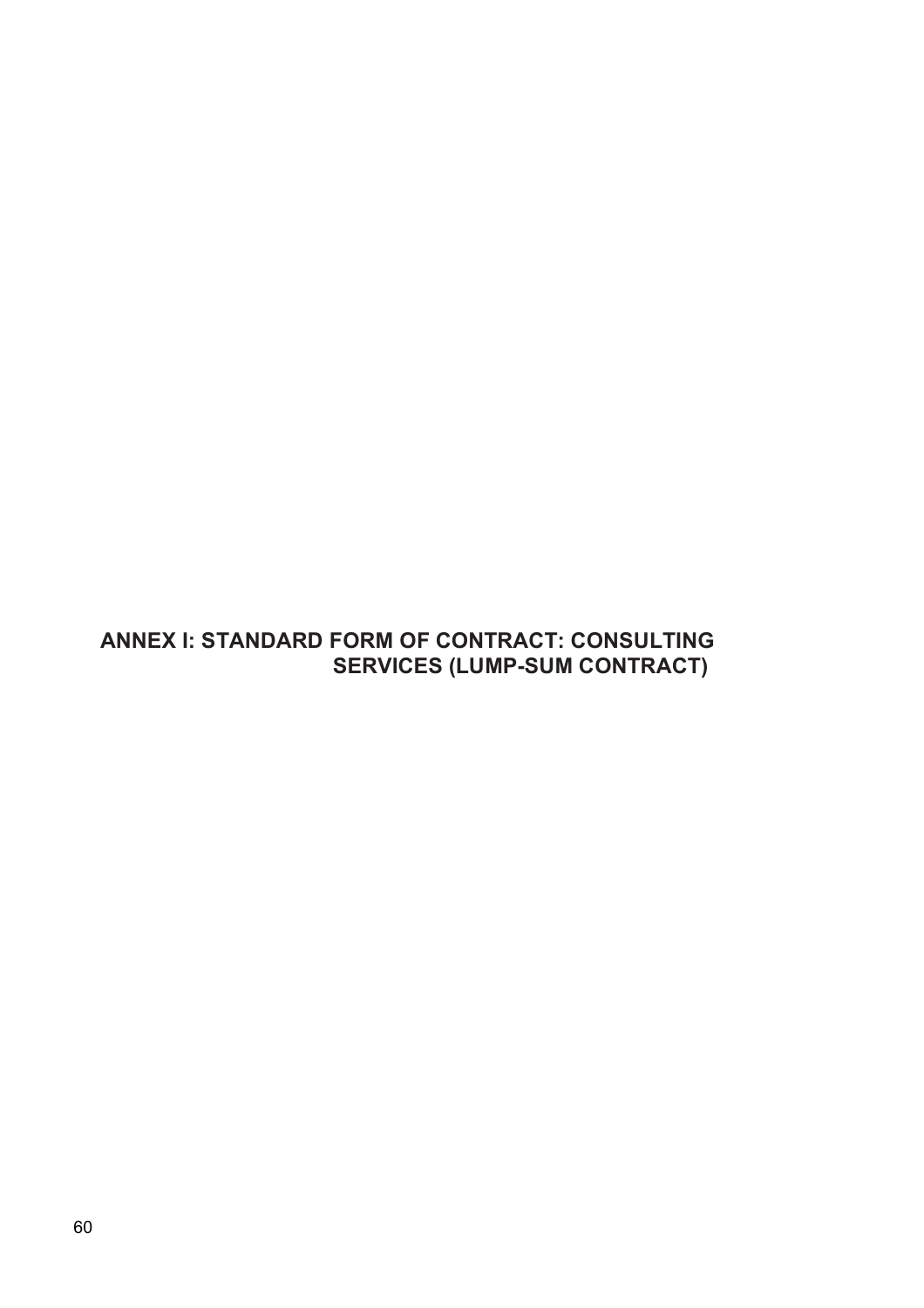# **ANNEX I: STANDARD FORM OF CONTRACT: CONSULTING SERVICES (LUMP-SUM CONTRACT)**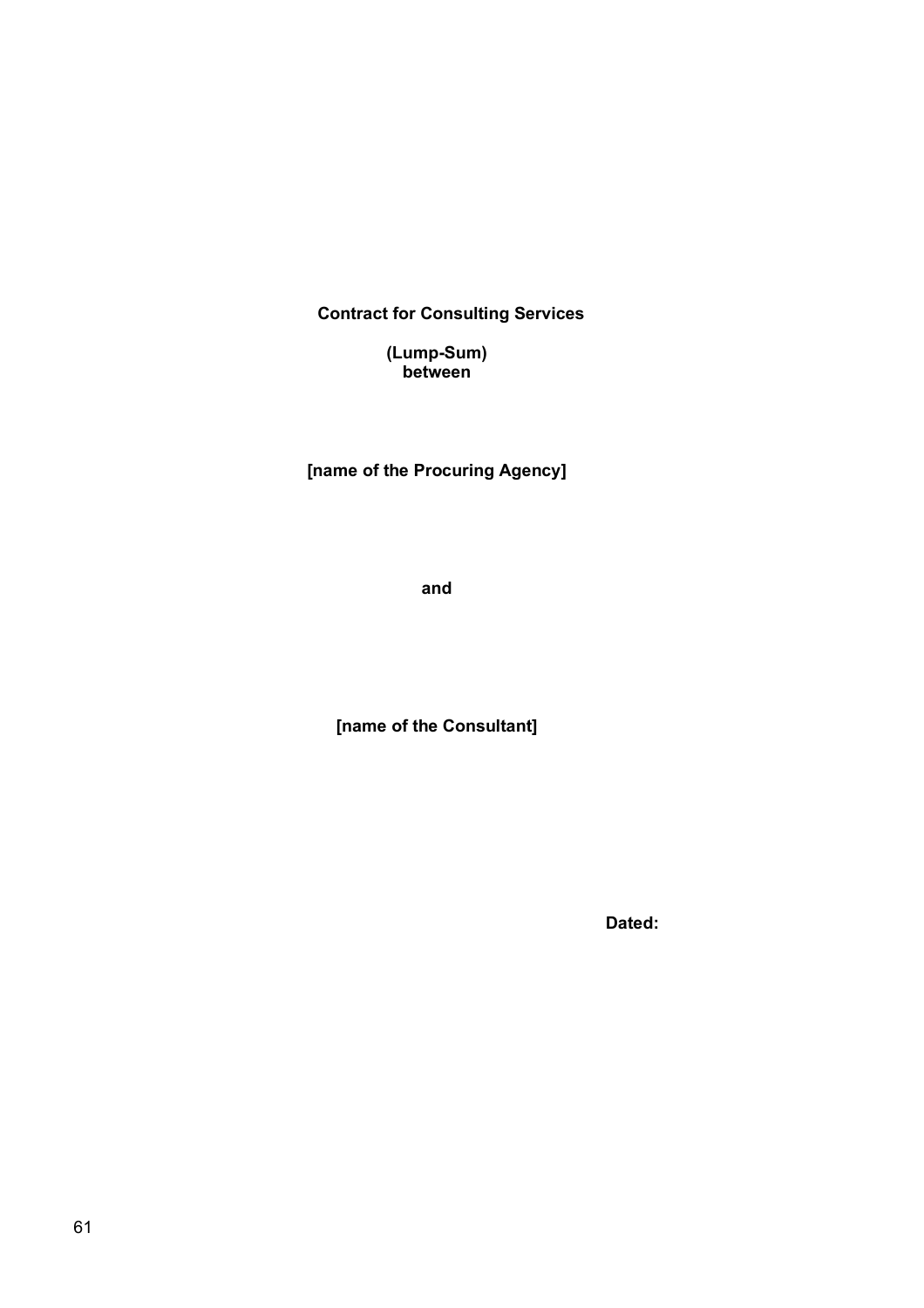## **Contract for Consulting Services**

**(Lump-Sum) between**

**[name of the Procuring Agency]**

**and**

**[name of the Consultant]**

**Dated:**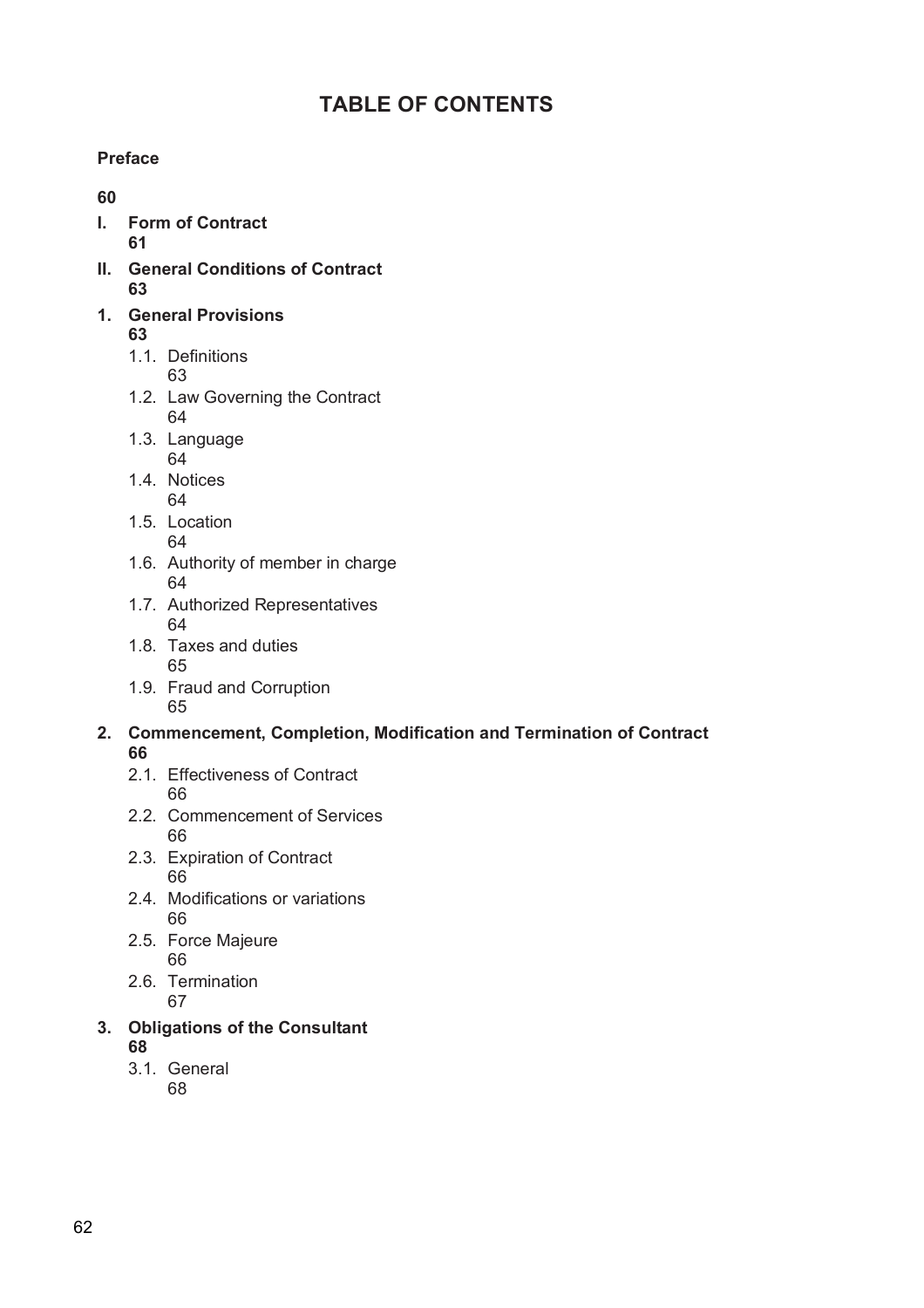# **TABLE OF CONTENTS**

## **Preface**

**60**

- **I. Form of Contract 61**
- **II. General Conditions of Contract 63**
- **1. General Provisions 63**
	- 1.1. Definitions 63
	- 1.2. Law Governing the Contract 64
	- 1.3. Language 64
	- 1.4. Notices 64
	- 1.5. Location 64
	- 1.6. Authority of member in charge 64
	- 1.7. Authorized Representatives  $64$
	- 1.8. Taxes and duties 65
	- 1.9. Fraud and Corruption 65
- **2. Commencement, Completion, Modification and Termination of Contract 66**
	- 2.1. Effectiveness of Contract 66
	- 2.2. Commencement of Services 66
	- 2.3. Expiration of Contract 66
	- 2.4. Modifications or variations 66
	- 2.5. Force Majeure 66
	- 2.6. Termination 67
- **3. Obligations of the Consultant 68**
	- 3.1. General

68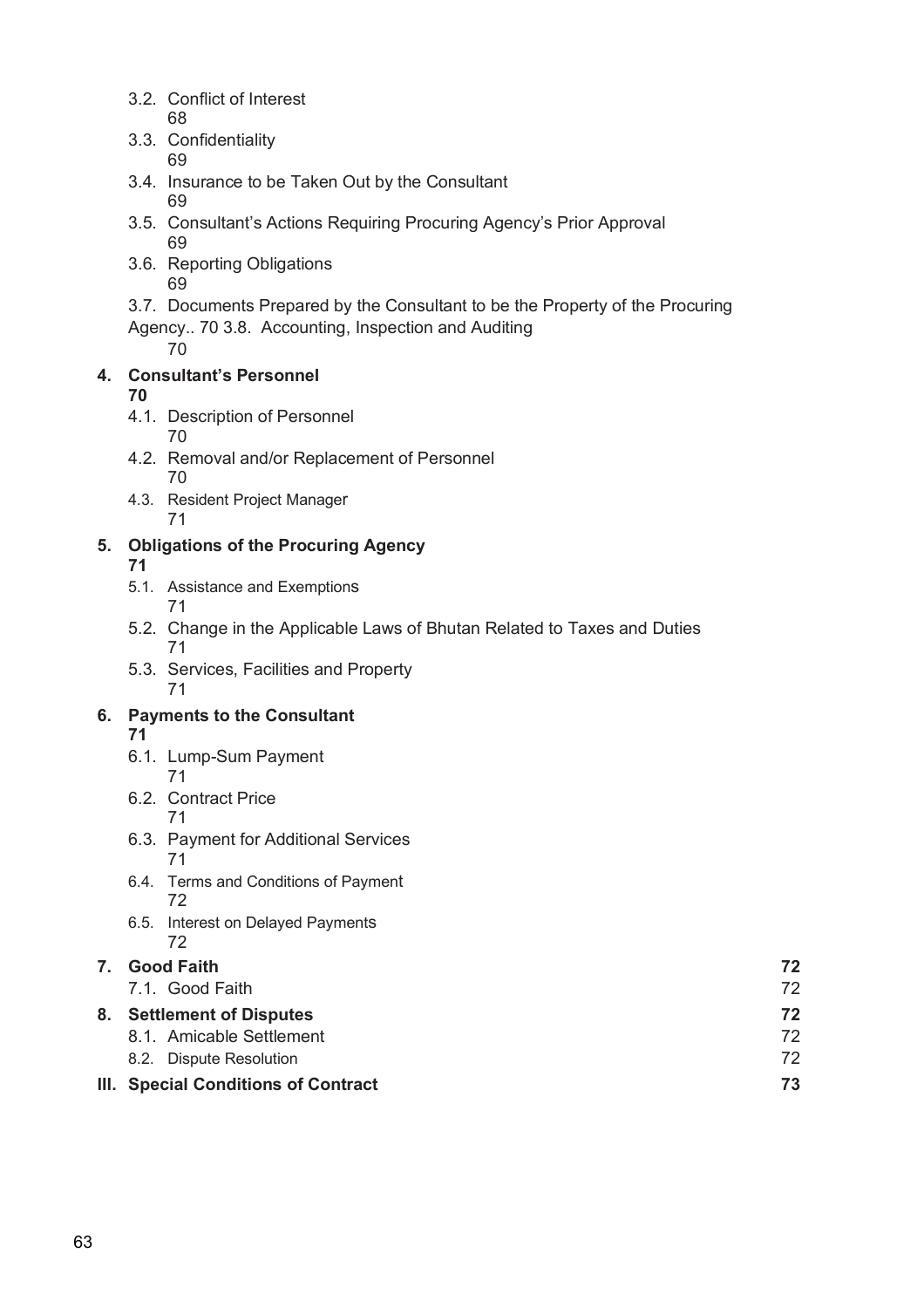- 3.2. Conflict of Interest 68
- 3.3. Confidentiality 69
- 3.4. Insurance to be Taken Out by the Consultant 69
- 3.5. Consultant's Actions Requiring Procuring Agency's Prior Approval 69
- 3.6. Reporting Obligations 69
- 3.7. Documents Prepared by the Consultant to be the Property of the Procuring
- Agency.. 70 3.8. Accounting, Inspection and Auditing 70

# **4. Consultant's Personnel**

- **70**
- 4.1. Description of Personnel 70
- 4.2. Removal and/or Replacement of Personnel 70
- 4.3. Resident Project Manager 71

# **5. Obligations of the Procuring Agency**

- **71**
- 5.1. Assistance and Exemptions 71
- 5.2. Change in the Applicable Laws of Bhutan Related to Taxes and Duties 71
- 5.3. Services, Facilities and Property 71

# **6. Payments to the Consultant**

- **71**
- 6.1. Lump-Sum Payment 71
- 6.2. Contract Price 71
- 6.3. Payment for Additional Services 71
- 6.4. Terms and Conditions of Payment 72
- 6.5. Interest on Delayed Payments 72

**7. Good Faith 72** 7.1. Good Faith 72 **8. Settlement of Disputes 72** 8.1. Amicable Settlement 72 8.2. Dispute Resolution 72 **III. Special Conditions of Contract 73**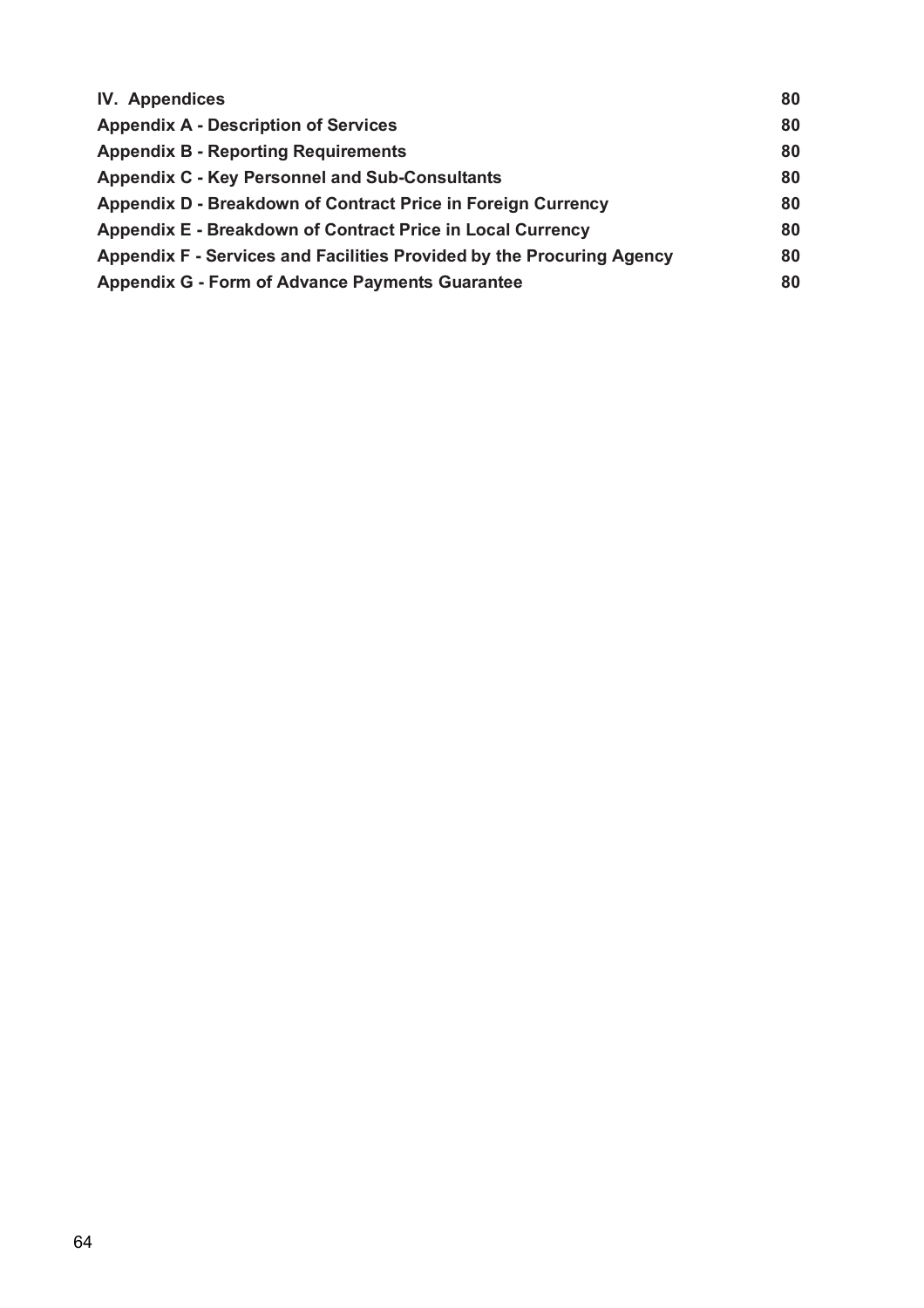| <b>IV.</b> Appendices                                                 | 80 |
|-----------------------------------------------------------------------|----|
| <b>Appendix A - Description of Services</b>                           | 80 |
| <b>Appendix B - Reporting Requirements</b>                            | 80 |
| <b>Appendix C - Key Personnel and Sub-Consultants</b>                 | 80 |
| Appendix D - Breakdown of Contract Price in Foreign Currency          | 80 |
| Appendix E - Breakdown of Contract Price in Local Currency            | 80 |
| Appendix F - Services and Facilities Provided by the Procuring Agency | 80 |
| <b>Appendix G - Form of Advance Payments Guarantee</b>                | 80 |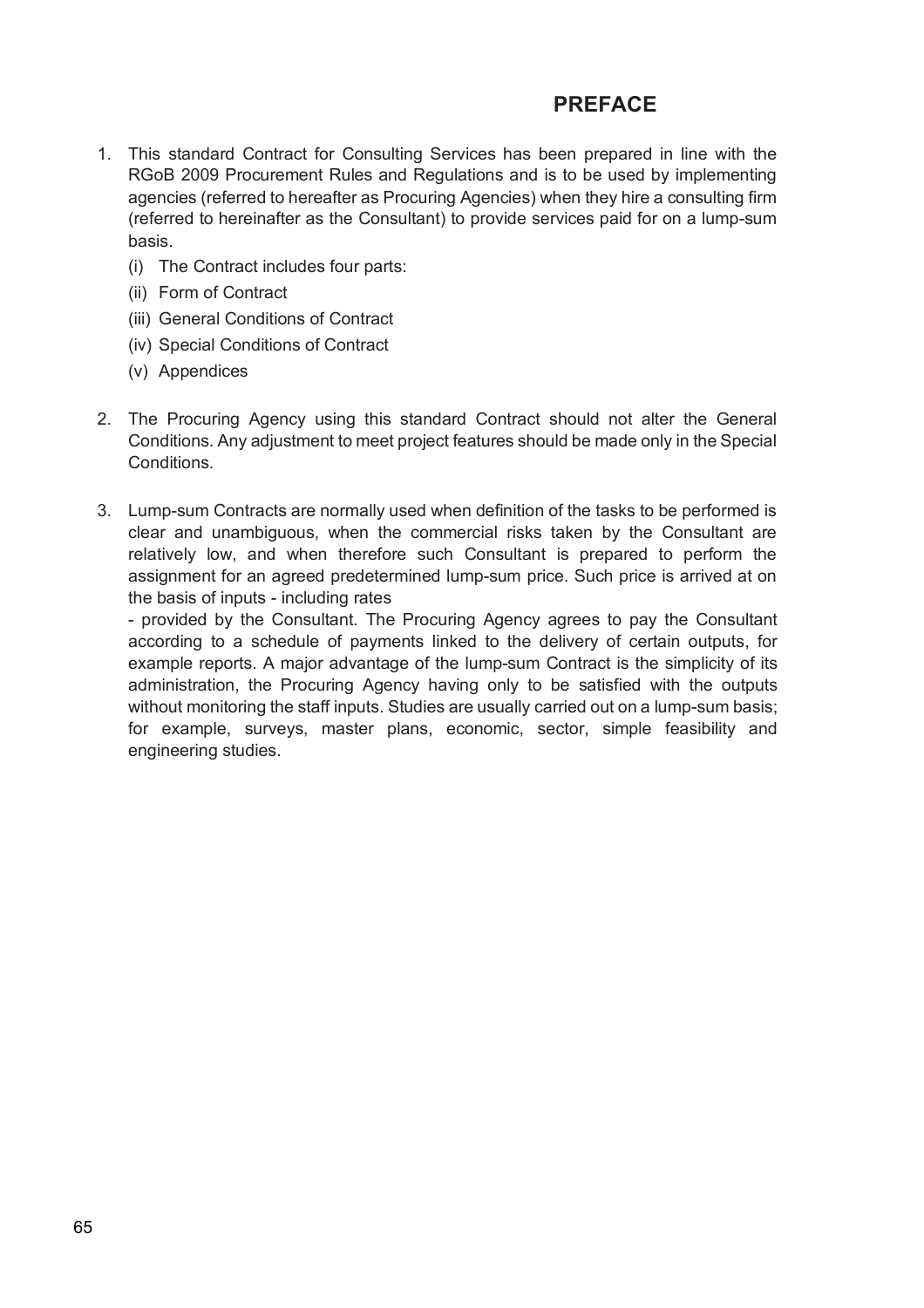# **PREFACE**

- 1. This standard Contract for Consulting Services has been prepared in line with the RGoB 2009 Procurement Rules and Regulations and is to be used by implementing agencies (referred to hereafter as Procuring Agencies) when they hire a consulting firm (referred to hereinafter as the Consultant) to provide services paid for on a lump-sum basis.
	- (i) The Contract includes four parts:
	- (ii) Form of Contract
	- (iii) General Conditions of Contract
	- (iv) Special Conditions of Contract
	- (v) Appendices
- 2. The Procuring Agency using this standard Contract should not alter the General Conditions. Any adjustment to meet project features should be made only in the Special Conditions.
- 3. Lump-sum Contracts are normally used when definition of the tasks to be performed is clear and unambiguous, when the commercial risks taken by the Consultant are relatively low, and when therefore such Consultant is prepared to perform the assignment for an agreed predetermined lump-sum price. Such price is arrived at on the basis of inputs - including rates

- provided by the Consultant. The Procuring Agency agrees to pay the Consultant according to a schedule of payments linked to the delivery of certain outputs, for example reports. A major advantage of the lump-sum Contract is the simplicity of its administration, the Procuring Agency having only to be satisfied with the outputs without monitoring the staff inputs. Studies are usually carried out on a lump-sum basis; for example, surveys, master plans, economic, sector, simple feasibility and engineering studies.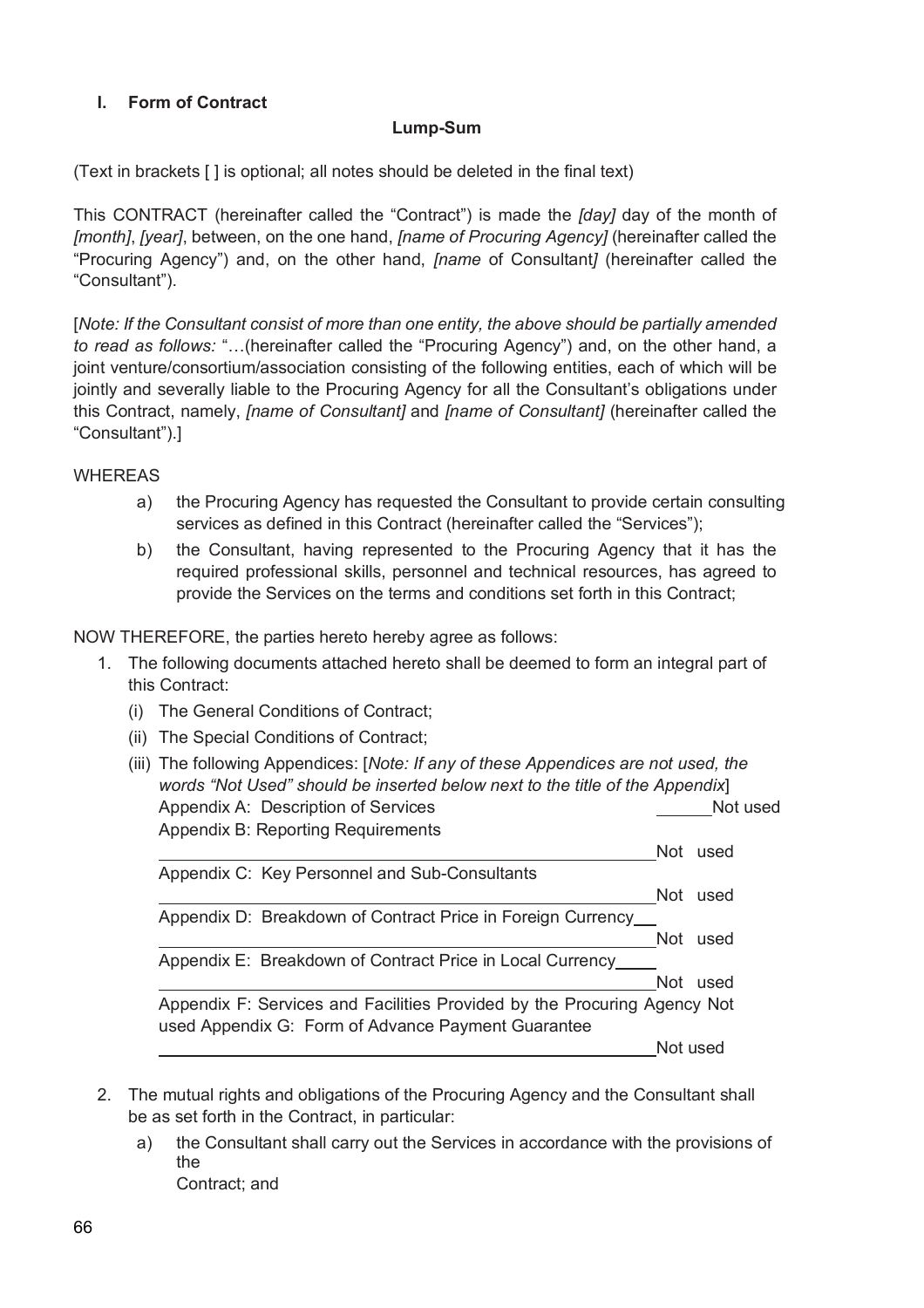## **I. Form of Contract**

## **Lump-Sum**

(Text in brackets [ ] is optional; all notes should be deleted in the final text)

This CONTRACT (hereinafter called the "Contract") is made the *[day]* day of the month of *[month]*, *[year]*, between, on the one hand, *[name of Procuring Agency]* (hereinafter called the "Procuring Agency") and, on the other hand, *[name* of Consultant*]* (hereinafter called the "Consultant").

[*Note: If the Consultant consist of more than one entity, the above should be partially amended to read as follows:* "…(hereinafter called the "Procuring Agency") and, on the other hand, a joint venture/consortium/association consisting of the following entities, each of which will be jointly and severally liable to the Procuring Agency for all the Consultant's obligations under this Contract, namely, *[name of Consultant]* and *[name of Consultant]* (hereinafter called the "Consultant").]

## WHEREAS

- a) the Procuring Agency has requested the Consultant to provide certain consulting services as defined in this Contract (hereinafter called the "Services");
- b) the Consultant, having represented to the Procuring Agency that it has the required professional skills, personnel and technical resources, has agreed to provide the Services on the terms and conditions set forth in this Contract;

NOW THEREFORE, the parties hereto hereby agree as follows:

- 1. The following documents attached hereto shall be deemed to form an integral part of this Contract:
	- (i) The General Conditions of Contract;
	- (ii) The Special Conditions of Contract;
	- (iii) The following Appendices: [*Note: If any of these Appendices are not used, the words "Not Used" should be inserted below next to the title of the Appendix*] Appendix A: Description of Services Not used Appendix B: Reporting Requirements Not used Appendix C: Key Personnel and Sub-Consultants Not used Appendix D: Breakdown of Contract Price in Foreign Currency Not used Appendix E: Breakdown of Contract Price in Local Currency Not used Appendix F: Services and Facilities Provided by the Procuring Agency Not used Appendix G: Form of Advance Payment Guarantee Not used
- 2. The mutual rights and obligations of the Procuring Agency and the Consultant shall be as set forth in the Contract, in particular:
	- a) the Consultant shall carry out the Services in accordance with the provisions of the Contract; and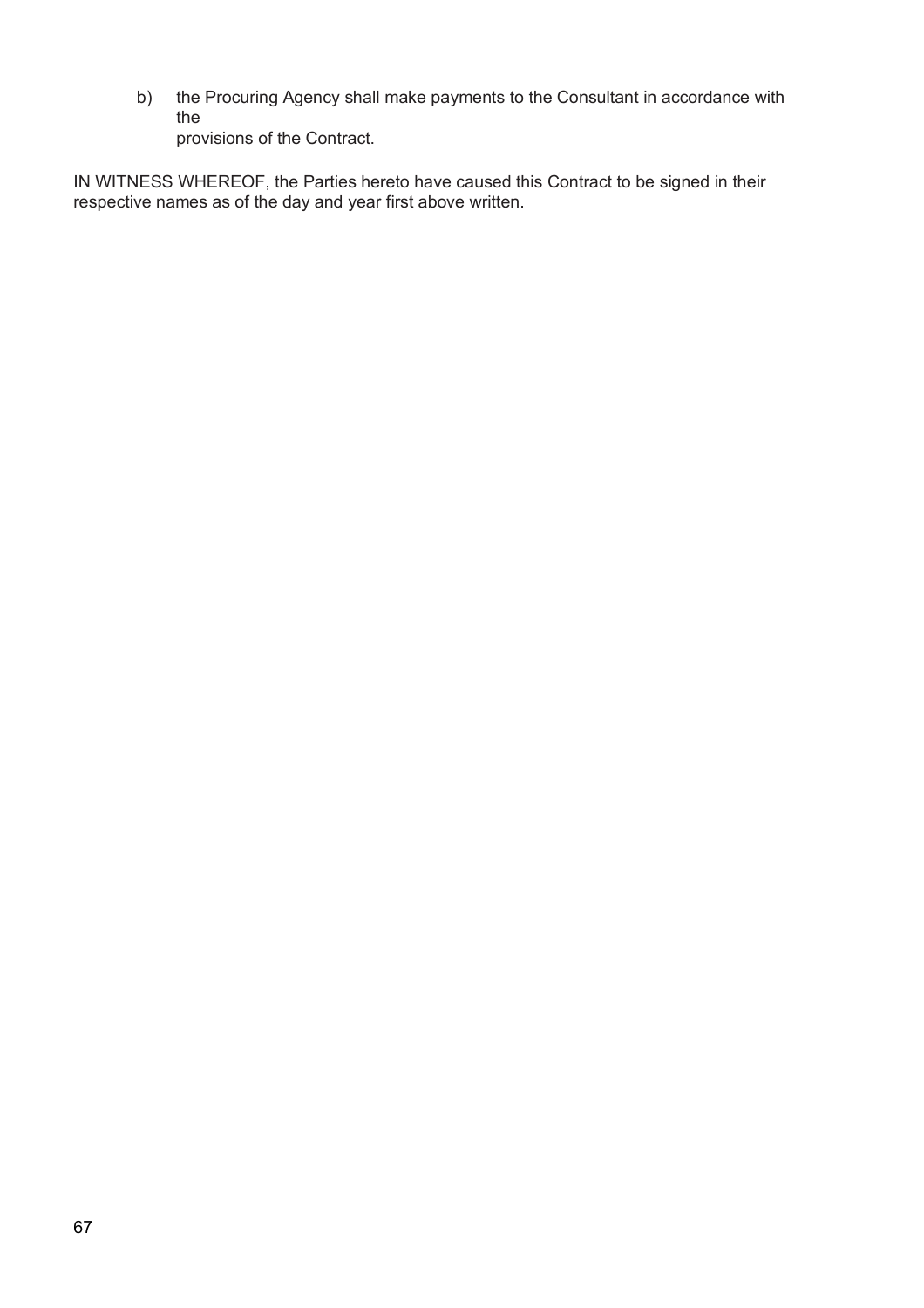b) the Procuring Agency shall make payments to the Consultant in accordance with the provisions of the Contract.

IN WITNESS WHEREOF, the Parties hereto have caused this Contract to be signed in their respective names as of the day and year first above written.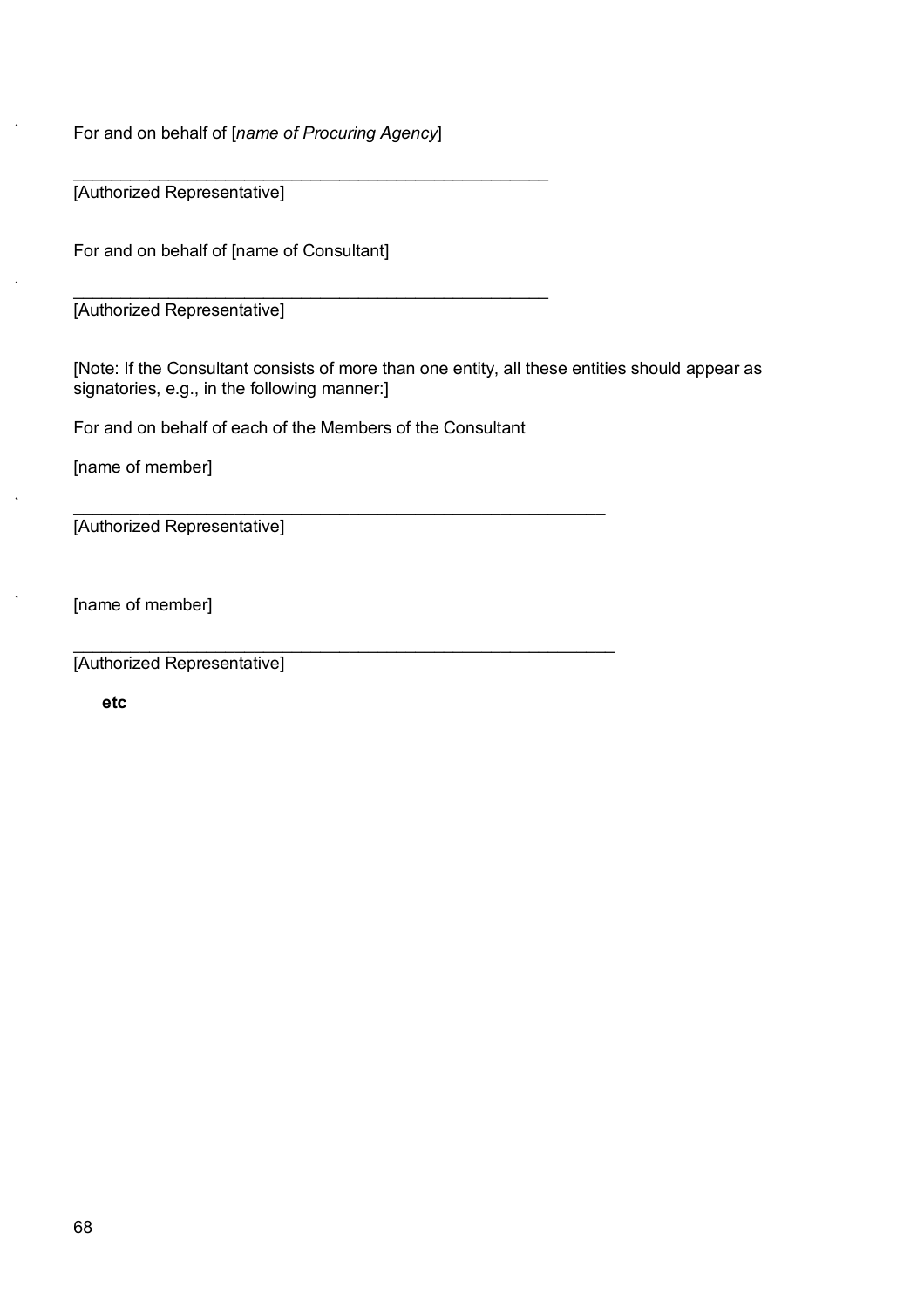For and on behalf of [*name of Procuring Agency*]

 $\mathcal{L}_\text{max}$  and  $\mathcal{L}_\text{max}$  and  $\mathcal{L}_\text{max}$  and  $\mathcal{L}_\text{max}$  and  $\mathcal{L}_\text{max}$ 

 $\mathcal{L}_\text{max}$  and  $\mathcal{L}_\text{max}$  and  $\mathcal{L}_\text{max}$  and  $\mathcal{L}_\text{max}$  and  $\mathcal{L}_\text{max}$ 

[Authorized Representative]

For and on behalf of [name of Consultant]

[Authorized Representative]

[Note: If the Consultant consists of more than one entity, all these entities should appear as signatories, e.g., in the following manner:]

For and on behalf of each of the Members of the Consultant

 $\mathcal{L}_\text{max} = \mathcal{L}_\text{max} = \mathcal{L}_\text{max} = \mathcal{L}_\text{max} = \mathcal{L}_\text{max} = \mathcal{L}_\text{max} = \mathcal{L}_\text{max} = \mathcal{L}_\text{max} = \mathcal{L}_\text{max} = \mathcal{L}_\text{max} = \mathcal{L}_\text{max} = \mathcal{L}_\text{max} = \mathcal{L}_\text{max} = \mathcal{L}_\text{max} = \mathcal{L}_\text{max} = \mathcal{L}_\text{max} = \mathcal{L}_\text{max} = \mathcal{L}_\text{max} = \mathcal{$ 

[name of member]

[Authorized Representative]

[name of member]

 $\mathcal{L}_\text{max}$  and  $\mathcal{L}_\text{max}$  and  $\mathcal{L}_\text{max}$  and  $\mathcal{L}_\text{max}$  and  $\mathcal{L}_\text{max}$ [Authorized Representative]

**etc**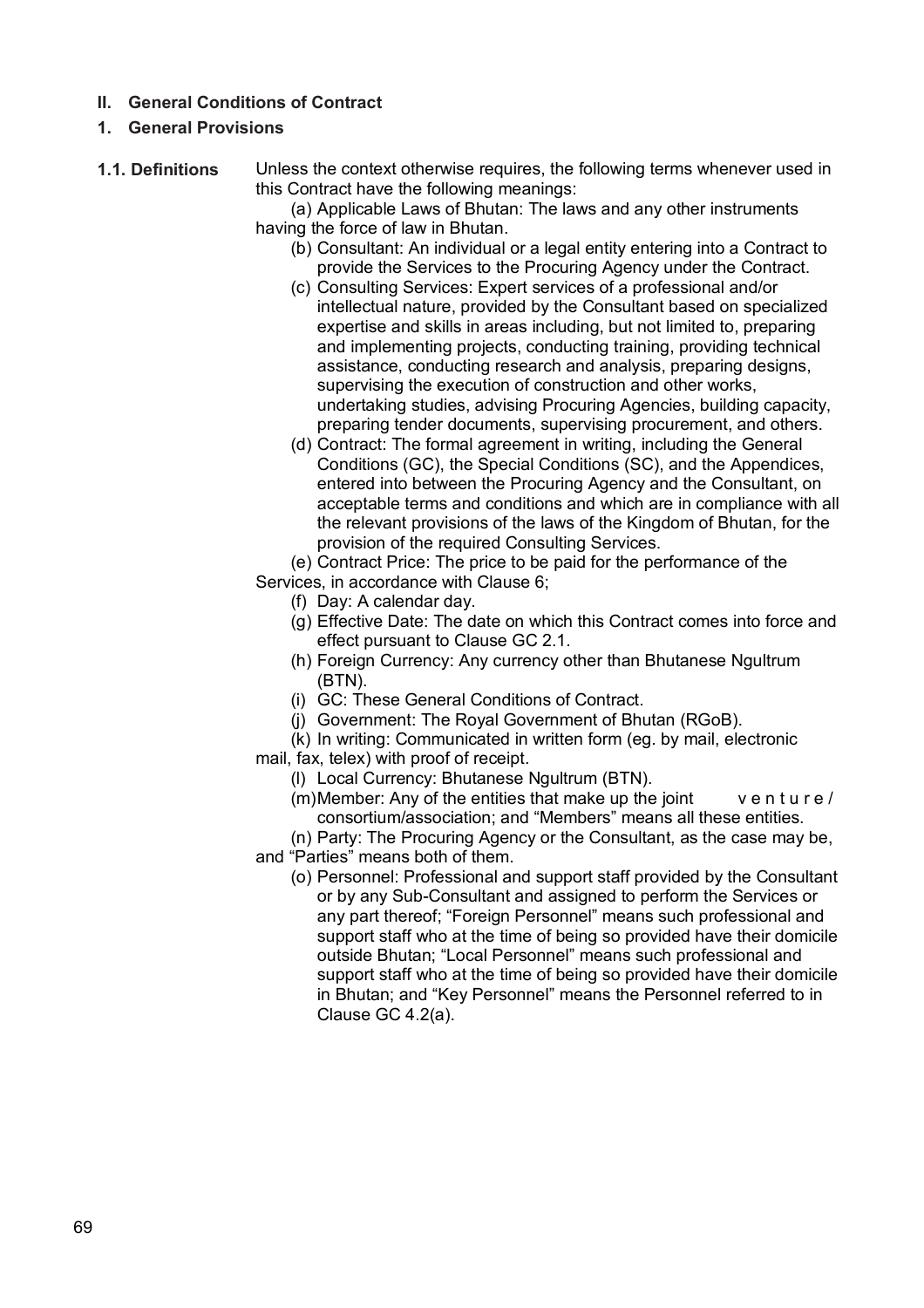# **II. General Conditions of Contract**

## **1. General Provisions**

**1.1. Definitions** Unless the context otherwise requires, the following terms whenever used in this Contract have the following meanings:

(a) Applicable Laws of Bhutan: The laws and any other instruments having the force of law in Bhutan.

- (b) Consultant: An individual or a legal entity entering into a Contract to provide the Services to the Procuring Agency under the Contract.
- (c) Consulting Services: Expert services of a professional and/or intellectual nature, provided by the Consultant based on specialized expertise and skills in areas including, but not limited to, preparing and implementing projects, conducting training, providing technical assistance, conducting research and analysis, preparing designs, supervising the execution of construction and other works, undertaking studies, advising Procuring Agencies, building capacity, preparing tender documents, supervising procurement, and others.
- (d) Contract: The formal agreement in writing, including the General Conditions (GC), the Special Conditions (SC), and the Appendices, entered into between the Procuring Agency and the Consultant, on acceptable terms and conditions and which are in compliance with all the relevant provisions of the laws of the Kingdom of Bhutan, for the provision of the required Consulting Services.

(e) Contract Price: The price to be paid for the performance of the Services, in accordance with Clause 6;

- (f) Day: A calendar day.
- (g) Effective Date: The date on which this Contract comes into force and effect pursuant to Clause GC 2.1.
- (h) Foreign Currency: Any currency other than Bhutanese Ngultrum (BTN).
- (i) GC: These General Conditions of Contract.
- (j) Government: The Royal Government of Bhutan (RGoB).
- (k) In writing: Communicated in written form (eg. by mail, electronic mail, fax, telex) with proof of receipt.
	- (l) Local Currency: Bhutanese Ngultrum (BTN).
		- (m) Member: Any of the entities that make up the joint  $v \in \mathfrak{n}$  ture / consortium/association; and "Members" means all these entities.

(n) Party: The Procuring Agency or the Consultant, as the case may be, and "Parties" means both of them.

(o) Personnel: Professional and support staff provided by the Consultant or by any Sub-Consultant and assigned to perform the Services or any part thereof; "Foreign Personnel" means such professional and support staff who at the time of being so provided have their domicile outside Bhutan; "Local Personnel" means such professional and support staff who at the time of being so provided have their domicile in Bhutan; and "Key Personnel" means the Personnel referred to in Clause GC 4.2(a).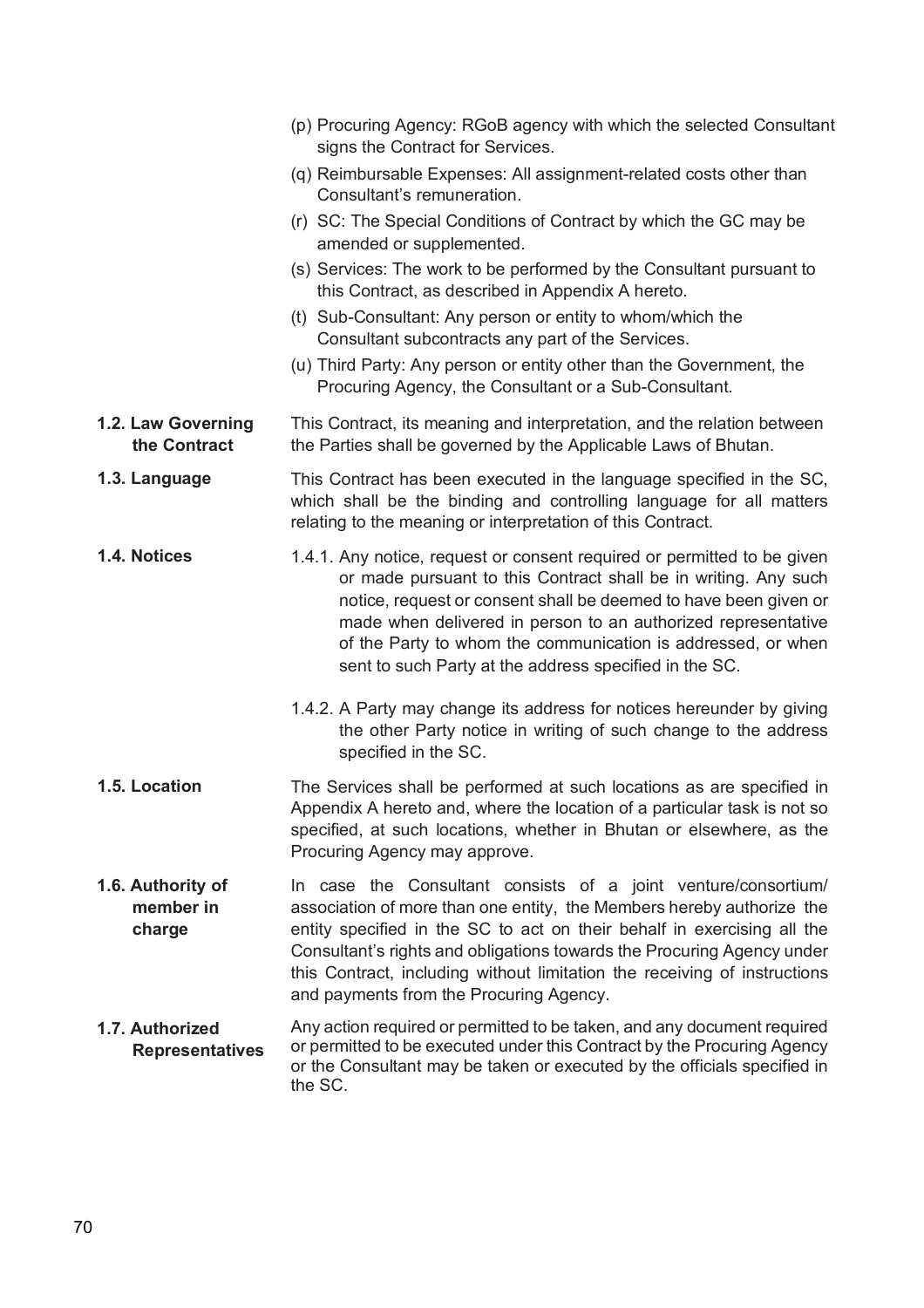|                                           | (p) Procuring Agency: RGoB agency with which the selected Consultant<br>signs the Contract for Services.                                                                                                                                                                                                                                                                                                             |
|-------------------------------------------|----------------------------------------------------------------------------------------------------------------------------------------------------------------------------------------------------------------------------------------------------------------------------------------------------------------------------------------------------------------------------------------------------------------------|
|                                           | (q) Reimbursable Expenses: All assignment-related costs other than<br>Consultant's remuneration.                                                                                                                                                                                                                                                                                                                     |
|                                           | (r) SC: The Special Conditions of Contract by which the GC may be<br>amended or supplemented.                                                                                                                                                                                                                                                                                                                        |
|                                           | (s) Services: The work to be performed by the Consultant pursuant to<br>this Contract, as described in Appendix A hereto.                                                                                                                                                                                                                                                                                            |
|                                           | (t) Sub-Consultant: Any person or entity to whom/which the<br>Consultant subcontracts any part of the Services.                                                                                                                                                                                                                                                                                                      |
|                                           | (u) Third Party: Any person or entity other than the Government, the<br>Procuring Agency, the Consultant or a Sub-Consultant.                                                                                                                                                                                                                                                                                        |
| 1.2. Law Governing<br>the Contract        | This Contract, its meaning and interpretation, and the relation between<br>the Parties shall be governed by the Applicable Laws of Bhutan.                                                                                                                                                                                                                                                                           |
| 1.3. Language                             | This Contract has been executed in the language specified in the SC,<br>which shall be the binding and controlling language for all matters<br>relating to the meaning or interpretation of this Contract.                                                                                                                                                                                                           |
| 1.4. Notices                              | 1.4.1. Any notice, request or consent required or permitted to be given<br>or made pursuant to this Contract shall be in writing. Any such<br>notice, request or consent shall be deemed to have been given or<br>made when delivered in person to an authorized representative<br>of the Party to whom the communication is addressed, or when<br>sent to such Party at the address specified in the SC.            |
|                                           | 1.4.2. A Party may change its address for notices hereunder by giving<br>the other Party notice in writing of such change to the address<br>specified in the SC.                                                                                                                                                                                                                                                     |
| 1.5. Location                             | The Services shall be performed at such locations as are specified in<br>Appendix A hereto and, where the location of a particular task is not so<br>specified, at such locations, whether in Bhutan or elsewhere, as the<br>Procuring Agency may approve.                                                                                                                                                           |
| 1.6. Authority of<br>member in<br>charge  | In case the Consultant consists of a joint venture/consortium/<br>association of more than one entity, the Members hereby authorize the<br>entity specified in the SC to act on their behalf in exercising all the<br>Consultant's rights and obligations towards the Procuring Agency under<br>this Contract, including without limitation the receiving of instructions<br>and payments from the Procuring Agency. |
| 1.7. Authorized<br><b>Representatives</b> | Any action required or permitted to be taken, and any document required<br>or permitted to be executed under this Contract by the Procuring Agency<br>or the Consultant may be taken or executed by the officials specified in<br>the SC.                                                                                                                                                                            |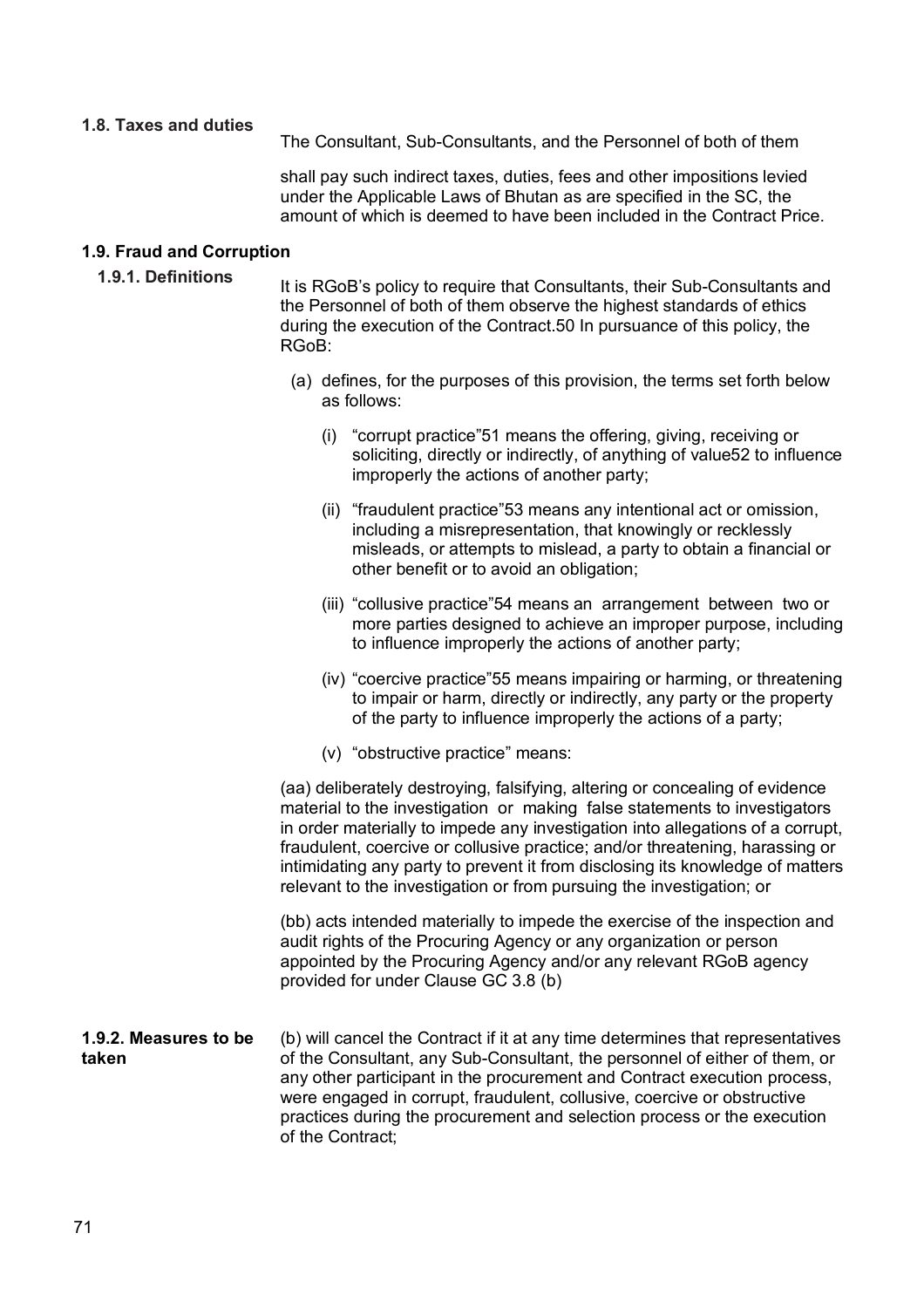## **1.8. Taxes and duties**

The Consultant, Sub-Consultants, and the Personnel of both of them

shall pay such indirect taxes, duties, fees and other impositions levied under the Applicable Laws of Bhutan as are specified in the SC, the amount of which is deemed to have been included in the Contract Price.

## **1.9. Fraud and Corruption**

**1.9.1. Definitions** It is RGoB's policy to require that Consultants, their Sub-Consultants and the Personnel of both of them observe the highest standards of ethics during the execution of the Contract.50 In pursuance of this policy, the RGoB:

- (a) defines, for the purposes of this provision, the terms set forth below as follows:
	- (i) "corrupt practice"51 means the offering, giving, receiving or soliciting, directly or indirectly, of anything of value52 to influence improperly the actions of another party;
	- (ii) "fraudulent practice"53 means any intentional act or omission, including a misrepresentation, that knowingly or recklessly misleads, or attempts to mislead, a party to obtain a financial or other benefit or to avoid an obligation;
	- (iii) "collusive practice"54 means an arrangement between two or more parties designed to achieve an improper purpose, including to influence improperly the actions of another party;
	- (iv) "coercive practice"55 means impairing or harming, or threatening to impair or harm, directly or indirectly, any party or the property of the party to influence improperly the actions of a party;
	- (v) "obstructive practice" means:

(aa) deliberately destroying, falsifying, altering or concealing of evidence material to the investigation or making false statements to investigators in order materially to impede any investigation into allegations of a corrupt, fraudulent, coercive or collusive practice; and/or threatening, harassing or intimidating any party to prevent it from disclosing its knowledge of matters relevant to the investigation or from pursuing the investigation; or

(bb) acts intended materially to impede the exercise of the inspection and audit rights of the Procuring Agency or any organization or person appointed by the Procuring Agency and/or any relevant RGoB agency provided for under Clause GC 3.8 (b)

**1.9.2. Measures to be taken** (b) will cancel the Contract if it at any time determines that representatives of the Consultant, any Sub-Consultant, the personnel of either of them, or any other participant in the procurement and Contract execution process, were engaged in corrupt, fraudulent, collusive, coercive or obstructive practices during the procurement and selection process or the execution of the Contract;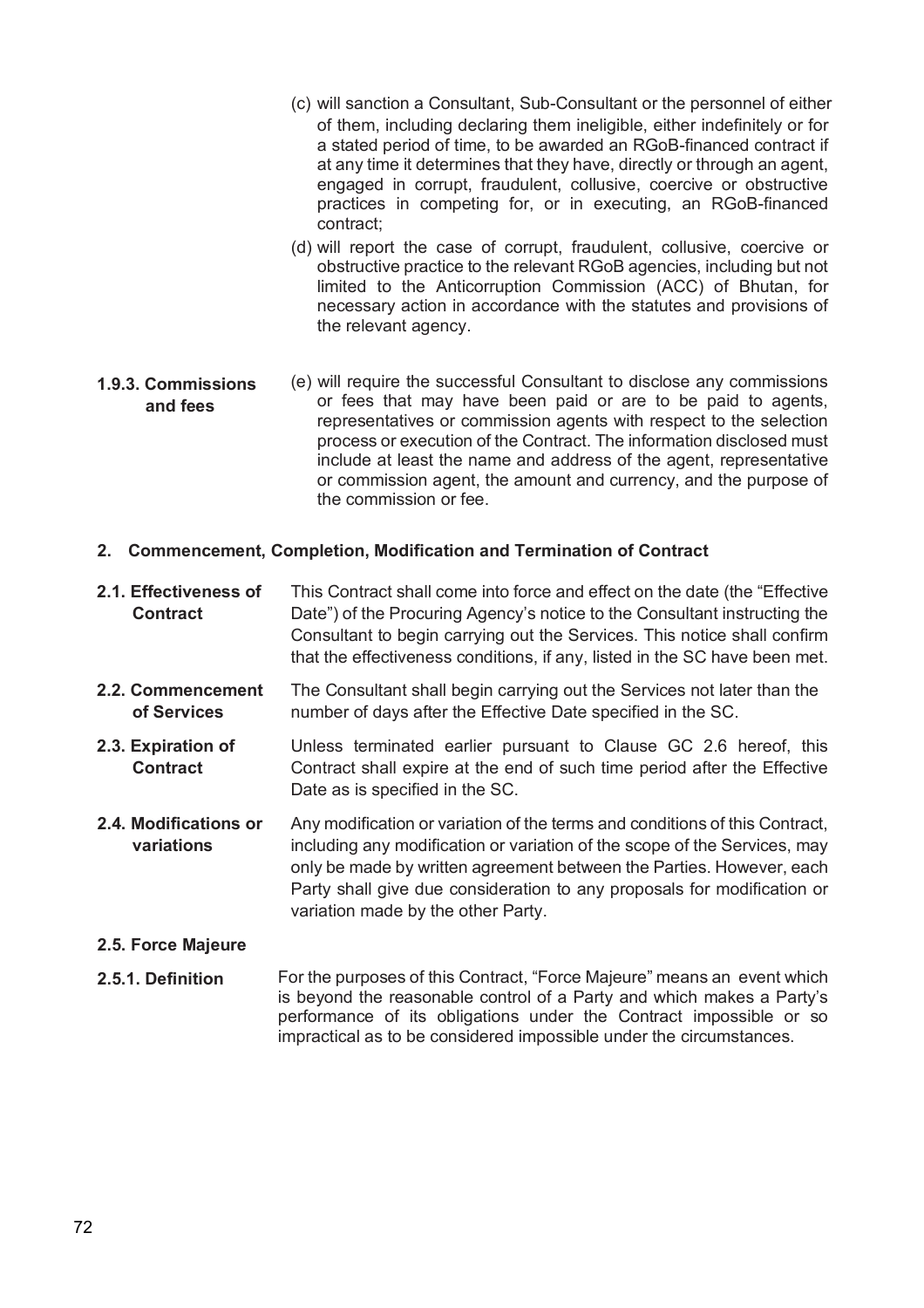- (c) will sanction a Consultant, Sub-Consultant or the personnel of either of them, including declaring them ineligible, either indefinitely or for a stated period of time, to be awarded an RGoB-financed contract if at any time it determines that they have, directly or through an agent, engaged in corrupt, fraudulent, collusive, coercive or obstructive practices in competing for, or in executing, an RGoB-financed contract;
- (d) will report the case of corrupt, fraudulent, collusive, coercive or obstructive practice to the relevant RGoB agencies, including but not limited to the Anticorruption Commission (ACC) of Bhutan, for necessary action in accordance with the statutes and provisions of the relevant agency.
- **1.9.3. Commissions and fees** (e) will require the successful Consultant to disclose any commissions or fees that may have been paid or are to be paid to agents, representatives or commission agents with respect to the selection process or execution of the Contract. The information disclosed must include at least the name and address of the agent, representative or commission agent, the amount and currency, and the purpose of the commission or fee.

## **2. Commencement, Completion, Modification and Termination of Contract**

- **2.1. Effectiveness of Contract** This Contract shall come into force and effect on the date (the "Effective Date") of the Procuring Agency's notice to the Consultant instructing the Consultant to begin carrying out the Services. This notice shall confirm that the effectiveness conditions, if any, listed in the SC have been met.
- **2.2. Commencement of Services** The Consultant shall begin carrying out the Services not later than the number of days after the Effective Date specified in the SC.
- **2.3. Expiration of Contract** Unless terminated earlier pursuant to Clause GC 2.6 hereof, this Contract shall expire at the end of such time period after the Effective Date as is specified in the SC.
- **2.4. Modifications or variations** Any modification or variation of the terms and conditions of this Contract, including any modification or variation of the scope of the Services, may only be made by written agreement between the Parties. However, each Party shall give due consideration to any proposals for modification or variation made by the other Party.

## **2.5. Force Majeure**

**2.5.1. Definition** For the purposes of this Contract, "Force Majeure" means an event which is beyond the reasonable control of a Party and which makes a Party's performance of its obligations under the Contract impossible or so impractical as to be considered impossible under the circumstances.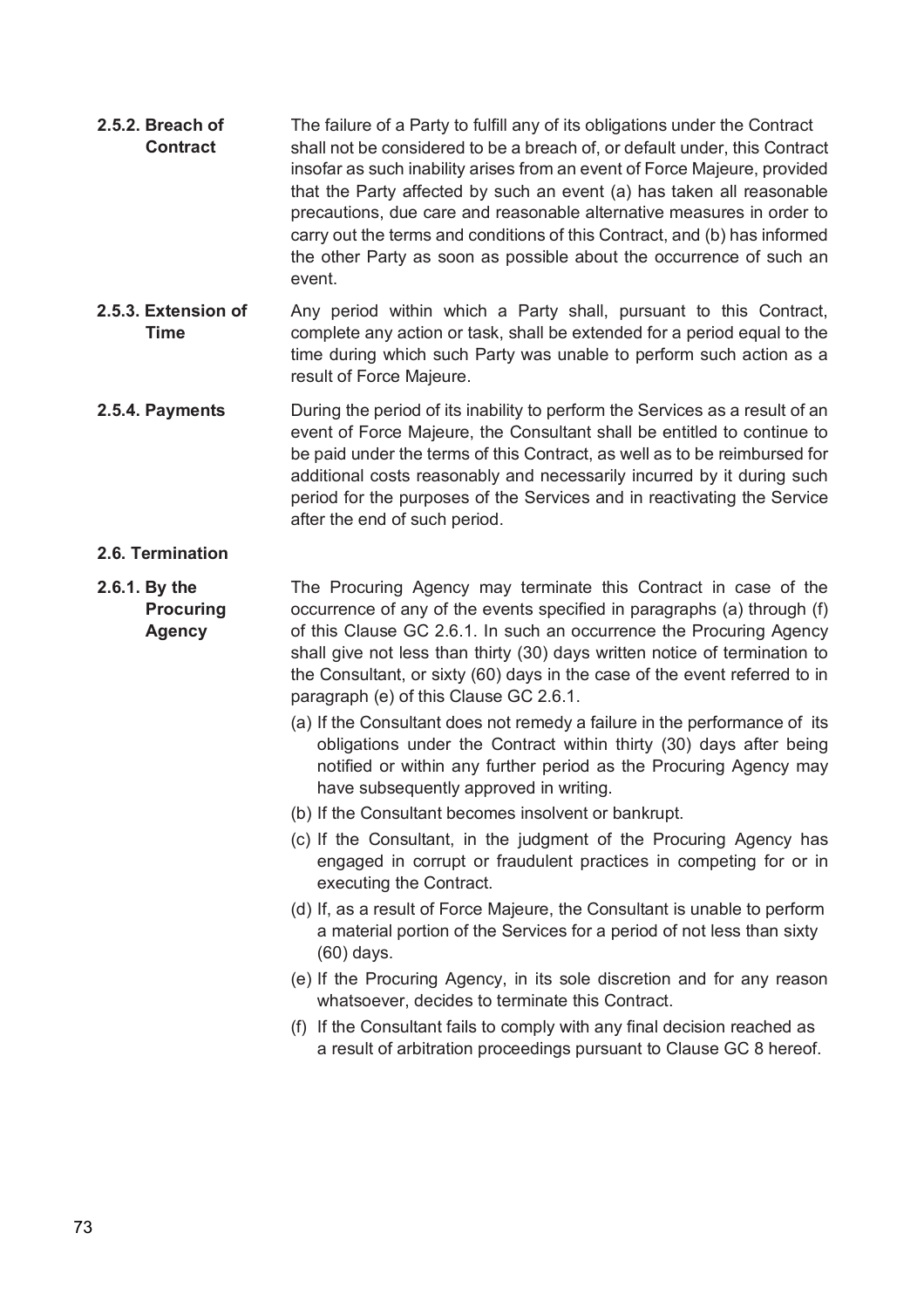- **2.5.2. Breach of Contract** The failure of a Party to fulfill any of its obligations under the Contract shall not be considered to be a breach of, or default under, this Contract insofar as such inability arises from an event of Force Majeure, provided that the Party affected by such an event (a) has taken all reasonable precautions, due care and reasonable alternative measures in order to carry out the terms and conditions of this Contract, and (b) has informed the other Party as soon as possible about the occurrence of such an event.
- **2.5.3. Extension of Time** Any period within which a Party shall, pursuant to this Contract, complete any action or task, shall be extended for a period equal to the time during which such Party was unable to perform such action as a result of Force Majeure.
- **2.5.4. Payments** During the period of its inability to perform the Services as a result of an event of Force Majeure, the Consultant shall be entitled to continue to be paid under the terms of this Contract, as well as to be reimbursed for additional costs reasonably and necessarily incurred by it during such period for the purposes of the Services and in reactivating the Service after the end of such period.
- **2.6. Termination**
- **2.6.1. By the Procuring Agency** The Procuring Agency may terminate this Contract in case of the occurrence of any of the events specified in paragraphs (a) through (f) of this Clause GC 2.6.1. In such an occurrence the Procuring Agency shall give not less than thirty (30) days written notice of termination to the Consultant, or sixty (60) days in the case of the event referred to in paragraph (e) of this Clause GC 2.6.1.
	- (a) If the Consultant does not remedy a failure in the performance of its obligations under the Contract within thirty (30) days after being notified or within any further period as the Procuring Agency may have subsequently approved in writing.
	- (b) If the Consultant becomes insolvent or bankrupt.
	- (c) If the Consultant, in the judgment of the Procuring Agency has engaged in corrupt or fraudulent practices in competing for or in executing the Contract.
	- (d) If, as a result of Force Majeure, the Consultant is unable to perform a material portion of the Services for a period of not less than sixty (60) days.
	- (e) If the Procuring Agency, in its sole discretion and for any reason whatsoever, decides to terminate this Contract.
	- (f) If the Consultant fails to comply with any final decision reached as a result of arbitration proceedings pursuant to Clause GC 8 hereof.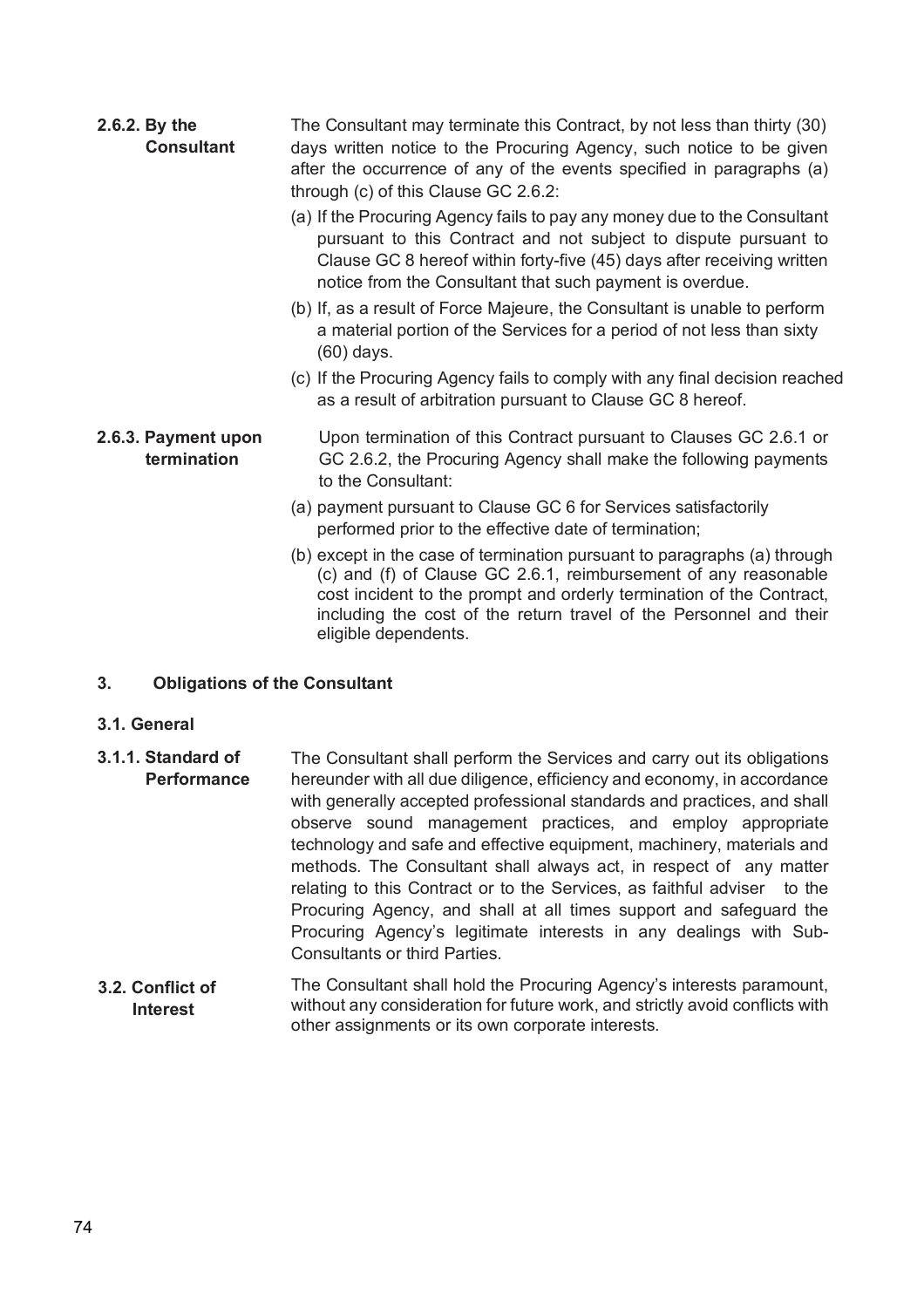| 2.6.2. By the<br><b>Consultant</b> | The Consultant may terminate this Contract, by not less than thirty (30)<br>days written notice to the Procuring Agency, such notice to be given<br>after the occurrence of any of the events specified in paragraphs (a)<br>through (c) of this Clause GC 2.6.2:                  |
|------------------------------------|------------------------------------------------------------------------------------------------------------------------------------------------------------------------------------------------------------------------------------------------------------------------------------|
|                                    | (a) If the Procuring Agency fails to pay any money due to the Consultant<br>pursuant to this Contract and not subject to dispute pursuant to<br>Clause GC 8 hereof within forty-five (45) days after receiving written<br>notice from the Consultant that such payment is overdue. |
|                                    | (b) If, as a result of Force Majeure, the Consultant is unable to perform<br>a material portion of the Services for a period of not less than sixty<br>(60) days.                                                                                                                  |
|                                    | (c) If the Procuring Agency fails to comply with any final decision reached<br>as a result of arbitration pursuant to Clause GC 8 hereof.                                                                                                                                          |
| 2.6.3. Payment upon<br>termination | Upon termination of this Contract pursuant to Clauses GC 2.6.1 or<br>GC 2.6.2, the Procuring Agency shall make the following payments<br>to the Consultant:                                                                                                                        |
|                                    | (a) payment pursuant to Clause GC 6 for Services satisfactorily<br>performed prior to the effective date of termination;                                                                                                                                                           |
|                                    | (b) a consider the decision of the media attace corrected the manuscription (a) there can                                                                                                                                                                                          |

(b) except in the case of termination pursuant to paragraphs (a) through (c) and (f) of Clause GC 2.6.1, reimbursement of any reasonable cost incident to the prompt and orderly termination of the Contract, including the cost of the return travel of the Personnel and their eligible dependents.

## **3. Obligations of the Consultant**

## **3.1. General**

- **3.1.1. Standard of Performance** The Consultant shall perform the Services and carry out its obligations hereunder with all due diligence, efficiency and economy, in accordance with generally accepted professional standards and practices, and shall observe sound management practices, and employ appropriate technology and safe and effective equipment, machinery, materials and methods. The Consultant shall always act, in respect of any matter relating to this Contract or to the Services, as faithful adviser to the Procuring Agency, and shall at all times support and safeguard the Procuring Agency's legitimate interests in any dealings with Sub-Consultants or third Parties.
- **3.2. Conflict of Interest** The Consultant shall hold the Procuring Agency's interests paramount, without any consideration for future work, and strictly avoid conflicts with other assignments or its own corporate interests.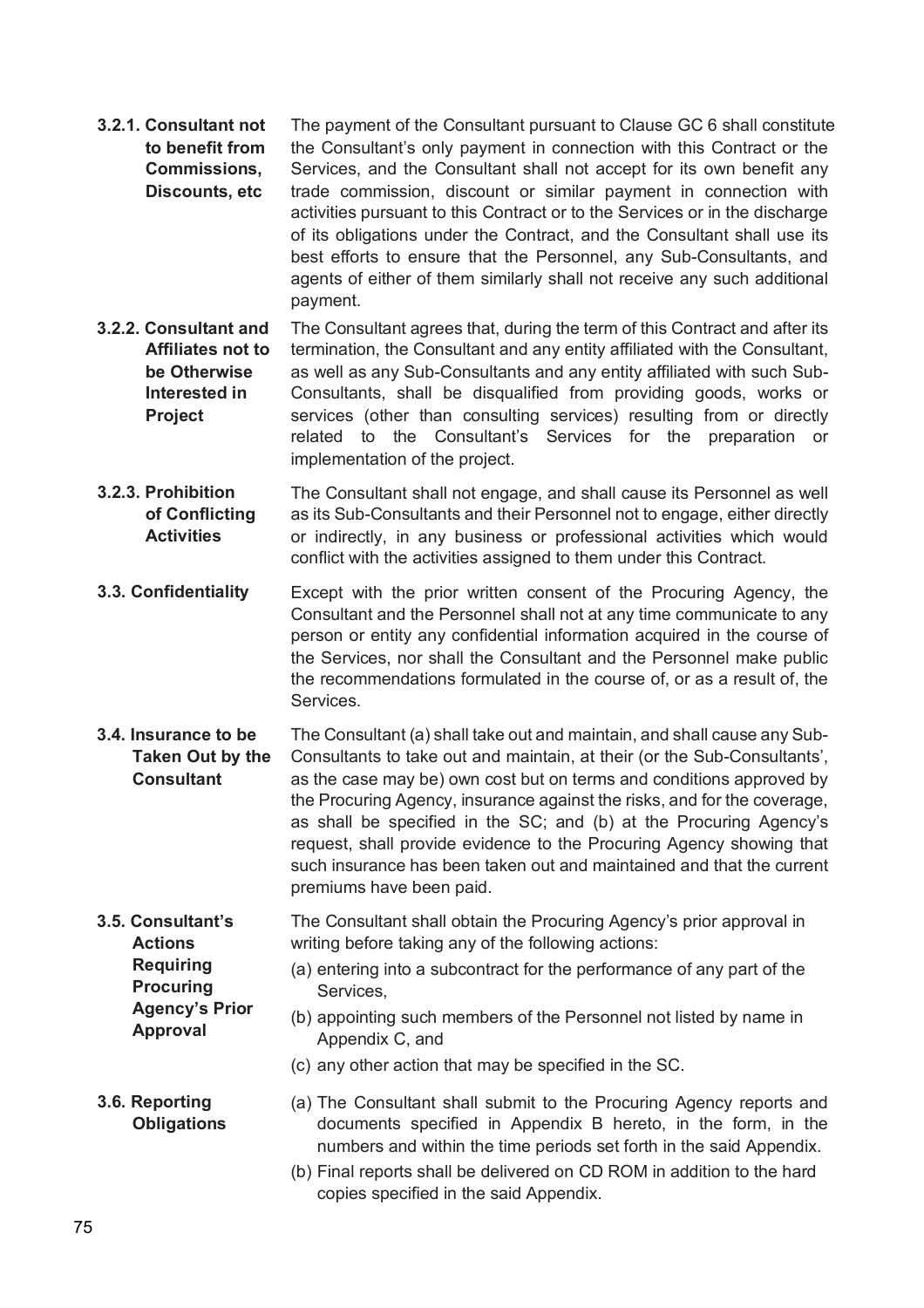- **3.2.1. Consultant not to benefit from Commissions, Discounts, etc** The payment of the Consultant pursuant to Clause GC 6 shall constitute the Consultant's only payment in connection with this Contract or the Services, and the Consultant shall not accept for its own benefit any trade commission, discount or similar payment in connection with activities pursuant to this Contract or to the Services or in the discharge of its obligations under the Contract, and the Consultant shall use its best efforts to ensure that the Personnel, any Sub-Consultants, and agents of either of them similarly shall not receive any such additional payment.
- **3.2.2. Consultant and Affiliates not to be Otherwise Interested in Project** The Consultant agrees that, during the term of this Contract and after its termination, the Consultant and any entity affiliated with the Consultant, as well as any Sub-Consultants and any entity affiliated with such Sub-Consultants, shall be disqualified from providing goods, works or services (other than consulting services) resulting from or directly related to the Consultant's Services for the preparation or implementation of the project.
- **3.2.3. Prohibition of Conflicting Activities** The Consultant shall not engage, and shall cause its Personnel as well as its Sub-Consultants and their Personnel not to engage, either directly or indirectly, in any business or professional activities which would conflict with the activities assigned to them under this Contract.
- **3.3. Confidentiality** Except with the prior written consent of the Procuring Agency, the Consultant and the Personnel shall not at any time communicate to any person or entity any confidential information acquired in the course of the Services, nor shall the Consultant and the Personnel make public the recommendations formulated in the course of, or as a result of, the Services.
- **3.4. Insurance to be Taken Out by the Consultant** The Consultant (a) shall take out and maintain, and shall cause any Sub-Consultants to take out and maintain, at their (or the Sub-Consultants', as the case may be) own cost but on terms and conditions approved by the Procuring Agency, insurance against the risks, and for the coverage, as shall be specified in the SC; and (b) at the Procuring Agency's request, shall provide evidence to the Procuring Agency showing that such insurance has been taken out and maintained and that the current premiums have been paid.
- **3.5. Consultant's Actions Requiring Procuring**  The Consultant shall obtain the Procuring Agency's prior approval in writing before taking any of the following actions: (a) entering into a subcontract for the performance of any part of the
	- Services,
	- (b) appointing such members of the Personnel not listed by name in Appendix C, and
	- (c) any other action that may be specified in the SC.
	- **Obligations** (a) The Consultant shall submit to the Procuring Agency reports and documents specified in Appendix B hereto, in the form, in the numbers and within the time periods set forth in the said Appendix.
		- (b) Final reports shall be delivered on CD ROM in addition to the hard copies specified in the said Appendix.

**Agency's Prior Approval**

**3.6. Reporting**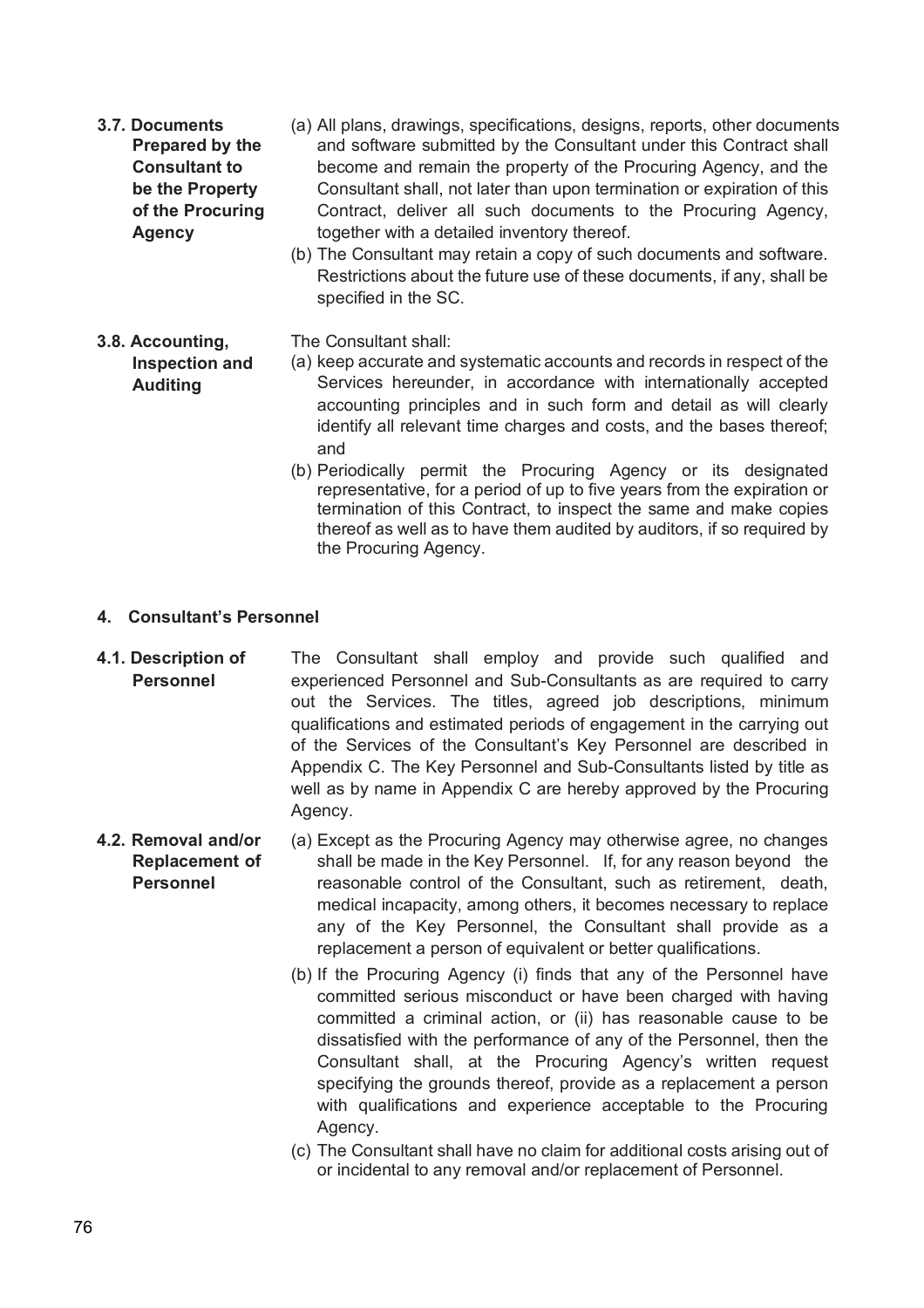- **3.7. Documents Prepared by the Consultant to be the Property of the Procuring Agency** (a) All plans, drawings, specifications, designs, reports, other documents and software submitted by the Consultant under this Contract shall become and remain the property of the Procuring Agency, and the Consultant shall, not later than upon termination or expiration of this Contract, deliver all such documents to the Procuring Agency, together with a detailed inventory thereof.
	- (b) The Consultant may retain a copy of such documents and software. Restrictions about the future use of these documents, if any, shall be specified in the SC.
	- The Consultant shall:
		- (a) keep accurate and systematic accounts and records in respect of the Services hereunder, in accordance with internationally accepted accounting principles and in such form and detail as will clearly identify all relevant time charges and costs, and the bases thereof: and
			- (b) Periodically permit the Procuring Agency or its designated representative, for a period of up to five years from the expiration or termination of this Contract, to inspect the same and make copies thereof as well as to have them audited by auditors, if so required by the Procuring Agency.

# **4. Consultant's Personnel**

**3.8. Accounting,** 

**Auditing**

**Inspection and** 

- **4.1. Description of Personnel** The Consultant shall employ and provide such qualified and experienced Personnel and Sub-Consultants as are required to carry out the Services. The titles, agreed job descriptions, minimum qualifications and estimated periods of engagement in the carrying out of the Services of the Consultant's Key Personnel are described in Appendix C. The Key Personnel and Sub-Consultants listed by title as well as by name in Appendix C are hereby approved by the Procuring Agency.
- **4.2. Removal and/or Replacement of Personnel** (a) Except as the Procuring Agency may otherwise agree, no changes shall be made in the Key Personnel. If, for any reason beyond the reasonable control of the Consultant, such as retirement, death, medical incapacity, among others, it becomes necessary to replace any of the Key Personnel, the Consultant shall provide as a replacement a person of equivalent or better qualifications.
	- (b) If the Procuring Agency (i) finds that any of the Personnel have committed serious misconduct or have been charged with having committed a criminal action, or (ii) has reasonable cause to be dissatisfied with the performance of any of the Personnel, then the Consultant shall, at the Procuring Agency's written request specifying the grounds thereof, provide as a replacement a person with qualifications and experience acceptable to the Procuring Agency.
	- (c) The Consultant shall have no claim for additional costs arising out of or incidental to any removal and/or replacement of Personnel.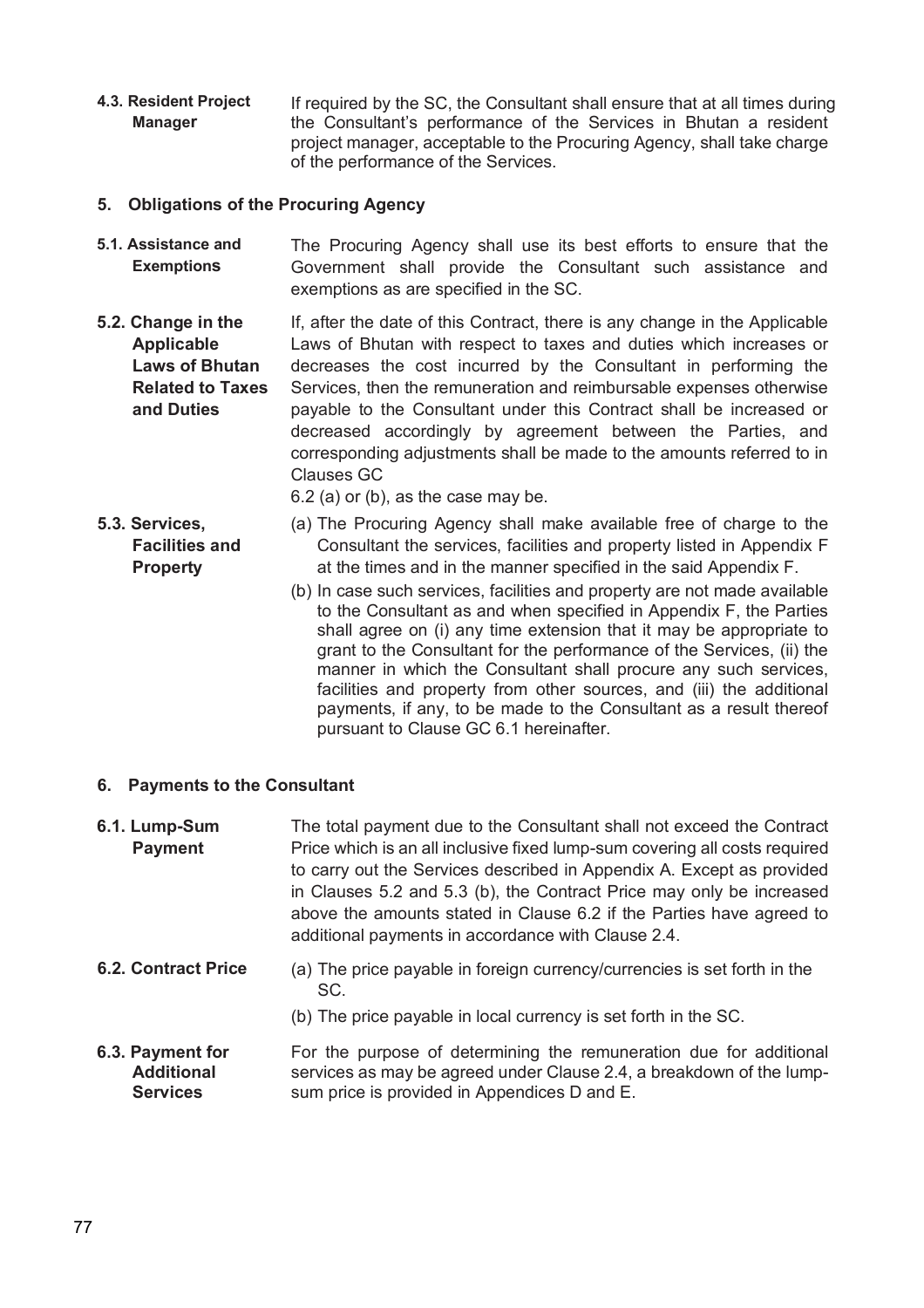**4.3. Resident Project Manager** If required by the SC, the Consultant shall ensure that at all times during the Consultant's performance of the Services in Bhutan a resident project manager, acceptable to the Procuring Agency, shall take charge of the performance of the Services.

## **5. Obligations of the Procuring Agency**

- **5.1. Assistance and Exemptions** The Procuring Agency shall use its best efforts to ensure that the Government shall provide the Consultant such assistance and exemptions as are specified in the SC.
- **5.2. Change in the Applicable Laws of Bhutan Related to Taxes and Duties** If, after the date of this Contract, there is any change in the Applicable Laws of Bhutan with respect to taxes and duties which increases or decreases the cost incurred by the Consultant in performing the Services, then the remuneration and reimbursable expenses otherwise payable to the Consultant under this Contract shall be increased or decreased accordingly by agreement between the Parties, and corresponding adjustments shall be made to the amounts referred to in Clauses GC

6.2 (a) or (b), as the case may be.

# **5.3. Services, Facilities and Property**

- (a) The Procuring Agency shall make available free of charge to the Consultant the services, facilities and property listed in Appendix F at the times and in the manner specified in the said Appendix F.
	- (b) In case such services, facilities and property are not made available to the Consultant as and when specified in Appendix F, the Parties shall agree on (i) any time extension that it may be appropriate to grant to the Consultant for the performance of the Services, (ii) the manner in which the Consultant shall procure any such services, facilities and property from other sources, and (iii) the additional payments, if any, to be made to the Consultant as a result thereof pursuant to Clause GC 6.1 hereinafter.
- **6. Payments to the Consultant**
- **6.1. Lump-Sum Payment** The total payment due to the Consultant shall not exceed the Contract Price which is an all inclusive fixed lump-sum covering all costs required to carry out the Services described in Appendix A. Except as provided in Clauses 5.2 and 5.3 (b), the Contract Price may only be increased above the amounts stated in Clause 6.2 if the Parties have agreed to additional payments in accordance with Clause 2.4.
- **6.2. Contract Price** (a) The price payable in foreign currency/currencies is set forth in the SC.
	- (b) The price payable in local currency is set forth in the SC.

#### **6.3. Payment for Additional Services** For the purpose of determining the remuneration due for additional services as may be agreed under Clause 2.4, a breakdown of the lumpsum price is provided in Appendices D and E.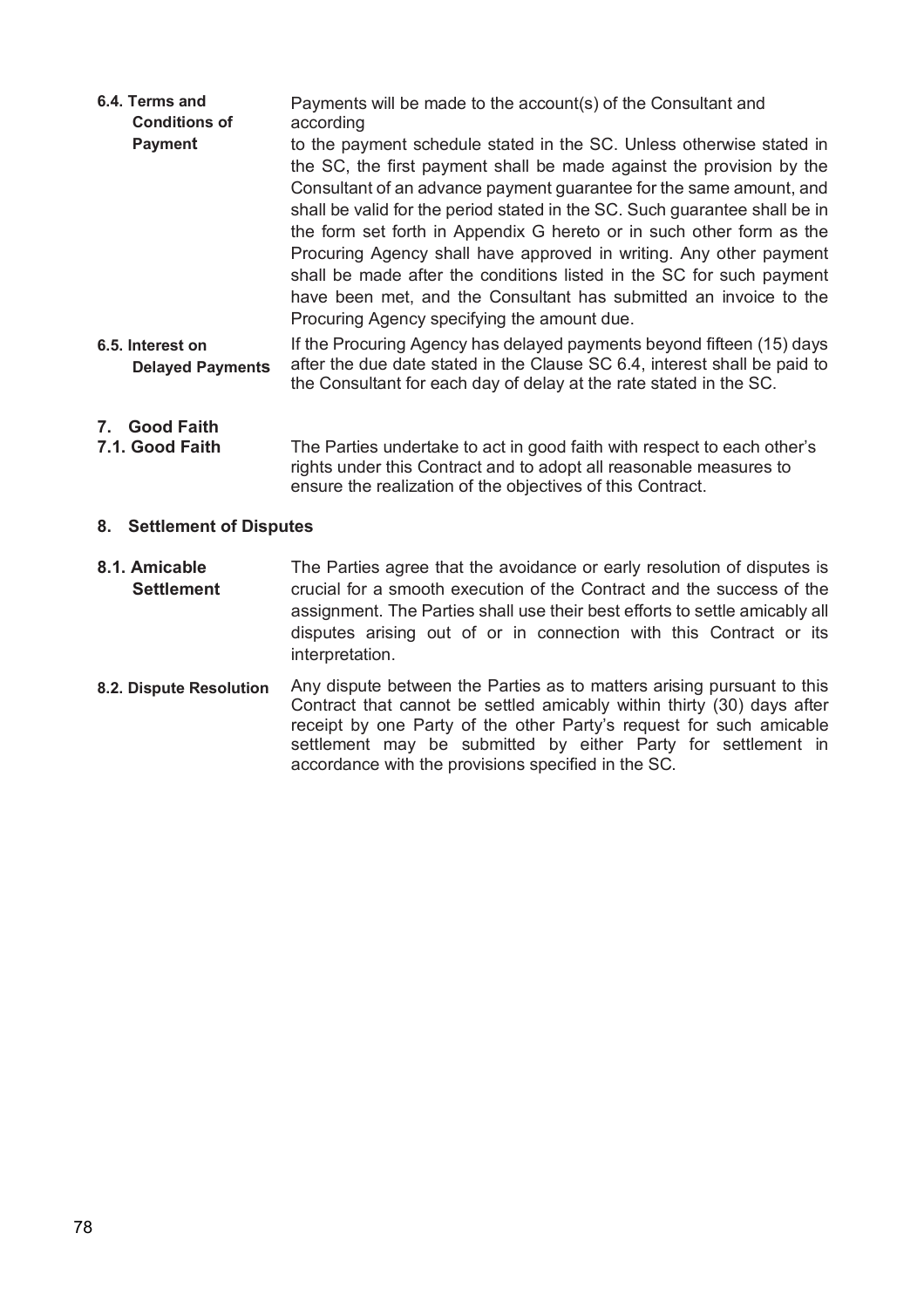| 6.4. Terms and<br><b>Conditions of</b> | Payments will be made to the account(s) of the Consultant and<br>according                                                                                                                                                                                                                                                                                                                                                                                                                                                                                                                                                                  |
|----------------------------------------|---------------------------------------------------------------------------------------------------------------------------------------------------------------------------------------------------------------------------------------------------------------------------------------------------------------------------------------------------------------------------------------------------------------------------------------------------------------------------------------------------------------------------------------------------------------------------------------------------------------------------------------------|
| <b>Payment</b>                         | to the payment schedule stated in the SC. Unless otherwise stated in<br>the SC, the first payment shall be made against the provision by the<br>Consultant of an advance payment guarantee for the same amount, and<br>shall be valid for the period stated in the SC. Such guarantee shall be in<br>the form set forth in Appendix G hereto or in such other form as the<br>Procuring Agency shall have approved in writing. Any other payment<br>shall be made after the conditions listed in the SC for such payment<br>have been met, and the Consultant has submitted an invoice to the<br>Procuring Agency specifying the amount due. |
| 6.5. Interest on                       | If the Procuring Agency has delayed payments beyond fifteen (15) days                                                                                                                                                                                                                                                                                                                                                                                                                                                                                                                                                                       |

- **Delayed Payments** after the due date stated in the Clause SC 6.4, interest shall be paid to the Consultant for each day of delay at the rate stated in the SC.
- **7. Good Faith**
- **7.1. Good Faith** The Parties undertake to act in good faith with respect to each other's rights under this Contract and to adopt all reasonable measures to ensure the realization of the objectives of this Contract.

## **8. Settlement of Disputes**

- **8.1. Amicable Settlement** The Parties agree that the avoidance or early resolution of disputes is crucial for a smooth execution of the Contract and the success of the assignment. The Parties shall use their best efforts to settle amicably all disputes arising out of or in connection with this Contract or its interpretation.
- **8.2. Dispute Resolution** Any dispute between the Parties as to matters arising pursuant to this Contract that cannot be settled amicably within thirty (30) days after receipt by one Party of the other Party's request for such amicable settlement may be submitted by either Party for settlement in accordance with the provisions specified in the SC.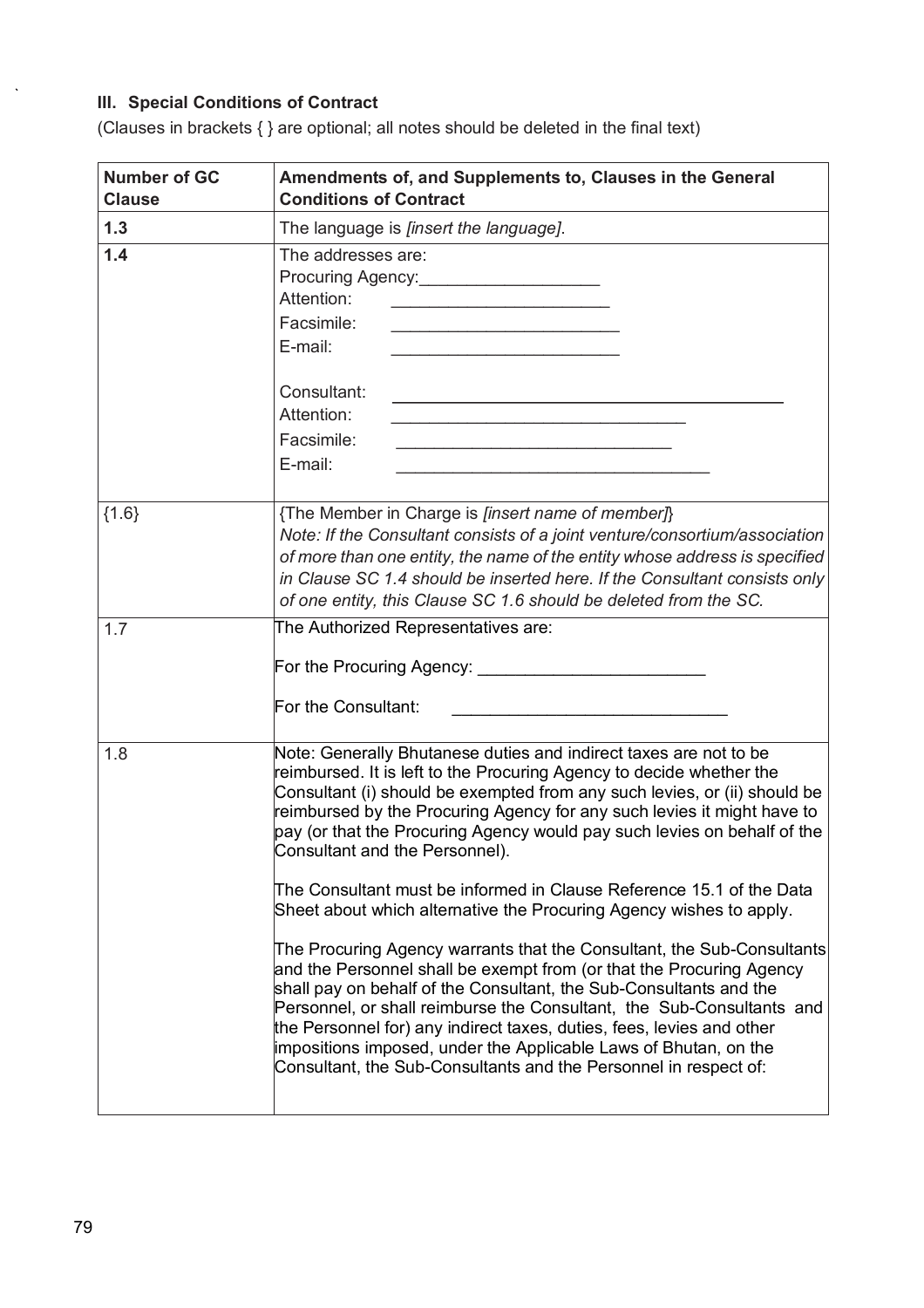# **III. Special Conditions of Contract**

 $\hat{\boldsymbol{\beta}}$ 

(Clauses in brackets { } are optional; all notes should be deleted in the final text)

| <b>Number of GC</b><br><b>Clause</b> | Amendments of, and Supplements to, Clauses in the General<br><b>Conditions of Contract</b>                                                                                                                                                                                                                                                                                                                                                                                                                                                                                                                                                                                                                                                                                                                                                                                                                                                                                                                                                                                       |
|--------------------------------------|----------------------------------------------------------------------------------------------------------------------------------------------------------------------------------------------------------------------------------------------------------------------------------------------------------------------------------------------------------------------------------------------------------------------------------------------------------------------------------------------------------------------------------------------------------------------------------------------------------------------------------------------------------------------------------------------------------------------------------------------------------------------------------------------------------------------------------------------------------------------------------------------------------------------------------------------------------------------------------------------------------------------------------------------------------------------------------|
| 1.3                                  | The language is [insert the language].                                                                                                                                                                                                                                                                                                                                                                                                                                                                                                                                                                                                                                                                                                                                                                                                                                                                                                                                                                                                                                           |
| 1.4                                  | The addresses are:<br>Procuring Agency:_______________________<br>Attention:<br><u> 1989 - Johann John Stone, mars eta biztanleria (h. 1982).</u><br>Facsimile:<br>E-mail:                                                                                                                                                                                                                                                                                                                                                                                                                                                                                                                                                                                                                                                                                                                                                                                                                                                                                                       |
|                                      | Consultant:<br>Attention:<br>Facsimile:<br>E-mail:                                                                                                                                                                                                                                                                                                                                                                                                                                                                                                                                                                                                                                                                                                                                                                                                                                                                                                                                                                                                                               |
| ${1.6}$                              | {The Member in Charge is [insert name of member]}<br>Note: If the Consultant consists of a joint venture/consortium/association<br>of more than one entity, the name of the entity whose address is specified<br>in Clause SC 1.4 should be inserted here. If the Consultant consists only<br>of one entity, this Clause SC 1.6 should be deleted from the SC.                                                                                                                                                                                                                                                                                                                                                                                                                                                                                                                                                                                                                                                                                                                   |
| 1.7                                  | The Authorized Representatives are:<br>For the Procuring Agency: _____________________<br>For the Consultant:                                                                                                                                                                                                                                                                                                                                                                                                                                                                                                                                                                                                                                                                                                                                                                                                                                                                                                                                                                    |
| 1.8                                  | Note: Generally Bhutanese duties and indirect taxes are not to be<br>reimbursed. It is left to the Procuring Agency to decide whether the<br>Consultant (i) should be exempted from any such levies, or (ii) should be<br>reimbursed by the Procuring Agency for any such levies it might have to<br>pay (or that the Procuring Agency would pay such levies on behalf of the<br>Consultant and the Personnel).<br>The Consultant must be informed in Clause Reference 15.1 of the Data<br>Sheet about which alternative the Procuring Agency wishes to apply.<br>The Procuring Agency warrants that the Consultant, the Sub-Consultants<br>and the Personnel shall be exempt from (or that the Procuring Agency<br>shall pay on behalf of the Consultant, the Sub-Consultants and the<br>Personnel, or shall reimburse the Consultant, the Sub-Consultants and<br>the Personnel for) any indirect taxes, duties, fees, levies and other<br>impositions imposed, under the Applicable Laws of Bhutan, on the<br>Consultant, the Sub-Consultants and the Personnel in respect of: |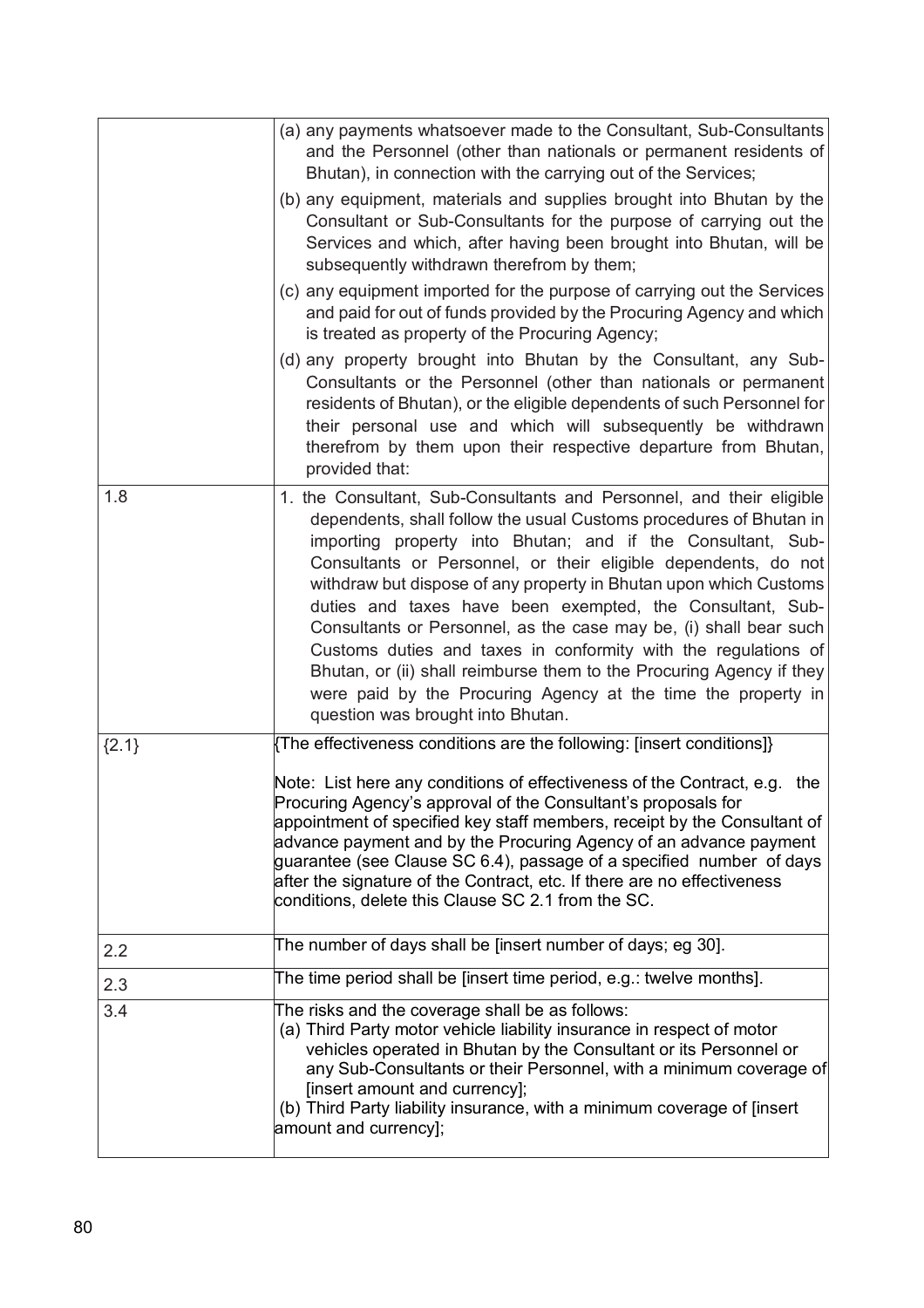|         | (a) any payments whatsoever made to the Consultant, Sub-Consultants<br>and the Personnel (other than nationals or permanent residents of<br>Bhutan), in connection with the carrying out of the Services;<br>(b) any equipment, materials and supplies brought into Bhutan by the<br>Consultant or Sub-Consultants for the purpose of carrying out the<br>Services and which, after having been brought into Bhutan, will be<br>subsequently withdrawn therefrom by them;<br>(c) any equipment imported for the purpose of carrying out the Services<br>and paid for out of funds provided by the Procuring Agency and which<br>is treated as property of the Procuring Agency;<br>(d) any property brought into Bhutan by the Consultant, any Sub-<br>Consultants or the Personnel (other than nationals or permanent<br>residents of Bhutan), or the eligible dependents of such Personnel for<br>their personal use and which will subsequently be withdrawn<br>therefrom by them upon their respective departure from Bhutan,<br>provided that: |
|---------|-----------------------------------------------------------------------------------------------------------------------------------------------------------------------------------------------------------------------------------------------------------------------------------------------------------------------------------------------------------------------------------------------------------------------------------------------------------------------------------------------------------------------------------------------------------------------------------------------------------------------------------------------------------------------------------------------------------------------------------------------------------------------------------------------------------------------------------------------------------------------------------------------------------------------------------------------------------------------------------------------------------------------------------------------------|
| 1.8     | 1. the Consultant, Sub-Consultants and Personnel, and their eligible<br>dependents, shall follow the usual Customs procedures of Bhutan in<br>importing property into Bhutan; and if the Consultant, Sub-<br>Consultants or Personnel, or their eligible dependents, do not<br>withdraw but dispose of any property in Bhutan upon which Customs<br>duties and taxes have been exempted, the Consultant, Sub-<br>Consultants or Personnel, as the case may be, (i) shall bear such<br>Customs duties and taxes in conformity with the regulations of<br>Bhutan, or (ii) shall reimburse them to the Procuring Agency if they<br>were paid by the Procuring Agency at the time the property in<br>question was brought into Bhutan.                                                                                                                                                                                                                                                                                                                  |
| ${2.1}$ | The effectiveness conditions are the following: [insert conditions]}<br>Note: List here any conditions of effectiveness of the Contract, e.g.<br>the<br>Procuring Agency's approval of the Consultant's proposals for<br>appointment of specified key staff members, receipt by the Consultant of<br>advance payment and by the Procuring Agency of an advance payment<br>guarantee (see Clause SC 6.4), passage of a specified number of days<br>after the signature of the Contract, etc. If there are no effectiveness<br>conditions, delete this Clause SC 2.1 from the SC.                                                                                                                                                                                                                                                                                                                                                                                                                                                                     |
| 2.2     | The number of days shall be [insert number of days; eg 30].                                                                                                                                                                                                                                                                                                                                                                                                                                                                                                                                                                                                                                                                                                                                                                                                                                                                                                                                                                                         |
| 2.3     | The time period shall be [insert time period, e.g.: twelve months].                                                                                                                                                                                                                                                                                                                                                                                                                                                                                                                                                                                                                                                                                                                                                                                                                                                                                                                                                                                 |
| 3.4     | The risks and the coverage shall be as follows:<br>(a) Third Party motor vehicle liability insurance in respect of motor<br>vehicles operated in Bhutan by the Consultant or its Personnel or<br>any Sub-Consultants or their Personnel, with a minimum coverage of<br>[insert amount and currency];<br>(b) Third Party liability insurance, with a minimum coverage of [insert<br>amount and currency];                                                                                                                                                                                                                                                                                                                                                                                                                                                                                                                                                                                                                                            |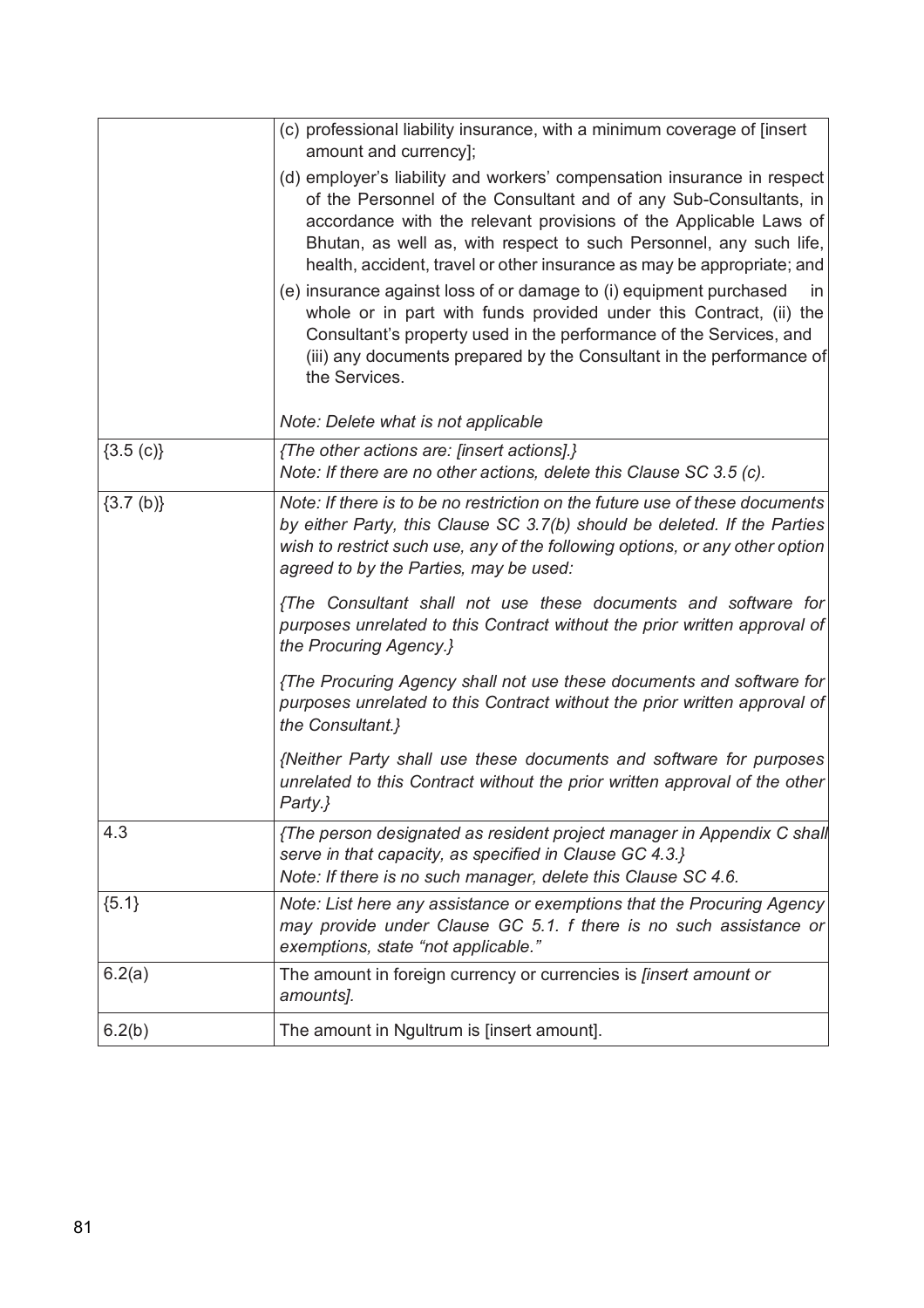|             | (c) professional liability insurance, with a minimum coverage of [insert<br>amount and currency];                                                                                                                                                                                                                                                                 |
|-------------|-------------------------------------------------------------------------------------------------------------------------------------------------------------------------------------------------------------------------------------------------------------------------------------------------------------------------------------------------------------------|
|             | (d) employer's liability and workers' compensation insurance in respect<br>of the Personnel of the Consultant and of any Sub-Consultants, in<br>accordance with the relevant provisions of the Applicable Laws of<br>Bhutan, as well as, with respect to such Personnel, any such life,<br>health, accident, travel or other insurance as may be appropriate; and |
|             | (e) insurance against loss of or damage to (i) equipment purchased<br>in<br>whole or in part with funds provided under this Contract, (ii) the<br>Consultant's property used in the performance of the Services, and<br>(iii) any documents prepared by the Consultant in the performance of<br>the Services.                                                     |
|             | Note: Delete what is not applicable                                                                                                                                                                                                                                                                                                                               |
| ${3.5 (c)}$ | {The other actions are: [insert actions].}<br>Note: If there are no other actions, delete this Clause SC 3.5 (c).                                                                                                                                                                                                                                                 |
| ${3.7 (b)}$ | Note: If there is to be no restriction on the future use of these documents<br>by either Party, this Clause SC 3.7(b) should be deleted. If the Parties<br>wish to restrict such use, any of the following options, or any other option<br>agreed to by the Parties, may be used:                                                                                 |
|             | The Consultant shall not use these documents and software for<br>purposes unrelated to this Contract without the prior written approval of<br>the Procuring Agency.}                                                                                                                                                                                              |
|             | {The Procuring Agency shall not use these documents and software for<br>purposes unrelated to this Contract without the prior written approval of<br>the Consultant.}                                                                                                                                                                                             |
|             | {Neither Party shall use these documents and software for purposes<br>unrelated to this Contract without the prior written approval of the other<br>Party.}                                                                                                                                                                                                       |
| 4.3         | {The person designated as resident project manager in Appendix C shall<br>serve in that capacity, as specified in Clause GC 4.3.}<br>Note: If there is no such manager, delete this Clause SC 4.6.                                                                                                                                                                |
| ${5.1}$     | Note: List here any assistance or exemptions that the Procuring Agency<br>may provide under Clause GC 5.1. f there is no such assistance or<br>exemptions, state "not applicable."                                                                                                                                                                                |
| 6.2(a)      | The amount in foreign currency or currencies is [insert amount or<br>amounts].                                                                                                                                                                                                                                                                                    |
| 6.2(b)      | The amount in Ngultrum is [insert amount].                                                                                                                                                                                                                                                                                                                        |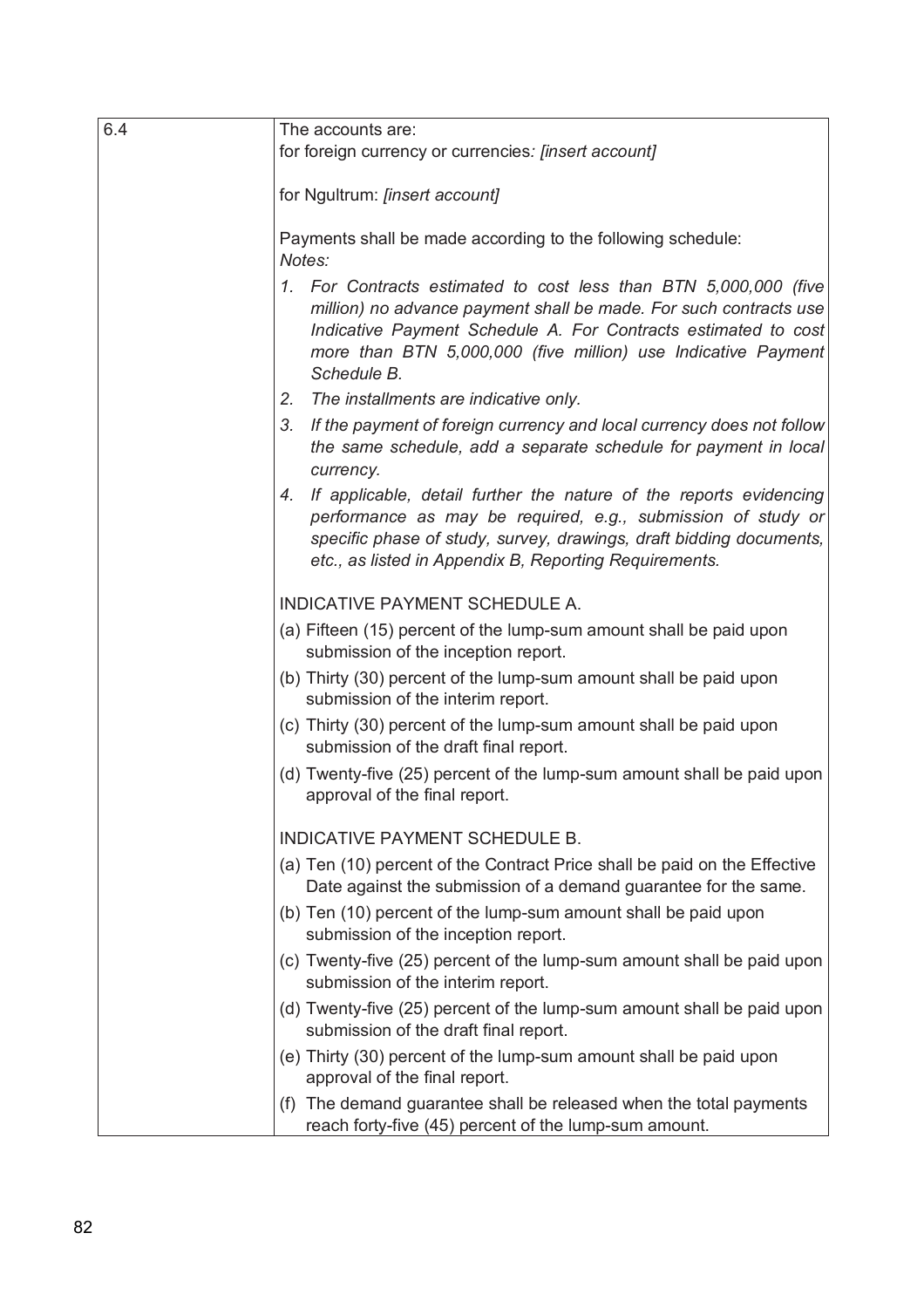| 6.4 | The accounts are:                                                                                                                                                                                                                                                                       |  |  |  |
|-----|-----------------------------------------------------------------------------------------------------------------------------------------------------------------------------------------------------------------------------------------------------------------------------------------|--|--|--|
|     | for foreign currency or currencies: [insert account]                                                                                                                                                                                                                                    |  |  |  |
|     | for Ngultrum: [insert account]                                                                                                                                                                                                                                                          |  |  |  |
|     | Payments shall be made according to the following schedule:<br>Notes:                                                                                                                                                                                                                   |  |  |  |
|     | 1. For Contracts estimated to cost less than BTN 5,000,000 (five<br>million) no advance payment shall be made. For such contracts use<br>Indicative Payment Schedule A. For Contracts estimated to cost<br>more than BTN 5,000,000 (five million) use Indicative Payment<br>Schedule B. |  |  |  |
|     | The installments are indicative only.<br>2.                                                                                                                                                                                                                                             |  |  |  |
|     | If the payment of foreign currency and local currency does not follow<br>3.<br>the same schedule, add a separate schedule for payment in local<br>currency.                                                                                                                             |  |  |  |
|     | 4. If applicable, detail further the nature of the reports evidencing<br>performance as may be required, e.g., submission of study or<br>specific phase of study, survey, drawings, draft bidding documents,<br>etc., as listed in Appendix B, Reporting Requirements.                  |  |  |  |
|     | <b>INDICATIVE PAYMENT SCHEDULE A.</b>                                                                                                                                                                                                                                                   |  |  |  |
|     | (a) Fifteen (15) percent of the lump-sum amount shall be paid upon<br>submission of the inception report.                                                                                                                                                                               |  |  |  |
|     | (b) Thirty (30) percent of the lump-sum amount shall be paid upon<br>submission of the interim report.                                                                                                                                                                                  |  |  |  |
|     | (c) Thirty (30) percent of the lump-sum amount shall be paid upon<br>submission of the draft final report.                                                                                                                                                                              |  |  |  |
|     | (d) Twenty-five (25) percent of the lump-sum amount shall be paid upon<br>approval of the final report.                                                                                                                                                                                 |  |  |  |
|     | <b>INDICATIVE PAYMENT SCHEDULE B.</b>                                                                                                                                                                                                                                                   |  |  |  |
|     | (a) Ten (10) percent of the Contract Price shall be paid on the Effective<br>Date against the submission of a demand guarantee for the same.                                                                                                                                            |  |  |  |
|     | (b) Ten (10) percent of the lump-sum amount shall be paid upon<br>submission of the inception report.                                                                                                                                                                                   |  |  |  |
|     | (c) Twenty-five (25) percent of the lump-sum amount shall be paid upon<br>submission of the interim report.                                                                                                                                                                             |  |  |  |
|     | (d) Twenty-five (25) percent of the lump-sum amount shall be paid upon<br>submission of the draft final report.                                                                                                                                                                         |  |  |  |
|     | (e) Thirty (30) percent of the lump-sum amount shall be paid upon<br>approval of the final report.                                                                                                                                                                                      |  |  |  |
|     | (f) The demand guarantee shall be released when the total payments<br>reach forty-five (45) percent of the lump-sum amount.                                                                                                                                                             |  |  |  |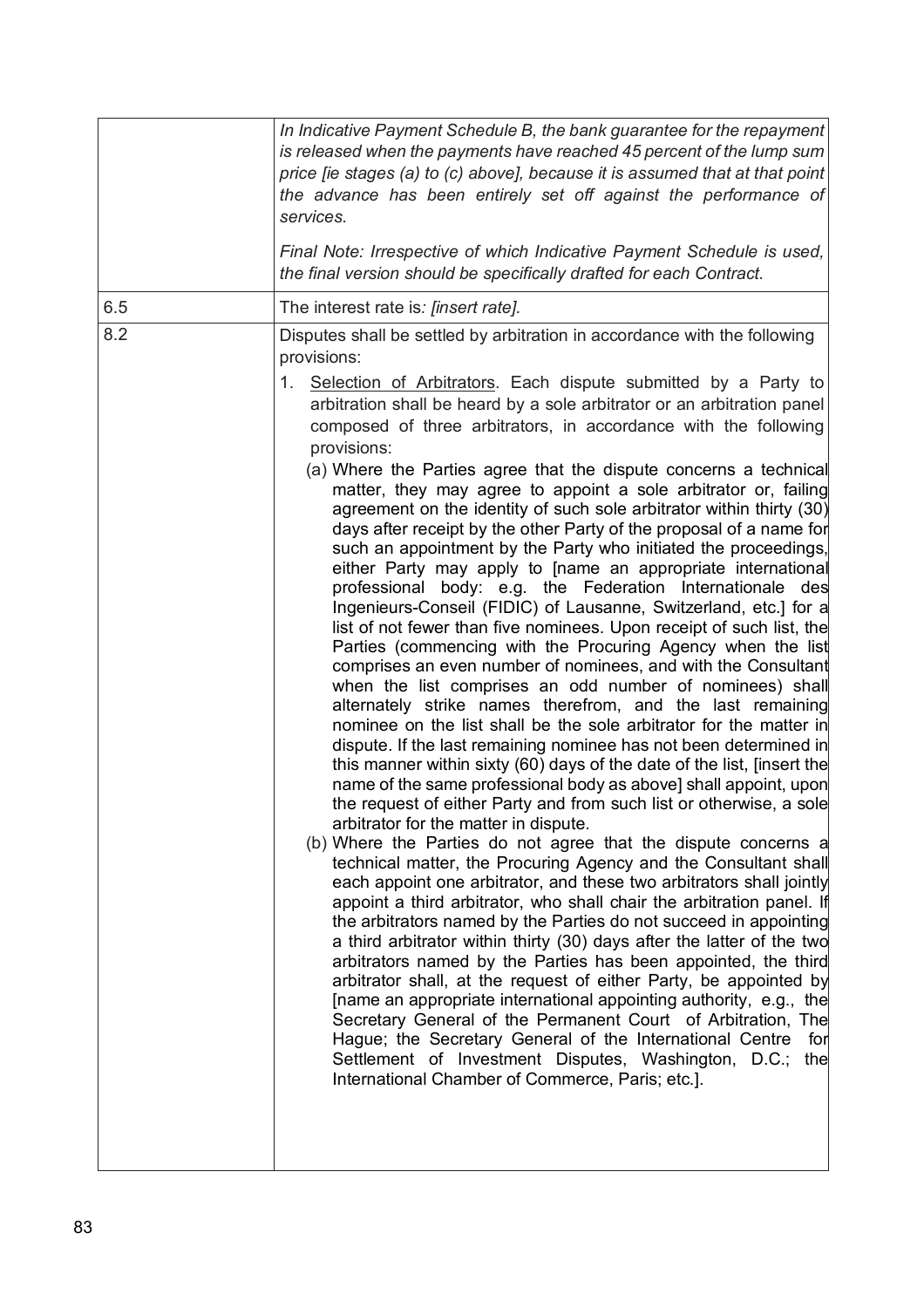|     | In Indicative Payment Schedule B, the bank guarantee for the repayment<br>is released when the payments have reached 45 percent of the lump sum<br>price [ie stages (a) to (c) above], because it is assumed that at that point<br>the advance has been entirely set off against the performance of<br>services.                                                                                                                                                                                                                                                                                                                                                                                                                                                                                                                                                                                                                                                                                                                                                                                                                                                                                                                                                                                                                                                                                                                                                                                                                                                                                                                                                                                                                                                                                                                                                                                                                                                                                                                                                                                                                                                                                                                                                                                                                                                                                                                                                                                                                          |
|-----|-------------------------------------------------------------------------------------------------------------------------------------------------------------------------------------------------------------------------------------------------------------------------------------------------------------------------------------------------------------------------------------------------------------------------------------------------------------------------------------------------------------------------------------------------------------------------------------------------------------------------------------------------------------------------------------------------------------------------------------------------------------------------------------------------------------------------------------------------------------------------------------------------------------------------------------------------------------------------------------------------------------------------------------------------------------------------------------------------------------------------------------------------------------------------------------------------------------------------------------------------------------------------------------------------------------------------------------------------------------------------------------------------------------------------------------------------------------------------------------------------------------------------------------------------------------------------------------------------------------------------------------------------------------------------------------------------------------------------------------------------------------------------------------------------------------------------------------------------------------------------------------------------------------------------------------------------------------------------------------------------------------------------------------------------------------------------------------------------------------------------------------------------------------------------------------------------------------------------------------------------------------------------------------------------------------------------------------------------------------------------------------------------------------------------------------------------------------------------------------------------------------------------------------------|
|     | Final Note: Irrespective of which Indicative Payment Schedule is used,<br>the final version should be specifically drafted for each Contract.                                                                                                                                                                                                                                                                                                                                                                                                                                                                                                                                                                                                                                                                                                                                                                                                                                                                                                                                                                                                                                                                                                                                                                                                                                                                                                                                                                                                                                                                                                                                                                                                                                                                                                                                                                                                                                                                                                                                                                                                                                                                                                                                                                                                                                                                                                                                                                                             |
| 6.5 | The interest rate is: <i>[insert rate]</i> .                                                                                                                                                                                                                                                                                                                                                                                                                                                                                                                                                                                                                                                                                                                                                                                                                                                                                                                                                                                                                                                                                                                                                                                                                                                                                                                                                                                                                                                                                                                                                                                                                                                                                                                                                                                                                                                                                                                                                                                                                                                                                                                                                                                                                                                                                                                                                                                                                                                                                              |
| 8.2 | Disputes shall be settled by arbitration in accordance with the following<br>provisions:<br>Selection of Arbitrators. Each dispute submitted by a Party to<br>1.<br>arbitration shall be heard by a sole arbitrator or an arbitration panel<br>composed of three arbitrators, in accordance with the following<br>provisions:<br>(a) Where the Parties agree that the dispute concerns a technical<br>matter, they may agree to appoint a sole arbitrator or, failing<br>agreement on the identity of such sole arbitrator within thirty (30)<br>days after receipt by the other Party of the proposal of a name for<br>such an appointment by the Party who initiated the proceedings,<br>either Party may apply to [name an appropriate international<br>professional body: e.g. the Federation Internationale des<br>Ingenieurs-Conseil (FIDIC) of Lausanne, Switzerland, etc.] for a<br>list of not fewer than five nominees. Upon receipt of such list, the<br>Parties (commencing with the Procuring Agency when the list<br>comprises an even number of nominees, and with the Consultant<br>when the list comprises an odd number of nominees) shall<br>alternately strike names therefrom, and the last remaining<br>nominee on the list shall be the sole arbitrator for the matter in<br>dispute. If the last remaining nominee has not been determined in<br>this manner within sixty (60) days of the date of the list, [insert the<br>name of the same professional body as above] shall appoint, upon<br>the request of either Party and from such list or otherwise, a sole<br>arbitrator for the matter in dispute.<br>(b) Where the Parties do not agree that the dispute concerns a<br>technical matter, the Procuring Agency and the Consultant shall<br>each appoint one arbitrator, and these two arbitrators shall jointly<br>appoint a third arbitrator, who shall chair the arbitration panel. If<br>the arbitrators named by the Parties do not succeed in appointing<br>a third arbitrator within thirty (30) days after the latter of the two<br>arbitrators named by the Parties has been appointed, the third<br>arbitrator shall, at the request of either Party, be appointed by<br>[name an appropriate international appointing authority, e.g., the<br>Secretary General of the Permanent Court of Arbitration, The<br>Hague; the Secretary General of the International Centre<br>for<br>Settlement of Investment Disputes, Washington, D.C.; the<br>International Chamber of Commerce, Paris; etc.]. |
|     |                                                                                                                                                                                                                                                                                                                                                                                                                                                                                                                                                                                                                                                                                                                                                                                                                                                                                                                                                                                                                                                                                                                                                                                                                                                                                                                                                                                                                                                                                                                                                                                                                                                                                                                                                                                                                                                                                                                                                                                                                                                                                                                                                                                                                                                                                                                                                                                                                                                                                                                                           |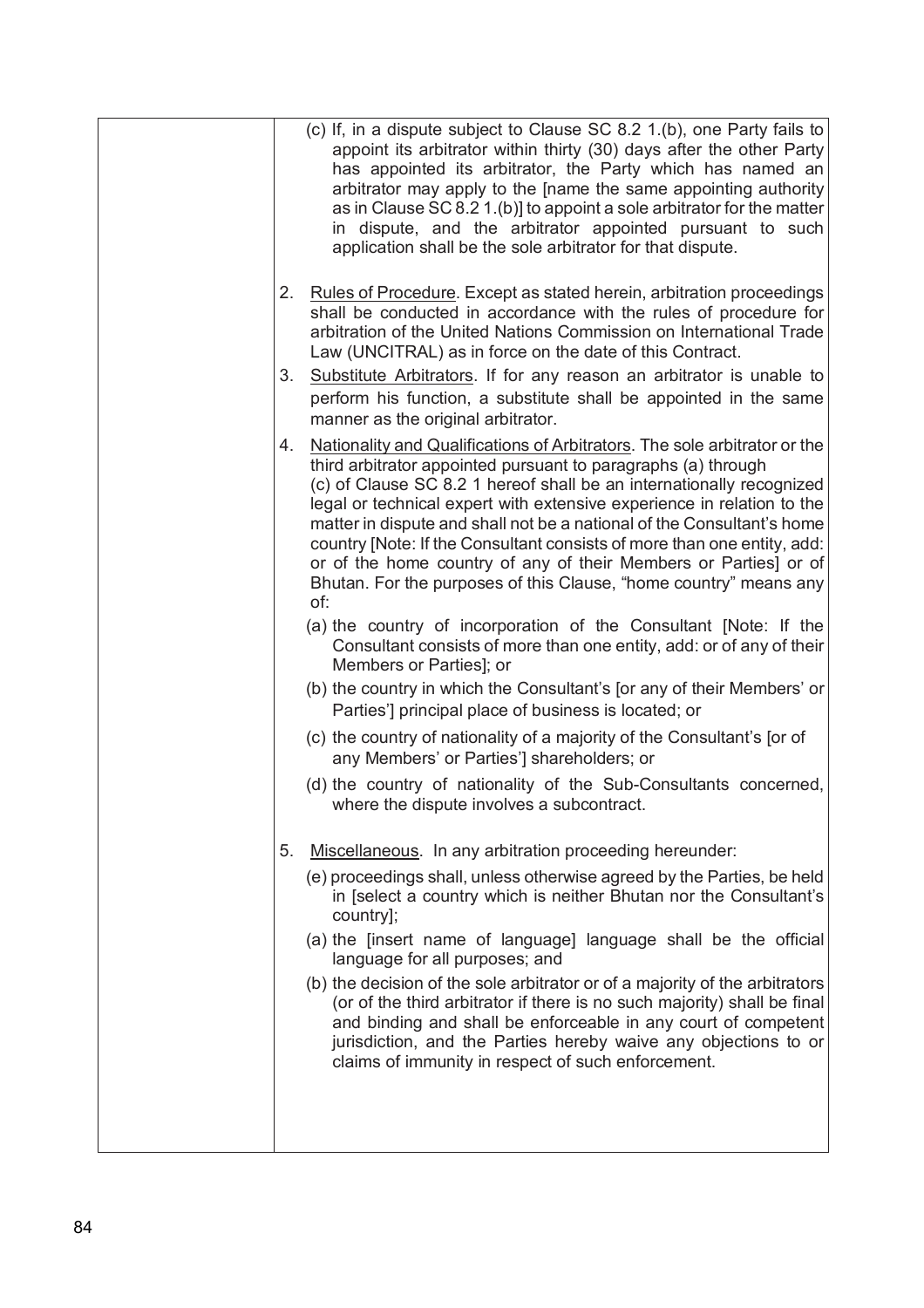|    | (c) If, in a dispute subject to Clause SC 8.2 1.(b), one Party fails to<br>appoint its arbitrator within thirty (30) days after the other Party<br>has appointed its arbitrator, the Party which has named an<br>arbitrator may apply to the [name the same appointing authority<br>as in Clause $SC 8.2 1.(b)$ ] to appoint a sole arbitrator for the matter<br>in dispute, and the arbitrator appointed pursuant to such<br>application shall be the sole arbitrator for that dispute.                                                                                                                                                                                        |
|----|---------------------------------------------------------------------------------------------------------------------------------------------------------------------------------------------------------------------------------------------------------------------------------------------------------------------------------------------------------------------------------------------------------------------------------------------------------------------------------------------------------------------------------------------------------------------------------------------------------------------------------------------------------------------------------|
| 2. | Rules of Procedure. Except as stated herein, arbitration proceedings<br>shall be conducted in accordance with the rules of procedure for<br>arbitration of the United Nations Commission on International Trade<br>Law (UNCITRAL) as in force on the date of this Contract.                                                                                                                                                                                                                                                                                                                                                                                                     |
| 3. | Substitute Arbitrators. If for any reason an arbitrator is unable to<br>perform his function, a substitute shall be appointed in the same<br>manner as the original arbitrator.                                                                                                                                                                                                                                                                                                                                                                                                                                                                                                 |
| 4. | Nationality and Qualifications of Arbitrators. The sole arbitrator or the<br>third arbitrator appointed pursuant to paragraphs (a) through<br>(c) of Clause SC 8.2 1 hereof shall be an internationally recognized<br>legal or technical expert with extensive experience in relation to the<br>matter in dispute and shall not be a national of the Consultant's home<br>country [Note: If the Consultant consists of more than one entity, add:<br>or of the home country of any of their Members or Parties] or of<br>Bhutan. For the purposes of this Clause, "home country" means any<br>of:                                                                               |
|    | (a) the country of incorporation of the Consultant [Note: If the<br>Consultant consists of more than one entity, add: or of any of their<br>Members or Parties]; or                                                                                                                                                                                                                                                                                                                                                                                                                                                                                                             |
|    | (b) the country in which the Consultant's [or any of their Members' or<br>Parties'] principal place of business is located; or                                                                                                                                                                                                                                                                                                                                                                                                                                                                                                                                                  |
|    | (c) the country of nationality of a majority of the Consultant's [or of<br>any Members' or Parties'] shareholders; or                                                                                                                                                                                                                                                                                                                                                                                                                                                                                                                                                           |
|    | (d) the country of nationality of the Sub-Consultants concerned,<br>where the dispute involves a subcontract.                                                                                                                                                                                                                                                                                                                                                                                                                                                                                                                                                                   |
| 5. | Miscellaneous. In any arbitration proceeding hereunder:<br>(e) proceedings shall, unless otherwise agreed by the Parties, be held<br>in [select a country which is neither Bhutan nor the Consultant's<br>country];<br>(a) the [insert name of language] language shall be the official<br>language for all purposes; and<br>(b) the decision of the sole arbitrator or of a majority of the arbitrators<br>(or of the third arbitrator if there is no such majority) shall be final<br>and binding and shall be enforceable in any court of competent<br>jurisdiction, and the Parties hereby waive any objections to or<br>claims of immunity in respect of such enforcement. |
|    |                                                                                                                                                                                                                                                                                                                                                                                                                                                                                                                                                                                                                                                                                 |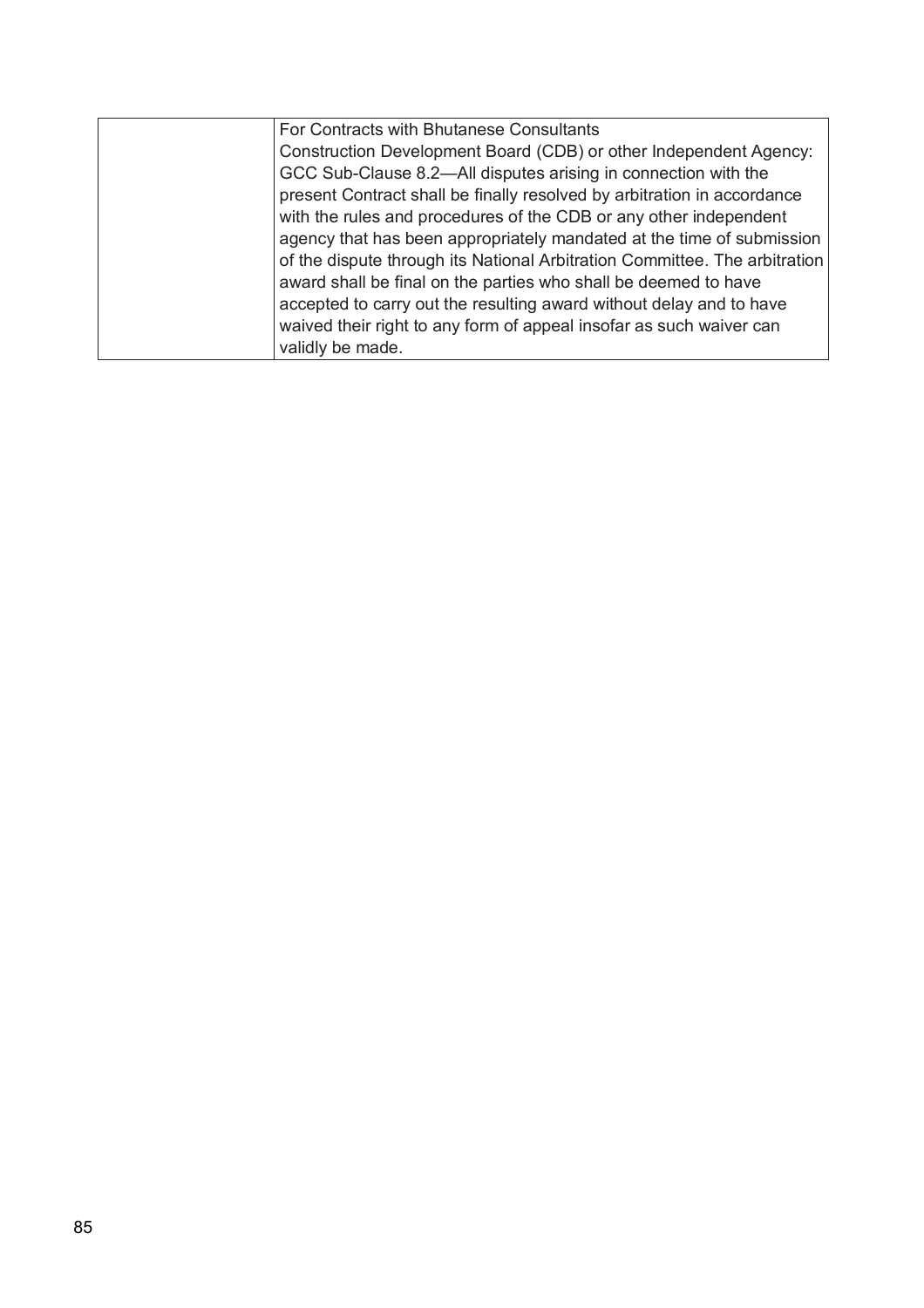| For Contracts with Bhutanese Consultants                                   |
|----------------------------------------------------------------------------|
| Construction Development Board (CDB) or other Independent Agency:          |
| GCC Sub-Clause 8.2-All disputes arising in connection with the             |
| present Contract shall be finally resolved by arbitration in accordance    |
| with the rules and procedures of the CDB or any other independent          |
| agency that has been appropriately mandated at the time of submission      |
| of the dispute through its National Arbitration Committee. The arbitration |
| award shall be final on the parties who shall be deemed to have            |
| accepted to carry out the resulting award without delay and to have        |
| waived their right to any form of appeal insofar as such waiver can        |
| validly be made.                                                           |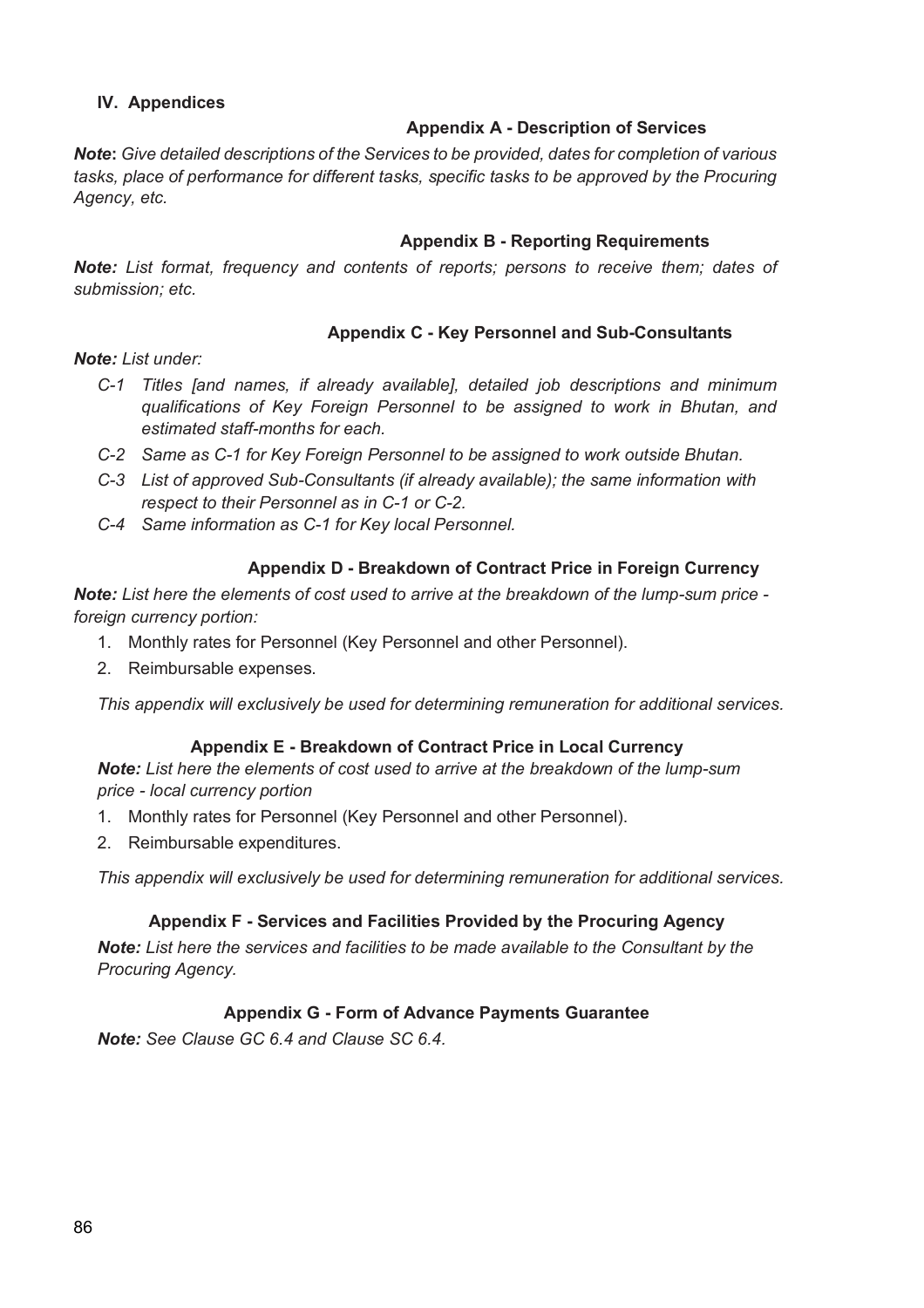# **IV. Appendices**

# **Appendix A - Description of Services**

*Note***:** *Give detailed descriptions of the Services to be provided, dates for completion of various tasks, place of performance for different tasks, specific tasks to be approved by the Procuring Agency, etc.*

# **Appendix B - Reporting Requirements**

*Note: List format, frequency and contents of reports; persons to receive them; dates of submission; etc.*

# **Appendix C - Key Personnel and Sub-Consultants**

## *Note: List under:*

- *C-1 Titles [and names, if already available], detailed job descriptions and minimum qualifications of Key Foreign Personnel to be assigned to work in Bhutan, and estimated staff-months for each.*
- *C-2 Same as C-1 for Key Foreign Personnel to be assigned to work outside Bhutan.*
- *C-3 List of approved Sub-Consultants (if already available); the same information with respect to their Personnel as in C-1 or C-2.*
- *C-4 Same information as C-1 for Key local Personnel.*

# **Appendix D - Breakdown of Contract Price in Foreign Currency**

*Note: List here the elements of cost used to arrive at the breakdown of the lump-sum price foreign currency portion:*

- 1. Monthly rates for Personnel (Key Personnel and other Personnel).
- 2. Reimbursable expenses.

*This appendix will exclusively be used for determining remuneration for additional services.*

## **Appendix E - Breakdown of Contract Price in Local Currency**

*Note: List here the elements of cost used to arrive at the breakdown of the lump-sum price - local currency portion*

- 1. Monthly rates for Personnel (Key Personnel and other Personnel).
- 2. Reimbursable expenditures.

*This appendix will exclusively be used for determining remuneration for additional services.*

## **Appendix F - Services and Facilities Provided by the Procuring Agency**

*Note: List here the services and facilities to be made available to the Consultant by the Procuring Agency.*

# **Appendix G - Form of Advance Payments Guarantee**

*Note: See Clause GC 6.4 and Clause SC 6.4.*